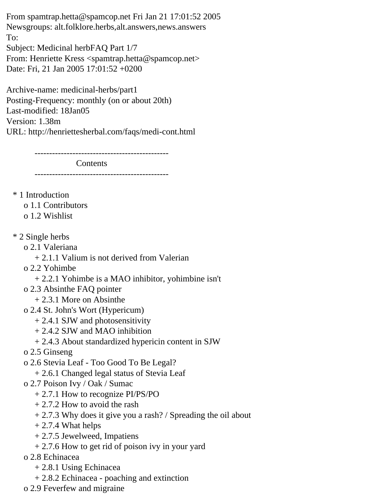From spamtrap.hetta@spamcop.net Fri Jan 21 17:01:52 2005 Newsgroups: alt.folklore.herbs,alt.answers,news.answers To:

Subject: Medicinal herbFAQ Part 1/7 From: Henriette Kress <spamtrap.hetta@spamcop.net> Date: Fri, 21 Jan 2005 17:01:52 +0200

Archive-name: medicinal-herbs/part1 Posting-Frequency: monthly (on or about 20th) Last-modified: 18Jan05 Version: 1.38m URL: http://henriettesherbal.com/faqs/medi-cont.html

----------------------------------------------

Contents

----------------------------------------------

\* 1 Introduction

- o 1.1 Contributors
- o 1.2 Wishlist
- \* 2 Single herbs
	- o 2.1 Valeriana
		- + 2.1.1 Valium is not derived from Valerian
	- o 2.2 Yohimbe
		- + 2.2.1 Yohimbe is a MAO inhibitor, yohimbine isn't
	- o 2.3 Absinthe FAQ pointer
		- + 2.3.1 More on Absinthe
	- o 2.4 St. John's Wort (Hypericum)
		- + 2.4.1 SJW and photosensitivity
		- + 2.4.2 SJW and MAO inhibition
		- + 2.4.3 About standardized hypericin content in SJW
	- o 2.5 Ginseng
	- o 2.6 Stevia Leaf Too Good To Be Legal?
		- + 2.6.1 Changed legal status of Stevia Leaf
	- o 2.7 Poison Ivy / Oak / Sumac
		- + 2.7.1 How to recognize PI/PS/PO
		- + 2.7.2 How to avoid the rash
		- + 2.7.3 Why does it give you a rash? / Spreading the oil about
		- $+ 2.7.4$  What helps
		- + 2.7.5 Jewelweed, Impatiens
		- + 2.7.6 How to get rid of poison ivy in your yard
	- o 2.8 Echinacea
		- + 2.8.1 Using Echinacea
		- + 2.8.2 Echinacea poaching and extinction
	- o 2.9 Feverfew and migraine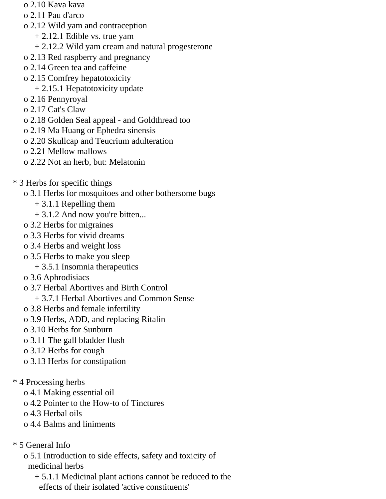- o 2.10 Kava kava
- o 2.11 Pau d'arco
- o 2.12 Wild yam and contraception
	- + 2.12.1 Edible vs. true yam
	- + 2.12.2 Wild yam cream and natural progesterone
- o 2.13 Red raspberry and pregnancy
- o 2.14 Green tea and caffeine
- o 2.15 Comfrey hepatotoxicity
	- + 2.15.1 Hepatotoxicity update
- o 2.16 Pennyroyal
- o 2.17 Cat's Claw
- o 2.18 Golden Seal appeal and Goldthread too
- o 2.19 Ma Huang or Ephedra sinensis
- o 2.20 Skullcap and Teucrium adulteration
- o 2.21 Mellow mallows
- o 2.22 Not an herb, but: Melatonin
- \* 3 Herbs for specific things
	- o 3.1 Herbs for mosquitoes and other bothersome bugs
		- + 3.1.1 Repelling them
		- + 3.1.2 And now you're bitten...
	- o 3.2 Herbs for migraines
	- o 3.3 Herbs for vivid dreams
	- o 3.4 Herbs and weight loss
	- o 3.5 Herbs to make you sleep
		- + 3.5.1 Insomnia therapeutics
	- o 3.6 Aphrodisiacs
	- o 3.7 Herbal Abortives and Birth Control
		- + 3.7.1 Herbal Abortives and Common Sense
	- o 3.8 Herbs and female infertility
	- o 3.9 Herbs, ADD, and replacing Ritalin
	- o 3.10 Herbs for Sunburn
	- o 3.11 The gall bladder flush
	- o 3.12 Herbs for cough
	- o 3.13 Herbs for constipation
- \* 4 Processing herbs
	- o 4.1 Making essential oil
	- o 4.2 Pointer to the How-to of Tinctures
	- o 4.3 Herbal oils
	- o 4.4 Balms and liniments
- \* 5 General Info
	- o 5.1 Introduction to side effects, safety and toxicity of medicinal herbs
		- + 5.1.1 Medicinal plant actions cannot be reduced to the
			- effects of their isolated 'active constituents'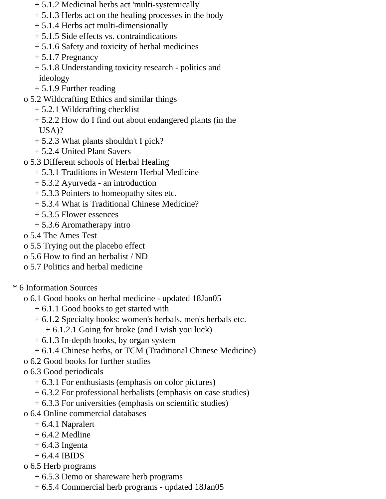- + 5.1.2 Medicinal herbs act 'multi-systemically'
- + 5.1.3 Herbs act on the healing processes in the body
- + 5.1.4 Herbs act multi-dimensionally
- + 5.1.5 Side effects vs. contraindications
- + 5.1.6 Safety and toxicity of herbal medicines
- + 5.1.7 Pregnancy
- + 5.1.8 Understanding toxicity research politics and ideology
- + 5.1.9 Further reading
- o 5.2 Wildcrafting Ethics and similar things
	- + 5.2.1 Wildcrafting checklist
	- + 5.2.2 How do I find out about endangered plants (in the
		- USA)?
	- + 5.2.3 What plants shouldn't I pick?
	- + 5.2.4 United Plant Savers
- o 5.3 Different schools of Herbal Healing
	- + 5.3.1 Traditions in Western Herbal Medicine
	- + 5.3.2 Ayurveda an introduction
	- + 5.3.3 Pointers to homeopathy sites etc.
	- + 5.3.4 What is Traditional Chinese Medicine?
	- + 5.3.5 Flower essences
	- + 5.3.6 Aromatherapy intro
- o 5.4 The Ames Test
- o 5.5 Trying out the placebo effect
- o 5.6 How to find an herbalist / ND
- o 5.7 Politics and herbal medicine
- \* 6 Information Sources
	- o 6.1 Good books on herbal medicine updated 18Jan05
		- + 6.1.1 Good books to get started with
		- + 6.1.2 Specialty books: women's herbals, men's herbals etc.
			- + 6.1.2.1 Going for broke (and I wish you luck)
		- + 6.1.3 In-depth books, by organ system
		- + 6.1.4 Chinese herbs, or TCM (Traditional Chinese Medicine)
	- o 6.2 Good books for further studies
	- o 6.3 Good periodicals
		- + 6.3.1 For enthusiasts (emphasis on color pictures)
		- + 6.3.2 For professional herbalists (emphasis on case studies)
		- + 6.3.3 For universities (emphasis on scientific studies)
	- o 6.4 Online commercial databases
		- + 6.4.1 Napralert
		- + 6.4.2 Medline
		- + 6.4.3 Ingenta
		- + 6.4.4 IBIDS
	- o 6.5 Herb programs
		- + 6.5.3 Demo or shareware herb programs
		- + 6.5.4 Commercial herb programs updated 18Jan05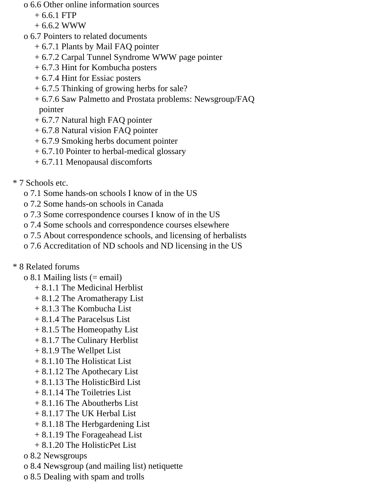- o 6.6 Other online information sources
	- $+ 6.6.1$  FTP
	- $+ 6.6.2$  WWW
- o 6.7 Pointers to related documents
	- + 6.7.1 Plants by Mail FAQ pointer
	- + 6.7.2 Carpal Tunnel Syndrome WWW page pointer
	- + 6.7.3 Hint for Kombucha posters
	- + 6.7.4 Hint for Essiac posters
	- + 6.7.5 Thinking of growing herbs for sale?
	- + 6.7.6 Saw Palmetto and Prostata problems: Newsgroup/FAQ
	- pointer
	- + 6.7.7 Natural high FAQ pointer
	- + 6.7.8 Natural vision FAQ pointer
	- + 6.7.9 Smoking herbs document pointer
	- + 6.7.10 Pointer to herbal-medical glossary
	- + 6.7.11 Menopausal discomforts
- \* 7 Schools etc.
	- o 7.1 Some hands-on schools I know of in the US
	- o 7.2 Some hands-on schools in Canada
	- o 7.3 Some correspondence courses I know of in the US
	- o 7.4 Some schools and correspondence courses elsewhere
	- o 7.5 About correspondence schools, and licensing of herbalists
	- o 7.6 Accreditation of ND schools and ND licensing in the US
- \* 8 Related forums
	- o 8.1 Mailing lists  $(=$ email)
		- + 8.1.1 The Medicinal Herblist
		- + 8.1.2 The Aromatherapy List
		- + 8.1.3 The Kombucha List
		- + 8.1.4 The Paracelsus List
		- + 8.1.5 The Homeopathy List
		- + 8.1.7 The Culinary Herblist
		- + 8.1.9 The Wellpet List
		- + 8.1.10 The Holisticat List
		- + 8.1.12 The Apothecary List
		- + 8.1.13 The HolisticBird List
		- + 8.1.14 The Toiletries List
		- + 8.1.16 The Aboutherbs List
		- + 8.1.17 The UK Herbal List
		- + 8.1.18 The Herbgardening List
		- + 8.1.19 The Forageahead List
		- + 8.1.20 The HolisticPet List
	- o 8.2 Newsgroups
	- o 8.4 Newsgroup (and mailing list) netiquette
	- o 8.5 Dealing with spam and trolls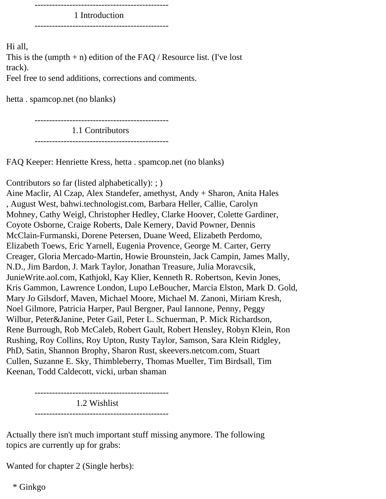---------------------------------------------- 1 Introduction

----------------------------------------------

Hi all, This is the (umpth  $+$  n) edition of the FAQ / Resource list. (I've lost track). Feel free to send additions, corrections and comments.

hetta . spamcop.net (no blanks)

----------------------------------------------

1.1 Contributors

----------------------------------------------

FAQ Keeper: Henriette Kress, hetta . spamcop.net (no blanks)

Contributors so far (listed alphabetically): ; )

Aine Maclir, Al Czap, Alex Standefer, amethyst, Andy + Sharon, Anita Hales , August West, bahwi.technologist.com, Barbara Heller, Callie, Carolyn Mohney, Cathy Weigl, Christopher Hedley, Clarke Hoover, Colette Gardiner, Coyote Osborne, Craige Roberts, Dale Kemery, David Powner, Dennis McClain-Furmanski, Dorene Petersen, Duane Weed, Elizabeth Perdomo, Elizabeth Toews, Eric Yarnell, Eugenia Provence, George M. Carter, Gerry Creager, Gloria Mercado-Martin, Howie Brounstein, Jack Campin, James Mally, N.D., Jim Bardon, J. Mark Taylor, Jonathan Treasure, Julia Moravcsik, JunieWrite.aol.com, Kathjokl, Kay Klier, Kenneth R. Robertson, Kevin Jones, Kris Gammon, Lawrence London, Lupo LeBoucher, Marcia Elston, Mark D. Gold, Mary Jo Gilsdorf, Maven, Michael Moore, Michael M. Zanoni, Miriam Kresh, Noel Gilmore, Patricia Harper, Paul Bergner, Paul Iannone, Penny, Peggy Wilbur, Peter&Janine, Peter Gail, Peter L. Schuerman, P. Mick Richardson, Rene Burrough, Rob McCaleb, Robert Gault, Robert Hensley, Robyn Klein, Ron Rushing, Roy Collins, Roy Upton, Rusty Taylor, Samson, Sara Klein Ridgley, PhD, Satin, Shannon Brophy, Sharon Rust, skeevers.netcom.com, Stuart Cullen, Suzanne E. Sky, Thimbleberry, Thomas Mueller, Tim Birdsall, Tim Keenan, Todd Caldecott, vicki, urban shaman

> ---------------------------------------------- 1.2 Wishlist ----------------------------------------------

Actually there isn't much important stuff missing anymore. The following topics are currently up for grabs:

Wanted for chapter 2 (Single herbs):

\* Ginkgo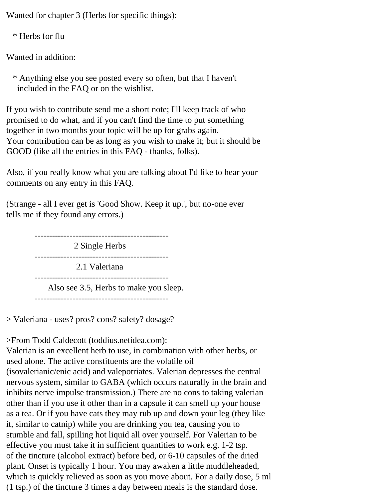Wanted for chapter 3 (Herbs for specific things):

\* Herbs for flu

Wanted in addition:

 \* Anything else you see posted every so often, but that I haven't included in the FAQ or on the wishlist.

If you wish to contribute send me a short note; I'll keep track of who promised to do what, and if you can't find the time to put something together in two months your topic will be up for grabs again. Your contribution can be as long as you wish to make it; but it should be GOOD (like all the entries in this FAQ - thanks, folks).

Also, if you really know what you are talking about I'd like to hear your comments on any entry in this FAQ.

(Strange - all I ever get is 'Good Show. Keep it up.', but no-one ever tells me if they found any errors.)

> ---------------------------------------------- 2 Single Herbs ---------------------------------------------- 2.1 Valeriana ---------------------------------------------- Also see 3.5, Herbs to make you sleep. ----------------------------------------------

> Valeriana - uses? pros? cons? safety? dosage?

>From Todd Caldecott (toddius.netidea.com):

Valerian is an excellent herb to use, in combination with other herbs, or used alone. The active constituents are the volatile oil (isovalerianic/enic acid) and valepotriates. Valerian depresses the central nervous system, similar to GABA (which occurs naturally in the brain and inhibits nerve impulse transmission.) There are no cons to taking valerian other than if you use it other than in a capsule it can smell up your house as a tea. Or if you have cats they may rub up and down your leg (they like it, similar to catnip) while you are drinking you tea, causing you to stumble and fall, spilling hot liquid all over yourself. For Valerian to be effective you must take it in sufficient quantities to work e.g. 1-2 tsp. of the tincture (alcohol extract) before bed, or 6-10 capsules of the dried plant. Onset is typically 1 hour. You may awaken a little muddleheaded, which is quickly relieved as soon as you move about. For a daily dose, 5 ml (1 tsp.) of the tincture 3 times a day between meals is the standard dose.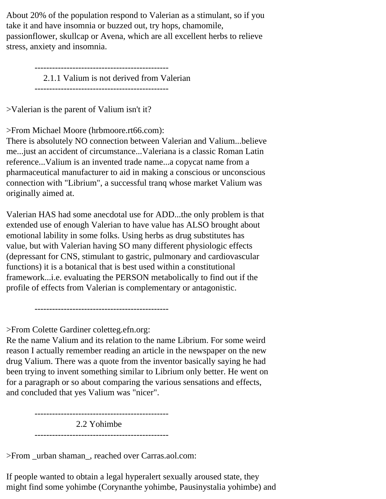About 20% of the population respond to Valerian as a stimulant, so if you take it and have insomnia or buzzed out, try hops, chamomile, passionflower, skullcap or Avena, which are all excellent herbs to relieve stress, anxiety and insomnia.

> ---------------------------------------------- 2.1.1 Valium is not derived from Valerian ----------------------------------------------

>Valerian is the parent of Valium isn't it?

>From Michael Moore (hrbmoore.rt66.com):

There is absolutely NO connection between Valerian and Valium...believe me...just an accident of circumstance...Valeriana is a classic Roman Latin reference...Valium is an invented trade name...a copycat name from a pharmaceutical manufacturer to aid in making a conscious or unconscious connection with "Librium", a successful tranq whose market Valium was originally aimed at.

Valerian HAS had some anecdotal use for ADD...the only problem is that extended use of enough Valerian to have value has ALSO brought about emotional lability in some folks. Using herbs as drug substitutes has value, but with Valerian having SO many different physiologic effects (depressant for CNS, stimulant to gastric, pulmonary and cardiovascular functions) it is a botanical that is best used within a constitutional framework...i.e. evaluating the PERSON metabolically to find out if the profile of effects from Valerian is complementary or antagonistic.

----------------------------------------------

>From Colette Gardiner coletteg.efn.org:

Re the name Valium and its relation to the name Librium. For some weird reason I actually remember reading an article in the newspaper on the new drug Valium. There was a quote from the inventor basically saying he had been trying to invent something similar to Librium only better. He went on for a paragraph or so about comparing the various sensations and effects, and concluded that yes Valium was "nicer".

> ---------------------------------------------- 2.2 Yohimbe ----------------------------------------------

>From \_urban shaman\_, reached over Carras.aol.com:

If people wanted to obtain a legal hyperalert sexually aroused state, they might find some yohimbe (Corynanthe yohimbe, Pausinystalia yohimbe) and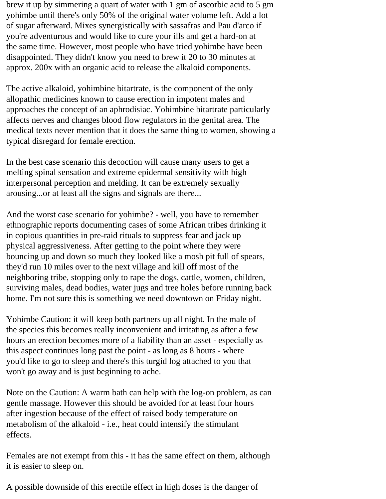brew it up by simmering a quart of water with 1 gm of ascorbic acid to 5 gm yohimbe until there's only 50% of the original water volume left. Add a lot of sugar afterward. Mixes synergistically with sassafras and Pau d'arco if you're adventurous and would like to cure your ills and get a hard-on at the same time. However, most people who have tried yohimbe have been disappointed. They didn't know you need to brew it 20 to 30 minutes at approx. 200x with an organic acid to release the alkaloid components.

The active alkaloid, yohimbine bitartrate, is the component of the only allopathic medicines known to cause erection in impotent males and approaches the concept of an aphrodisiac. Yohimbine bitartrate particularly affects nerves and changes blood flow regulators in the genital area. The medical texts never mention that it does the same thing to women, showing a typical disregard for female erection.

In the best case scenario this decoction will cause many users to get a melting spinal sensation and extreme epidermal sensitivity with high interpersonal perception and melding. It can be extremely sexually arousing...or at least all the signs and signals are there...

And the worst case scenario for yohimbe? - well, you have to remember ethnographic reports documenting cases of some African tribes drinking it in copious quantities in pre-raid rituals to suppress fear and jack up physical aggressiveness. After getting to the point where they were bouncing up and down so much they looked like a mosh pit full of spears, they'd run 10 miles over to the next village and kill off most of the neighboring tribe, stopping only to rape the dogs, cattle, women, children, surviving males, dead bodies, water jugs and tree holes before running back home. I'm not sure this is something we need downtown on Friday night.

Yohimbe Caution: it will keep both partners up all night. In the male of the species this becomes really inconvenient and irritating as after a few hours an erection becomes more of a liability than an asset - especially as this aspect continues long past the point - as long as 8 hours - where you'd like to go to sleep and there's this turgid log attached to you that won't go away and is just beginning to ache.

Note on the Caution: A warm bath can help with the log-on problem, as can gentle massage. However this should be avoided for at least four hours after ingestion because of the effect of raised body temperature on metabolism of the alkaloid - i.e., heat could intensify the stimulant effects.

Females are not exempt from this - it has the same effect on them, although it is easier to sleep on.

A possible downside of this erectile effect in high doses is the danger of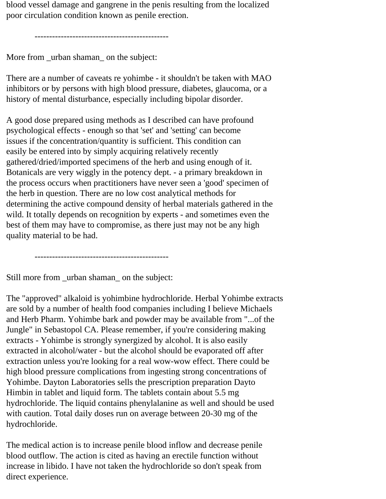blood vessel damage and gangrene in the penis resulting from the localized poor circulation condition known as penile erection.

----------------------------------------------

More from \_urban shaman\_ on the subject:

There are a number of caveats re yohimbe - it shouldn't be taken with MAO inhibitors or by persons with high blood pressure, diabetes, glaucoma, or a history of mental disturbance, especially including bipolar disorder.

A good dose prepared using methods as I described can have profound psychological effects - enough so that 'set' and 'setting' can become issues if the concentration/quantity is sufficient. This condition can easily be entered into by simply acquiring relatively recently gathered/dried/imported specimens of the herb and using enough of it. Botanicals are very wiggly in the potency dept. - a primary breakdown in the process occurs when practitioners have never seen a 'good' specimen of the herb in question. There are no low cost analytical methods for determining the active compound density of herbal materials gathered in the wild. It totally depends on recognition by experts - and sometimes even the best of them may have to compromise, as there just may not be any high quality material to be had.

----------------------------------------------

Still more from \_urban shaman\_ on the subject:

The "approved" alkaloid is yohimbine hydrochloride. Herbal Yohimbe extracts are sold by a number of health food companies including I believe Michaels and Herb Pharm. Yohimbe bark and powder may be available from "...of the Jungle" in Sebastopol CA. Please remember, if you're considering making extracts - Yohimbe is strongly synergized by alcohol. It is also easily extracted in alcohol/water - but the alcohol should be evaporated off after extraction unless you're looking for a real wow-wow effect. There could be high blood pressure complications from ingesting strong concentrations of Yohimbe. Dayton Laboratories sells the prescription preparation Dayto Himbin in tablet and liquid form. The tablets contain about 5.5 mg hydrochloride. The liquid contains phenylalanine as well and should be used with caution. Total daily doses run on average between 20-30 mg of the hydrochloride.

The medical action is to increase penile blood inflow and decrease penile blood outflow. The action is cited as having an erectile function without increase in libido. I have not taken the hydrochloride so don't speak from direct experience.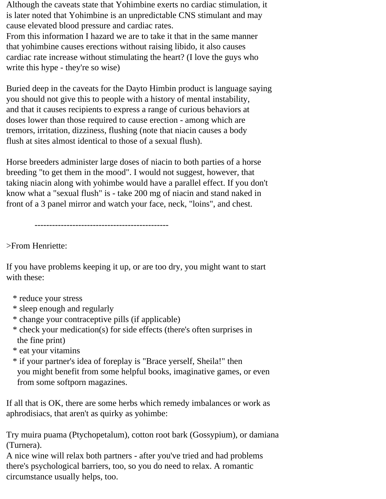Although the caveats state that Yohimbine exerts no cardiac stimulation, it is later noted that Yohimbine is an unpredictable CNS stimulant and may cause elevated blood pressure and cardiac rates.

From this information I hazard we are to take it that in the same manner that yohimbine causes erections without raising libido, it also causes cardiac rate increase without stimulating the heart? (I love the guys who write this hype - they're so wise)

Buried deep in the caveats for the Dayto Himbin product is language saying you should not give this to people with a history of mental instability, and that it causes recipients to express a range of curious behaviors at doses lower than those required to cause erection - among which are tremors, irritation, dizziness, flushing (note that niacin causes a body flush at sites almost identical to those of a sexual flush).

Horse breeders administer large doses of niacin to both parties of a horse breeding "to get them in the mood". I would not suggest, however, that taking niacin along with yohimbe would have a parallel effect. If you don't know what a "sexual flush" is - take 200 mg of niacin and stand naked in front of a 3 panel mirror and watch your face, neck, "loins", and chest.

----------------------------------------------

>From Henriette:

If you have problems keeping it up, or are too dry, you might want to start with these:

- \* reduce your stress
- \* sleep enough and regularly
- \* change your contraceptive pills (if applicable)
- \* check your medication(s) for side effects (there's often surprises in the fine print)
- \* eat your vitamins
- \* if your partner's idea of foreplay is "Brace yerself, Sheila!" then you might benefit from some helpful books, imaginative games, or even from some softporn magazines.

If all that is OK, there are some herbs which remedy imbalances or work as aphrodisiacs, that aren't as quirky as yohimbe:

Try muira puama (Ptychopetalum), cotton root bark (Gossypium), or damiana (Turnera).

A nice wine will relax both partners - after you've tried and had problems there's psychological barriers, too, so you do need to relax. A romantic circumstance usually helps, too.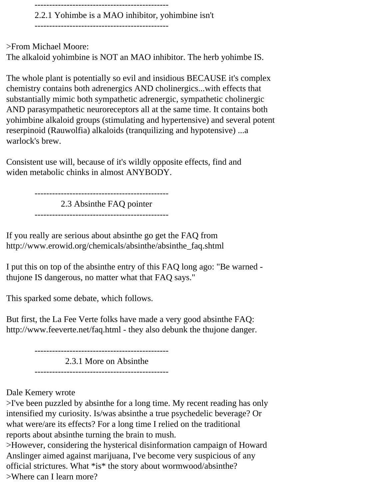---------------------------------------------- 2.2.1 Yohimbe is a MAO inhibitor, yohimbine isn't ----------------------------------------------

>From Michael Moore:

The alkaloid yohimbine is NOT an MAO inhibitor. The herb yohimbe IS.

The whole plant is potentially so evil and insidious BECAUSE it's complex chemistry contains both adrenergics AND cholinergics...with effects that substantially mimic both sympathetic adrenergic, sympathetic cholinergic AND parasympathetic neuroreceptors all at the same time. It contains both yohimbine alkaloid groups (stimulating and hypertensive) and several potent reserpinoid (Rauwolfia) alkaloids (tranquilizing and hypotensive) ...a warlock's brew.

Consistent use will, because of it's wildly opposite effects, find and widen metabolic chinks in almost ANYBODY.

----------------------------------------------

2.3 Absinthe FAQ pointer

----------------------------------------------

If you really are serious about absinthe go get the FAQ from http://www.erowid.org/chemicals/absinthe/absinthe\_faq.shtml

I put this on top of the absinthe entry of this FAQ long ago: "Be warned thujone IS dangerous, no matter what that FAQ says."

This sparked some debate, which follows.

But first, the La Fee Verte folks have made a very good absinthe FAQ: http://www.feeverte.net/faq.html - they also debunk the thujone danger.

> ---------------------------------------------- 2.3.1 More on Absinthe ----------------------------------------------

Dale Kemery wrote

>I've been puzzled by absinthe for a long time. My recent reading has only intensified my curiosity. Is/was absinthe a true psychedelic beverage? Or what were/are its effects? For a long time I relied on the traditional reports about absinthe turning the brain to mush.

>However, considering the hysterical disinformation campaign of Howard Anslinger aimed against marijuana, I've become very suspicious of any official strictures. What \*is\* the story about wormwood/absinthe? >Where can I learn more?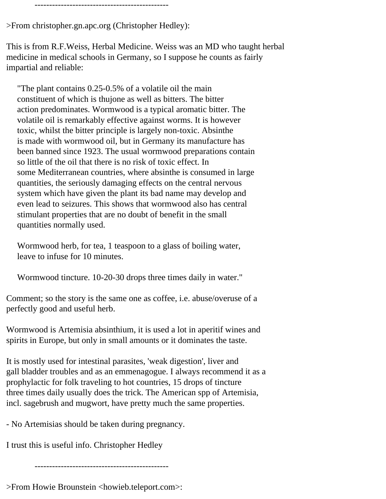----------------------------------------------

>From christopher.gn.apc.org (Christopher Hedley):

This is from R.F.Weiss, Herbal Medicine. Weiss was an MD who taught herbal medicine in medical schools in Germany, so I suppose he counts as fairly impartial and reliable:

 "The plant contains 0.25-0.5% of a volatile oil the main constituent of which is thujone as well as bitters. The bitter action predominates. Wormwood is a typical aromatic bitter. The volatile oil is remarkably effective against worms. It is however toxic, whilst the bitter principle is largely non-toxic. Absinthe is made with wormwood oil, but in Germany its manufacture has been banned since 1923. The usual wormwood preparations contain so little of the oil that there is no risk of toxic effect. In some Mediterranean countries, where absinthe is consumed in large quantities, the seriously damaging effects on the central nervous system which have given the plant its bad name may develop and even lead to seizures. This shows that wormwood also has central stimulant properties that are no doubt of benefit in the small quantities normally used.

 Wormwood herb, for tea, 1 teaspoon to a glass of boiling water, leave to infuse for 10 minutes.

Wormwood tincture. 10-20-30 drops three times daily in water."

Comment; so the story is the same one as coffee, i.e. abuse/overuse of a perfectly good and useful herb.

Wormwood is Artemisia absinthium, it is used a lot in aperitif wines and spirits in Europe, but only in small amounts or it dominates the taste.

It is mostly used for intestinal parasites, 'weak digestion', liver and gall bladder troubles and as an emmenagogue. I always recommend it as a prophylactic for folk traveling to hot countries, 15 drops of tincture three times daily usually does the trick. The American spp of Artemisia, incl. sagebrush and mugwort, have pretty much the same properties.

- No Artemisias should be taken during pregnancy.

I trust this is useful info. Christopher Hedley

----------------------------------------------

>From Howie Brounstein <howieb.teleport.com>: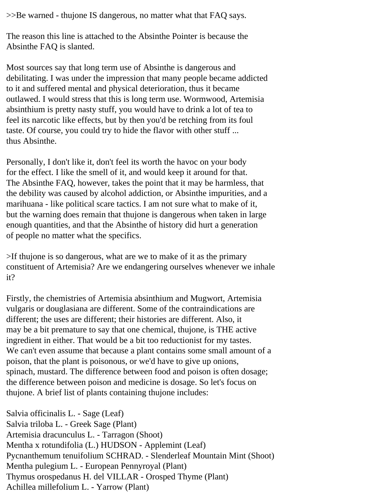>>Be warned - thujone IS dangerous, no matter what that FAQ says.

The reason this line is attached to the Absinthe Pointer is because the Absinthe FAQ is slanted.

Most sources say that long term use of Absinthe is dangerous and debilitating. I was under the impression that many people became addicted to it and suffered mental and physical deterioration, thus it became outlawed. I would stress that this is long term use. Wormwood, Artemisia absinthium is pretty nasty stuff, you would have to drink a lot of tea to feel its narcotic like effects, but by then you'd be retching from its foul taste. Of course, you could try to hide the flavor with other stuff ... thus Absinthe.

Personally, I don't like it, don't feel its worth the havoc on your body for the effect. I like the smell of it, and would keep it around for that. The Absinthe FAQ, however, takes the point that it may be harmless, that the debility was caused by alcohol addiction, or Absinthe impurities, and a marihuana - like political scare tactics. I am not sure what to make of it, but the warning does remain that thujone is dangerous when taken in large enough quantities, and that the Absinthe of history did hurt a generation of people no matter what the specifics.

>If thujone is so dangerous, what are we to make of it as the primary constituent of Artemisia? Are we endangering ourselves whenever we inhale it?

Firstly, the chemistries of Artemisia absinthium and Mugwort, Artemisia vulgaris or douglasiana are different. Some of the contraindications are different; the uses are different; their histories are different. Also, it may be a bit premature to say that one chemical, thujone, is THE active ingredient in either. That would be a bit too reductionist for my tastes. We can't even assume that because a plant contains some small amount of a poison, that the plant is poisonous, or we'd have to give up onions, spinach, mustard. The difference between food and poison is often dosage; the difference between poison and medicine is dosage. So let's focus on thujone. A brief list of plants containing thujone includes:

Salvia officinalis L. - Sage (Leaf) Salvia triloba L. - Greek Sage (Plant) Artemisia dracunculus L. - Tarragon (Shoot) Mentha x rotundifolia (L.) HUDSON - Applemint (Leaf) Pycnanthemum tenuifolium SCHRAD. - Slenderleaf Mountain Mint (Shoot) Mentha pulegium L. - European Pennyroyal (Plant) Thymus orospedanus H. del VILLAR - Orosped Thyme (Plant) Achillea millefolium L. - Yarrow (Plant)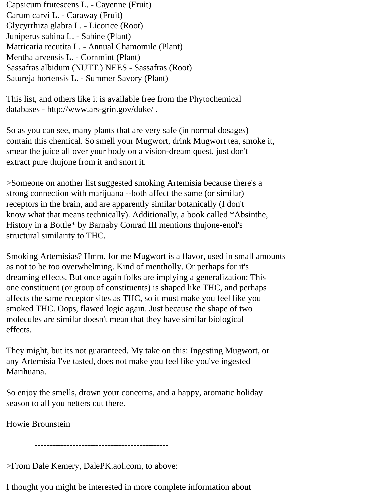Capsicum frutescens L. - Cayenne (Fruit) Carum carvi L. - Caraway (Fruit) Glycyrrhiza glabra L. - Licorice (Root) Juniperus sabina L. - Sabine (Plant) Matricaria recutita L. - Annual Chamomile (Plant) Mentha arvensis L. - Cornmint (Plant) Sassafras albidum (NUTT.) NEES - Sassafras (Root) Satureja hortensis L. - Summer Savory (Plant)

This list, and others like it is available free from the Phytochemical databases - http://www.ars-grin.gov/duke/ .

So as you can see, many plants that are very safe (in normal dosages) contain this chemical. So smell your Mugwort, drink Mugwort tea, smoke it, smear the juice all over your body on a vision-dream quest, just don't extract pure thujone from it and snort it.

>Someone on another list suggested smoking Artemisia because there's a strong connection with marijuana --both affect the same (or similar) receptors in the brain, and are apparently similar botanically (I don't know what that means technically). Additionally, a book called \*Absinthe, History in a Bottle\* by Barnaby Conrad III mentions thujone-enol's structural similarity to THC.

Smoking Artemisias? Hmm, for me Mugwort is a flavor, used in small amounts as not to be too overwhelming. Kind of mentholly. Or perhaps for it's dreaming effects. But once again folks are implying a generalization: This one constituent (or group of constituents) is shaped like THC, and perhaps affects the same receptor sites as THC, so it must make you feel like you smoked THC. Oops, flawed logic again. Just because the shape of two molecules are similar doesn't mean that they have similar biological effects.

They might, but its not guaranteed. My take on this: Ingesting Mugwort, or any Artemisia I've tasted, does not make you feel like you've ingested Marihuana.

So enjoy the smells, drown your concerns, and a happy, aromatic holiday season to all you netters out there.

Howie Brounstein

----------------------------------------------

>From Dale Kemery, DalePK.aol.com, to above:

I thought you might be interested in more complete information about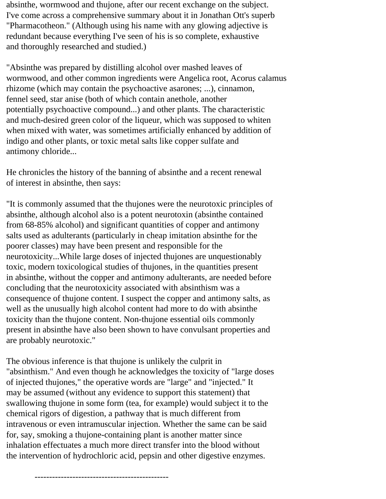absinthe, wormwood and thujone, after our recent exchange on the subject. I've come across a comprehensive summary about it in Jonathan Ott's superb "Pharmacotheon." (Although using his name with any glowing adjective is redundant because everything I've seen of his is so complete, exhaustive and thoroughly researched and studied.)

"Absinthe was prepared by distilling alcohol over mashed leaves of wormwood, and other common ingredients were Angelica root, Acorus calamus rhizome (which may contain the psychoactive asarones; ...), cinnamon, fennel seed, star anise (both of which contain anethole, another potentially psychoactive compound...) and other plants. The characteristic and much-desired green color of the liqueur, which was supposed to whiten when mixed with water, was sometimes artificially enhanced by addition of indigo and other plants, or toxic metal salts like copper sulfate and antimony chloride...

He chronicles the history of the banning of absinthe and a recent renewal of interest in absinthe, then says:

"It is commonly assumed that the thujones were the neurotoxic principles of absinthe, although alcohol also is a potent neurotoxin (absinthe contained from 68-85% alcohol) and significant quantities of copper and antimony salts used as adulterants (particularly in cheap imitation absinthe for the poorer classes) may have been present and responsible for the neurotoxicity...While large doses of injected thujones are unquestionably toxic, modern toxicological studies of thujones, in the quantities present in absinthe, without the copper and antimony adulterants, are needed before concluding that the neurotoxicity associated with absinthism was a consequence of thujone content. I suspect the copper and antimony salts, as well as the unusually high alcohol content had more to do with absinthe toxicity than the thujone content. Non-thujone essential oils commonly present in absinthe have also been shown to have convulsant properties and are probably neurotoxic."

The obvious inference is that thujone is unlikely the culprit in "absinthism." And even though he acknowledges the toxicity of "large doses of injected thujones," the operative words are "large" and "injected." It may be assumed (without any evidence to support this statement) that swallowing thujone in some form (tea, for example) would subject it to the chemical rigors of digestion, a pathway that is much different from intravenous or even intramuscular injection. Whether the same can be said for, say, smoking a thujone-containing plant is another matter since inhalation effectuates a much more direct transfer into the blood without the intervention of hydrochloric acid, pepsin and other digestive enzymes.

----------------------------------------------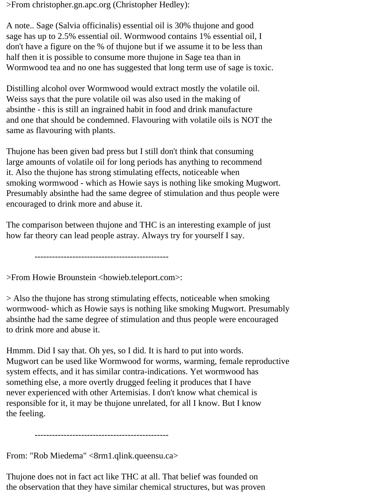>From christopher.gn.apc.org (Christopher Hedley):

A note.. Sage (Salvia officinalis) essential oil is 30% thujone and good sage has up to 2.5% essential oil. Wormwood contains 1% essential oil, I don't have a figure on the % of thujone but if we assume it to be less than half then it is possible to consume more thujone in Sage tea than in Wormwood tea and no one has suggested that long term use of sage is toxic.

Distilling alcohol over Wormwood would extract mostly the volatile oil. Weiss says that the pure volatile oil was also used in the making of absinthe - this is still an ingrained habit in food and drink manufacture and one that should be condemned. Flavouring with volatile oils is NOT the same as flavouring with plants.

Thujone has been given bad press but I still don't think that consuming large amounts of volatile oil for long periods has anything to recommend it. Also the thujone has strong stimulating effects, noticeable when smoking wormwood - which as Howie says is nothing like smoking Mugwort. Presumably absinthe had the same degree of stimulation and thus people were encouraged to drink more and abuse it.

The comparison between thujone and THC is an interesting example of just how far theory can lead people astray. Always try for yourself I say.

----------------------------------------------

>From Howie Brounstein <howieb.teleport.com>:

> Also the thujone has strong stimulating effects, noticeable when smoking wormwood- which as Howie says is nothing like smoking Mugwort. Presumably absinthe had the same degree of stimulation and thus people were encouraged to drink more and abuse it.

Hmmm. Did I say that. Oh yes, so I did. It is hard to put into words. Mugwort can be used like Wormwood for worms, warming, female reproductive system effects, and it has similar contra-indications. Yet wormwood has something else, a more overtly drugged feeling it produces that I have never experienced with other Artemisias. I don't know what chemical is responsible for it, it may be thujone unrelated, for all I know. But I know the feeling.

----------------------------------------------

From: "Rob Miedema" <8rm1.qlink.queensu.ca>

Thujone does not in fact act like THC at all. That belief was founded on the observation that they have similar chemical structures, but was proven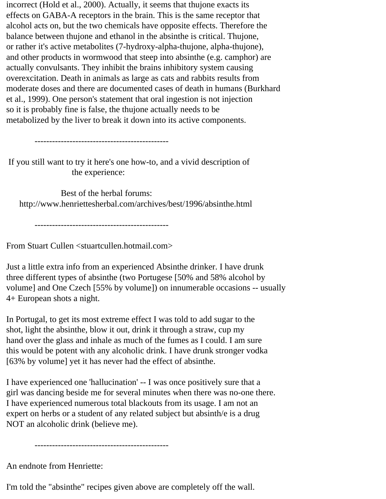incorrect (Hold et al., 2000). Actually, it seems that thujone exacts its effects on GABA-A receptors in the brain. This is the same receptor that alcohol acts on, but the two chemicals have opposite effects. Therefore the balance between thujone and ethanol in the absinthe is critical. Thujone, or rather it's active metabolites (7-hydroxy-alpha-thujone, alpha-thujone), and other products in wormwood that steep into absinthe (e.g. camphor) are actually convulsants. They inhibit the brains inhibitory system causing overexcitation. Death in animals as large as cats and rabbits results from moderate doses and there are documented cases of death in humans (Burkhard et al., 1999). One person's statement that oral ingestion is not injection so it is probably fine is false, the thujone actually needs to be metabolized by the liver to break it down into its active components.

 If you still want to try it here's one how-to, and a vivid description of the experience:

 Best of the herbal forums: http://www.henriettesherbal.com/archives/best/1996/absinthe.html

----------------------------------------------

----------------------------------------------

From Stuart Cullen <stuartcullen.hotmail.com>

Just a little extra info from an experienced Absinthe drinker. I have drunk three different types of absinthe (two Portugese [50% and 58% alcohol by volume] and One Czech [55% by volume]) on innumerable occasions -- usually 4+ European shots a night.

In Portugal, to get its most extreme effect I was told to add sugar to the shot, light the absinthe, blow it out, drink it through a straw, cup my hand over the glass and inhale as much of the fumes as I could. I am sure this would be potent with any alcoholic drink. I have drunk stronger vodka [63% by volume] yet it has never had the effect of absinthe.

I have experienced one 'hallucination' -- I was once positively sure that a girl was dancing beside me for several minutes when there was no-one there. I have experienced numerous total blackouts from its usage. I am not an expert on herbs or a student of any related subject but absinth/e is a drug NOT an alcoholic drink (believe me).

----------------------------------------------

An endnote from Henriette:

I'm told the "absinthe" recipes given above are completely off the wall.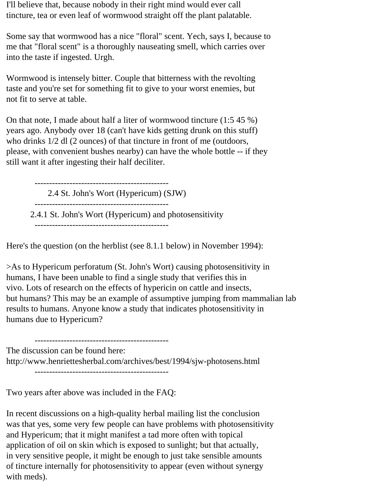I'll believe that, because nobody in their right mind would ever call tincture, tea or even leaf of wormwood straight off the plant palatable.

Some say that wormwood has a nice "floral" scent. Yech, says I, because to me that "floral scent" is a thoroughly nauseating smell, which carries over into the taste if ingested. Urgh.

Wormwood is intensely bitter. Couple that bitterness with the revolting taste and you're set for something fit to give to your worst enemies, but not fit to serve at table.

On that note, I made about half a liter of wormwood tincture (1:5 45 %) years ago. Anybody over 18 (can't have kids getting drunk on this stuff) who drinks 1/2 dl (2 ounces) of that tincture in front of me (outdoors, please, with convenient bushes nearby) can have the whole bottle -- if they still want it after ingesting their half deciliter.

 ---------------------------------------------- 2.4 St. John's Wort (Hypericum) (SJW) ---------------------------------------------- 2.4.1 St. John's Wort (Hypericum) and photosensitivity

----------------------------------------------

Here's the question (on the herblist (see 8.1.1 below) in November 1994):

>As to Hypericum perforatum (St. John's Wort) causing photosensitivity in humans, I have been unable to find a single study that verifies this in vivo. Lots of research on the effects of hypericin on cattle and insects, but humans? This may be an example of assumptive jumping from mammalian lab results to humans. Anyone know a study that indicates photosensitivity in humans due to Hypericum?

The discussion can be found here: http://www.henriettesherbal.com/archives/best/1994/sjw-photosens.html

----------------------------------------------

----------------------------------------------

Two years after above was included in the FAQ:

In recent discussions on a high-quality herbal mailing list the conclusion was that yes, some very few people can have problems with photosensitivity and Hypericum; that it might manifest a tad more often with topical application of oil on skin which is exposed to sunlight; but that actually, in very sensitive people, it might be enough to just take sensible amounts of tincture internally for photosensitivity to appear (even without synergy with meds).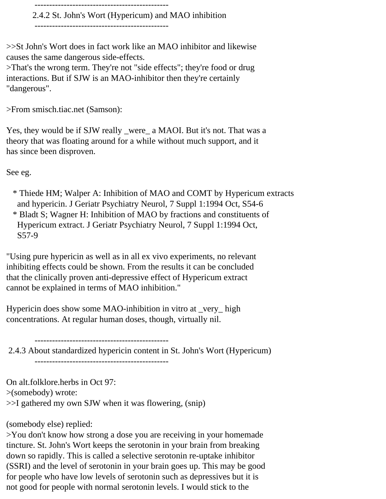----------------------------------------------

2.4.2 St. John's Wort (Hypericum) and MAO inhibition

----------------------------------------------

>>St John's Wort does in fact work like an MAO inhibitor and likewise causes the same dangerous side-effects.

>That's the wrong term. They're not "side effects"; they're food or drug interactions. But if SJW is an MAO-inhibitor then they're certainly "dangerous".

>From smisch.tiac.net (Samson):

Yes, they would be if SJW really \_were\_ a MAOI. But it's not. That was a theory that was floating around for a while without much support, and it has since been disproven.

See eg.

 \* Thiede HM; Walper A: Inhibition of MAO and COMT by Hypericum extracts and hypericin. J Geriatr Psychiatry Neurol, 7 Suppl 1:1994 Oct, S54-6

 \* Bladt S; Wagner H: Inhibition of MAO by fractions and constituents of Hypericum extract. J Geriatr Psychiatry Neurol, 7 Suppl 1:1994 Oct, S57-9

"Using pure hypericin as well as in all ex vivo experiments, no relevant inhibiting effects could be shown. From the results it can be concluded that the clinically proven anti-depressive effect of Hypericum extract cannot be explained in terms of MAO inhibition."

Hypericin does show some MAO-inhibition in vitro at \_very\_ high concentrations. At regular human doses, though, virtually nil.

----------------------------------------------

 2.4.3 About standardized hypericin content in St. John's Wort (Hypericum) ----------------------------------------------

On alt.folklore.herbs in Oct 97: >(somebody) wrote: >>I gathered my own SJW when it was flowering, (snip)

(somebody else) replied:

>You don't know how strong a dose you are receiving in your homemade tincture. St. John's Wort keeps the serotonin in your brain from breaking down so rapidly. This is called a selective serotonin re-uptake inhibitor (SSRI) and the level of serotonin in your brain goes up. This may be good for people who have low levels of serotonin such as depressives but it is not good for people with normal serotonin levels. I would stick to the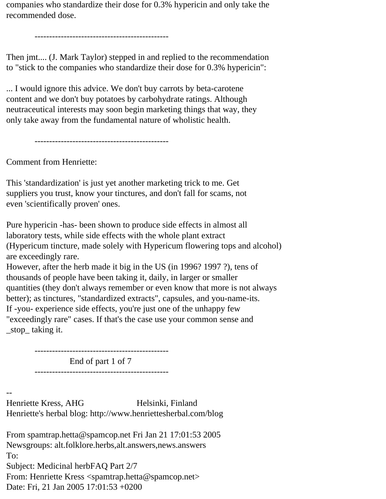companies who standardize their dose for 0.3% hypericin and only take the recommended dose.

----------------------------------------------

Then jmt.... (J. Mark Taylor) stepped in and replied to the recommendation to "stick to the companies who standardize their dose for 0.3% hypericin":

... I would ignore this advice. We don't buy carrots by beta-carotene content and we don't buy potatoes by carbohydrate ratings. Although neutraceutical interests may soon begin marketing things that way, they only take away from the fundamental nature of wholistic health.

----------------------------------------------

Comment from Henriette:

This 'standardization' is just yet another marketing trick to me. Get suppliers you trust, know your tinctures, and don't fall for scams, not even 'scientifically proven' ones.

Pure hypericin -has- been shown to produce side effects in almost all laboratory tests, while side effects with the whole plant extract (Hypericum tincture, made solely with Hypericum flowering tops and alcohol) are exceedingly rare.

However, after the herb made it big in the US (in 1996? 1997 ?), tens of thousands of people have been taking it, daily, in larger or smaller quantities (they don't always remember or even know that more is not always better); as tinctures, "standardized extracts", capsules, and you-name-its. If -you- experience side effects, you're just one of the unhappy few "exceedingly rare" cases. If that's the case use your common sense and \_stop\_ taking it.

> ---------------------------------------------- End of part 1 of 7 ----------------------------------------------

--

Henriette Kress, AHG Helsinki, Finland Henriette's herbal blog: http://www.henriettesherbal.com/blog

From spamtrap.hetta@spamcop.net Fri Jan 21 17:01:53 2005 Newsgroups: alt.folklore.herbs,alt.answers,news.answers To: Subject: Medicinal herbFAQ Part 2/7 From: Henriette Kress <spamtrap.hetta@spamcop.net> Date: Fri, 21 Jan 2005 17:01:53 +0200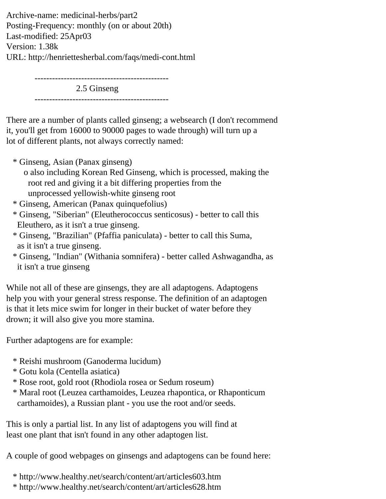Archive-name: medicinal-herbs/part2 Posting-Frequency: monthly (on or about 20th) Last-modified: 25Apr03 Version: 1.38k URL: http://henriettesherbal.com/faqs/medi-cont.html

 ---------------------------------------------- 2.5 Ginseng ----------------------------------------------

There are a number of plants called ginseng; a websearch (I don't recommend it, you'll get from 16000 to 90000 pages to wade through) will turn up a lot of different plants, not always correctly named:

\* Ginseng, Asian (Panax ginseng)

 o also including Korean Red Ginseng, which is processed, making the root red and giving it a bit differing properties from the unprocessed yellowish-white ginseng root

- \* Ginseng, American (Panax quinquefolius)
- \* Ginseng, "Siberian" (Eleutherococcus senticosus) better to call this Eleuthero, as it isn't a true ginseng.
- \* Ginseng, "Brazilian" (Pfaffia paniculata) better to call this Suma, as it isn't a true ginseng.
- \* Ginseng, "Indian" (Withania somnifera) better called Ashwagandha, as it isn't a true ginseng

While not all of these are ginsengs, they are all adaptogens. Adaptogens help you with your general stress response. The definition of an adaptogen is that it lets mice swim for longer in their bucket of water before they drown; it will also give you more stamina.

Further adaptogens are for example:

- \* Reishi mushroom (Ganoderma lucidum)
- \* Gotu kola (Centella asiatica)
- \* Rose root, gold root (Rhodiola rosea or Sedum roseum)
- \* Maral root (Leuzea carthamoides, Leuzea rhapontica, or Rhaponticum carthamoides), a Russian plant - you use the root and/or seeds.

This is only a partial list. In any list of adaptogens you will find at least one plant that isn't found in any other adaptogen list.

A couple of good webpages on ginsengs and adaptogens can be found here:

\* http://www.healthy.net/search/content/art/articles603.htm

\* http://www.healthy.net/search/content/art/articles628.htm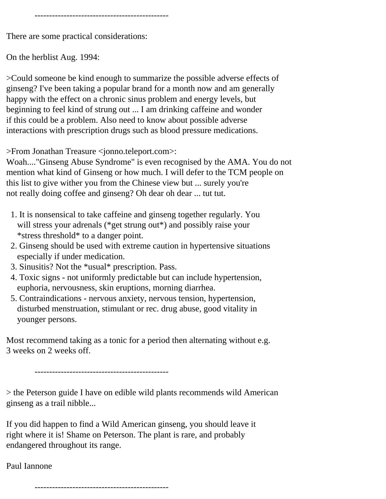----------------------------------------------

There are some practical considerations:

On the herblist Aug. 1994:

>Could someone be kind enough to summarize the possible adverse effects of ginseng? I've been taking a popular brand for a month now and am generally happy with the effect on a chronic sinus problem and energy levels, but beginning to feel kind of strung out ... I am drinking caffeine and wonder if this could be a problem. Also need to know about possible adverse interactions with prescription drugs such as blood pressure medications.

>From Jonathan Treasure <jonno.teleport.com>:

Woah...."Ginseng Abuse Syndrome" is even recognised by the AMA. You do not mention what kind of Ginseng or how much. I will defer to the TCM people on this list to give wither you from the Chinese view but ... surely you're not really doing coffee and ginseng? Oh dear oh dear ... tut tut.

- 1. It is nonsensical to take caffeine and ginseng together regularly. You will stress your adrenals (\*get strung out\*) and possibly raise your \*stress threshold\* to a danger point.
- 2. Ginseng should be used with extreme caution in hypertensive situations especially if under medication.
- 3. Sinusitis? Not the \*usual\* prescription. Pass.
- 4. Toxic signs not uniformly predictable but can include hypertension, euphoria, nervousness, skin eruptions, morning diarrhea.
- 5. Contraindications nervous anxiety, nervous tension, hypertension, disturbed menstruation, stimulant or rec. drug abuse, good vitality in younger persons.

Most recommend taking as a tonic for a period then alternating without e.g. 3 weeks on 2 weeks off.

----------------------------------------------

----------------------------------------------

> the Peterson guide I have on edible wild plants recommends wild American ginseng as a trail nibble...

If you did happen to find a Wild American ginseng, you should leave it right where it is! Shame on Peterson. The plant is rare, and probably endangered throughout its range.

Paul Iannone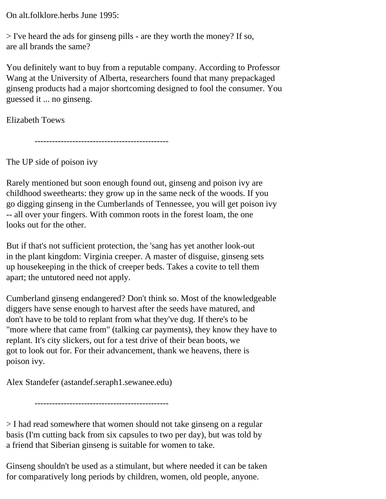On alt.folklore.herbs June 1995:

> I've heard the ads for ginseng pills - are they worth the money? If so, are all brands the same?

You definitely want to buy from a reputable company. According to Professor Wang at the University of Alberta, researchers found that many prepackaged ginseng products had a major shortcoming designed to fool the consumer. You guessed it ... no ginseng.

Elizabeth Toews

----------------------------------------------

The UP side of poison ivy

Rarely mentioned but soon enough found out, ginseng and poison ivy are childhood sweethearts: they grow up in the same neck of the woods. If you go digging ginseng in the Cumberlands of Tennessee, you will get poison ivy -- all over your fingers. With common roots in the forest loam, the one looks out for the other.

But if that's not sufficient protection, the 'sang has yet another look-out in the plant kingdom: Virginia creeper. A master of disguise, ginseng sets up housekeeping in the thick of creeper beds. Takes a covite to tell them apart; the untutored need not apply.

Cumberland ginseng endangered? Don't think so. Most of the knowledgeable diggers have sense enough to harvest after the seeds have matured, and don't have to be told to replant from what they've dug. If there's to be "more where that came from" (talking car payments), they know they have to replant. It's city slickers, out for a test drive of their bean boots, we got to look out for. For their advancement, thank we heavens, there is poison ivy.

Alex Standefer (astandef.seraph1.sewanee.edu)

----------------------------------------------

> I had read somewhere that women should not take ginseng on a regular basis (I'm cutting back from six capsules to two per day), but was told by a friend that Siberian ginseng is suitable for women to take.

Ginseng shouldn't be used as a stimulant, but where needed it can be taken for comparatively long periods by children, women, old people, anyone.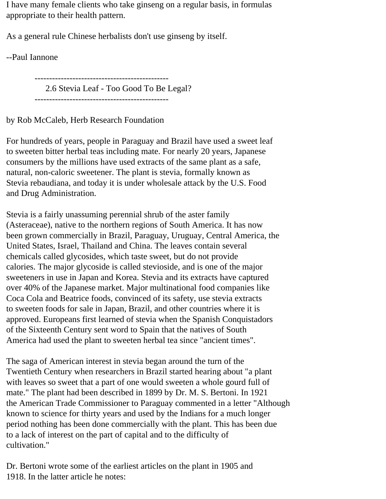I have many female clients who take ginseng on a regular basis, in formulas appropriate to their health pattern.

As a general rule Chinese herbalists don't use ginseng by itself.

--Paul Iannone

 ---------------------------------------------- 2.6 Stevia Leaf - Too Good To Be Legal? ----------------------------------------------

by Rob McCaleb, Herb Research Foundation

For hundreds of years, people in Paraguay and Brazil have used a sweet leaf to sweeten bitter herbal teas including mate. For nearly 20 years, Japanese consumers by the millions have used extracts of the same plant as a safe, natural, non-caloric sweetener. The plant is stevia, formally known as Stevia rebaudiana, and today it is under wholesale attack by the U.S. Food and Drug Administration.

Stevia is a fairly unassuming perennial shrub of the aster family (Asteraceae), native to the northern regions of South America. It has now been grown commercially in Brazil, Paraguay, Uruguay, Central America, the United States, Israel, Thailand and China. The leaves contain several chemicals called glycosides, which taste sweet, but do not provide calories. The major glycoside is called stevioside, and is one of the major sweeteners in use in Japan and Korea. Stevia and its extracts have captured over 40% of the Japanese market. Major multinational food companies like Coca Cola and Beatrice foods, convinced of its safety, use stevia extracts to sweeten foods for sale in Japan, Brazil, and other countries where it is approved. Europeans first learned of stevia when the Spanish Conquistadors of the Sixteenth Century sent word to Spain that the natives of South America had used the plant to sweeten herbal tea since "ancient times".

The saga of American interest in stevia began around the turn of the Twentieth Century when researchers in Brazil started hearing about "a plant with leaves so sweet that a part of one would sweeten a whole gourd full of mate." The plant had been described in 1899 by Dr. M. S. Bertoni. In 1921 the American Trade Commissioner to Paraguay commented in a letter "Although known to science for thirty years and used by the Indians for a much longer period nothing has been done commercially with the plant. This has been due to a lack of interest on the part of capital and to the difficulty of cultivation."

Dr. Bertoni wrote some of the earliest articles on the plant in 1905 and 1918. In the latter article he notes: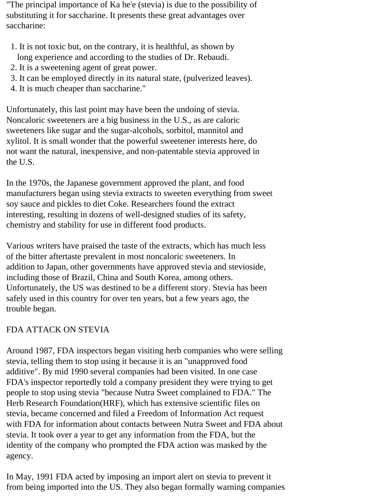"The principal importance of Ka he'e (stevia) is due to the possibility of substituting it for saccharine. It presents these great advantages over saccharine:

- 1. It is not toxic but, on the contrary, it is healthful, as shown by long experience and according to the studies of Dr. Rebaudi.
- 2. It is a sweetening agent of great power.
- 3. It can be employed directly in its natural state, (pulverized leaves).
- 4. It is much cheaper than saccharine."

Unfortunately, this last point may have been the undoing of stevia. Noncaloric sweeteners are a big business in the U.S., as are caloric sweeteners like sugar and the sugar-alcohols, sorbitol, mannitol and xylitol. It is small wonder that the powerful sweetener interests here, do not want the natural, inexpensive, and non-patentable stevia approved in the U.S.

In the 1970s, the Japanese government approved the plant, and food manufacturers began using stevia extracts to sweeten everything from sweet soy sauce and pickles to diet Coke. Researchers found the extract interesting, resulting in dozens of well-designed studies of its safety, chemistry and stability for use in different food products.

Various writers have praised the taste of the extracts, which has much less of the bitter aftertaste prevalent in most noncaloric sweeteners. In addition to Japan, other governments have approved stevia and stevioside, including those of Brazil, China and South Korea, among others. Unfortunately, the US was destined to be a different story. Stevia has been safely used in this country for over ten years, but a few years ago, the trouble began.

## FDA ATTACK ON STEVIA

Around 1987, FDA inspectors began visiting herb companies who were selling stevia, telling them to stop using it because it is an "unapproved food additive". By mid 1990 several companies had been visited. In one case FDA's inspector reportedly told a company president they were trying to get people to stop using stevia "because Nutra Sweet complained to FDA." The Herb Research Foundation(HRF), which has extensive scientific files on stevia, became concerned and filed a Freedom of Information Act request with FDA for information about contacts between Nutra Sweet and FDA about stevia. It took over a year to get any information from the FDA, but the identity of the company who prompted the FDA action was masked by the agency.

In May, 1991 FDA acted by imposing an import alert on stevia to prevent it from being imported into the US. They also began formally warning companies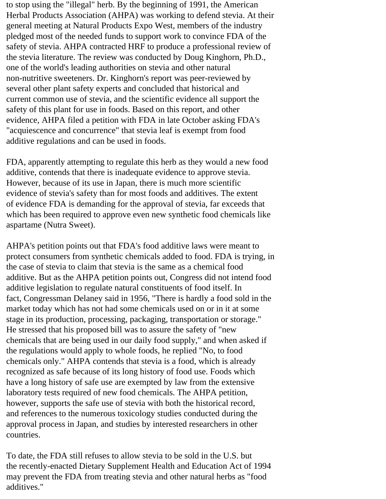to stop using the "illegal" herb. By the beginning of 1991, the American Herbal Products Association (AHPA) was working to defend stevia. At their general meeting at Natural Products Expo West, members of the industry pledged most of the needed funds to support work to convince FDA of the safety of stevia. AHPA contracted HRF to produce a professional review of the stevia literature. The review was conducted by Doug Kinghorn, Ph.D., one of the world's leading authorities on stevia and other natural non-nutritive sweeteners. Dr. Kinghorn's report was peer-reviewed by several other plant safety experts and concluded that historical and current common use of stevia, and the scientific evidence all support the safety of this plant for use in foods. Based on this report, and other evidence, AHPA filed a petition with FDA in late October asking FDA's "acquiescence and concurrence" that stevia leaf is exempt from food additive regulations and can be used in foods.

FDA, apparently attempting to regulate this herb as they would a new food additive, contends that there is inadequate evidence to approve stevia. However, because of its use in Japan, there is much more scientific evidence of stevia's safety than for most foods and additives. The extent of evidence FDA is demanding for the approval of stevia, far exceeds that which has been required to approve even new synthetic food chemicals like aspartame (Nutra Sweet).

AHPA's petition points out that FDA's food additive laws were meant to protect consumers from synthetic chemicals added to food. FDA is trying, in the case of stevia to claim that stevia is the same as a chemical food additive. But as the AHPA petition points out, Congress did not intend food additive legislation to regulate natural constituents of food itself. In fact, Congressman Delaney said in 1956, "There is hardly a food sold in the market today which has not had some chemicals used on or in it at some stage in its production, processing, packaging, transportation or storage." He stressed that his proposed bill was to assure the safety of "new chemicals that are being used in our daily food supply," and when asked if the regulations would apply to whole foods, he replied "No, to food chemicals only." AHPA contends that stevia is a food, which is already recognized as safe because of its long history of food use. Foods which have a long history of safe use are exempted by law from the extensive laboratory tests required of new food chemicals. The AHPA petition, however, supports the safe use of stevia with both the historical record, and references to the numerous toxicology studies conducted during the approval process in Japan, and studies by interested researchers in other countries.

To date, the FDA still refuses to allow stevia to be sold in the U.S. but the recently-enacted Dietary Supplement Health and Education Act of 1994 may prevent the FDA from treating stevia and other natural herbs as "food additives."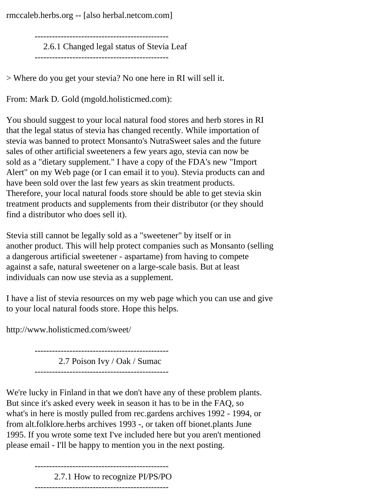rmccaleb.herbs.org -- [also herbal.netcom.com]

----------------------------------------------

2.6.1 Changed legal status of Stevia Leaf

----------------------------------------------

> Where do you get your stevia? No one here in RI will sell it.

From: Mark D. Gold (mgold.holisticmed.com):

You should suggest to your local natural food stores and herb stores in RI that the legal status of stevia has changed recently. While importation of stevia was banned to protect Monsanto's NutraSweet sales and the future sales of other artificial sweeteners a few years ago, stevia can now be sold as a "dietary supplement." I have a copy of the FDA's new "Import Alert" on my Web page (or I can email it to you). Stevia products can and have been sold over the last few years as skin treatment products. Therefore, your local natural foods store should be able to get stevia skin treatment products and supplements from their distributor (or they should find a distributor who does sell it).

Stevia still cannot be legally sold as a "sweetener" by itself or in another product. This will help protect companies such as Monsanto (selling a dangerous artificial sweetener - aspartame) from having to compete against a safe, natural sweetener on a large-scale basis. But at least individuals can now use stevia as a supplement.

I have a list of stevia resources on my web page which you can use and give to your local natural foods store. Hope this helps.

http://www.holisticmed.com/sweet/

 ---------------------------------------------- 2.7 Poison Ivy / Oak / Sumac ----------------------------------------------

We're lucky in Finland in that we don't have any of these problem plants. But since it's asked every week in season it has to be in the FAQ, so what's in here is mostly pulled from rec.gardens archives 1992 - 1994, or from alt.folklore.herbs archives 1993 -, or taken off bionet.plants June 1995. If you wrote some text I've included here but you aren't mentioned please email - I'll be happy to mention you in the next posting.

> 2.7.1 How to recognize PI/PS/PO ----------------------------------------------

----------------------------------------------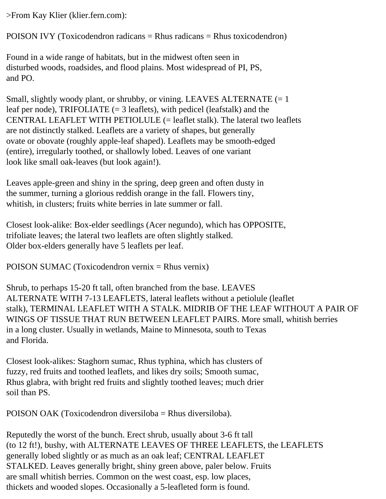>From Kay Klier (klier.fern.com):

POISON IVY (Toxicodendron radicans = Rhus radicans = Rhus toxicodendron)

Found in a wide range of habitats, but in the midwest often seen in disturbed woods, roadsides, and flood plains. Most widespread of PI, PS, and PO.

Small, slightly woody plant, or shrubby, or vining. LEAVES ALTERNATE  $(= 1)$ leaf per node), TRIFOLIATE  $(= 3 \text{ leaflets})$ , with pedicel (leafstalk) and the CENTRAL LEAFLET WITH PETIOLULE (= leaflet stalk). The lateral two leaflets are not distinctly stalked. Leaflets are a variety of shapes, but generally ovate or obovate (roughly apple-leaf shaped). Leaflets may be smooth-edged (entire), irregularly toothed, or shallowly lobed. Leaves of one variant look like small oak-leaves (but look again!).

Leaves apple-green and shiny in the spring, deep green and often dusty in the summer, turning a glorious reddish orange in the fall. Flowers tiny, whitish, in clusters; fruits white berries in late summer or fall.

Closest look-alike: Box-elder seedlings (Acer negundo), which has OPPOSITE, trifoliate leaves; the lateral two leaflets are often slightly stalked. Older box-elders generally have 5 leaflets per leaf.

POISON SUMAC (Toxicodendron vernix = Rhus vernix)

Shrub, to perhaps 15-20 ft tall, often branched from the base. LEAVES ALTERNATE WITH 7-13 LEAFLETS, lateral leaflets without a petiolule (leaflet stalk), TERMINAL LEAFLET WITH A STALK. MIDRIB OF THE LEAF WITHOUT A PAIR OF WINGS OF TISSUE THAT RUN BETWEEN LEAFLET PAIRS. More small, whitish berries in a long cluster. Usually in wetlands, Maine to Minnesota, south to Texas and Florida.

Closest look-alikes: Staghorn sumac, Rhus typhina, which has clusters of fuzzy, red fruits and toothed leaflets, and likes dry soils; Smooth sumac, Rhus glabra, with bright red fruits and slightly toothed leaves; much drier soil than PS.

POISON OAK (Toxicodendron diversiloba = Rhus diversiloba).

Reputedly the worst of the bunch. Erect shrub, usually about 3-6 ft tall (to 12 ft!), bushy, with ALTERNATE LEAVES OF THREE LEAFLETS, the LEAFLETS generally lobed slightly or as much as an oak leaf; CENTRAL LEAFLET STALKED. Leaves generally bright, shiny green above, paler below. Fruits are small whitish berries. Common on the west coast, esp. low places, thickets and wooded slopes. Occasionally a 5-leafleted form is found.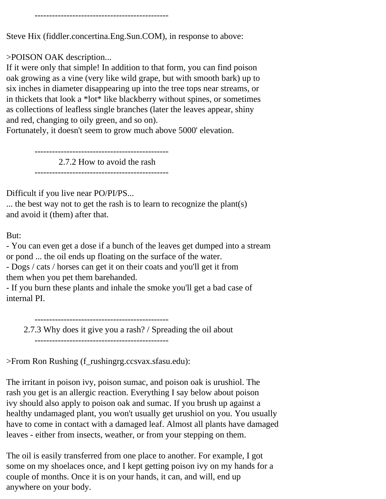Steve Hix (fiddler.concertina.Eng.Sun.COM), in response to above:

----------------------------------------------

>POISON OAK description...

If it were only that simple! In addition to that form, you can find poison oak growing as a vine (very like wild grape, but with smooth bark) up to six inches in diameter disappearing up into the tree tops near streams, or in thickets that look a \*lot\* like blackberry without spines, or sometimes as collections of leafless single branches (later the leaves appear, shiny and red, changing to oily green, and so on).

Fortunately, it doesn't seem to grow much above 5000' elevation.

 ---------------------------------------------- 2.7.2 How to avoid the rash ----------------------------------------------

Difficult if you live near PO/PI/PS...

... the best way not to get the rash is to learn to recognize the plant(s) and avoid it (them) after that.

But:

- You can even get a dose if a bunch of the leaves get dumped into a stream or pond ... the oil ends up floating on the surface of the water.

- Dogs / cats / horses can get it on their coats and you'll get it from them when you pet them barehanded.

- If you burn these plants and inhale the smoke you'll get a bad case of internal PI.

----------------------------------------------

2.7.3 Why does it give you a rash? / Spreading the oil about

----------------------------------------------

>From Ron Rushing (f\_rushingrg.ccsvax.sfasu.edu):

The irritant in poison ivy, poison sumac, and poison oak is urushiol. The rash you get is an allergic reaction. Everything I say below about poison ivy should also apply to poison oak and sumac. If you brush up against a healthy undamaged plant, you won't usually get urushiol on you. You usually have to come in contact with a damaged leaf. Almost all plants have damaged leaves - either from insects, weather, or from your stepping on them.

The oil is easily transferred from one place to another. For example, I got some on my shoelaces once, and I kept getting poison ivy on my hands for a couple of months. Once it is on your hands, it can, and will, end up anywhere on your body.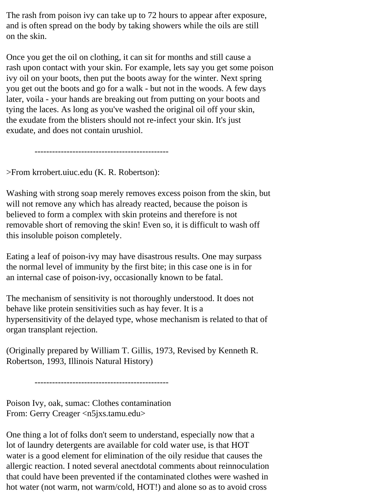The rash from poison ivy can take up to 72 hours to appear after exposure, and is often spread on the body by taking showers while the oils are still on the skin.

Once you get the oil on clothing, it can sit for months and still cause a rash upon contact with your skin. For example, lets say you get some poison ivy oil on your boots, then put the boots away for the winter. Next spring you get out the boots and go for a walk - but not in the woods. A few days later, voila - your hands are breaking out from putting on your boots and tying the laces. As long as you've washed the original oil off your skin, the exudate from the blisters should not re-infect your skin. It's just exudate, and does not contain urushiol.

----------------------------------------------

>From krrobert.uiuc.edu (K. R. Robertson):

Washing with strong soap merely removes excess poison from the skin, but will not remove any which has already reacted, because the poison is believed to form a complex with skin proteins and therefore is not removable short of removing the skin! Even so, it is difficult to wash off this insoluble poison completely.

Eating a leaf of poison-ivy may have disastrous results. One may surpass the normal level of immunity by the first bite; in this case one is in for an internal case of poison-ivy, occasionally known to be fatal.

The mechanism of sensitivity is not thoroughly understood. It does not behave like protein sensitivities such as hay fever. It is a hypersensitivity of the delayed type, whose mechanism is related to that of organ transplant rejection.

(Originally prepared by William T. Gillis, 1973, Revised by Kenneth R. Robertson, 1993, Illinois Natural History)

----------------------------------------------

Poison Ivy, oak, sumac: Clothes contamination From: Gerry Creager <n5jxs.tamu.edu>

One thing a lot of folks don't seem to understand, especially now that a lot of laundry detergents are available for cold water use, is that HOT water is a good element for elimination of the oily residue that causes the allergic reaction. I noted several anectdotal comments about reinnoculation that could have been prevented if the contaminated clothes were washed in hot water (not warm, not warm/cold, HOT!) and alone so as to avoid cross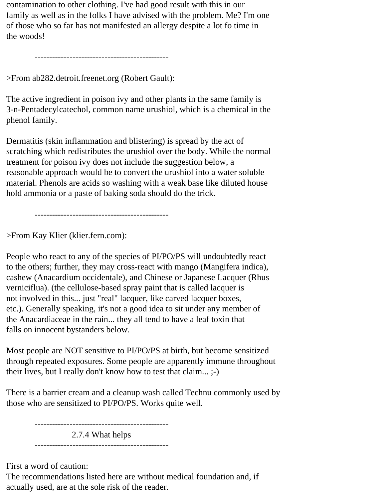contamination to other clothing. I've had good result with this in our family as well as in the folks I have advised with the problem. Me? I'm one of those who so far has not manifested an allergy despite a lot fo time in the woods!

----------------------------------------------

>From ab282.detroit.freenet.org (Robert Gault):

The active ingredient in poison ivy and other plants in the same family is 3-n-Pentadecylcatechol, common name urushiol, which is a chemical in the phenol family.

Dermatitis (skin inflammation and blistering) is spread by the act of scratching which redistributes the urushiol over the body. While the normal treatment for poison ivy does not include the suggestion below, a reasonable approach would be to convert the urushiol into a water soluble material. Phenols are acids so washing with a weak base like diluted house hold ammonia or a paste of baking soda should do the trick.

----------------------------------------------

>From Kay Klier (klier.fern.com):

People who react to any of the species of PI/PO/PS will undoubtedly react to the others; further, they may cross-react with mango (Mangifera indica), cashew (Anacardium occidentale), and Chinese or Japanese Lacquer (Rhus verniciflua). (the cellulose-based spray paint that is called lacquer is not involved in this... just "real" lacquer, like carved lacquer boxes, etc.). Generally speaking, it's not a good idea to sit under any member of the Anacardiaceae in the rain... they all tend to have a leaf toxin that falls on innocent bystanders below.

Most people are NOT sensitive to PI/PO/PS at birth, but become sensitized through repeated exposures. Some people are apparently immune throughout their lives, but I really don't know how to test that claim... ;-)

There is a barrier cream and a cleanup wash called Technu commonly used by those who are sensitized to PI/PO/PS. Works quite well.

> ---------------------------------------------- 2.7.4 What helps ----------------------------------------------

First a word of caution:

The recommendations listed here are without medical foundation and, if actually used, are at the sole risk of the reader.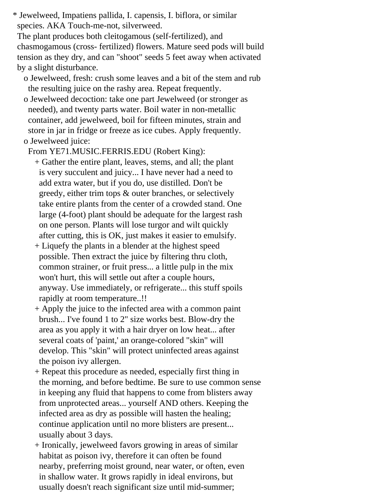\* Jewelweed, Impatiens pallida, I. capensis, I. biflora, or similar species. AKA Touch-me-not, silverweed.

 The plant produces both cleitogamous (self-fertilized), and chasmogamous (cross- fertilized) flowers. Mature seed pods will build tension as they dry, and can "shoot" seeds 5 feet away when activated by a slight disturbance.

- o Jewelweed, fresh: crush some leaves and a bit of the stem and rub the resulting juice on the rashy area. Repeat frequently.
- o Jewelweed decoction: take one part Jewelweed (or stronger as needed), and twenty parts water. Boil water in non-metallic container, add jewelweed, boil for fifteen minutes, strain and store in jar in fridge or freeze as ice cubes. Apply frequently. o Jewelweed juice:

From YE71.MUSIC.FERRIS.EDU (Robert King):

- + Gather the entire plant, leaves, stems, and all; the plant is very succulent and juicy... I have never had a need to add extra water, but if you do, use distilled. Don't be greedy, either trim tops & outer branches, or selectively take entire plants from the center of a crowded stand. One large (4-foot) plant should be adequate for the largest rash on one person. Plants will lose turgor and wilt quickly after cutting, this is OK, just makes it easier to emulsify.
- + Liquefy the plants in a blender at the highest speed possible. Then extract the juice by filtering thru cloth, common strainer, or fruit press... a little pulp in the mix won't hurt, this will settle out after a couple hours, anyway. Use immediately, or refrigerate... this stuff spoils rapidly at room temperature..!!
- + Apply the juice to the infected area with a common paint brush... I've found 1 to 2" size works best. Blow-dry the area as you apply it with a hair dryer on low heat... after several coats of 'paint,' an orange-colored "skin" will develop. This "skin" will protect uninfected areas against the poison ivy allergen.
- + Repeat this procedure as needed, especially first thing in the morning, and before bedtime. Be sure to use common sense in keeping any fluid that happens to come from blisters away from unprotected areas... yourself AND others. Keeping the infected area as dry as possible will hasten the healing; continue application until no more blisters are present... usually about 3 days.
- + Ironically, jewelweed favors growing in areas of similar habitat as poison ivy, therefore it can often be found nearby, preferring moist ground, near water, or often, even in shallow water. It grows rapidly in ideal environs, but usually doesn't reach significant size until mid-summer;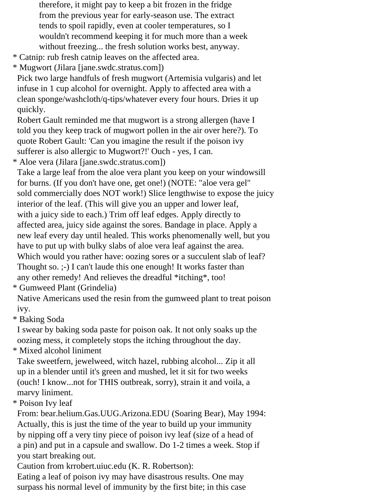therefore, it might pay to keep a bit frozen in the fridge from the previous year for early-season use. The extract tends to spoil rapidly, even at cooler temperatures, so I wouldn't recommend keeping it for much more than a week without freezing... the fresh solution works best, anyway.

- \* Catnip: rub fresh catnip leaves on the affected area.
- \* Mugwort (Jilara [jane.swdc.stratus.com])

 Pick two large handfuls of fresh mugwort (Artemisia vulgaris) and let infuse in 1 cup alcohol for overnight. Apply to affected area with a clean sponge/washcloth/q-tips/whatever every four hours. Dries it up quickly.

 Robert Gault reminded me that mugwort is a strong allergen (have I told you they keep track of mugwort pollen in the air over here?). To quote Robert Gault: 'Can you imagine the result if the poison ivy sufferer is also allergic to Mugwort?!' Ouch - yes, I can.

\* Aloe vera (Jilara [jane.swdc.stratus.com])

 Take a large leaf from the aloe vera plant you keep on your windowsill for burns. (If you don't have one, get one!) (NOTE: "aloe vera gel" sold commercially does NOT work!) Slice lengthwise to expose the juicy interior of the leaf. (This will give you an upper and lower leaf, with a juicy side to each.) Trim off leaf edges. Apply directly to affected area, juicy side against the sores. Bandage in place. Apply a new leaf every day until healed. This works phenomenally well, but you have to put up with bulky slabs of aloe vera leaf against the area. Which would you rather have: oozing sores or a succulent slab of leaf? Thought so. ;-) I can't laude this one enough! It works faster than any other remedy! And relieves the dreadful \*itching\*, too!

\* Gumweed Plant (Grindelia)

 Native Americans used the resin from the gumweed plant to treat poison ivy.

\* Baking Soda

 I swear by baking soda paste for poison oak. It not only soaks up the oozing mess, it completely stops the itching throughout the day.

\* Mixed alcohol liniment

 Take sweetfern, jewelweed, witch hazel, rubbing alcohol... Zip it all up in a blender until it's green and mushed, let it sit for two weeks (ouch! I know...not for THIS outbreak, sorry), strain it and voila, a marvy liniment.

\* Poison Ivy leaf

 From: bear.helium.Gas.UUG.Arizona.EDU (Soaring Bear), May 1994: Actually, this is just the time of the year to build up your immunity by nipping off a very tiny piece of poison ivy leaf (size of a head of a pin) and put in a capsule and swallow. Do 1-2 times a week. Stop if you start breaking out.

Caution from krrobert.uiuc.edu (K. R. Robertson):

 Eating a leaf of poison ivy may have disastrous results. One may surpass his normal level of immunity by the first bite; in this case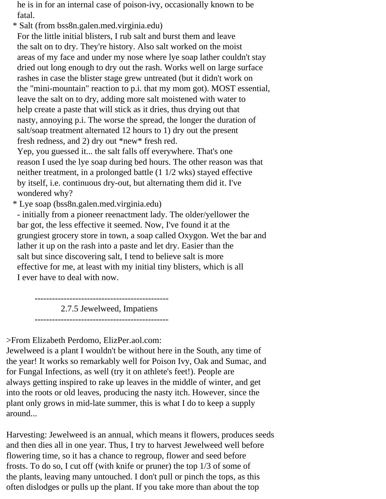he is in for an internal case of poison-ivy, occasionally known to be fatal.

 \* Salt (from bss8n.galen.med.virginia.edu) For the little initial blisters, I rub salt and burst them and leave the salt on to dry. They're history. Also salt worked on the moist areas of my face and under my nose where lye soap lather couldn't stay dried out long enough to dry out the rash. Works well on large surface rashes in case the blister stage grew untreated (but it didn't work on the "mini-mountain" reaction to p.i. that my mom got). MOST essential, leave the salt on to dry, adding more salt moistened with water to help create a paste that will stick as it dries, thus drying out that nasty, annoying p.i. The worse the spread, the longer the duration of salt/soap treatment alternated 12 hours to 1) dry out the present fresh redness, and 2) dry out \*new\* fresh red.

 Yep, you guessed it... the salt falls off everywhere. That's one reason I used the lye soap during bed hours. The other reason was that neither treatment, in a prolonged battle (1 1/2 wks) stayed effective by itself, i.e. continuous dry-out, but alternating them did it. I've wondered why?

\* Lye soap (bss8n.galen.med.virginia.edu)

 - initially from a pioneer reenactment lady. The older/yellower the bar got, the less effective it seemed. Now, I've found it at the grungiest grocery store in town, a soap called Oxygon. Wet the bar and lather it up on the rash into a paste and let dry. Easier than the salt but since discovering salt, I tend to believe salt is more effective for me, at least with my initial tiny blisters, which is all I ever have to deal with now.

 ---------------------------------------------- 2.7.5 Jewelweed, Impatiens ----------------------------------------------

>From Elizabeth Perdomo, ElizPer.aol.com:

Jewelweed is a plant I wouldn't be without here in the South, any time of the year! It works so remarkably well for Poison Ivy, Oak and Sumac, and for Fungal Infections, as well (try it on athlete's feet!). People are always getting inspired to rake up leaves in the middle of winter, and get into the roots or old leaves, producing the nasty itch. However, since the plant only grows in mid-late summer, this is what I do to keep a supply around...

Harvesting: Jewelweed is an annual, which means it flowers, produces seeds and then dies all in one year. Thus, I try to harvest Jewelweed well before flowering time, so it has a chance to regroup, flower and seed before frosts. To do so, I cut off (with knife or pruner) the top 1/3 of some of the plants, leaving many untouched. I don't pull or pinch the tops, as this often dislodges or pulls up the plant. If you take more than about the top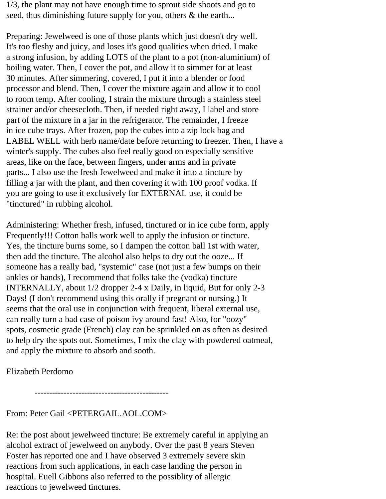1/3, the plant may not have enough time to sprout side shoots and go to seed, thus diminishing future supply for you, others & the earth...

Preparing: Jewelweed is one of those plants which just doesn't dry well. It's too fleshy and juicy, and loses it's good qualities when dried. I make a strong infusion, by adding LOTS of the plant to a pot (non-aluminium) of boiling water. Then, I cover the pot, and allow it to simmer for at least 30 minutes. After simmering, covered, I put it into a blender or food processor and blend. Then, I cover the mixture again and allow it to cool to room temp. After cooling, I strain the mixture through a stainless steel strainer and/or cheesecloth. Then, if needed right away, I label and store part of the mixture in a jar in the refrigerator. The remainder, I freeze in ice cube trays. After frozen, pop the cubes into a zip lock bag and LABEL WELL with herb name/date before returning to freezer. Then, I have a winter's supply. The cubes also feel really good on especially sensitive areas, like on the face, between fingers, under arms and in private parts... I also use the fresh Jewelweed and make it into a tincture by filling a jar with the plant, and then covering it with 100 proof vodka. If you are going to use it exclusively for EXTERNAL use, it could be "tinctured" in rubbing alcohol.

Administering: Whether fresh, infused, tinctured or in ice cube form, apply Frequently!!! Cotton balls work well to apply the infusion or tincture. Yes, the tincture burns some, so I dampen the cotton ball 1st with water, then add the tincture. The alcohol also helps to dry out the ooze... If someone has a really bad, "systemic" case (not just a few bumps on their ankles or hands), I recommend that folks take the (vodka) tincture INTERNALLY, about 1/2 dropper 2-4 x Daily, in liquid, But for only 2-3 Days! (I don't recommend using this orally if pregnant or nursing.) It seems that the oral use in conjunction with frequent, liberal external use, can really turn a bad case of poison ivy around fast! Also, for "oozy" spots, cosmetic grade (French) clay can be sprinkled on as often as desired to help dry the spots out. Sometimes, I mix the clay with powdered oatmeal, and apply the mixture to absorb and sooth.

Elizabeth Perdomo

----------------------------------------------

From: Peter Gail <PETERGAIL.AOL.COM>

Re: the post about jewelweed tincture: Be extremely careful in applying an alcohol extract of jewelweed on anybody. Over the past 8 years Steven Foster has reported one and I have observed 3 extremely severe skin reactions from such applications, in each case landing the person in hospital. Euell Gibbons also referred to the possiblity of allergic reactions to jewelweed tinctures.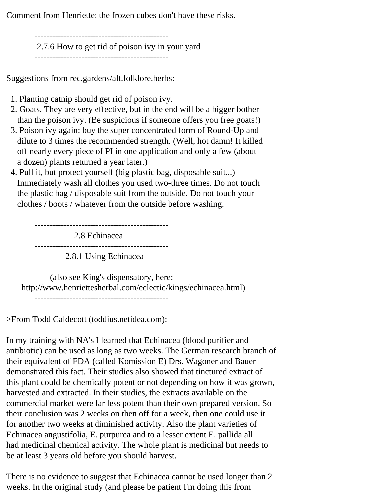Comment from Henriette: the frozen cubes don't have these risks.

----------------------------------------------

2.7.6 How to get rid of poison ivy in your yard

----------------------------------------------

Suggestions from rec.gardens/alt.folklore.herbs:

- 1. Planting catnip should get rid of poison ivy.
- 2. Goats. They are very effective, but in the end will be a bigger bother than the poison ivy. (Be suspicious if someone offers you free goats!)
- 3. Poison ivy again: buy the super concentrated form of Round-Up and dilute to 3 times the recommended strength. (Well, hot damn! It killed off nearly every piece of PI in one application and only a few (about a dozen) plants returned a year later.)
- 4. Pull it, but protect yourself (big plastic bag, disposable suit...) Immediately wash all clothes you used two-three times. Do not touch the plastic bag / disposable suit from the outside. Do not touch your clothes / boots / whatever from the outside before washing.

 ---------------------------------------------- 2.8 Echinacea ----------------------------------------------

2.8.1 Using Echinacea

 (also see King's dispensatory, here: http://www.henriettesherbal.com/eclectic/kings/echinacea.html) ----------------------------------------------

>From Todd Caldecott (toddius.netidea.com):

In my training with NA's I learned that Echinacea (blood purifier and antibiotic) can be used as long as two weeks. The German research branch of their equivalent of FDA (called Komission E) Drs. Wagoner and Bauer demonstrated this fact. Their studies also showed that tinctured extract of this plant could be chemically potent or not depending on how it was grown, harvested and extracted. In their studies, the extracts available on the commercial market were far less potent than their own prepared version. So their conclusion was 2 weeks on then off for a week, then one could use it for another two weeks at diminished activity. Also the plant varieties of Echinacea angustifolia, E. purpurea and to a lesser extent E. pallida all had medicinal chemical activity. The whole plant is medicinal but needs to be at least 3 years old before you should harvest.

There is no evidence to suggest that Echinacea cannot be used longer than 2 weeks. In the original study (and please be patient I'm doing this from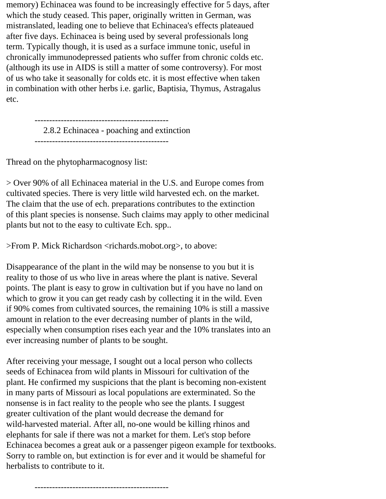memory) Echinacea was found to be increasingly effective for 5 days, after which the study ceased. This paper, originally written in German, was mistranslated, leading one to believe that Echinacea's effects plateaued after five days. Echinacea is being used by several professionals long term. Typically though, it is used as a surface immune tonic, useful in chronically immunodepressed patients who suffer from chronic colds etc. (although its use in AIDS is still a matter of some controversy). For most of us who take it seasonally for colds etc. it is most effective when taken in combination with other herbs i.e. garlic, Baptisia, Thymus, Astragalus etc.

 ---------------------------------------------- 2.8.2 Echinacea - poaching and extinction ----------------------------------------------

Thread on the phytopharmacognosy list:

> Over 90% of all Echinacea material in the U.S. and Europe comes from cultivated species. There is very little wild harvested ech. on the market. The claim that the use of ech. preparations contributes to the extinction of this plant species is nonsense. Such claims may apply to other medicinal plants but not to the easy to cultivate Ech. spp..

>From P. Mick Richardson <richards.mobot.org>, to above:

Disappearance of the plant in the wild may be nonsense to you but it is reality to those of us who live in areas where the plant is native. Several points. The plant is easy to grow in cultivation but if you have no land on which to grow it you can get ready cash by collecting it in the wild. Even if 90% comes from cultivated sources, the remaining 10% is still a massive amount in relation to the ever decreasing number of plants in the wild, especially when consumption rises each year and the 10% translates into an ever increasing number of plants to be sought.

After receiving your message, I sought out a local person who collects seeds of Echinacea from wild plants in Missouri for cultivation of the plant. He confirmed my suspicions that the plant is becoming non-existent in many parts of Missouri as local populations are exterminated. So the nonsense is in fact reality to the people who see the plants. I suggest greater cultivation of the plant would decrease the demand for wild-harvested material. After all, no-one would be killing rhinos and elephants for sale if there was not a market for them. Let's stop before Echinacea becomes a great auk or a passenger pigeon example for textbooks. Sorry to ramble on, but extinction is for ever and it would be shameful for herbalists to contribute to it.

----------------------------------------------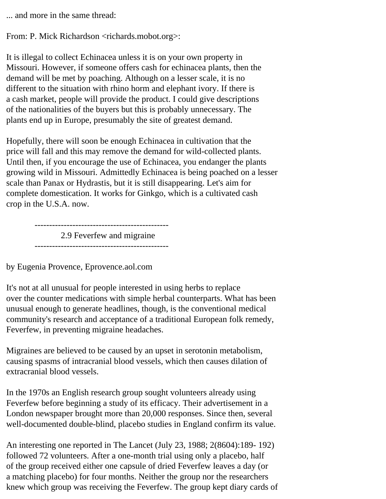... and more in the same thread:

From: P. Mick Richardson <richards.mobot.org>:

It is illegal to collect Echinacea unless it is on your own property in Missouri. However, if someone offers cash for echinacea plants, then the demand will be met by poaching. Although on a lesser scale, it is no different to the situation with rhino horm and elephant ivory. If there is a cash market, people will provide the product. I could give descriptions of the nationalities of the buyers but this is probably unnecessary. The plants end up in Europe, presumably the site of greatest demand.

Hopefully, there will soon be enough Echinacea in cultivation that the price will fall and this may remove the demand for wild-collected plants. Until then, if you encourage the use of Echinacea, you endanger the plants growing wild in Missouri. Admittedly Echinacea is being poached on a lesser scale than Panax or Hydrastis, but it is still disappearing. Let's aim for complete domestication. It works for Ginkgo, which is a cultivated cash crop in the U.S.A. now.

> ---------------------------------------------- 2.9 Feverfew and migraine ----------------------------------------------

by Eugenia Provence, Eprovence.aol.com

It's not at all unusual for people interested in using herbs to replace over the counter medications with simple herbal counterparts. What has been unusual enough to generate headlines, though, is the conventional medical community's research and acceptance of a traditional European folk remedy, Feverfew, in preventing migraine headaches.

Migraines are believed to be caused by an upset in serotonin metabolism, causing spasms of intracranial blood vessels, which then causes dilation of extracranial blood vessels.

In the 1970s an English research group sought volunteers already using Feverfew before beginning a study of its efficacy. Their advertisement in a London newspaper brought more than 20,000 responses. Since then, several well-documented double-blind, placebo studies in England confirm its value.

An interesting one reported in The Lancet (July 23, 1988; 2(8604):189- 192) followed 72 volunteers. After a one-month trial using only a placebo, half of the group received either one capsule of dried Feverfew leaves a day (or a matching placebo) for four months. Neither the group nor the researchers knew which group was receiving the Feverfew. The group kept diary cards of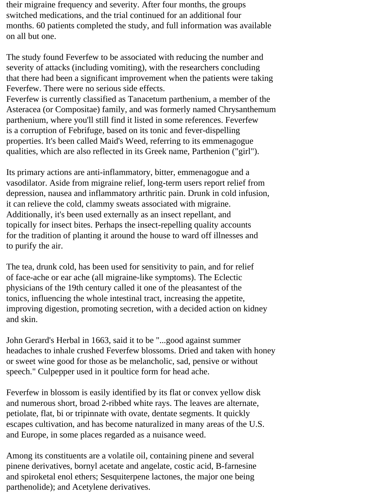their migraine frequency and severity. After four months, the groups switched medications, and the trial continued for an additional four months. 60 patients completed the study, and full information was available on all but one.

The study found Feverfew to be associated with reducing the number and severity of attacks (including vomiting), with the researchers concluding that there had been a significant improvement when the patients were taking Feverfew. There were no serious side effects.

Feverfew is currently classified as Tanacetum parthenium, a member of the Asteracea (or Compositae) family, and was formerly named Chrysanthemum parthenium, where you'll still find it listed in some references. Feverfew is a corruption of Febrifuge, based on its tonic and fever-dispelling properties. It's been called Maid's Weed, referring to its emmenagogue qualities, which are also reflected in its Greek name, Parthenion ("girl").

Its primary actions are anti-inflammatory, bitter, emmenagogue and a vasodilator. Aside from migraine relief, long-term users report relief from depression, nausea and inflammatory arthritic pain. Drunk in cold infusion, it can relieve the cold, clammy sweats associated with migraine. Additionally, it's been used externally as an insect repellant, and topically for insect bites. Perhaps the insect-repelling quality accounts for the tradition of planting it around the house to ward off illnesses and to purify the air.

The tea, drunk cold, has been used for sensitivity to pain, and for relief of face-ache or ear ache (all migraine-like symptoms). The Eclectic physicians of the 19th century called it one of the pleasantest of the tonics, influencing the whole intestinal tract, increasing the appetite, improving digestion, promoting secretion, with a decided action on kidney and skin.

John Gerard's Herbal in 1663, said it to be "...good against summer headaches to inhale crushed Feverfew blossoms. Dried and taken with honey or sweet wine good for those as be melancholic, sad, pensive or without speech." Culpepper used in it poultice form for head ache.

Feverfew in blossom is easily identified by its flat or convex yellow disk and numerous short, broad 2-ribbed white rays. The leaves are alternate, petiolate, flat, bi or tripinnate with ovate, dentate segments. It quickly escapes cultivation, and has become naturalized in many areas of the U.S. and Europe, in some places regarded as a nuisance weed.

Among its constituents are a volatile oil, containing pinene and several pinene derivatives, bornyl acetate and angelate, costic acid, B-farnesine and spiroketal enol ethers; Sesquiterpene lactones, the major one being parthenolide); and Acetylene derivatives.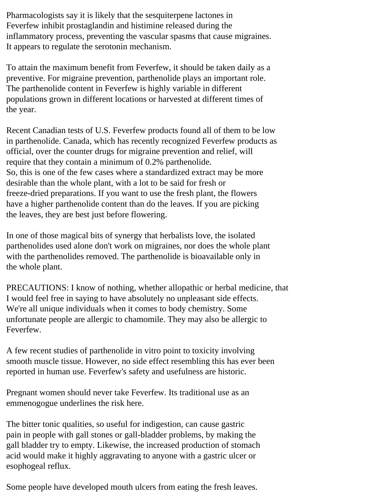Pharmacologists say it is likely that the sesquiterpene lactones in Feverfew inhibit prostaglandin and histimine released during the inflammatory process, preventing the vascular spasms that cause migraines. It appears to regulate the serotonin mechanism.

To attain the maximum benefit from Feverfew, it should be taken daily as a preventive. For migraine prevention, parthenolide plays an important role. The parthenolide content in Feverfew is highly variable in different populations grown in different locations or harvested at different times of the year.

Recent Canadian tests of U.S. Feverfew products found all of them to be low in parthenolide. Canada, which has recently recognized Feverfew products as official, over the counter drugs for migraine prevention and relief, will require that they contain a minimum of 0.2% parthenolide. So, this is one of the few cases where a standardized extract may be more desirable than the whole plant, with a lot to be said for fresh or freeze-dried preparations. If you want to use the fresh plant, the flowers have a higher parthenolide content than do the leaves. If you are picking the leaves, they are best just before flowering.

In one of those magical bits of synergy that herbalists love, the isolated parthenolides used alone don't work on migraines, nor does the whole plant with the parthenolides removed. The parthenolide is bioavailable only in the whole plant.

PRECAUTIONS: I know of nothing, whether allopathic or herbal medicine, that I would feel free in saying to have absolutely no unpleasant side effects. We're all unique individuals when it comes to body chemistry. Some unfortunate people are allergic to chamomile. They may also be allergic to Feverfew.

A few recent studies of parthenolide in vitro point to toxicity involving smooth muscle tissue. However, no side effect resembling this has ever been reported in human use. Feverfew's safety and usefulness are historic.

Pregnant women should never take Feverfew. Its traditional use as an emmenogogue underlines the risk here.

The bitter tonic qualities, so useful for indigestion, can cause gastric pain in people with gall stones or gall-bladder problems, by making the gall bladder try to empty. Likewise, the increased production of stomach acid would make it highly aggravating to anyone with a gastric ulcer or esophogeal reflux.

Some people have developed mouth ulcers from eating the fresh leaves.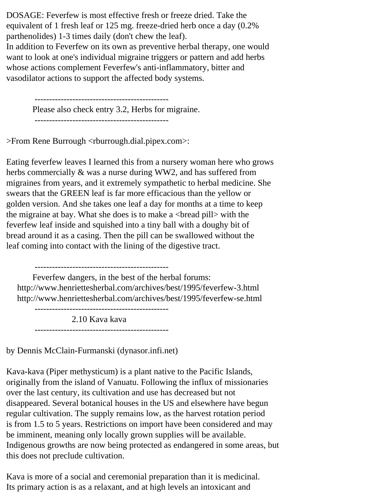DOSAGE: Feverfew is most effective fresh or freeze dried. Take the equivalent of 1 fresh leaf or 125 mg. freeze-dried herb once a day (0.2% parthenolides) 1-3 times daily (don't chew the leaf). In addition to Feverfew on its own as preventive herbal therapy, one would want to look at one's individual migraine triggers or pattern and add herbs whose actions complement Feverfew's anti-inflammatory, bitter and vasodilator actions to support the affected body systems.

 ---------------------------------------------- Please also check entry 3.2, Herbs for migraine. ----------------------------------------------

>From Rene Burrough <rburrough.dial.pipex.com>:

Eating feverfew leaves I learned this from a nursery woman here who grows herbs commercially & was a nurse during WW2, and has suffered from migraines from years, and it extremely sympathetic to herbal medicine. She swears that the GREEN leaf is far more efficacious than the yellow or golden version. And she takes one leaf a day for months at a time to keep the migraine at bay. What she does is to make a <br/>bread pill> with the feverfew leaf inside and squished into a tiny ball with a doughy bit of bread around it as a casing. Then the pill can be swallowed without the leaf coming into contact with the lining of the digestive tract.

----------------------------------------------

 Feverfew dangers, in the best of the herbal forums: http://www.henriettesherbal.com/archives/best/1995/feverfew-3.html http://www.henriettesherbal.com/archives/best/1995/feverfew-se.html

----------------------------------------------

 2.10 Kava kava ----------------------------------------------

by Dennis McClain-Furmanski (dynasor.infi.net)

Kava-kava (Piper methysticum) is a plant native to the Pacific Islands, originally from the island of Vanuatu. Following the influx of missionaries over the last century, its cultivation and use has decreased but not disappeared. Several botanical houses in the US and elsewhere have begun regular cultivation. The supply remains low, as the harvest rotation period is from 1.5 to 5 years. Restrictions on import have been considered and may be imminent, meaning only locally grown supplies will be available. Indigenous growths are now being protected as endangered in some areas, but this does not preclude cultivation.

Kava is more of a social and ceremonial preparation than it is medicinal. Its primary action is as a relaxant, and at high levels an intoxicant and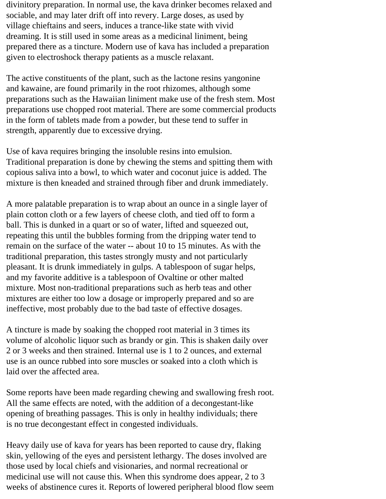divinitory preparation. In normal use, the kava drinker becomes relaxed and sociable, and may later drift off into revery. Large doses, as used by village chieftains and seers, induces a trance-like state with vivid dreaming. It is still used in some areas as a medicinal liniment, being prepared there as a tincture. Modern use of kava has included a preparation given to electroshock therapy patients as a muscle relaxant.

The active constituents of the plant, such as the lactone resins yangonine and kawaine, are found primarily in the root rhizomes, although some preparations such as the Hawaiian liniment make use of the fresh stem. Most preparations use chopped root material. There are some commercial products in the form of tablets made from a powder, but these tend to suffer in strength, apparently due to excessive drying.

Use of kava requires bringing the insoluble resins into emulsion. Traditional preparation is done by chewing the stems and spitting them with copious saliva into a bowl, to which water and coconut juice is added. The mixture is then kneaded and strained through fiber and drunk immediately.

A more palatable preparation is to wrap about an ounce in a single layer of plain cotton cloth or a few layers of cheese cloth, and tied off to form a ball. This is dunked in a quart or so of water, lifted and squeezed out, repeating this until the bubbles forming from the dripping water tend to remain on the surface of the water -- about 10 to 15 minutes. As with the traditional preparation, this tastes strongly musty and not particularly pleasant. It is drunk immediately in gulps. A tablespoon of sugar helps, and my favorite additive is a tablespoon of Ovaltine or other malted mixture. Most non-traditional preparations such as herb teas and other mixtures are either too low a dosage or improperly prepared and so are ineffective, most probably due to the bad taste of effective dosages.

A tincture is made by soaking the chopped root material in 3 times its volume of alcoholic liquor such as brandy or gin. This is shaken daily over 2 or 3 weeks and then strained. Internal use is 1 to 2 ounces, and external use is an ounce rubbed into sore muscles or soaked into a cloth which is laid over the affected area.

Some reports have been made regarding chewing and swallowing fresh root. All the same effects are noted, with the addition of a decongestant-like opening of breathing passages. This is only in healthy individuals; there is no true decongestant effect in congested individuals.

Heavy daily use of kava for years has been reported to cause dry, flaking skin, yellowing of the eyes and persistent lethargy. The doses involved are those used by local chiefs and visionaries, and normal recreational or medicinal use will not cause this. When this syndrome does appear, 2 to 3 weeks of abstinence cures it. Reports of lowered peripheral blood flow seem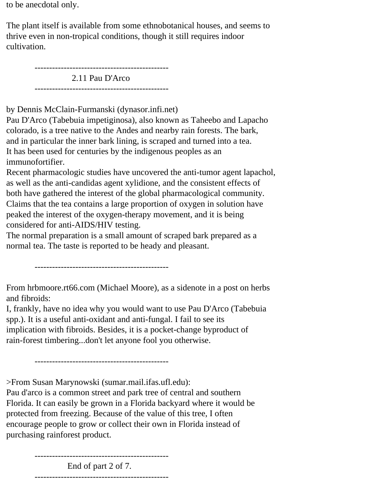to be anecdotal only.

The plant itself is available from some ethnobotanical houses, and seems to thrive even in non-tropical conditions, though it still requires indoor cultivation.

> ---------------------------------------------- 2.11 Pau D'Arco ----------------------------------------------

by Dennis McClain-Furmanski (dynasor.infi.net)

Pau D'Arco (Tabebuia impetiginosa), also known as Taheebo and Lapacho colorado, is a tree native to the Andes and nearby rain forests. The bark, and in particular the inner bark lining, is scraped and turned into a tea. It has been used for centuries by the indigenous peoples as an immunofortifier.

Recent pharmacologic studies have uncovered the anti-tumor agent lapachol, as well as the anti-candidas agent xylidione, and the consistent effects of both have gathered the interest of the global pharmacological community. Claims that the tea contains a large proportion of oxygen in solution have peaked the interest of the oxygen-therapy movement, and it is being considered for anti-AIDS/HIV testing.

The normal preparation is a small amount of scraped bark prepared as a normal tea. The taste is reported to be heady and pleasant.

----------------------------------------------

From hrbmoore.rt66.com (Michael Moore), as a sidenote in a post on herbs and fibroids:

I, frankly, have no idea why you would want to use Pau D'Arco (Tabebuia spp.). It is a useful anti-oxidant and anti-fungal. I fail to see its implication with fibroids. Besides, it is a pocket-change byproduct of rain-forest timbering...don't let anyone fool you otherwise.

----------------------------------------------

>From Susan Marynowski (sumar.mail.ifas.ufl.edu):

Pau d'arco is a common street and park tree of central and southern Florida. It can easily be grown in a Florida backyard where it would be protected from freezing. Because of the value of this tree, I often encourage people to grow or collect their own in Florida instead of purchasing rainforest product.

> End of part 2 of 7. ----------------------------------------------

----------------------------------------------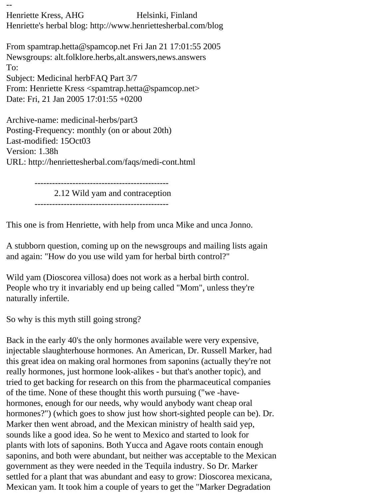-- Henriette Kress, AHG Helsinki, Finland Henriette's herbal blog: http://www.henriettesherbal.com/blog

From spamtrap.hetta@spamcop.net Fri Jan 21 17:01:55 2005 Newsgroups: alt.folklore.herbs,alt.answers,news.answers To: Subject: Medicinal herbFAQ Part 3/7 From: Henriette Kress <spamtrap.hetta@spamcop.net> Date: Fri, 21 Jan 2005 17:01:55 +0200

Archive-name: medicinal-herbs/part3 Posting-Frequency: monthly (on or about 20th) Last-modified: 15Oct03 Version: 1.38h URL: http://henriettesherbal.com/faqs/medi-cont.html

----------------------------------------------

2.12 Wild yam and contraception

----------------------------------------------

This one is from Henriette, with help from unca Mike and unca Jonno.

A stubborn question, coming up on the newsgroups and mailing lists again and again: "How do you use wild yam for herbal birth control?"

Wild yam (Dioscorea villosa) does not work as a herbal birth control. People who try it invariably end up being called "Mom", unless they're naturally infertile.

So why is this myth still going strong?

Back in the early 40's the only hormones available were very expensive, injectable slaughterhouse hormones. An American, Dr. Russell Marker, had this great idea on making oral hormones from saponins (actually they're not really hormones, just hormone look-alikes - but that's another topic), and tried to get backing for research on this from the pharmaceutical companies of the time. None of these thought this worth pursuing ("we -havehormones, enough for our needs, why would anybody want cheap oral hormones?") (which goes to show just how short-sighted people can be). Dr. Marker then went abroad, and the Mexican ministry of health said yep, sounds like a good idea. So he went to Mexico and started to look for plants with lots of saponins. Both Yucca and Agave roots contain enough saponins, and both were abundant, but neither was acceptable to the Mexican government as they were needed in the Tequila industry. So Dr. Marker settled for a plant that was abundant and easy to grow: Dioscorea mexicana, Mexican yam. It took him a couple of years to get the "Marker Degradation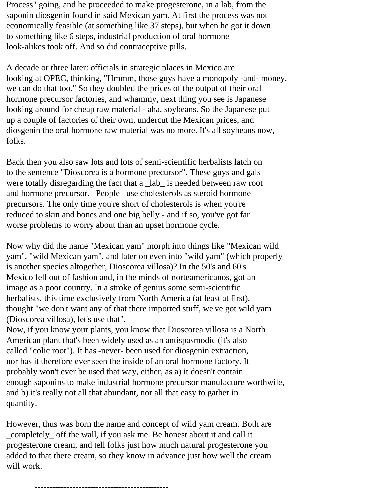Process" going, and he proceeded to make progesterone, in a lab, from the saponin diosgenin found in said Mexican yam. At first the process was not economically feasible (at something like 37 steps), but when he got it down to something like 6 steps, industrial production of oral hormone look-alikes took off. And so did contraceptive pills.

A decade or three later: officials in strategic places in Mexico are looking at OPEC, thinking, "Hmmm, those guys have a monopoly -and- money, we can do that too." So they doubled the prices of the output of their oral hormone precursor factories, and whammy, next thing you see is Japanese looking around for cheap raw material - aha, soybeans. So the Japanese put up a couple of factories of their own, undercut the Mexican prices, and diosgenin the oral hormone raw material was no more. It's all soybeans now, folks.

Back then you also saw lots and lots of semi-scientific herbalists latch on to the sentence "Dioscorea is a hormone precursor". These guys and gals were totally disregarding the fact that a \_lab\_ is needed between raw root and hormone precursor. \_People\_ use cholesterols as steroid hormone precursors. The only time you're short of cholesterols is when you're reduced to skin and bones and one big belly - and if so, you've got far worse problems to worry about than an upset hormone cycle.

Now why did the name "Mexican yam" morph into things like "Mexican wild yam", "wild Mexican yam", and later on even into "wild yam" (which properly is another species altogether, Dioscorea villosa)? In the 50's and 60's Mexico fell out of fashion and, in the minds of norteamericanos, got an image as a poor country. In a stroke of genius some semi-scientific herbalists, this time exclusively from North America (at least at first), thought "we don't want any of that there imported stuff, we've got wild yam (Dioscorea villosa), let's use that".

Now, if you know your plants, you know that Dioscorea villosa is a North American plant that's been widely used as an antispasmodic (it's also called "colic root"). It has -never- been used for diosgenin extraction, nor has it therefore ever seen the inside of an oral hormone factory. It probably won't ever be used that way, either, as a) it doesn't contain enough saponins to make industrial hormone precursor manufacture worthwile, and b) it's really not all that abundant, nor all that easy to gather in quantity.

However, thus was born the name and concept of wild yam cream. Both are \_completely\_ off the wall, if you ask me. Be honest about it and call it progesterone cream, and tell folks just how much natural progesterone you added to that there cream, so they know in advance just how well the cream will work.

----------------------------------------------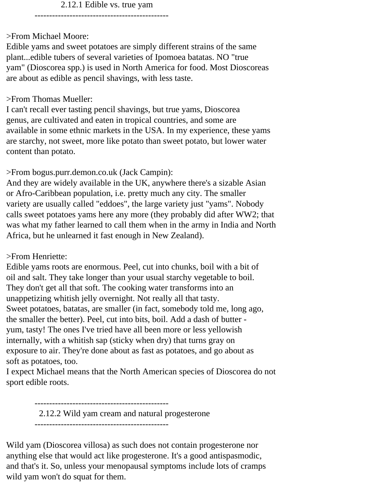2.12.1 Edible vs. true yam

----------------------------------------------

>From Michael Moore:

Edible yams and sweet potatoes are simply different strains of the same plant...edible tubers of several varieties of Ipomoea batatas. NO "true yam" (Dioscorea spp.) is used in North America for food. Most Dioscoreas are about as edible as pencil shavings, with less taste.

>From Thomas Mueller:

I can't recall ever tasting pencil shavings, but true yams, Dioscorea genus, are cultivated and eaten in tropical countries, and some are available in some ethnic markets in the USA. In my experience, these yams are starchy, not sweet, more like potato than sweet potato, but lower water content than potato.

>From bogus.purr.demon.co.uk (Jack Campin):

And they are widely available in the UK, anywhere there's a sizable Asian or Afro-Caribbean population, i.e. pretty much any city. The smaller variety are usually called "eddoes", the large variety just "yams". Nobody calls sweet potatoes yams here any more (they probably did after WW2; that was what my father learned to call them when in the army in India and North Africa, but he unlearned it fast enough in New Zealand).

>From Henriette:

Edible yams roots are enormous. Peel, cut into chunks, boil with a bit of oil and salt. They take longer than your usual starchy vegetable to boil. They don't get all that soft. The cooking water transforms into an unappetizing whitish jelly overnight. Not really all that tasty. Sweet potatoes, batatas, are smaller (in fact, somebody told me, long ago, the smaller the better). Peel, cut into bits, boil. Add a dash of butter yum, tasty! The ones I've tried have all been more or less yellowish internally, with a whitish sap (sticky when dry) that turns gray on exposure to air. They're done about as fast as potatoes, and go about as soft as potatoes, too.

I expect Michael means that the North American species of Dioscorea do not sport edible roots.

> ---------------------------------------------- 2.12.2 Wild yam cream and natural progesterone ----------------------------------------------

Wild yam (Dioscorea villosa) as such does not contain progesterone nor anything else that would act like progesterone. It's a good antispasmodic, and that's it. So, unless your menopausal symptoms include lots of cramps wild yam won't do squat for them.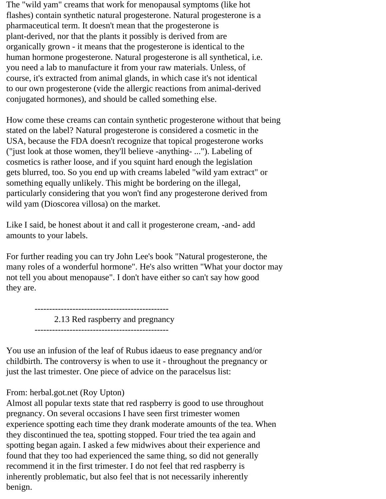The "wild yam" creams that work for menopausal symptoms (like hot flashes) contain synthetic natural progesterone. Natural progesterone is a pharmaceutical term. It doesn't mean that the progesterone is plant-derived, nor that the plants it possibly is derived from are organically grown - it means that the progesterone is identical to the human hormone progesterone. Natural progesterone is all synthetical, i.e. you need a lab to manufacture it from your raw materials. Unless, of course, it's extracted from animal glands, in which case it's not identical to our own progesterone (vide the allergic reactions from animal-derived conjugated hormones), and should be called something else.

How come these creams can contain synthetic progesterone without that being stated on the label? Natural progesterone is considered a cosmetic in the USA, because the FDA doesn't recognize that topical progesterone works ("just look at those women, they'll believe -anything- ..."). Labeling of cosmetics is rather loose, and if you squint hard enough the legislation gets blurred, too. So you end up with creams labeled "wild yam extract" or something equally unlikely. This might be bordering on the illegal, particularly considering that you won't find any progesterone derived from wild yam (Dioscorea villosa) on the market.

Like I said, be honest about it and call it progesterone cream, -and- add amounts to your labels.

For further reading you can try John Lee's book "Natural progesterone, the many roles of a wonderful hormone". He's also written "What your doctor may not tell you about menopause". I don't have either so can't say how good they are.

> ---------------------------------------------- 2.13 Red raspberry and pregnancy ----------------------------------------------

You use an infusion of the leaf of Rubus idaeus to ease pregnancy and/or childbirth. The controversy is when to use it - throughout the pregnancy or just the last trimester. One piece of advice on the paracelsus list:

## From: herbal.got.net (Roy Upton)

Almost all popular texts state that red raspberry is good to use throughout pregnancy. On several occasions I have seen first trimester women experience spotting each time they drank moderate amounts of the tea. When they discontinued the tea, spotting stopped. Four tried the tea again and spotting began again. I asked a few midwives about their experience and found that they too had experienced the same thing, so did not generally recommend it in the first trimester. I do not feel that red raspberry is inherently problematic, but also feel that is not necessarily inherently benign.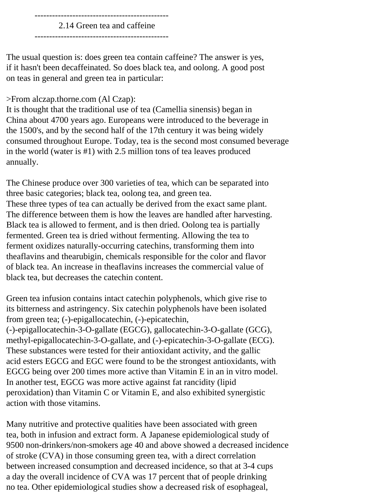---------------------------------------------- 2.14 Green tea and caffeine

----------------------------------------------

The usual question is: does green tea contain caffeine? The answer is yes, if it hasn't been decaffeinated. So does black tea, and oolong. A good post on teas in general and green tea in particular:

>From alczap.thorne.com (Al Czap):

It is thought that the traditional use of tea (Camellia sinensis) began in China about 4700 years ago. Europeans were introduced to the beverage in the 1500's, and by the second half of the 17th century it was being widely consumed throughout Europe. Today, tea is the second most consumed beverage in the world (water is #1) with 2.5 million tons of tea leaves produced annually.

The Chinese produce over 300 varieties of tea, which can be separated into three basic categories; black tea, oolong tea, and green tea. These three types of tea can actually be derived from the exact same plant. The difference between them is how the leaves are handled after harvesting. Black tea is allowed to ferment, and is then dried. Oolong tea is partially fermented. Green tea is dried without fermenting. Allowing the tea to ferment oxidizes naturally-occurring catechins, transforming them into theaflavins and thearubigin, chemicals responsible for the color and flavor of black tea. An increase in theaflavins increases the commercial value of black tea, but decreases the catechin content.

Green tea infusion contains intact catechin polyphenols, which give rise to its bitterness and astringency. Six catechin polyphenols have been isolated from green tea; (-)-epigallocatechin, (-)-epicatechin, (-)-epigallocatechin-3-O-gallate (EGCG), gallocatechin-3-O-gallate (GCG), methyl-epigallocatechin-3-O-gallate, and (-)-epicatechin-3-O-gallate (ECG). These substances were tested for their antioxidant activity, and the gallic acid esters EGCG and EGC were found to be the strongest antioxidants, with EGCG being over 200 times more active than Vitamin E in an in vitro model. In another test, EGCG was more active against fat rancidity (lipid peroxidation) than Vitamin C or Vitamin E, and also exhibited synergistic action with those vitamins.

Many nutritive and protective qualities have been associated with green tea, both in infusion and extract form. A Japanese epidemiological study of 9500 non-drinkers/non-smokers age 40 and above showed a decreased incidence of stroke (CVA) in those consuming green tea, with a direct correlation between increased consumption and decreased incidence, so that at 3-4 cups a day the overall incidence of CVA was 17 percent that of people drinking no tea. Other epidemiological studies show a decreased risk of esophageal,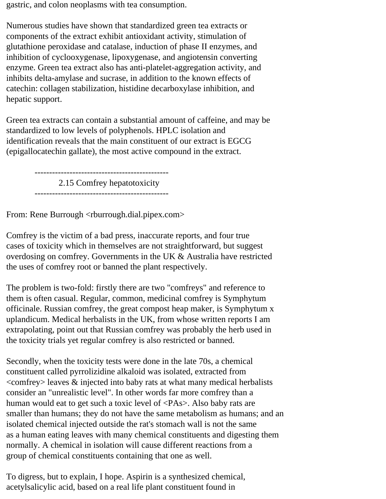gastric, and colon neoplasms with tea consumption.

Numerous studies have shown that standardized green tea extracts or components of the extract exhibit antioxidant activity, stimulation of glutathione peroxidase and catalase, induction of phase II enzymes, and inhibition of cyclooxygenase, lipoxygenase, and angiotensin converting enzyme. Green tea extract also has anti-platelet-aggregation activity, and inhibits delta-amylase and sucrase, in addition to the known effects of catechin: collagen stabilization, histidine decarboxylase inhibition, and hepatic support.

Green tea extracts can contain a substantial amount of caffeine, and may be standardized to low levels of polyphenols. HPLC isolation and identification reveals that the main constituent of our extract is EGCG (epigallocatechin gallate), the most active compound in the extract.

 ---------------------------------------------- 2.15 Comfrey hepatotoxicity ----------------------------------------------

From: Rene Burrough <rburrough.dial.pipex.com>

Comfrey is the victim of a bad press, inaccurate reports, and four true cases of toxicity which in themselves are not straightforward, but suggest overdosing on comfrey. Governments in the UK & Australia have restricted the uses of comfrey root or banned the plant respectively.

The problem is two-fold: firstly there are two "comfreys" and reference to them is often casual. Regular, common, medicinal comfrey is Symphytum officinale. Russian comfrey, the great compost heap maker, is Symphytum x uplandicum. Medical herbalists in the UK, from whose written reports I am extrapolating, point out that Russian comfrey was probably the herb used in the toxicity trials yet regular comfrey is also restricted or banned.

Secondly, when the toxicity tests were done in the late 70s, a chemical constituent called pyrrolizidine alkaloid was isolated, extracted from  $\leq$ comfrey> leaves  $\&$  injected into baby rats at what many medical herbalists consider an "unrealistic level". In other words far more comfrey than a human would eat to get such a toxic level of <PAs>. Also baby rats are smaller than humans; they do not have the same metabolism as humans; and an isolated chemical injected outside the rat's stomach wall is not the same as a human eating leaves with many chemical constituents and digesting them normally. A chemical in isolation will cause different reactions from a group of chemical constituents containing that one as well.

To digress, but to explain, I hope. Aspirin is a synthesized chemical, acetylsalicylic acid, based on a real life plant constituent found in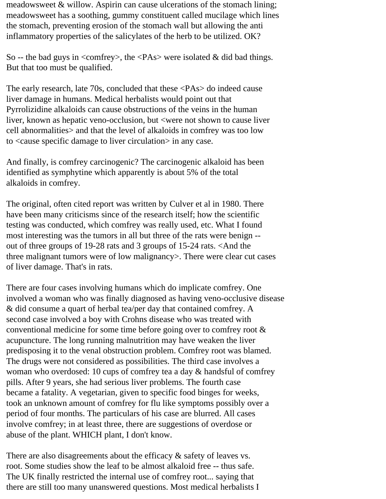meadowsweet & willow. Aspirin can cause ulcerations of the stomach lining; meadowsweet has a soothing, gummy constituent called mucilage which lines the stomach, preventing erosion of the stomach wall but allowing the anti inflammatory properties of the salicylates of the herb to be utilized. OK?

So -- the bad guys in  $\langle$  comfrey>, the  $\langle$ PAs $\rangle$  were isolated & did bad things. But that too must be qualified.

The early research, late 70s, concluded that these <PAs> do indeed cause liver damage in humans. Medical herbalists would point out that Pyrrolizidine alkaloids can cause obstructions of the veins in the human liver, known as hepatic veno-occlusion, but <were not shown to cause liver cell abnormalities> and that the level of alkaloids in comfrey was too low to <cause specific damage to liver circulation> in any case.

And finally, is comfrey carcinogenic? The carcinogenic alkaloid has been identified as symphytine which apparently is about 5% of the total alkaloids in comfrey.

The original, often cited report was written by Culver et al in 1980. There have been many criticisms since of the research itself; how the scientific testing was conducted, which comfrey was really used, etc. What I found most interesting was the tumors in all but three of the rats were benign - out of three groups of 19-28 rats and 3 groups of 15-24 rats. <And the three malignant tumors were of low malignancy>. There were clear cut cases of liver damage. That's in rats.

There are four cases involving humans which do implicate comfrey. One involved a woman who was finally diagnosed as having veno-occlusive disease & did consume a quart of herbal tea/per day that contained comfrey. A second case involved a boy with Crohns disease who was treated with conventional medicine for some time before going over to comfrey root & acupuncture. The long running malnutrition may have weaken the liver predisposing it to the venal obstruction problem. Comfrey root was blamed. The drugs were not considered as possibilities. The third case involves a woman who overdosed: 10 cups of comfrey tea a day & handsful of comfrey pills. After 9 years, she had serious liver problems. The fourth case became a fatality. A vegetarian, given to specific food binges for weeks, took an unknown amount of comfrey for flu like symptoms possibly over a period of four months. The particulars of his case are blurred. All cases involve comfrey; in at least three, there are suggestions of overdose or abuse of the plant. WHICH plant, I don't know.

There are also disagreements about the efficacy  $\&$  safety of leaves vs. root. Some studies show the leaf to be almost alkaloid free -- thus safe. The UK finally restricted the internal use of comfrey root... saying that there are still too many unanswered questions. Most medical herbalists I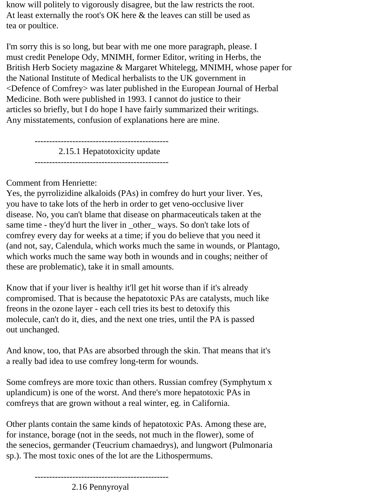know will politely to vigorously disagree, but the law restricts the root. At least externally the root's OK here & the leaves can still be used as tea or poultice.

I'm sorry this is so long, but bear with me one more paragraph, please. I must credit Penelope Ody, MNIMH, former Editor, writing in Herbs, the British Herb Society magazine & Margaret Whitelegg, MNIMH, whose paper for the National Institute of Medical herbalists to the UK government in <Defence of Comfrey> was later published in the European Journal of Herbal Medicine. Both were published in 1993. I cannot do justice to their articles so briefly, but I do hope I have fairly summarized their writings. Any misstatements, confusion of explanations here are mine.

> ---------------------------------------------- 2.15.1 Hepatotoxicity update ----------------------------------------------

Comment from Henriette:

Yes, the pyrrolizidine alkaloids (PAs) in comfrey do hurt your liver. Yes, you have to take lots of the herb in order to get veno-occlusive liver disease. No, you can't blame that disease on pharmaceuticals taken at the same time - they'd hurt the liver in \_other\_ ways. So don't take lots of comfrey every day for weeks at a time; if you do believe that you need it (and not, say, Calendula, which works much the same in wounds, or Plantago, which works much the same way both in wounds and in coughs; neither of these are problematic), take it in small amounts.

Know that if your liver is healthy it'll get hit worse than if it's already compromised. That is because the hepatotoxic PAs are catalysts, much like freons in the ozone layer - each cell tries its best to detoxify this molecule, can't do it, dies, and the next one tries, until the PA is passed out unchanged.

And know, too, that PAs are absorbed through the skin. That means that it's a really bad idea to use comfrey long-term for wounds.

Some comfreys are more toxic than others. Russian comfrey (Symphytum x uplandicum) is one of the worst. And there's more hepatotoxic PAs in comfreys that are grown without a real winter, eg. in California.

Other plants contain the same kinds of hepatotoxic PAs. Among these are, for instance, borage (not in the seeds, not much in the flower), some of the senecios, germander (Teucrium chamaedrys), and lungwort (Pulmonaria sp.). The most toxic ones of the lot are the Lithospermums.

----------------------------------------------

2.16 Pennyroyal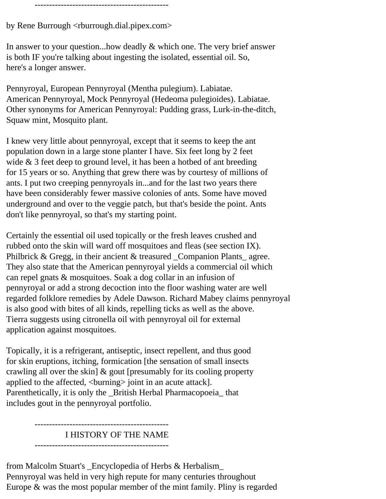----------------------------------------------

by Rene Burrough <rburrough.dial.pipex.com>

In answer to your question...how deadly & which one. The very brief answer is both IF you're talking about ingesting the isolated, essential oil. So, here's a longer answer.

Pennyroyal, European Pennyroyal (Mentha pulegium). Labiatae. American Pennyroyal, Mock Pennyroyal (Hedeoma pulegioides). Labiatae. Other synonyms for American Pennyroyal: Pudding grass, Lurk-in-the-ditch, Squaw mint, Mosquito plant.

I knew very little about pennyroyal, except that it seems to keep the ant population down in a large stone planter I have. Six feet long by 2 feet wide & 3 feet deep to ground level, it has been a hotbed of ant breeding for 15 years or so. Anything that grew there was by courtesy of millions of ants. I put two creeping pennyroyals in...and for the last two years there have been considerably fewer massive colonies of ants. Some have moved underground and over to the veggie patch, but that's beside the point. Ants don't like pennyroyal, so that's my starting point.

Certainly the essential oil used topically or the fresh leaves crushed and rubbed onto the skin will ward off mosquitoes and fleas (see section IX). Philbrick & Gregg, in their ancient & treasured Companion Plants agree. They also state that the American pennyroyal yields a commercial oil which can repel gnats & mosquitoes. Soak a dog collar in an infusion of pennyroyal or add a strong decoction into the floor washing water are well regarded folklore remedies by Adele Dawson. Richard Mabey claims pennyroyal is also good with bites of all kinds, repelling ticks as well as the above. Tierra suggests using citronella oil with pennyroyal oil for external application against mosquitoes.

Topically, it is a refrigerant, antiseptic, insect repellent, and thus good for skin eruptions, itching, formication [the sensation of small insects crawling all over the skin]  $\&$  gout [presumably for its cooling property applied to the affected, <br/>burning> joint in an acute attack]. Parenthetically, it is only the \_British Herbal Pharmacopoeia\_ that includes gout in the pennyroyal portfolio.

# I HISTORY OF THE NAME

----------------------------------------------

----------------------------------------------

from Malcolm Stuart's \_Encyclopedia of Herbs & Herbalism\_ Pennyroyal was held in very high repute for many centuries throughout Europe & was the most popular member of the mint family. Pliny is regarded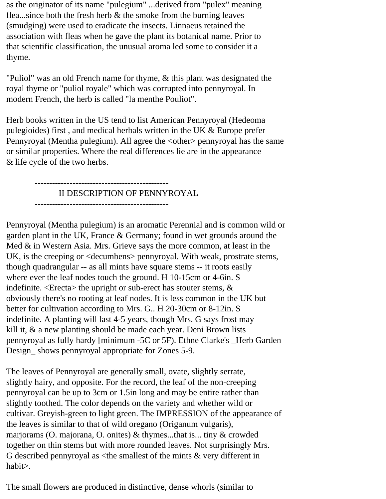as the originator of its name "pulegium" ...derived from "pulex" meaning flea...since both the fresh herb  $\&$  the smoke from the burning leaves (smudging) were used to eradicate the insects. Linnaeus retained the association with fleas when he gave the plant its botanical name. Prior to that scientific classification, the unusual aroma led some to consider it a thyme.

"Puliol" was an old French name for thyme, & this plant was designated the royal thyme or "puliol royale" which was corrupted into pennyroyal. In modern French, the herb is called "la menthe Pouliot".

Herb books written in the US tend to list American Pennyroyal (Hedeoma pulegioides) first , and medical herbals written in the UK & Europe prefer Pennyroyal (Mentha pulegium). All agree the <other> pennyroyal has the same or similar properties. Where the real differences lie are in the appearance & life cycle of the two herbs.

 ---------------------------------------------- II DESCRIPTION OF PENNYROYAL ----------------------------------------------

Pennyroyal (Mentha pulegium) is an aromatic Perennial and is common wild or garden plant in the UK, France & Germany; found in wet grounds around the Med & in Western Asia. Mrs. Grieve says the more common, at least in the UK, is the creeping or <decumbens> pennyroyal. With weak, prostrate stems, though quadrangular -- as all mints have square stems -- it roots easily where ever the leaf nodes touch the ground. H 10-15cm or 4-6in. S indefinite.  $\le$ Erecta $>$  the upright or sub-erect has stouter stems,  $\&$ obviously there's no rooting at leaf nodes. It is less common in the UK but better for cultivation according to Mrs. G.. H 20-30cm or 8-12in. S indefinite. A planting will last 4-5 years, though Mrs. G says frost may kill it, & a new planting should be made each year. Deni Brown lists pennyroyal as fully hardy [minimum -5C or 5F). Ethne Clarke's \_Herb Garden Design\_ shows pennyroyal appropriate for Zones 5-9.

The leaves of Pennyroyal are generally small, ovate, slightly serrate, slightly hairy, and opposite. For the record, the leaf of the non-creeping pennyroyal can be up to 3cm or 1.5in long and may be entire rather than slightly toothed. The color depends on the variety and whether wild or cultivar. Greyish-green to light green. The IMPRESSION of the appearance of the leaves is similar to that of wild oregano (Origanum vulgaris), marjorams (O. majorana, O. onites) & thymes...that is... tiny & crowded together on thin stems but with more rounded leaves. Not surprisingly Mrs. G described pennyroyal as <the smallest of the mints & very different in habit>.

The small flowers are produced in distinctive, dense whorls (similar to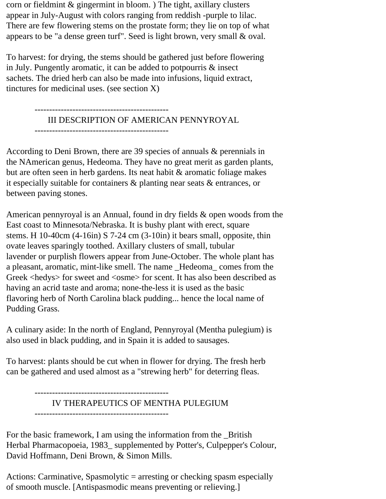corn or fieldmint & gingermint in bloom. ) The tight, axillary clusters appear in July-August with colors ranging from reddish -purple to lilac. There are few flowering stems on the prostate form; they lie on top of what appears to be "a dense green turf". Seed is light brown, very small & oval.

To harvest: for drying, the stems should be gathered just before flowering in July. Pungently aromatic, it can be added to potpourris & insect sachets. The dried herb can also be made into infusions, liquid extract, tinctures for medicinal uses. (see section X)

> ---------------------------------------------- III DESCRIPTION OF AMERICAN PENNYROYAL ----------------------------------------------

According to Deni Brown, there are 39 species of annuals & perennials in the NAmerican genus, Hedeoma. They have no great merit as garden plants, but are often seen in herb gardens. Its neat habit & aromatic foliage makes it especially suitable for containers & planting near seats & entrances, or between paving stones.

American pennyroyal is an Annual, found in dry fields & open woods from the East coast to Minnesota/Nebraska. It is bushy plant with erect, square stems. H 10-40cm (4-16in) S 7-24 cm (3-10in) it bears small, opposite, thin ovate leaves sparingly toothed. Axillary clusters of small, tubular lavender or purplish flowers appear from June-October. The whole plant has a pleasant, aromatic, mint-like smell. The name \_Hedeoma\_ comes from the Greek <hedys> for sweet and <osme> for scent. It has also been described as having an acrid taste and aroma; none-the-less it is used as the basic flavoring herb of North Carolina black pudding... hence the local name of Pudding Grass.

A culinary aside: In the north of England, Pennyroyal (Mentha pulegium) is also used in black pudding, and in Spain it is added to sausages.

To harvest: plants should be cut when in flower for drying. The fresh herb can be gathered and used almost as a "strewing herb" for deterring fleas.

### ---------------------------------------------- IV THERAPEUTICS OF MENTHA PULEGIUM ----------------------------------------------

For the basic framework, I am using the information from the \_British Herbal Pharmacopoeia, 1983\_ supplemented by Potter's, Culpepper's Colour, David Hoffmann, Deni Brown, & Simon Mills.

Actions: Carminative, Spasmolytic = arresting or checking spasm especially of smooth muscle. [Antispasmodic means preventing or relieving.]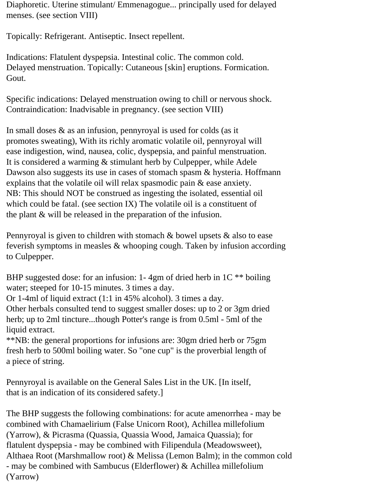Diaphoretic. Uterine stimulant/ Emmenagogue... principally used for delayed menses. (see section VIII)

Topically: Refrigerant. Antiseptic. Insect repellent.

Indications: Flatulent dyspepsia. Intestinal colic. The common cold. Delayed menstruation. Topically: Cutaneous [skin] eruptions. Formication. Gout.

Specific indications: Delayed menstruation owing to chill or nervous shock. Contraindication: Inadvisable in pregnancy. (see section VIII)

In small doses & as an infusion, pennyroyal is used for colds (as it promotes sweating), With its richly aromatic volatile oil, pennyroyal will ease indigestion, wind, nausea, colic, dyspepsia, and painful menstruation. It is considered a warming & stimulant herb by Culpepper, while Adele Dawson also suggests its use in cases of stomach spasm & hysteria. Hoffmann explains that the volatile oil will relax spasmodic pain & ease anxiety. NB: This should NOT be construed as ingesting the isolated, essential oil which could be fatal. (see section IX) The volatile oil is a constituent of the plant & will be released in the preparation of the infusion.

Pennyroyal is given to children with stomach & bowel upsets & also to ease feverish symptoms in measles & whooping cough. Taken by infusion according to Culpepper.

BHP suggested dose: for an infusion: 1-4gm of dried herb in  $1C$ <sup>\*\*</sup> boiling water; steeped for 10-15 minutes. 3 times a day.

Or 1-4ml of liquid extract (1:1 in 45% alcohol). 3 times a day.

Other herbals consulted tend to suggest smaller doses: up to 2 or 3gm dried herb; up to 2ml tincture...though Potter's range is from 0.5ml - 5ml of the liquid extract.

\*\*NB: the general proportions for infusions are: 30gm dried herb or 75gm fresh herb to 500ml boiling water. So "one cup" is the proverbial length of a piece of string.

Pennyroyal is available on the General Sales List in the UK. [In itself, that is an indication of its considered safety.]

The BHP suggests the following combinations: for acute amenorrhea - may be combined with Chamaelirium (False Unicorn Root), Achillea millefolium (Yarrow), & Picrasma (Quassia, Quassia Wood, Jamaica Quassia); for flatulent dyspepsia - may be combined with Filipendula (Meadowsweet), Althaea Root (Marshmallow root) & Melissa (Lemon Balm); in the common cold - may be combined with Sambucus (Elderflower) & Achillea millefolium (Yarrow)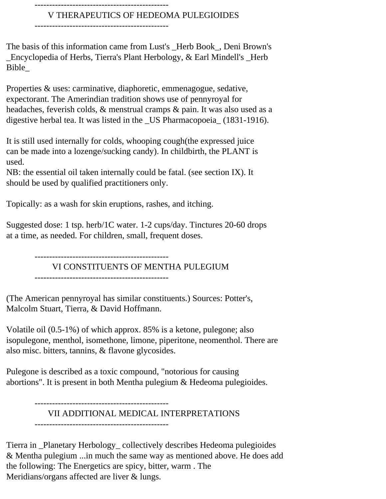# V THERAPEUTICS OF HEDEOMA PULEGIOIDES

#### ----------------------------------------------

----------------------------------------------

The basis of this information came from Lust's \_Herb Book\_, Deni Brown's \_Encyclopedia of Herbs, Tierra's Plant Herbology, & Earl Mindell's \_Herb Bible\_

Properties & uses: carminative, diaphoretic, emmenagogue, sedative, expectorant. The Amerindian tradition shows use of pennyroyal for headaches, feverish colds, & menstrual cramps & pain. It was also used as a digestive herbal tea. It was listed in the \_US Pharmacopoeia\_ (1831-1916).

It is still used internally for colds, whooping cough(the expressed juice can be made into a lozenge/sucking candy). In childbirth, the PLANT is used.

NB: the essential oil taken internally could be fatal. (see section IX). It should be used by qualified practitioners only.

Topically: as a wash for skin eruptions, rashes, and itching.

Suggested dose: 1 tsp. herb/1C water. 1-2 cups/day. Tinctures 20-60 drops at a time, as needed. For children, small, frequent doses.

> ---------------------------------------------- VI CONSTITUENTS OF MENTHA PULEGIUM ----------------------------------------------

(The American pennyroyal has similar constituents.) Sources: Potter's, Malcolm Stuart, Tierra, & David Hoffmann.

Volatile oil (0.5-1%) of which approx. 85% is a ketone, pulegone; also isopulegone, menthol, isomethone, limone, piperitone, neomenthol. There are also misc. bitters, tannins, & flavone glycosides.

Pulegone is described as a toxic compound, "notorious for causing abortions". It is present in both Mentha pulegium & Hedeoma pulegioides.

> VII ADDITIONAL MEDICAL INTERPRETATIONS ----------------------------------------------

----------------------------------------------

Tierra in \_Planetary Herbology\_ collectively describes Hedeoma pulegioides & Mentha pulegium ...in much the same way as mentioned above. He does add the following: The Energetics are spicy, bitter, warm . The Meridians/organs affected are liver & lungs.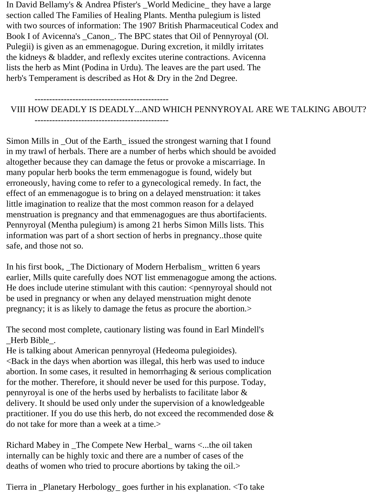In David Bellamy's & Andrea Pfister's \_World Medicine\_ they have a large section called The Families of Healing Plants. Mentha pulegium is listed with two sources of information: The 1907 British Pharmaceutical Codex and Book I of Avicenna's \_Canon\_. The BPC states that Oil of Pennyroyal (Ol. Pulegii) is given as an emmenagogue. During excretion, it mildly irritates the kidneys & bladder, and reflexly excites uterine contractions. Avicenna lists the herb as Mint (Podina in Urdu). The leaves are the part used. The herb's Temperament is described as Hot & Dry in the 2nd Degree.

### ---------------------------------------------- VIII HOW DEADLY IS DEADLY...AND WHICH PENNYROYAL ARE WE TALKING ABOUT? ----------------------------------------------

Simon Mills in \_Out of the Earth\_ issued the strongest warning that I found in my trawl of herbals. There are a number of herbs which should be avoided altogether because they can damage the fetus or provoke a miscarriage. In many popular herb books the term emmenagogue is found, widely but erroneously, having come to refer to a gynecological remedy. In fact, the effect of an emmenagogue is to bring on a delayed menstruation: it takes little imagination to realize that the most common reason for a delayed menstruation is pregnancy and that emmenagogues are thus abortifacients. Pennyroyal (Mentha pulegium) is among 21 herbs Simon Mills lists. This information was part of a short section of herbs in pregnancy..those quite safe, and those not so.

In his first book, \_The Dictionary of Modern Herbalism\_ written 6 years earlier, Mills quite carefully does NOT list emmenagogue among the actions. He does include uterine stimulant with this caution: <pennyroyal should not be used in pregnancy or when any delayed menstruation might denote pregnancy; it is as likely to damage the fetus as procure the abortion.>

The second most complete, cautionary listing was found in Earl Mindell's Herb Bible.

He is talking about American pennyroyal (Hedeoma pulegioides). <Back in the days when abortion was illegal, this herb was used to induce abortion. In some cases, it resulted in hemorrhaging  $\&$  serious complication for the mother. Therefore, it should never be used for this purpose. Today, pennyroyal is one of the herbs used by herbalists to facilitate labor & delivery. It should be used only under the supervision of a knowledgeable practitioner. If you do use this herb, do not exceed the recommended dose & do not take for more than a week at a time.>

Richard Mabey in \_The Compete New Herbal\_ warns <...the oil taken internally can be highly toxic and there are a number of cases of the deaths of women who tried to procure abortions by taking the oil.>

Tierra in \_Planetary Herbology\_ goes further in his explanation. <To take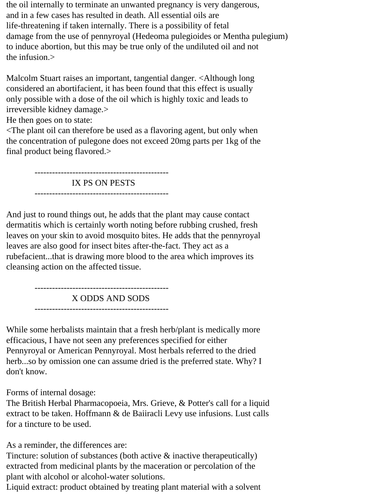the oil internally to terminate an unwanted pregnancy is very dangerous, and in a few cases has resulted in death. All essential oils are life-threatening if taken internally. There is a possibility of fetal damage from the use of pennyroyal (Hedeoma pulegioides or Mentha pulegium) to induce abortion, but this may be true only of the undiluted oil and not the infusion.>

Malcolm Stuart raises an important, tangential danger. <Although long considered an abortifacient, it has been found that this effect is usually only possible with a dose of the oil which is highly toxic and leads to irreversible kidney damage.>

He then goes on to state:

<The plant oil can therefore be used as a flavoring agent, but only when the concentration of pulegone does not exceed 20mg parts per 1kg of the final product being flavored.>

> ---------------------------------------------- IX PS ON PESTS ----------------------------------------------

And just to round things out, he adds that the plant may cause contact dermatitis which is certainly worth noting before rubbing crushed, fresh leaves on your skin to avoid mosquito bites. He adds that the pennyroyal leaves are also good for insect bites after-the-fact. They act as a rubefacient...that is drawing more blood to the area which improves its cleansing action on the affected tissue.

 ---------------------------------------------- X ODDS AND SODS ----------------------------------------------

While some herbalists maintain that a fresh herb/plant is medically more efficacious, I have not seen any preferences specified for either Pennyroyal or American Pennyroyal. Most herbals referred to the dried herb...so by omission one can assume dried is the preferred state. Why? I don't know.

Forms of internal dosage:

The British Herbal Pharmacopoeia, Mrs. Grieve, & Potter's call for a liquid extract to be taken. Hoffmann & de Baiiracli Levy use infusions. Lust calls for a tincture to be used.

As a reminder, the differences are:

Tincture: solution of substances (both active  $\&$  inactive therapeutically) extracted from medicinal plants by the maceration or percolation of the plant with alcohol or alcohol-water solutions.

Liquid extract: product obtained by treating plant material with a solvent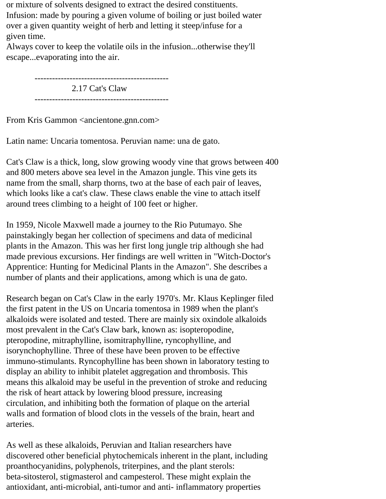or mixture of solvents designed to extract the desired constituents. Infusion: made by pouring a given volume of boiling or just boiled water over a given quantity weight of herb and letting it steep/infuse for a given time.

Always cover to keep the volatile oils in the infusion...otherwise they'll escape...evaporating into the air.

> ---------------------------------------------- 2.17 Cat's Claw ----------------------------------------------

From Kris Gammon <ancientone.gnn.com>

Latin name: Uncaria tomentosa. Peruvian name: una de gato.

Cat's Claw is a thick, long, slow growing woody vine that grows between 400 and 800 meters above sea level in the Amazon jungle. This vine gets its name from the small, sharp thorns, two at the base of each pair of leaves, which looks like a cat's claw. These claws enable the vine to attach itself around trees climbing to a height of 100 feet or higher.

In 1959, Nicole Maxwell made a journey to the Rio Putumayo. She painstakingly began her collection of specimens and data of medicinal plants in the Amazon. This was her first long jungle trip although she had made previous excursions. Her findings are well written in "Witch-Doctor's Apprentice: Hunting for Medicinal Plants in the Amazon". She describes a number of plants and their applications, among which is una de gato.

Research began on Cat's Claw in the early 1970's. Mr. Klaus Keplinger filed the first patent in the US on Uncaria tomentosa in 1989 when the plant's alkaloids were isolated and tested. There are mainly six oxindole alkaloids most prevalent in the Cat's Claw bark, known as: isopteropodine, pteropodine, mitraphylline, isomitraphylline, ryncophylline, and isorynchophylline. Three of these have been proven to be effective immuno-stimulants. Ryncophylline has been shown in laboratory testing to display an ability to inhibit platelet aggregation and thrombosis. This means this alkaloid may be useful in the prevention of stroke and reducing the risk of heart attack by lowering blood pressure, increasing circulation, and inhibiting both the formation of plaque on the arterial walls and formation of blood clots in the vessels of the brain, heart and arteries.

As well as these alkaloids, Peruvian and Italian researchers have discovered other beneficial phytochemicals inherent in the plant, including proanthocyanidins, polyphenols, triterpines, and the plant sterols: beta-sitosterol, stigmasterol and campesterol. These might explain the antioxidant, anti-microbial, anti-tumor and anti- inflammatory properties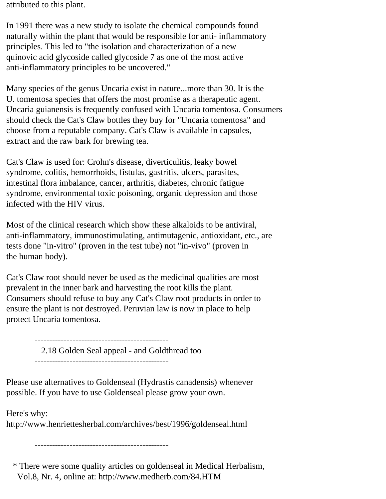attributed to this plant.

In 1991 there was a new study to isolate the chemical compounds found naturally within the plant that would be responsible for anti- inflammatory principles. This led to "the isolation and characterization of a new quinovic acid glycoside called glycoside 7 as one of the most active anti-inflammatory principles to be uncovered."

Many species of the genus Uncaria exist in nature...more than 30. It is the U. tomentosa species that offers the most promise as a therapeutic agent. Uncaria guianensis is frequently confused with Uncaria tomentosa. Consumers should check the Cat's Claw bottles they buy for "Uncaria tomentosa" and choose from a reputable company. Cat's Claw is available in capsules, extract and the raw bark for brewing tea.

Cat's Claw is used for: Crohn's disease, diverticulitis, leaky bowel syndrome, colitis, hemorrhoids, fistulas, gastritis, ulcers, parasites, intestinal flora imbalance, cancer, arthritis, diabetes, chronic fatigue syndrome, environmental toxic poisoning, organic depression and those infected with the HIV virus.

Most of the clinical research which show these alkaloids to be antiviral, anti-inflammatory, immunostimulating, antimutagenic, antioxidant, etc., are tests done "in-vitro" (proven in the test tube) not "in-vivo" (proven in the human body).

Cat's Claw root should never be used as the medicinal qualities are most prevalent in the inner bark and harvesting the root kills the plant. Consumers should refuse to buy any Cat's Claw root products in order to ensure the plant is not destroyed. Peruvian law is now in place to help protect Uncaria tomentosa.

> 2.18 Golden Seal appeal - and Goldthread too ----------------------------------------------

----------------------------------------------

Please use alternatives to Goldenseal (Hydrastis canadensis) whenever possible. If you have to use Goldenseal please grow your own.

Here's why:

http://www.henriettesherbal.com/archives/best/1996/goldenseal.html

----------------------------------------------

 \* There were some quality articles on goldenseal in Medical Herbalism, Vol.8, Nr. 4, online at: http://www.medherb.com/84.HTM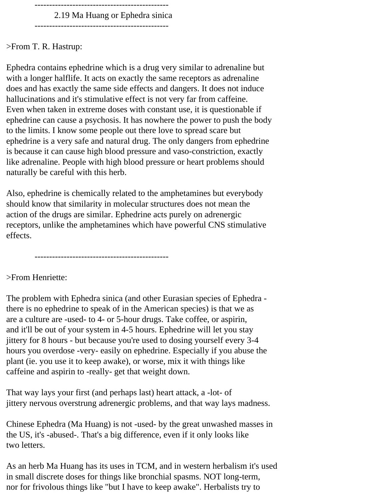---------------------------------------------- 2.19 Ma Huang or Ephedra sinica

----------------------------------------------

## >From T. R. Hastrup:

Ephedra contains ephedrine which is a drug very similar to adrenaline but with a longer halflife. It acts on exactly the same receptors as adrenaline does and has exactly the same side effects and dangers. It does not induce hallucinations and it's stimulative effect is not very far from caffeine. Even when taken in extreme doses with constant use, it is questionable if ephedrine can cause a psychosis. It has nowhere the power to push the body to the limits. I know some people out there love to spread scare but ephedrine is a very safe and natural drug. The only dangers from ephedrine is because it can cause high blood pressure and vaso-constriction, exactly like adrenaline. People with high blood pressure or heart problems should naturally be careful with this herb.

Also, ephedrine is chemically related to the amphetamines but everybody should know that similarity in molecular structures does not mean the action of the drugs are similar. Ephedrine acts purely on adrenergic receptors, unlike the amphetamines which have powerful CNS stimulative effects.

----------------------------------------------

## >From Henriette:

The problem with Ephedra sinica (and other Eurasian species of Ephedra there is no ephedrine to speak of in the American species) is that we as are a culture are -used- to 4- or 5-hour drugs. Take coffee, or aspirin, and it'll be out of your system in 4-5 hours. Ephedrine will let you stay jittery for 8 hours - but because you're used to dosing yourself every 3-4 hours you overdose -very- easily on ephedrine. Especially if you abuse the plant (ie. you use it to keep awake), or worse, mix it with things like caffeine and aspirin to -really- get that weight down.

That way lays your first (and perhaps last) heart attack, a -lot- of jittery nervous overstrung adrenergic problems, and that way lays madness.

Chinese Ephedra (Ma Huang) is not -used- by the great unwashed masses in the US, it's -abused-. That's a big difference, even if it only looks like two letters.

As an herb Ma Huang has its uses in TCM, and in western herbalism it's used in small discrete doses for things like bronchial spasms. NOT long-term, nor for frivolous things like "but I have to keep awake". Herbalists try to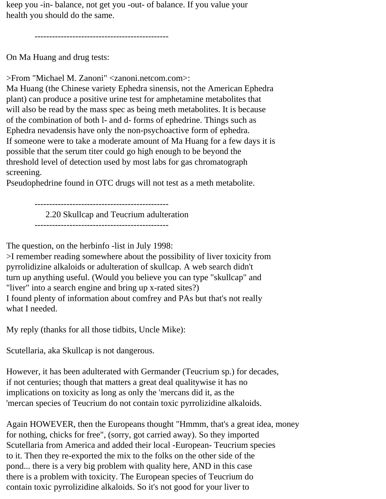keep you -in- balance, not get you -out- of balance. If you value your health you should do the same.

----------------------------------------------

On Ma Huang and drug tests:

>From "Michael M. Zanoni" <zanoni.netcom.com>:

Ma Huang (the Chinese variety Ephedra sinensis, not the American Ephedra plant) can produce a positive urine test for amphetamine metabolites that will also be read by the mass spec as being meth metabolites. It is because of the combination of both l- and d- forms of ephedrine. Things such as Ephedra nevadensis have only the non-psychoactive form of ephedra. If someone were to take a moderate amount of Ma Huang for a few days it is possible that the serum titer could go high enough to be beyond the threshold level of detection used by most labs for gas chromatograph screening.

Pseudophedrine found in OTC drugs will not test as a meth metabolite.

 ---------------------------------------------- 2.20 Skullcap and Teucrium adulteration ----------------------------------------------

The question, on the herbinfo -list in July 1998:

>I remember reading somewhere about the possibility of liver toxicity from pyrrolidizine alkaloids or adulteration of skullcap. A web search didn't turn up anything useful. (Would you believe you can type "skullcap" and "liver" into a search engine and bring up x-rated sites?) I found plenty of information about comfrey and PAs but that's not really what I needed.

My reply (thanks for all those tidbits, Uncle Mike):

Scutellaria, aka Skullcap is not dangerous.

However, it has been adulterated with Germander (Teucrium sp.) for decades, if not centuries; though that matters a great deal qualitywise it has no implications on toxicity as long as only the 'mercans did it, as the 'mercan species of Teucrium do not contain toxic pyrrolizidine alkaloids.

Again HOWEVER, then the Europeans thought "Hmmm, that's a great idea, money for nothing, chicks for free", (sorry, got carried away). So they imported Scutellaria from America and added their local -European- Teucrium species to it. Then they re-exported the mix to the folks on the other side of the pond... there is a very big problem with quality here, AND in this case there is a problem with toxicity. The European species of Teucrium do contain toxic pyrrolizidine alkaloids. So it's not good for your liver to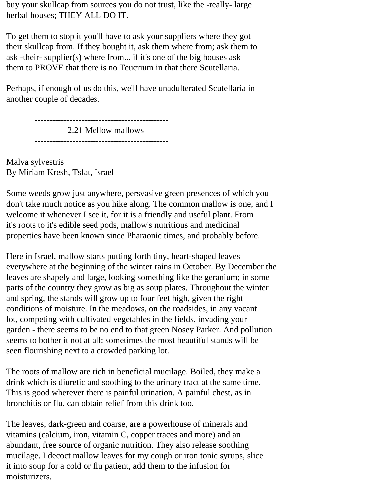buy your skullcap from sources you do not trust, like the -really- large herbal houses; THEY ALL DO IT.

To get them to stop it you'll have to ask your suppliers where they got their skullcap from. If they bought it, ask them where from; ask them to ask -their- supplier(s) where from... if it's one of the big houses ask them to PROVE that there is no Teucrium in that there Scutellaria.

Perhaps, if enough of us do this, we'll have unadulterated Scutellaria in another couple of decades.

> ---------------------------------------------- 2.21 Mellow mallows ----------------------------------------------

Malva sylvestris By Miriam Kresh, Tsfat, Israel

Some weeds grow just anywhere, persvasive green presences of which you don't take much notice as you hike along. The common mallow is one, and I welcome it whenever I see it, for it is a friendly and useful plant. From it's roots to it's edible seed pods, mallow's nutritious and medicinal properties have been known since Pharaonic times, and probably before.

Here in Israel, mallow starts putting forth tiny, heart-shaped leaves everywhere at the beginning of the winter rains in October. By December the leaves are shapely and large, looking something like the geranium; in some parts of the country they grow as big as soup plates. Throughout the winter and spring, the stands will grow up to four feet high, given the right conditions of moisture. In the meadows, on the roadsides, in any vacant lot, competing with cultivated vegetables in the fields, invading your garden - there seems to be no end to that green Nosey Parker. And pollution seems to bother it not at all: sometimes the most beautiful stands will be seen flourishing next to a crowded parking lot.

The roots of mallow are rich in beneficial mucilage. Boiled, they make a drink which is diuretic and soothing to the urinary tract at the same time. This is good wherever there is painful urination. A painful chest, as in bronchitis or flu, can obtain relief from this drink too.

The leaves, dark-green and coarse, are a powerhouse of minerals and vitamins (calcium, iron, vitamin C, copper traces and more) and an abundant, free source of organic nutrition. They also release soothing mucilage. I decoct mallow leaves for my cough or iron tonic syrups, slice it into soup for a cold or flu patient, add them to the infusion for moisturizers.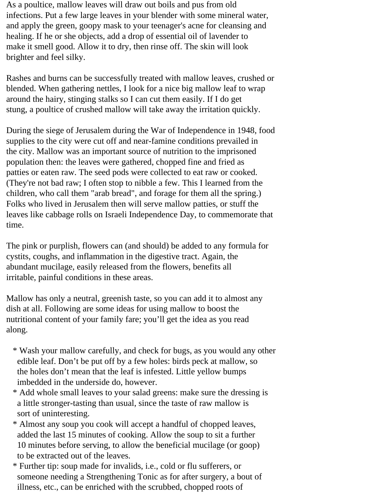As a poultice, mallow leaves will draw out boils and pus from old infections. Put a few large leaves in your blender with some mineral water, and apply the green, goopy mask to your teenager's acne for cleansing and healing. If he or she objects, add a drop of essential oil of lavender to make it smell good. Allow it to dry, then rinse off. The skin will look brighter and feel silky.

Rashes and burns can be successfully treated with mallow leaves, crushed or blended. When gathering nettles, I look for a nice big mallow leaf to wrap around the hairy, stinging stalks so I can cut them easily. If I do get stung, a poultice of crushed mallow will take away the irritation quickly.

During the siege of Jerusalem during the War of Independence in 1948, food supplies to the city were cut off and near-famine conditions prevailed in the city. Mallow was an important source of nutrition to the imprisoned population then: the leaves were gathered, chopped fine and fried as patties or eaten raw. The seed pods were collected to eat raw or cooked. (They're not bad raw; I often stop to nibble a few. This I learned from the children, who call them "arab bread", and forage for them all the spring.) Folks who lived in Jerusalem then will serve mallow patties, or stuff the leaves like cabbage rolls on Israeli Independence Day, to commemorate that time.

The pink or purplish, flowers can (and should) be added to any formula for cystits, coughs, and inflammation in the digestive tract. Again, the abundant mucilage, easily released from the flowers, benefits all irritable, painful conditions in these areas.

Mallow has only a neutral, greenish taste, so you can add it to almost any dish at all. Following are some ideas for using mallow to boost the nutritional content of your family fare; you'll get the idea as you read along.

- \* Wash your mallow carefully, and check for bugs, as you would any other edible leaf. Don't be put off by a few holes: birds peck at mallow, so the holes don't mean that the leaf is infested. Little yellow bumps imbedded in the underside do, however.
- \* Add whole small leaves to your salad greens: make sure the dressing is a little stronger-tasting than usual, since the taste of raw mallow is sort of uninteresting.
- \* Almost any soup you cook will accept a handful of chopped leaves, added the last 15 minutes of cooking. Allow the soup to sit a further 10 minutes before serving, to allow the beneficial mucilage (or goop) to be extracted out of the leaves.
- \* Further tip: soup made for invalids, i.e., cold or flu sufferers, or someone needing a Strengthening Tonic as for after surgery, a bout of illness, etc., can be enriched with the scrubbed, chopped roots of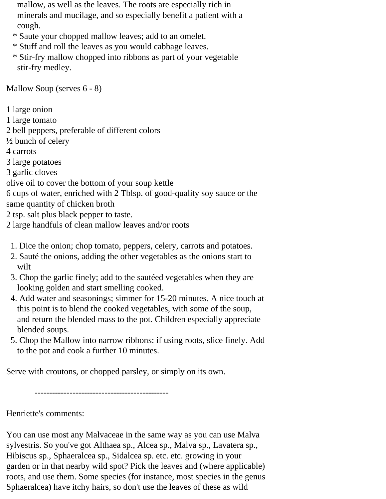mallow, as well as the leaves. The roots are especially rich in minerals and mucilage, and so especially benefit a patient with a cough.

- \* Saute your chopped mallow leaves; add to an omelet.
- \* Stuff and roll the leaves as you would cabbage leaves.
- \* Stir-fry mallow chopped into ribbons as part of your vegetable stir-fry medley.

Mallow Soup (serves 6 - 8)

1 large onion

- 1 large tomato
- 2 bell peppers, preferable of different colors
- ½ bunch of celery

4 carrots

- 3 large potatoes
- 3 garlic cloves
- olive oil to cover the bottom of your soup kettle
- 6 cups of water, enriched with 2 Tblsp. of good-quality soy sauce or the same quantity of chicken broth
- 2 tsp. salt plus black pepper to taste.
- 2 large handfuls of clean mallow leaves and/or roots
	- 1. Dice the onion; chop tomato, peppers, celery, carrots and potatoes.
	- 2. Sauté the onions, adding the other vegetables as the onions start to wilt
	- 3. Chop the garlic finely; add to the sautéed vegetables when they are looking golden and start smelling cooked.
	- 4. Add water and seasonings; simmer for 15-20 minutes. A nice touch at this point is to blend the cooked vegetables, with some of the soup, and return the blended mass to the pot. Children especially appreciate blended soups.
	- 5. Chop the Mallow into narrow ribbons: if using roots, slice finely. Add to the pot and cook a further 10 minutes.

Serve with croutons, or chopped parsley, or simply on its own.

----------------------------------------------

Henriette's comments:

You can use most any Malvaceae in the same way as you can use Malva sylvestris. So you've got Althaea sp., Alcea sp., Malva sp., Lavatera sp., Hibiscus sp., Sphaeralcea sp., Sidalcea sp. etc. etc. growing in your garden or in that nearby wild spot? Pick the leaves and (where applicable) roots, and use them. Some species (for instance, most species in the genus Sphaeralcea) have itchy hairs, so don't use the leaves of these as wild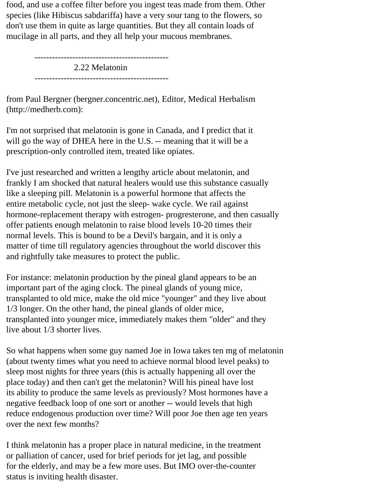food, and use a coffee filter before you ingest teas made from them. Other species (like Hibiscus sabdariffa) have a very sour tang to the flowers, so don't use them in quite as large quantities. But they all contain loads of mucilage in all parts, and they all help your mucous membranes.

> ---------------------------------------------- 2.22 Melatonin ----------------------------------------------

from Paul Bergner (bergner.concentric.net), Editor, Medical Herbalism (http://medherb.com):

I'm not surprised that melatonin is gone in Canada, and I predict that it will go the way of DHEA here in the U.S. -- meaning that it will be a prescription-only controlled item, treated like opiates.

I've just researched and written a lengthy article about melatonin, and frankly I am shocked that natural healers would use this substance casually like a sleeping pill. Melatonin is a powerful hormone that affects the entire metabolic cycle, not just the sleep- wake cycle. We rail against hormone-replacement therapy with estrogen- progresterone, and then casually offer patients enough melatonin to raise blood levels 10-20 times their normal levels. This is bound to be a Devil's bargain, and it is only a matter of time till regulatory agencies throughout the world discover this and rightfully take measures to protect the public.

For instance: melatonin production by the pineal gland appears to be an important part of the aging clock. The pineal glands of young mice, transplanted to old mice, make the old mice "younger" and they live about 1/3 longer. On the other hand, the pineal glands of older mice, transplanted into younger mice, immediately makes them "older" and they live about 1/3 shorter lives.

So what happens when some guy named Joe in Iowa takes ten mg of melatonin (about twenty times what you need to achieve normal blood level peaks) to sleep most nights for three years (this is actually happening all over the place today) and then can't get the melatonin? Will his pineal have lost its ability to produce the same levels as previously? Most hormones have a negative feedback loop of one sort or another -- would levels that high reduce endogenous production over time? Will poor Joe then age ten years over the next few months?

I think melatonin has a proper place in natural medicine, in the treatment or palliation of cancer, used for brief periods for jet lag, and possible for the elderly, and may be a few more uses. But IMO over-the-counter status is inviting health disaster.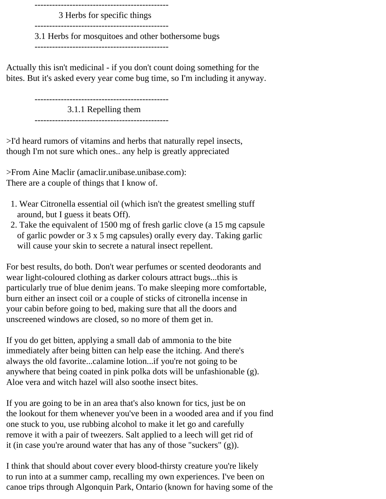----------------------------------------------

3 Herbs for specific things

----------------------------------------------

3.1 Herbs for mosquitoes and other bothersome bugs

----------------------------------------------

Actually this isn't medicinal - if you don't count doing something for the bites. But it's asked every year come bug time, so I'm including it anyway.

 ---------------------------------------------- 3.1.1 Repelling them ----------------------------------------------

>I'd heard rumors of vitamins and herbs that naturally repel insects, though I'm not sure which ones.. any help is greatly appreciated

>From Aine Maclir (amaclir.unibase.unibase.com): There are a couple of things that I know of.

- 1. Wear Citronella essential oil (which isn't the greatest smelling stuff around, but I guess it beats Off).
- 2. Take the equivalent of 1500 mg of fresh garlic clove (a 15 mg capsule of garlic powder or 3 x 5 mg capsules) orally every day. Taking garlic will cause your skin to secrete a natural insect repellent.

For best results, do both. Don't wear perfumes or scented deodorants and wear light-coloured clothing as darker colours attract bugs...this is particularly true of blue denim jeans. To make sleeping more comfortable, burn either an insect coil or a couple of sticks of citronella incense in your cabin before going to bed, making sure that all the doors and unscreened windows are closed, so no more of them get in.

If you do get bitten, applying a small dab of ammonia to the bite immediately after being bitten can help ease the itching. And there's always the old favorite...calamine lotion...if you're not going to be anywhere that being coated in pink polka dots will be unfashionable (g). Aloe vera and witch hazel will also soothe insect bites.

If you are going to be in an area that's also known for tics, just be on the lookout for them whenever you've been in a wooded area and if you find one stuck to you, use rubbing alcohol to make it let go and carefully remove it with a pair of tweezers. Salt applied to a leech will get rid of it (in case you're around water that has any of those "suckers" (g)).

I think that should about cover every blood-thirsty creature you're likely to run into at a summer camp, recalling my own experiences. I've been on canoe trips through Algonquin Park, Ontario (known for having some of the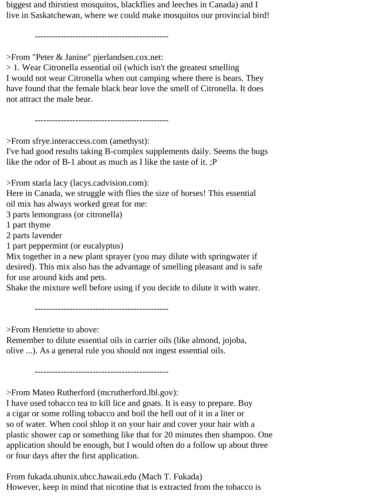biggest and thirstiest mosquitos, blackflies and leeches in Canada) and I live in Saskatchewan, where we could make mosquitos our provincial bird!

----------------------------------------------

>From "Peter & Janine" pjerlandsen.cox.net:

> 1. Wear Citronella essential oil (which isn't the greatest smelling I would not wear Citronella when out camping where there is bears. They have found that the female black bear love the smell of Citronella. It does not attract the male bear.

----------------------------------------------

>From sfrye.interaccess.com (amethyst):

I've had good results taking B-complex supplements daily. Seems the bugs like the odor of B-1 about as much as I like the taste of it. ;P

>From starla lacy (lacys.cadvision.com):

Here in Canada, we struggle with flies the size of horses! This essential

oil mix has always worked great for me:

3 parts lemongrass (or citronella)

1 part thyme

2 parts lavender

1 part peppermint (or eucalyptus)

Mix together in a new plant sprayer (you may dilute with springwater if desired). This mix also has the advantage of smelling pleasant and is safe for use around kids and pets.

Shake the mixture well before using if you decide to dilute it with water.

----------------------------------------------

>From Henriette to above:

Remember to dilute essential oils in carrier oils (like almond, jojoba, olive ...). As a general rule you should not ingest essential oils.

----------------------------------------------

>From Mateo Rutherford (mcrutherford.lbl.gov):

I have used tobacco tea to kill lice and gnats. It is easy to prepare. Buy a cigar or some rolling tobacco and boil the hell out of it in a liter or so of water. When cool shlop it on your hair and cover your hair with a plastic shower cap or something like that for 20 minutes then shampoo. One application should be enough, but I would often do a follow up about three or four days after the first application.

From fukada.uhunix.uhcc.hawaii.edu (Mach T. Fukada) However, keep in mind that nicotine that is extracted from the tobacco is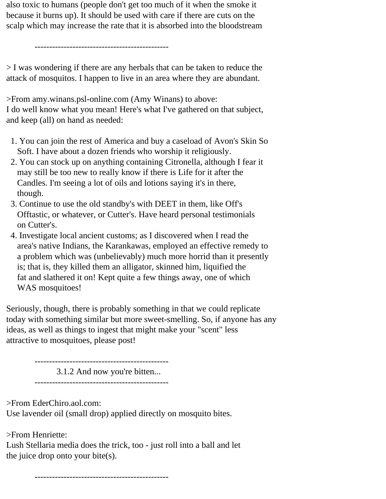also toxic to humans (people don't get too much of it when the smoke it because it burns up). It should be used with care if there are cuts on the scalp which may increase the rate that it is absorbed into the bloodstream

----------------------------------------------

> I was wondering if there are any herbals that can be taken to reduce the attack of mosquitos. I happen to live in an area where they are abundant.

>From amy.winans.psl-online.com (Amy Winans) to above: I do well know what you mean! Here's what I've gathered on that subject, and keep (all) on hand as needed:

- 1. You can join the rest of America and buy a caseload of Avon's Skin So Soft. I have about a dozen friends who worship it religiously.
- 2. You can stock up on anything containing Citronella, although I fear it may still be too new to really know if there is Life for it after the Candles. I'm seeing a lot of oils and lotions saying it's in there, though.
- 3. Continue to use the old standby's with DEET in them, like Off's Offtastic, or whatever, or Cutter's. Have heard personal testimonials on Cutter's.
- 4. Investigate local ancient customs; as I discovered when I read the area's native Indians, the Karankawas, employed an effective remedy to a problem which was (unbelievably) much more horrid than it presently is; that is, they killed them an alligator, skinned him, liquified the fat and slathered it on! Kept quite a few things away, one of which WAS mosquitoes!

Seriously, though, there is probably something in that we could replicate today with something similar but more sweet-smelling. So, if anyone has any ideas, as well as things to ingest that might make your "scent" less attractive to mosquitoes, please post!

> 3.1.2 And now you're bitten... ----------------------------------------------

----------------------------------------------

>From EderChiro.aol.com:

Use lavender oil (small drop) applied directly on mosquito bites.

>From Henriette:

Lush Stellaria media does the trick, too - just roll into a ball and let the juice drop onto your bite(s).

----------------------------------------------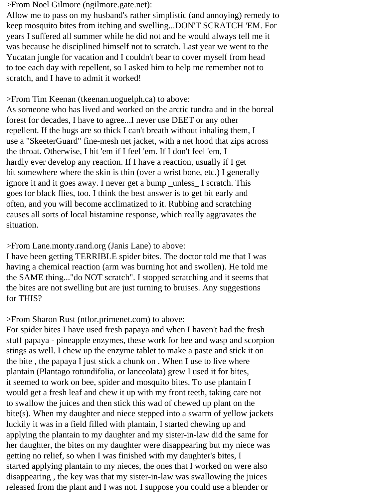>From Noel Gilmore (ngilmore.gate.net):

Allow me to pass on my husband's rather simplistic (and annoying) remedy to keep mosquito bites from itching and swelling...DON'T SCRATCH 'EM. For years I suffered all summer while he did not and he would always tell me it was because he disciplined himself not to scratch. Last year we went to the Yucatan jungle for vacation and I couldn't bear to cover myself from head to toe each day with repellent, so I asked him to help me remember not to scratch, and I have to admit it worked!

>From Tim Keenan (tkeenan.uoguelph.ca) to above:

As someone who has lived and worked on the arctic tundra and in the boreal forest for decades, I have to agree...I never use DEET or any other repellent. If the bugs are so thick I can't breath without inhaling them, I use a "SkeeterGuard" fine-mesh net jacket, with a net hood that zips across the throat. Otherwise, I hit 'em if I feel 'em. If I don't feel 'em, I hardly ever develop any reaction. If I have a reaction, usually if I get bit somewhere where the skin is thin (over a wrist bone, etc.) I generally ignore it and it goes away. I never get a bump \_unless\_ I scratch. This goes for black flies, too. I think the best answer is to get bit early and often, and you will become acclimatized to it. Rubbing and scratching causes all sorts of local histamine response, which really aggravates the situation.

>From Lane.monty.rand.org (Janis Lane) to above:

I have been getting TERRIBLE spider bites. The doctor told me that I was having a chemical reaction (arm was burning hot and swollen). He told me the SAME thing..."do NOT scratch". I stopped scratching and it seems that the bites are not swelling but are just turning to bruises. Any suggestions for THIS?

>From Sharon Rust (ntlor.primenet.com) to above:

For spider bites I have used fresh papaya and when I haven't had the fresh stuff papaya - pineapple enzymes, these work for bee and wasp and scorpion stings as well. I chew up the enzyme tablet to make a paste and stick it on the bite , the papaya I just stick a chunk on . When I use to live where plantain (Plantago rotundifolia, or lanceolata) grew I used it for bites, it seemed to work on bee, spider and mosquito bites. To use plantain I would get a fresh leaf and chew it up with my front teeth, taking care not to swallow the juices and then stick this wad of chewed up plant on the bite(s). When my daughter and niece stepped into a swarm of yellow jackets luckily it was in a field filled with plantain, I started chewing up and applying the plantain to my daughter and my sister-in-law did the same for her daughter, the bites on my daughter were disappearing but my niece was getting no relief, so when I was finished with my daughter's bites, I started applying plantain to my nieces, the ones that I worked on were also disappearing , the key was that my sister-in-law was swallowing the juices released from the plant and I was not. I suppose you could use a blender or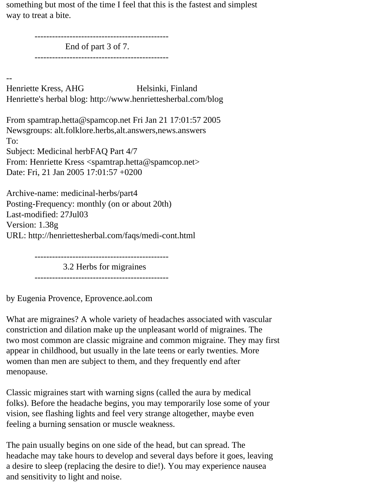something but most of the time I feel that this is the fastest and simplest way to treat a bite.

> ---------------------------------------------- End of part 3 of 7.

----------------------------------------------

--

Henriette Kress, AHG Helsinki, Finland Henriette's herbal blog: http://www.henriettesherbal.com/blog

From spamtrap.hetta@spamcop.net Fri Jan 21 17:01:57 2005 Newsgroups: alt.folklore.herbs,alt.answers,news.answers To: Subject: Medicinal herbFAQ Part 4/7 From: Henriette Kress <spamtrap.hetta@spamcop.net> Date: Fri, 21 Jan 2005 17:01:57 +0200

Archive-name: medicinal-herbs/part4 Posting-Frequency: monthly (on or about 20th) Last-modified: 27Jul03 Version: 1.38g URL: http://henriettesherbal.com/faqs/medi-cont.html

> ---------------------------------------------- 3.2 Herbs for migraines ----------------------------------------------

by Eugenia Provence, Eprovence.aol.com

What are migraines? A whole variety of headaches associated with vascular constriction and dilation make up the unpleasant world of migraines. The two most common are classic migraine and common migraine. They may first appear in childhood, but usually in the late teens or early twenties. More women than men are subject to them, and they frequently end after menopause.

Classic migraines start with warning signs (called the aura by medical folks). Before the headache begins, you may temporarily lose some of your vision, see flashing lights and feel very strange altogether, maybe even feeling a burning sensation or muscle weakness.

The pain usually begins on one side of the head, but can spread. The headache may take hours to develop and several days before it goes, leaving a desire to sleep (replacing the desire to die!). You may experience nausea and sensitivity to light and noise.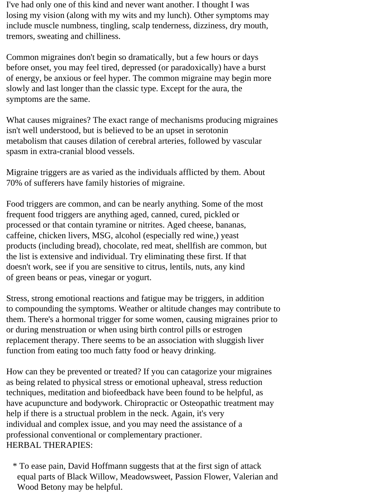I've had only one of this kind and never want another. I thought I was losing my vision (along with my wits and my lunch). Other symptoms may include muscle numbness, tingling, scalp tenderness, dizziness, dry mouth, tremors, sweating and chilliness.

Common migraines don't begin so dramatically, but a few hours or days before onset, you may feel tired, depressed (or paradoxically) have a burst of energy, be anxious or feel hyper. The common migraine may begin more slowly and last longer than the classic type. Except for the aura, the symptoms are the same.

What causes migraines? The exact range of mechanisms producing migraines isn't well understood, but is believed to be an upset in serotonin metabolism that causes dilation of cerebral arteries, followed by vascular spasm in extra-cranial blood vessels.

Migraine triggers are as varied as the individuals afflicted by them. About 70% of sufferers have family histories of migraine.

Food triggers are common, and can be nearly anything. Some of the most frequent food triggers are anything aged, canned, cured, pickled or processed or that contain tyramine or nitrites. Aged cheese, bananas, caffeine, chicken livers, MSG, alcohol (especially red wine,) yeast products (including bread), chocolate, red meat, shellfish are common, but the list is extensive and individual. Try eliminating these first. If that doesn't work, see if you are sensitive to citrus, lentils, nuts, any kind of green beans or peas, vinegar or yogurt.

Stress, strong emotional reactions and fatigue may be triggers, in addition to compounding the symptoms. Weather or altitude changes may contribute to them. There's a hormonal trigger for some women, causing migraines prior to or during menstruation or when using birth control pills or estrogen replacement therapy. There seems to be an association with sluggish liver function from eating too much fatty food or heavy drinking.

How can they be prevented or treated? If you can catagorize your migraines as being related to physical stress or emotional upheaval, stress reduction techniques, meditation and biofeedback have been found to be helpful, as have acupuncture and bodywork. Chiropractic or Osteopathic treatment may help if there is a structual problem in the neck. Again, it's very individual and complex issue, and you may need the assistance of a professional conventional or complementary practioner. HERBAL THERAPIES:

 \* To ease pain, David Hoffmann suggests that at the first sign of attack equal parts of Black Willow, Meadowsweet, Passion Flower, Valerian and Wood Betony may be helpful.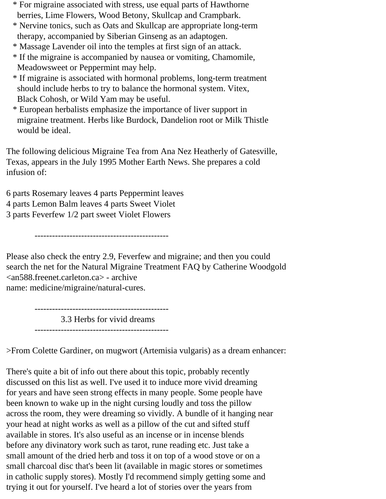- \* For migraine associated with stress, use equal parts of Hawthorne berries, Lime Flowers, Wood Betony, Skullcap and Crampbark.
- \* Nervine tonics, such as Oats and Skullcap are appropriate long-term therapy, accompanied by Siberian Ginseng as an adaptogen.
- \* Massage Lavender oil into the temples at first sign of an attack.
- \* If the migraine is accompanied by nausea or vomiting, Chamomile, Meadowsweet or Peppermint may help.
- \* If migraine is associated with hormonal problems, long-term treatment should include herbs to try to balance the hormonal system. Vitex, Black Cohosh, or Wild Yam may be useful.
- \* European herbalists emphasize the importance of liver support in migraine treatment. Herbs like Burdock, Dandelion root or Milk Thistle would be ideal.

The following delicious Migraine Tea from Ana Nez Heatherly of Gatesville, Texas, appears in the July 1995 Mother Earth News. She prepares a cold infusion of:

6 parts Rosemary leaves 4 parts Peppermint leaves 4 parts Lemon Balm leaves 4 parts Sweet Violet 3 parts Feverfew 1/2 part sweet Violet Flowers

----------------------------------------------

Please also check the entry 2.9, Feverfew and migraine; and then you could search the net for the Natural Migraine Treatment FAQ by Catherine Woodgold <an588.freenet.carleton.ca> - archive name: medicine/migraine/natural-cures.

 ---------------------------------------------- 3.3 Herbs for vivid dreams ----------------------------------------------

>From Colette Gardiner, on mugwort (Artemisia vulgaris) as a dream enhancer:

There's quite a bit of info out there about this topic, probably recently discussed on this list as well. I've used it to induce more vivid dreaming for years and have seen strong effects in many people. Some people have been known to wake up in the night cursing loudly and toss the pillow across the room, they were dreaming so vividly. A bundle of it hanging near your head at night works as well as a pillow of the cut and sifted stuff available in stores. It's also useful as an incense or in incense blends before any divinatory work such as tarot, rune reading etc. Just take a small amount of the dried herb and toss it on top of a wood stove or on a small charcoal disc that's been lit (available in magic stores or sometimes in catholic supply stores). Mostly I'd recommend simply getting some and trying it out for yourself. I've heard a lot of stories over the years from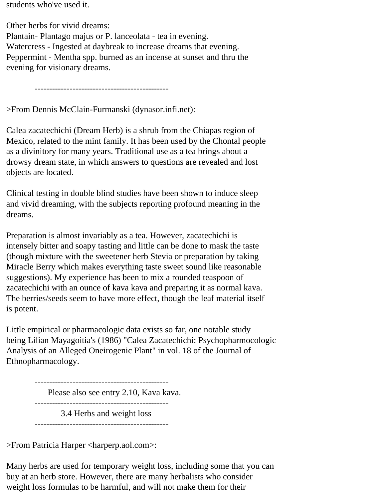students who've used it.

Other herbs for vivid dreams:

Plantain- Plantago majus or P. lanceolata - tea in evening. Watercress - Ingested at daybreak to increase dreams that evening. Peppermint - Mentha spp. burned as an incense at sunset and thru the evening for visionary dreams.

----------------------------------------------

>From Dennis McClain-Furmanski (dynasor.infi.net):

Calea zacatechichi (Dream Herb) is a shrub from the Chiapas region of Mexico, related to the mint family. It has been used by the Chontal people as a divinitory for many years. Traditional use as a tea brings about a drowsy dream state, in which answers to questions are revealed and lost objects are located.

Clinical testing in double blind studies have been shown to induce sleep and vivid dreaming, with the subjects reporting profound meaning in the dreams.

Preparation is almost invariably as a tea. However, zacatechichi is intensely bitter and soapy tasting and little can be done to mask the taste (though mixture with the sweetener herb Stevia or preparation by taking Miracle Berry which makes everything taste sweet sound like reasonable suggestions). My experience has been to mix a rounded teaspoon of zacatechichi with an ounce of kava kava and preparing it as normal kava. The berries/seeds seem to have more effect, though the leaf material itself is potent.

Little empirical or pharmacologic data exists so far, one notable study being Lilian Mayagoitia's (1986) "Calea Zacatechichi: Psychopharmocologic Analysis of an Alleged Oneirogenic Plant" in vol. 18 of the Journal of Ethnopharmacology.

> ---------------------------------------------- Please also see entry 2.10, Kava kava. ---------------------------------------------- 3.4 Herbs and weight loss ----------------------------------------------

>From Patricia Harper <harperp.aol.com>:

Many herbs are used for temporary weight loss, including some that you can buy at an herb store. However, there are many herbalists who consider weight loss formulas to be harmful, and will not make them for their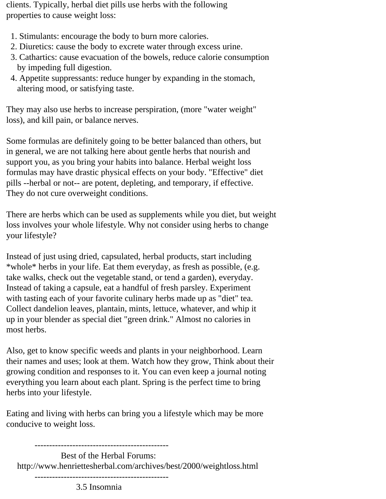clients. Typically, herbal diet pills use herbs with the following properties to cause weight loss:

- 1. Stimulants: encourage the body to burn more calories.
- 2. Diuretics: cause the body to excrete water through excess urine.
- 3. Cathartics: cause evacuation of the bowels, reduce calorie consumption by impeding full digestion.
- 4. Appetite suppressants: reduce hunger by expanding in the stomach, altering mood, or satisfying taste.

They may also use herbs to increase perspiration, (more "water weight" loss), and kill pain, or balance nerves.

Some formulas are definitely going to be better balanced than others, but in general, we are not talking here about gentle herbs that nourish and support you, as you bring your habits into balance. Herbal weight loss formulas may have drastic physical effects on your body. "Effective" diet pills --herbal or not-- are potent, depleting, and temporary, if effective. They do not cure overweight conditions.

There are herbs which can be used as supplements while you diet, but weight loss involves your whole lifestyle. Why not consider using herbs to change your lifestyle?

Instead of just using dried, capsulated, herbal products, start including \*whole\* herbs in your life. Eat them everyday, as fresh as possible, (e.g. take walks, check out the vegetable stand, or tend a garden), everyday. Instead of taking a capsule, eat a handful of fresh parsley. Experiment with tasting each of your favorite culinary herbs made up as "diet" tea. Collect dandelion leaves, plantain, mints, lettuce, whatever, and whip it up in your blender as special diet "green drink." Almost no calories in most herbs.

Also, get to know specific weeds and plants in your neighborhood. Learn their names and uses; look at them. Watch how they grow, Think about their growing condition and responses to it. You can even keep a journal noting everything you learn about each plant. Spring is the perfect time to bring herbs into your lifestyle.

Eating and living with herbs can bring you a lifestyle which may be more conducive to weight loss.

 Best of the Herbal Forums: http://www.henriettesherbal.com/archives/best/2000/weightloss.html ----------------------------------------------

3.5 Insomnia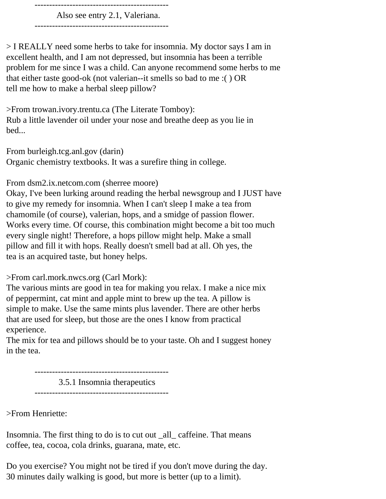----------------------------------------------

Also see entry 2.1, Valeriana.

----------------------------------------------

> I REALLY need some herbs to take for insomnia. My doctor says I am in excellent health, and I am not depressed, but insomnia has been a terrible problem for me since I was a child. Can anyone recommend some herbs to me that either taste good-ok (not valerian--it smells so bad to me :( ) OR tell me how to make a herbal sleep pillow?

>From trowan.ivory.trentu.ca (The Literate Tomboy): Rub a little lavender oil under your nose and breathe deep as you lie in bed...

From burleigh.tcg.anl.gov (darin)

Organic chemistry textbooks. It was a surefire thing in college.

From dsm2.ix.netcom.com (sherree moore)

Okay, I've been lurking around reading the herbal newsgroup and I JUST have to give my remedy for insomnia. When I can't sleep I make a tea from chamomile (of course), valerian, hops, and a smidge of passion flower. Works every time. Of course, this combination might become a bit too much every single night! Therefore, a hops pillow might help. Make a small pillow and fill it with hops. Really doesn't smell bad at all. Oh yes, the tea is an acquired taste, but honey helps.

>From carl.mork.nwcs.org (Carl Mork):

The various mints are good in tea for making you relax. I make a nice mix of peppermint, cat mint and apple mint to brew up the tea. A pillow is simple to make. Use the same mints plus lavender. There are other herbs that are used for sleep, but those are the ones I know from practical experience.

The mix for tea and pillows should be to your taste. Oh and I suggest honey in the tea.

> ---------------------------------------------- 3.5.1 Insomnia therapeutics ----------------------------------------------

>From Henriette:

Insomnia. The first thing to do is to cut out \_all\_ caffeine. That means coffee, tea, cocoa, cola drinks, guarana, mate, etc.

Do you exercise? You might not be tired if you don't move during the day. 30 minutes daily walking is good, but more is better (up to a limit).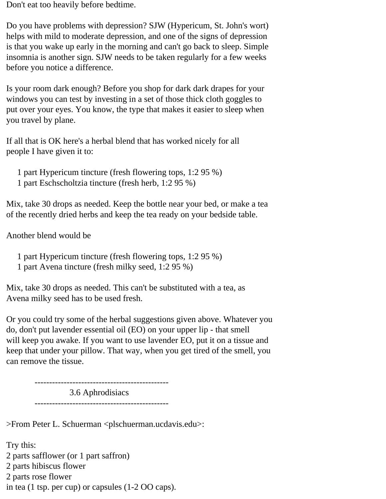Don't eat too heavily before bedtime.

Do you have problems with depression? SJW (Hypericum, St. John's wort) helps with mild to moderate depression, and one of the signs of depression is that you wake up early in the morning and can't go back to sleep. Simple insomnia is another sign. SJW needs to be taken regularly for a few weeks before you notice a difference.

Is your room dark enough? Before you shop for dark dark drapes for your windows you can test by investing in a set of those thick cloth goggles to put over your eyes. You know, the type that makes it easier to sleep when you travel by plane.

If all that is OK here's a herbal blend that has worked nicely for all people I have given it to:

 1 part Hypericum tincture (fresh flowering tops, 1:2 95 %) 1 part Eschscholtzia tincture (fresh herb, 1:2 95 %)

Mix, take 30 drops as needed. Keep the bottle near your bed, or make a tea of the recently dried herbs and keep the tea ready on your bedside table.

Another blend would be

1 part Hypericum tincture (fresh flowering tops, 1:2 95 %)

1 part Avena tincture (fresh milky seed, 1:2 95 %)

Mix, take 30 drops as needed. This can't be substituted with a tea, as Avena milky seed has to be used fresh.

Or you could try some of the herbal suggestions given above. Whatever you do, don't put lavender essential oil (EO) on your upper lip - that smell will keep you awake. If you want to use lavender EO, put it on a tissue and keep that under your pillow. That way, when you get tired of the smell, you can remove the tissue.

> ---------------------------------------------- 3.6 Aphrodisiacs ----------------------------------------------

>From Peter L. Schuerman <plschuerman.ucdavis.edu>:

Try this: 2 parts safflower (or 1 part saffron) 2 parts hibiscus flower 2 parts rose flower in tea (1 tsp. per cup) or capsules (1-2 OO caps).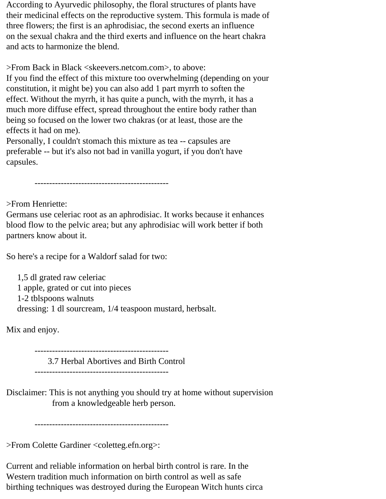According to Ayurvedic philosophy, the floral structures of plants have their medicinal effects on the reproductive system. This formula is made of three flowers; the first is an aphrodisiac, the second exerts an influence on the sexual chakra and the third exerts and influence on the heart chakra and acts to harmonize the blend.

>From Back in Black <skeevers.netcom.com>, to above:

If you find the effect of this mixture too overwhelming (depending on your constitution, it might be) you can also add 1 part myrrh to soften the effect. Without the myrrh, it has quite a punch, with the myrrh, it has a much more diffuse effect, spread throughout the entire body rather than being so focused on the lower two chakras (or at least, those are the effects it had on me).

Personally, I couldn't stomach this mixture as tea -- capsules are preferable -- but it's also not bad in vanilla yogurt, if you don't have capsules.

----------------------------------------------

>From Henriette:

Germans use celeriac root as an aphrodisiac. It works because it enhances blood flow to the pelvic area; but any aphrodisiac will work better if both partners know about it.

So here's a recipe for a Waldorf salad for two:

 1,5 dl grated raw celeriac 1 apple, grated or cut into pieces 1-2 tblspoons walnuts dressing: 1 dl sourcream, 1/4 teaspoon mustard, herbsalt.

Mix and enjoy.

----------------------------------------------

3.7 Herbal Abortives and Birth Control

----------------------------------------------

Disclaimer: This is not anything you should try at home without supervision from a knowledgeable herb person.

----------------------------------------------

>From Colette Gardiner <coletteg.efn.org>:

Current and reliable information on herbal birth control is rare. In the Western tradition much information on birth control as well as safe birthing techniques was destroyed during the European Witch hunts circa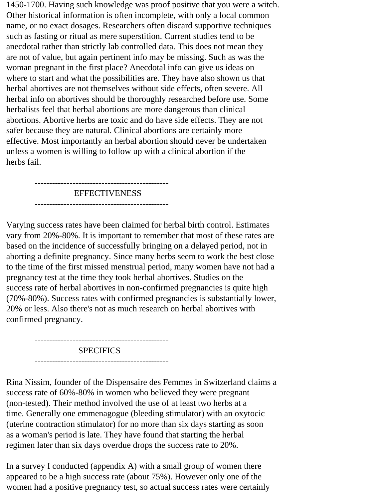1450-1700. Having such knowledge was proof positive that you were a witch. Other historical information is often incomplete, with only a local common name, or no exact dosages. Researchers often discard supportive techniques such as fasting or ritual as mere superstition. Current studies tend to be anecdotal rather than strictly lab controlled data. This does not mean they are not of value, but again pertinent info may be missing. Such as was the woman pregnant in the first place? Anecdotal info can give us ideas on where to start and what the possibilities are. They have also shown us that herbal abortives are not themselves without side effects, often severe. All herbal info on abortives should be thoroughly researched before use. Some herbalists feel that herbal abortions are more dangerous than clinical abortions. Abortive herbs are toxic and do have side effects. They are not safer because they are natural. Clinical abortions are certainly more effective. Most importantly an herbal abortion should never be undertaken unless a women is willing to follow up with a clinical abortion if the herbs fail.

#### ---------------------------------------------- **EFFECTIVENESS**

----------------------------------------------

Varying success rates have been claimed for herbal birth control. Estimates vary from 20%-80%. It is important to remember that most of these rates are based on the incidence of successfully bringing on a delayed period, not in aborting a definite pregnancy. Since many herbs seem to work the best close to the time of the first missed menstrual period, many women have not had a pregnancy test at the time they took herbal abortives. Studies on the success rate of herbal abortives in non-confirmed pregnancies is quite high (70%-80%). Success rates with confirmed pregnancies is substantially lower, 20% or less. Also there's not as much research on herbal abortives with confirmed pregnancy.

 ---------------------------------------------- SPECIFICS ----------------------------------------------

Rina Nissim, founder of the Dispensaire des Femmes in Switzerland claims a success rate of 60%-80% in women who believed they were pregnant (non-tested). Their method involved the use of at least two herbs at a time. Generally one emmenagogue (bleeding stimulator) with an oxytocic (uterine contraction stimulator) for no more than six days starting as soon as a woman's period is late. They have found that starting the herbal regimen later than six days overdue drops the success rate to 20%.

In a survey I conducted (appendix A) with a small group of women there appeared to be a high success rate (about 75%). However only one of the women had a positive pregnancy test, so actual success rates were certainly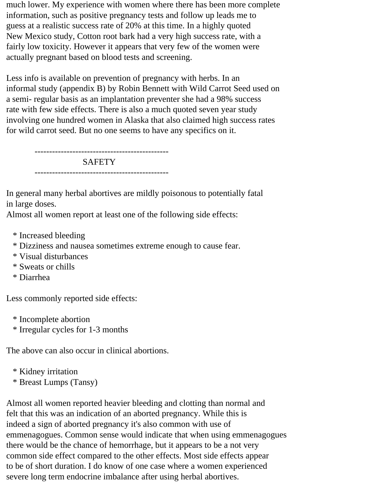much lower. My experience with women where there has been more complete information, such as positive pregnancy tests and follow up leads me to guess at a realistic success rate of 20% at this time. In a highly quoted New Mexico study, Cotton root bark had a very high success rate, with a fairly low toxicity. However it appears that very few of the women were actually pregnant based on blood tests and screening.

Less info is available on prevention of pregnancy with herbs. In an informal study (appendix B) by Robin Bennett with Wild Carrot Seed used on a semi- regular basis as an implantation preventer she had a 98% success rate with few side effects. There is also a much quoted seven year study involving one hundred women in Alaska that also claimed high success rates for wild carrot seed. But no one seems to have any specifics on it.

> ---------------------------------------------- SAFETY ----------------------------------------------

In general many herbal abortives are mildly poisonous to potentially fatal in large doses.

Almost all women report at least one of the following side effects:

- \* Increased bleeding
- \* Dizziness and nausea sometimes extreme enough to cause fear.
- \* Visual disturbances
- \* Sweats or chills
- \* Diarrhea

Less commonly reported side effects:

\* Incomplete abortion

\* Irregular cycles for 1-3 months

The above can also occur in clinical abortions.

\* Kidney irritation

\* Breast Lumps (Tansy)

Almost all women reported heavier bleeding and clotting than normal and felt that this was an indication of an aborted pregnancy. While this is indeed a sign of aborted pregnancy it's also common with use of emmenagogues. Common sense would indicate that when using emmenagogues there would be the chance of hemorrhage, but it appears to be a not very common side effect compared to the other effects. Most side effects appear to be of short duration. I do know of one case where a women experienced severe long term endocrine imbalance after using herbal abortives.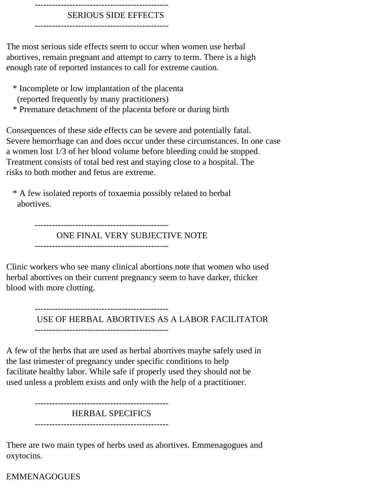### SERIOUS SIDE EFFECTS

----------------------------------------------

#### ----------------------------------------------

The most serious side effects seem to occur when women use herbal abortives, remain pregnant and attempt to carry to term. There is a high enough rate of reported instances to call for extreme caution.

- \* Incomplete or low implantation of the placenta
- (reported frequently by many practitioners)
- \* Premature detachment of the placenta before or during birth

Consequences of these side effects can be severe and potentially fatal. Severe hemorrhage can and does occur under these circumstances. In one case a women lost 1/3 of her blood volume before bleeding could be stopped. Treatment consists of total bed rest and staying close to a hospital. The risks to both mother and fetus are extreme.

 \* A few isolated reports of toxaemia possibly related to herbal abortives.

> ---------------------------------------------- ONE FINAL VERY SUBJECTIVE NOTE ----------------------------------------------

Clinic workers who see many clinical abortions note that women who used herbal abortives on their current pregnancy seem to have darker, thicker blood with more clotting.

> ---------------------------------------------- USE OF HERBAL ABORTIVES AS A LABOR FACILITATOR ----------------------------------------------

A few of the herbs that are used as herbal abortives maybe safely used in the last trimester of pregnancy under specific conditions to help facilitate healthy labor. While safe if properly used they should not be used unless a problem exists and only with the help of a practitioner.

> ---------------------------------------------- HERBAL SPECIFICS ----------------------------------------------

There are two main types of herbs used as abortives. Emmenagogues and oxytocins.

EMMENAGOGUES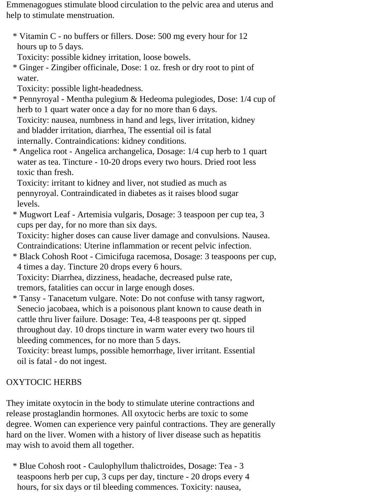Emmenagogues stimulate blood circulation to the pelvic area and uterus and help to stimulate menstruation.

 \* Vitamin C - no buffers or fillers. Dose: 500 mg every hour for 12 hours up to 5 days.

Toxicity: possible kidney irritation, loose bowels.

 \* Ginger - Zingiber officinale, Dose: 1 oz. fresh or dry root to pint of water.

Toxicity: possible light-headedness.

- \* Pennyroyal Mentha pulegium & Hedeoma pulegiodes, Dose: 1/4 cup of herb to 1 quart water once a day for no more than 6 days. Toxicity: nausea, numbness in hand and legs, liver irritation, kidney and bladder irritation, diarrhea, The essential oil is fatal internally. Contraindications: kidney conditions.
- \* Angelica root Angelica archangelica, Dosage: 1/4 cup herb to 1 quart water as tea. Tincture - 10-20 drops every two hours. Dried root less toxic than fresh.

 Toxicity: irritant to kidney and liver, not studied as much as pennyroyal. Contraindicated in diabetes as it raises blood sugar levels.

 \* Mugwort Leaf - Artemisia vulgaris, Dosage: 3 teaspoon per cup tea, 3 cups per day, for no more than six days.

 Toxicity: higher doses can cause liver damage and convulsions. Nausea. Contraindications: Uterine inflammation or recent pelvic infection.

 \* Black Cohosh Root - Cimicifuga racemosa, Dosage: 3 teaspoons per cup, 4 times a day. Tincture 20 drops every 6 hours. Toxicity: Diarrhea, dizziness, headache, decreased pulse rate,

tremors, fatalities can occur in large enough doses.

 \* Tansy - Tanacetum vulgare. Note: Do not confuse with tansy ragwort, Senecio jacobaea, which is a poisonous plant known to cause death in cattle thru liver failure. Dosage: Tea, 4-8 teaspoons per qt. sipped throughout day. 10 drops tincture in warm water every two hours til bleeding commences, for no more than 5 days.

 Toxicity: breast lumps, possible hemorrhage, liver irritant. Essential oil is fatal - do not ingest.

# OXYTOCIC HERBS

They imitate oxytocin in the body to stimulate uterine contractions and release prostaglandin hormones. All oxytocic herbs are toxic to some degree. Women can experience very painful contractions. They are generally hard on the liver. Women with a history of liver disease such as hepatitis may wish to avoid them all together.

 \* Blue Cohosh root - Caulophyllum thalictroides, Dosage: Tea - 3 teaspoons herb per cup, 3 cups per day, tincture - 20 drops every 4 hours, for six days or til bleeding commences. Toxicity: nausea,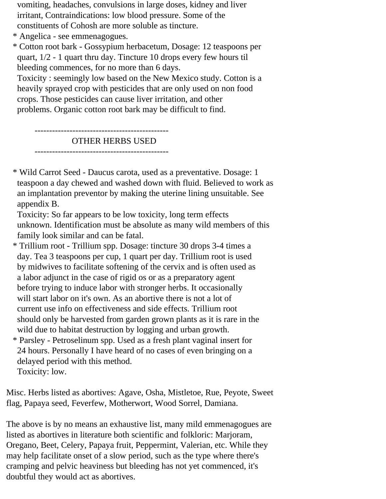vomiting, headaches, convulsions in large doses, kidney and liver irritant, Contraindications: low blood pressure. Some of the constituents of Cohosh are more soluble as tincture.

\* Angelica - see emmenagogues.

 \* Cotton root bark - Gossypium herbacetum, Dosage: 12 teaspoons per quart, 1/2 - 1 quart thru day. Tincture 10 drops every few hours til bleeding commences, for no more than 6 days. Toxicity : seemingly low based on the New Mexico study. Cotton is a

 heavily sprayed crop with pesticides that are only used on non food crops. Those pesticides can cause liver irritation, and other problems. Organic cotton root bark may be difficult to find.

# ----------------------------------------------

# OTHER HERBS USED

----------------------------------------------

 \* Wild Carrot Seed - Daucus carota, used as a preventative. Dosage: 1 teaspoon a day chewed and washed down with fluid. Believed to work as an implantation preventor by making the uterine lining unsuitable. See appendix B.

 Toxicity: So far appears to be low toxicity, long term effects unknown. Identification must be absolute as many wild members of this family look similar and can be fatal.

- \* Trillium root Trillium spp. Dosage: tincture 30 drops 3-4 times a day. Tea 3 teaspoons per cup, 1 quart per day. Trillium root is used by midwives to facilitate softening of the cervix and is often used as a labor adjunct in the case of rigid os or as a preparatory agent before trying to induce labor with stronger herbs. It occasionally will start labor on it's own. As an abortive there is not a lot of current use info on effectiveness and side effects. Trillium root should only be harvested from garden grown plants as it is rare in the wild due to habitat destruction by logging and urban growth.
- \* Parsley Petroselinum spp. Used as a fresh plant vaginal insert for 24 hours. Personally I have heard of no cases of even bringing on a delayed period with this method. Toxicity: low.

Misc. Herbs listed as abortives: Agave, Osha, Mistletoe, Rue, Peyote, Sweet flag, Papaya seed, Feverfew, Motherwort, Wood Sorrel, Damiana.

The above is by no means an exhaustive list, many mild emmenagogues are listed as abortives in literature both scientific and folkloric: Marjoram, Oregano, Beet, Celery, Papaya fruit, Peppermint, Valerian, etc. While they may help facilitate onset of a slow period, such as the type where there's cramping and pelvic heaviness but bleeding has not yet commenced, it's doubtful they would act as abortives.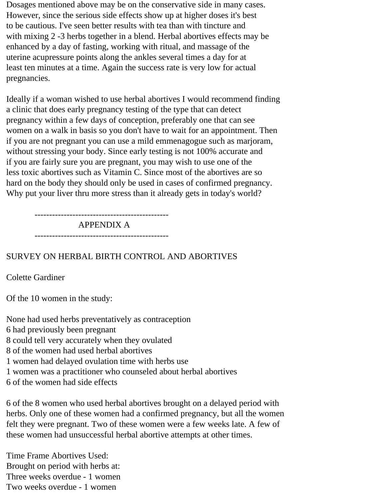Dosages mentioned above may be on the conservative side in many cases. However, since the serious side effects show up at higher doses it's best to be cautious. I've seen better results with tea than with tincture and with mixing 2 -3 herbs together in a blend. Herbal abortives effects may be enhanced by a day of fasting, working with ritual, and massage of the uterine acupressure points along the ankles several times a day for at least ten minutes at a time. Again the success rate is very low for actual pregnancies.

Ideally if a woman wished to use herbal abortives I would recommend finding a clinic that does early pregnancy testing of the type that can detect pregnancy within a few days of conception, preferably one that can see women on a walk in basis so you don't have to wait for an appointment. Then if you are not pregnant you can use a mild emmenagogue such as marjoram, without stressing your body. Since early testing is not 100% accurate and if you are fairly sure you are pregnant, you may wish to use one of the less toxic abortives such as Vitamin C. Since most of the abortives are so hard on the body they should only be used in cases of confirmed pregnancy. Why put your liver thru more stress than it already gets in today's world?

 ---------------------------------------------- APPENDIX A ----------------------------------------------

## SURVEY ON HERBAL BIRTH CONTROL AND ABORTIVES

Colette Gardiner

Of the 10 women in the study:

None had used herbs preventatively as contraception

6 had previously been pregnant

8 could tell very accurately when they ovulated

- 8 of the women had used herbal abortives
- 1 women had delayed ovulation time with herbs use

1 women was a practitioner who counseled about herbal abortives

6 of the women had side effects

6 of the 8 women who used herbal abortives brought on a delayed period with herbs. Only one of these women had a confirmed pregnancy, but all the women felt they were pregnant. Two of these women were a few weeks late. A few of these women had unsuccessful herbal abortive attempts at other times.

Time Frame Abortives Used: Brought on period with herbs at: Three weeks overdue - 1 women Two weeks overdue - 1 women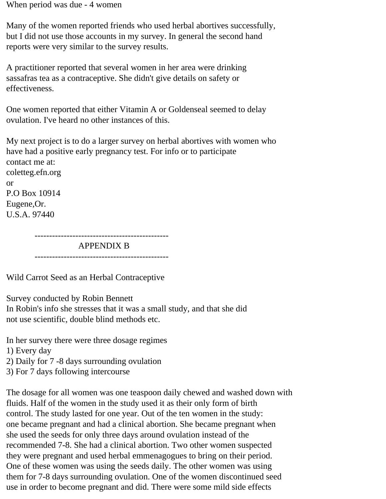When period was due - 4 women

Many of the women reported friends who used herbal abortives successfully, but I did not use those accounts in my survey. In general the second hand reports were very similar to the survey results.

A practitioner reported that several women in her area were drinking sassafras tea as a contraceptive. She didn't give details on safety or effectiveness.

One women reported that either Vitamin A or Goldenseal seemed to delay ovulation. I've heard no other instances of this.

My next project is to do a larger survey on herbal abortives with women who have had a positive early pregnancy test. For info or to participate contact me at: coletteg.efn.org or P.O Box 10914 Eugene,Or. U.S.A. 97440

APPENDIX B

----------------------------------------------

----------------------------------------------

Wild Carrot Seed as an Herbal Contraceptive

Survey conducted by Robin Bennett

In Robin's info she stresses that it was a small study, and that she did not use scientific, double blind methods etc.

In her survey there were three dosage regimes

- 1) Every day
- 2) Daily for 7 -8 days surrounding ovulation
- 3) For 7 days following intercourse

The dosage for all women was one teaspoon daily chewed and washed down with fluids. Half of the women in the study used it as their only form of birth control. The study lasted for one year. Out of the ten women in the study: one became pregnant and had a clinical abortion. She became pregnant when she used the seeds for only three days around ovulation instead of the recommended 7-8. She had a clinical abortion. Two other women suspected they were pregnant and used herbal emmenagogues to bring on their period. One of these women was using the seeds daily. The other women was using them for 7-8 days surrounding ovulation. One of the women discontinued seed use in order to become pregnant and did. There were some mild side effects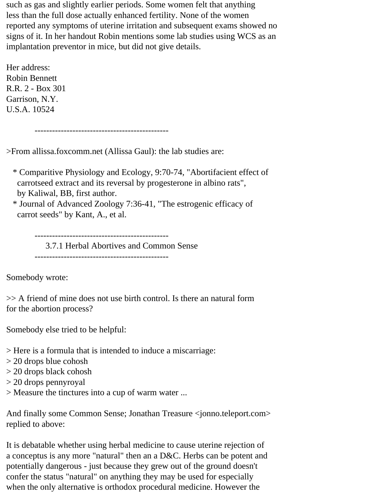such as gas and slightly earlier periods. Some women felt that anything less than the full dose actually enhanced fertility. None of the women reported any symptoms of uterine irritation and subsequent exams showed no signs of it. In her handout Robin mentions some lab studies using WCS as an implantation preventor in mice, but did not give details.

Her address: Robin Bennett R.R. 2 - Box 301 Garrison, N.Y. U.S.A. 10524

----------------------------------------------

>From allissa.foxcomm.net (Allissa Gaul): the lab studies are:

- \* Comparitive Physiology and Ecology, 9:70-74, "Abortifacient effect of carrotseed extract and its reversal by progesterone in albino rats", by Kaliwal, BB, first author.
- \* Journal of Advanced Zoology 7:36-41, "The estrogenic efficacy of carrot seeds" by Kant, A., et al.

----------------------------------------------

3.7.1 Herbal Abortives and Common Sense

----------------------------------------------

Somebody wrote:

>> A friend of mine does not use birth control. Is there an natural form for the abortion process?

Somebody else tried to be helpful:

- > Here is a formula that is intended to induce a miscarriage:
- > 20 drops blue cohosh
- > 20 drops black cohosh
- > 20 drops pennyroyal
- > Measure the tinctures into a cup of warm water ...

And finally some Common Sense; Jonathan Treasure <jonno.teleport.com> replied to above:

It is debatable whether using herbal medicine to cause uterine rejection of a conceptus is any more "natural" then an a D&C. Herbs can be potent and potentially dangerous - just because they grew out of the ground doesn't confer the status "natural" on anything they may be used for especially when the only alternative is orthodox procedural medicine. However the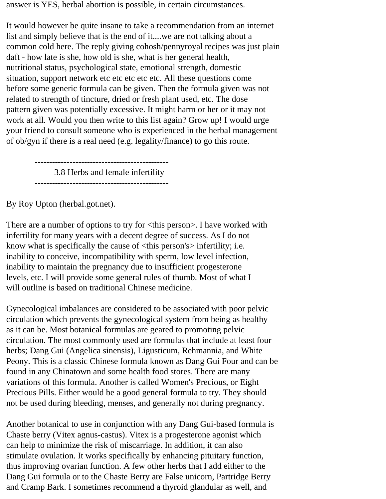answer is YES, herbal abortion is possible, in certain circumstances.

It would however be quite insane to take a recommendation from an internet list and simply believe that is the end of it....we are not talking about a common cold here. The reply giving cohosh/pennyroyal recipes was just plain daft - how late is she, how old is she, what is her general health, nutritional status, psychological state, emotional strength, domestic situation, support network etc etc etc etc etc. All these questions come before some generic formula can be given. Then the formula given was not related to strength of tincture, dried or fresh plant used, etc. The dose pattern given was potentially excessive. It might harm or her or it may not work at all. Would you then write to this list again? Grow up! I would urge your friend to consult someone who is experienced in the herbal management of ob/gyn if there is a real need (e.g. legality/finance) to go this route.

> ---------------------------------------------- 3.8 Herbs and female infertility ----------------------------------------------

By Roy Upton (herbal.got.net).

There are a number of options to try for <this person>. I have worked with infertility for many years with a decent degree of success. As I do not know what is specifically the cause of <this person's> infertility; i.e. inability to conceive, incompatibility with sperm, low level infection, inability to maintain the pregnancy due to insufficient progesterone levels, etc. I will provide some general rules of thumb. Most of what I will outline is based on traditional Chinese medicine.

Gynecological imbalances are considered to be associated with poor pelvic circulation which prevents the gynecological system from being as healthy as it can be. Most botanical formulas are geared to promoting pelvic circulation. The most commonly used are formulas that include at least four herbs; Dang Gui (Angelica sinensis), Ligusticum, Rehmannia, and White Peony. This is a classic Chinese formula known as Dang Gui Four and can be found in any Chinatown and some health food stores. There are many variations of this formula. Another is called Women's Precious, or Eight Precious Pills. Either would be a good general formula to try. They should not be used during bleeding, menses, and generally not during pregnancy.

Another botanical to use in conjunction with any Dang Gui-based formula is Chaste berry (Vitex agnus-castus). Vitex is a progesterone agonist which can help to minimize the risk of miscarriage. In addition, it can also stimulate ovulation. It works specifically by enhancing pituitary function, thus improving ovarian function. A few other herbs that I add either to the Dang Gui formula or to the Chaste Berry are False unicorn, Partridge Berry and Cramp Bark. I sometimes recommend a thyroid glandular as well, and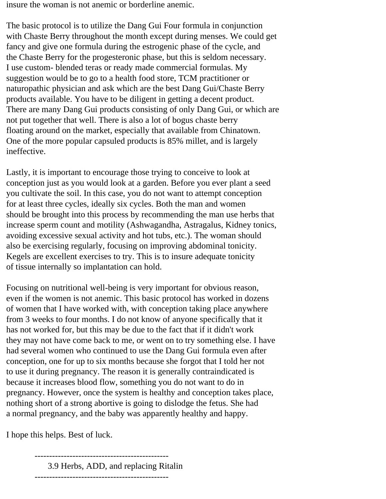insure the woman is not anemic or borderline anemic.

The basic protocol is to utilize the Dang Gui Four formula in conjunction with Chaste Berry throughout the month except during menses. We could get fancy and give one formula during the estrogenic phase of the cycle, and the Chaste Berry for the progesteronic phase, but this is seldom necessary. I use custom- blended teras or ready made commercial formulas. My suggestion would be to go to a health food store, TCM practitioner or naturopathic physician and ask which are the best Dang Gui/Chaste Berry products available. You have to be diligent in getting a decent product. There are many Dang Gui products consisting of only Dang Gui, or which are not put together that well. There is also a lot of bogus chaste berry floating around on the market, especially that available from Chinatown. One of the more popular capsuled products is 85% millet, and is largely ineffective.

Lastly, it is important to encourage those trying to conceive to look at conception just as you would look at a garden. Before you ever plant a seed you cultivate the soil. In this case, you do not want to attempt conception for at least three cycles, ideally six cycles. Both the man and women should be brought into this process by recommending the man use herbs that increase sperm count and motility (Ashwagandha, Astragalus, Kidney tonics, avoiding excessive sexual activity and hot tubs, etc.). The woman should also be exercising regularly, focusing on improving abdominal tonicity. Kegels are excellent exercises to try. This is to insure adequate tonicity of tissue internally so implantation can hold.

Focusing on nutritional well-being is very important for obvious reason, even if the women is not anemic. This basic protocol has worked in dozens of women that I have worked with, with conception taking place anywhere from 3 weeks to four months. I do not know of anyone specifically that it has not worked for, but this may be due to the fact that if it didn't work they may not have come back to me, or went on to try something else. I have had several women who continued to use the Dang Gui formula even after conception, one for up to six months because she forgot that I told her not to use it during pregnancy. The reason it is generally contraindicated is because it increases blood flow, something you do not want to do in pregnancy. However, once the system is healthy and conception takes place, nothing short of a strong abortive is going to dislodge the fetus. She had a normal pregnancy, and the baby was apparently healthy and happy.

I hope this helps. Best of luck.

 3.9 Herbs, ADD, and replacing Ritalin ----------------------------------------------

----------------------------------------------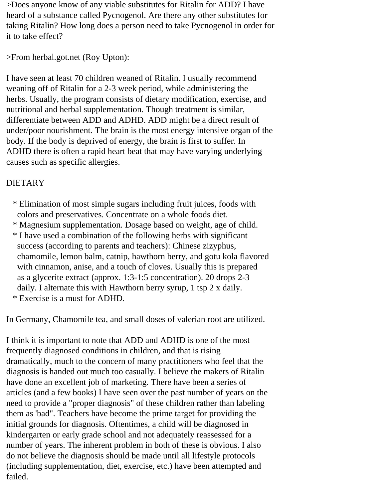>Does anyone know of any viable substitutes for Ritalin for ADD? I have heard of a substance called Pycnogenol. Are there any other substitutes for taking Ritalin? How long does a person need to take Pycnogenol in order for it to take effect?

>From herbal.got.net (Roy Upton):

I have seen at least 70 children weaned of Ritalin. I usually recommend weaning off of Ritalin for a 2-3 week period, while administering the herbs. Usually, the program consists of dietary modification, exercise, and nutritional and herbal supplementation. Though treatment is similar, differentiate between ADD and ADHD. ADD might be a direct result of under/poor nourishment. The brain is the most energy intensive organ of the body. If the body is deprived of energy, the brain is first to suffer. In ADHD there is often a rapid heart beat that may have varying underlying causes such as specific allergies.

## DIETARY

- \* Elimination of most simple sugars including fruit juices, foods with colors and preservatives. Concentrate on a whole foods diet.
- \* Magnesium supplementation. Dosage based on weight, age of child.
- \* I have used a combination of the following herbs with significant success (according to parents and teachers): Chinese zizyphus, chamomile, lemon balm, catnip, hawthorn berry, and gotu kola flavored with cinnamon, anise, and a touch of cloves. Usually this is prepared as a glycerite extract (approx. 1:3-1:5 concentration). 20 drops 2-3 daily. I alternate this with Hawthorn berry syrup, 1 tsp 2 x daily. \* Exercise is a must for ADHD.

In Germany, Chamomile tea, and small doses of valerian root are utilized.

I think it is important to note that ADD and ADHD is one of the most frequently diagnosed conditions in children, and that is rising dramatically, much to the concern of many practitioners who feel that the diagnosis is handed out much too casually. I believe the makers of Ritalin have done an excellent job of marketing. There have been a series of articles (and a few books) I have seen over the past number of years on the need to provide a "proper diagnosis" of these children rather than labeling them as 'bad". Teachers have become the prime target for providing the initial grounds for diagnosis. Oftentimes, a child will be diagnosed in kindergarten or early grade school and not adequately reassessed for a number of years. The inherent problem in both of these is obvious. I also do not believe the diagnosis should be made until all lifestyle protocols (including supplementation, diet, exercise, etc.) have been attempted and failed.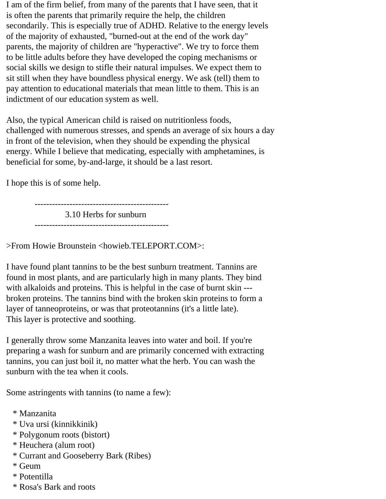I am of the firm belief, from many of the parents that I have seen, that it is often the parents that primarily require the help, the children secondarily. This is especially true of ADHD. Relative to the energy levels of the majority of exhausted, "burned-out at the end of the work day" parents, the majority of children are "hyperactive". We try to force them to be little adults before they have developed the coping mechanisms or social skills we design to stifle their natural impulses. We expect them to sit still when they have boundless physical energy. We ask (tell) them to pay attention to educational materials that mean little to them. This is an indictment of our education system as well.

Also, the typical American child is raised on nutritionless foods, challenged with numerous stresses, and spends an average of six hours a day in front of the television, when they should be expending the physical energy. While I believe that medicating, especially with amphetamines, is beneficial for some, by-and-large, it should be a last resort.

I hope this is of some help.

 ---------------------------------------------- 3.10 Herbs for sunburn ----------------------------------------------

>From Howie Brounstein <howieb.TELEPORT.COM>:

I have found plant tannins to be the best sunburn treatment. Tannins are found in most plants, and are particularly high in many plants. They bind with alkaloids and proteins. This is helpful in the case of burnt skin -- broken proteins. The tannins bind with the broken skin proteins to form a layer of tanneoproteins, or was that proteotannins (it's a little late). This layer is protective and soothing.

I generally throw some Manzanita leaves into water and boil. If you're preparing a wash for sunburn and are primarily concerned with extracting tannins, you can just boil it, no matter what the herb. You can wash the sunburn with the tea when it cools.

Some astringents with tannins (to name a few):

- \* Manzanita
- \* Uva ursi (kinnikkinik)
- \* Polygonum roots (bistort)
- \* Heuchera (alum root)
- \* Currant and Gooseberry Bark (Ribes)
- \* Geum
- \* Potentilla
- \* Rosa's Bark and roots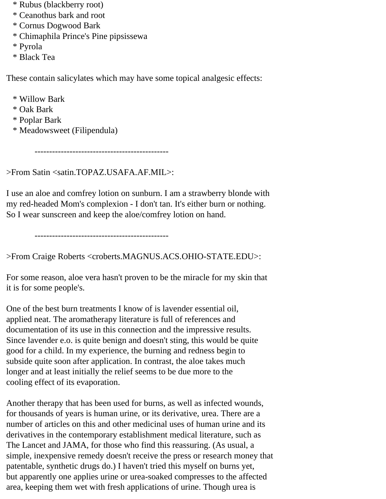- \* Rubus (blackberry root)
- \* Ceanothus bark and root
- \* Cornus Dogwood Bark
- \* Chimaphila Prince's Pine pipsissewa
- \* Pyrola
- \* Black Tea

These contain salicylates which may have some topical analgesic effects:

\* Willow Bark

- \* Oak Bark
- \* Poplar Bark
- \* Meadowsweet (Filipendula)

----------------------------------------------

>From Satin <satin.TOPAZ.USAFA.AF.MIL>:

I use an aloe and comfrey lotion on sunburn. I am a strawberry blonde with my red-headed Mom's complexion - I don't tan. It's either burn or nothing. So I wear sunscreen and keep the aloe/comfrey lotion on hand.

----------------------------------------------

>From Craige Roberts <croberts.MAGNUS.ACS.OHIO-STATE.EDU>:

For some reason, aloe vera hasn't proven to be the miracle for my skin that it is for some people's.

One of the best burn treatments I know of is lavender essential oil, applied neat. The aromatherapy literature is full of references and documentation of its use in this connection and the impressive results. Since lavender e.o. is quite benign and doesn't sting, this would be quite good for a child. In my experience, the burning and redness begin to subside quite soon after application. In contrast, the aloe takes much longer and at least initially the relief seems to be due more to the cooling effect of its evaporation.

Another therapy that has been used for burns, as well as infected wounds, for thousands of years is human urine, or its derivative, urea. There are a number of articles on this and other medicinal uses of human urine and its derivatives in the contemporary establishment medical literature, such as The Lancet and JAMA, for those who find this reassuring. (As usual, a simple, inexpensive remedy doesn't receive the press or research money that patentable, synthetic drugs do.) I haven't tried this myself on burns yet, but apparently one applies urine or urea-soaked compresses to the affected area, keeping them wet with fresh applications of urine. Though urea is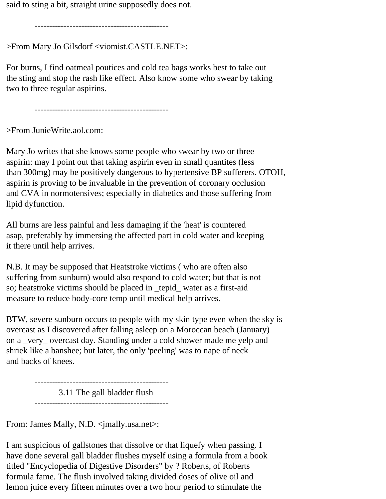said to sting a bit, straight urine supposedly does not.

----------------------------------------------

>From Mary Jo Gilsdorf <viomist.CASTLE.NET>:

For burns, I find oatmeal poutices and cold tea bags works best to take out the sting and stop the rash like effect. Also know some who swear by taking two to three regular aspirins.

----------------------------------------------

>From JunieWrite.aol.com:

Mary Jo writes that she knows some people who swear by two or three aspirin: may I point out that taking aspirin even in small quantites (less than 300mg) may be positively dangerous to hypertensive BP sufferers. OTOH, aspirin is proving to be invaluable in the prevention of coronary occlusion and CVA in normotensives; especially in diabetics and those suffering from lipid dyfunction.

All burns are less painful and less damaging if the 'heat' is countered asap, preferably by immersing the affected part in cold water and keeping it there until help arrives.

N.B. It may be supposed that Heatstroke victims ( who are often also suffering from sunburn) would also respond to cold water; but that is not so; heatstroke victims should be placed in \_tepid\_ water as a first-aid measure to reduce body-core temp until medical help arrives.

BTW, severe sunburn occurs to people with my skin type even when the sky is overcast as I discovered after falling asleep on a Moroccan beach (January) on a \_very\_ overcast day. Standing under a cold shower made me yelp and shriek like a banshee; but later, the only 'peeling' was to nape of neck and backs of knees.

 ---------------------------------------------- 3.11 The gall bladder flush ----------------------------------------------

From: James Mally, N.D. <jmally.usa.net>:

I am suspicious of gallstones that dissolve or that liquefy when passing. I have done several gall bladder flushes myself using a formula from a book titled "Encyclopedia of Digestive Disorders" by ? Roberts, of Roberts formula fame. The flush involved taking divided doses of olive oil and lemon juice every fifteen minutes over a two hour period to stimulate the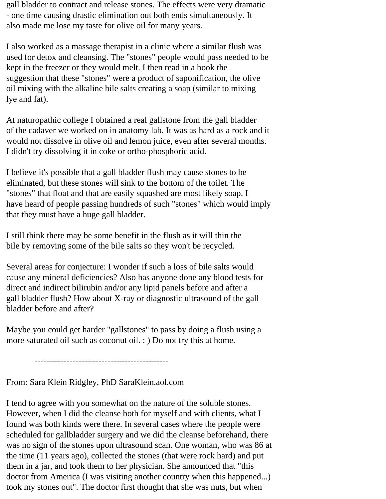gall bladder to contract and release stones. The effects were very dramatic - one time causing drastic elimination out both ends simultaneously. It also made me lose my taste for olive oil for many years.

I also worked as a massage therapist in a clinic where a similar flush was used for detox and cleansing. The "stones" people would pass needed to be kept in the freezer or they would melt. I then read in a book the suggestion that these "stones" were a product of saponification, the olive oil mixing with the alkaline bile salts creating a soap (similar to mixing lye and fat).

At naturopathic college I obtained a real gallstone from the gall bladder of the cadaver we worked on in anatomy lab. It was as hard as a rock and it would not dissolve in olive oil and lemon juice, even after several months. I didn't try dissolving it in coke or ortho-phosphoric acid.

I believe it's possible that a gall bladder flush may cause stones to be eliminated, but these stones will sink to the bottom of the toilet. The "stones" that float and that are easily squashed are most likely soap. I have heard of people passing hundreds of such "stones" which would imply that they must have a huge gall bladder.

I still think there may be some benefit in the flush as it will thin the bile by removing some of the bile salts so they won't be recycled.

Several areas for conjecture: I wonder if such a loss of bile salts would cause any mineral deficiencies? Also has anyone done any blood tests for direct and indirect bilirubin and/or any lipid panels before and after a gall bladder flush? How about X-ray or diagnostic ultrasound of the gall bladder before and after?

Maybe you could get harder "gallstones" to pass by doing a flush using a more saturated oil such as coconut oil. : ) Do not try this at home.

----------------------------------------------

From: Sara Klein Ridgley, PhD SaraKlein.aol.com

I tend to agree with you somewhat on the nature of the soluble stones. However, when I did the cleanse both for myself and with clients, what I found was both kinds were there. In several cases where the people were scheduled for gallbladder surgery and we did the cleanse beforehand, there was no sign of the stones upon ultrasound scan. One woman, who was 86 at the time (11 years ago), collected the stones (that were rock hard) and put them in a jar, and took them to her physician. She announced that "this doctor from America (I was visiting another country when this happened...) took my stones out". The doctor first thought that she was nuts, but when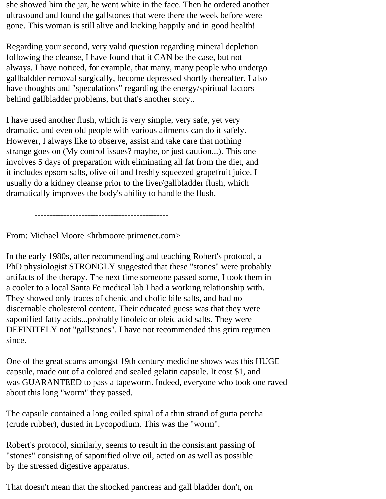she showed him the jar, he went white in the face. Then he ordered another ultrasound and found the gallstones that were there the week before were gone. This woman is still alive and kicking happily and in good health!

Regarding your second, very valid question regarding mineral depletion following the cleanse, I have found that it CAN be the case, but not always. I have noticed, for example, that many, many people who undergo gallbaldder removal surgically, become depressed shortly thereafter. I also have thoughts and "speculations" regarding the energy/spiritual factors behind gallbladder problems, but that's another story..

I have used another flush, which is very simple, very safe, yet very dramatic, and even old people with various ailments can do it safely. However, I always like to observe, assist and take care that nothing strange goes on (My control issues? maybe, or just caution...). This one involves 5 days of preparation with eliminating all fat from the diet, and it includes epsom salts, olive oil and freshly squeezed grapefruit juice. I usually do a kidney cleanse prior to the liver/gallbladder flush, which dramatically improves the body's ability to handle the flush.

----------------------------------------------

From: Michael Moore <hrbmoore.primenet.com>

In the early 1980s, after recommending and teaching Robert's protocol, a PhD physiologist STRONGLY suggested that these "stones" were probably artifacts of the therapy. The next time someone passed some, I took them in a cooler to a local Santa Fe medical lab I had a working relationship with. They showed only traces of chenic and cholic bile salts, and had no discernable cholesterol content. Their educated guess was that they were saponified fatty acids...probably linoleic or oleic acid salts. They were DEFINITELY not "gallstones". I have not recommended this grim regimen since.

One of the great scams amongst 19th century medicine shows was this HUGE capsule, made out of a colored and sealed gelatin capsule. It cost \$1, and was GUARANTEED to pass a tapeworm. Indeed, everyone who took one raved about this long "worm" they passed.

The capsule contained a long coiled spiral of a thin strand of gutta percha (crude rubber), dusted in Lycopodium. This was the "worm".

Robert's protocol, similarly, seems to result in the consistant passing of "stones" consisting of saponified olive oil, acted on as well as possible by the stressed digestive apparatus.

That doesn't mean that the shocked pancreas and gall bladder don't, on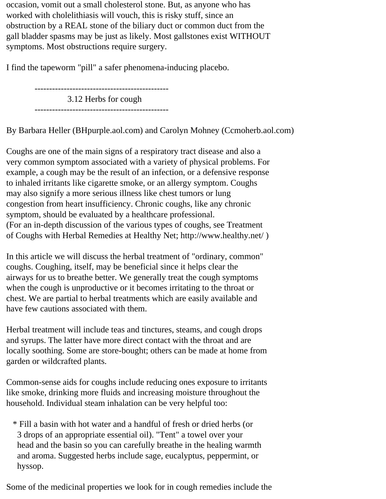occasion, vomit out a small cholesterol stone. But, as anyone who has worked with cholelithiasis will vouch, this is risky stuff, since an obstruction by a REAL stone of the biliary duct or common duct from the gall bladder spasms may be just as likely. Most gallstones exist WITHOUT symptoms. Most obstructions require surgery.

I find the tapeworm "pill" a safer phenomena-inducing placebo.

 ---------------------------------------------- 3.12 Herbs for cough ----------------------------------------------

By Barbara Heller (BHpurple.aol.com) and Carolyn Mohney (Ccmoherb.aol.com)

Coughs are one of the main signs of a respiratory tract disease and also a very common symptom associated with a variety of physical problems. For example, a cough may be the result of an infection, or a defensive response to inhaled irritants like cigarette smoke, or an allergy symptom. Coughs may also signify a more serious illness like chest tumors or lung congestion from heart insufficiency. Chronic coughs, like any chronic symptom, should be evaluated by a healthcare professional. (For an in-depth discussion of the various types of coughs, see Treatment of Coughs with Herbal Remedies at Healthy Net; http://www.healthy.net/ )

In this article we will discuss the herbal treatment of "ordinary, common" coughs. Coughing, itself, may be beneficial since it helps clear the airways for us to breathe better. We generally treat the cough symptoms when the cough is unproductive or it becomes irritating to the throat or chest. We are partial to herbal treatments which are easily available and have few cautions associated with them.

Herbal treatment will include teas and tinctures, steams, and cough drops and syrups. The latter have more direct contact with the throat and are locally soothing. Some are store-bought; others can be made at home from garden or wildcrafted plants.

Common-sense aids for coughs include reducing ones exposure to irritants like smoke, drinking more fluids and increasing moisture throughout the household. Individual steam inhalation can be very helpful too:

 \* Fill a basin with hot water and a handful of fresh or dried herbs (or 3 drops of an appropriate essential oil). "Tent" a towel over your head and the basin so you can carefully breathe in the healing warmth and aroma. Suggested herbs include sage, eucalyptus, peppermint, or hyssop.

Some of the medicinal properties we look for in cough remedies include the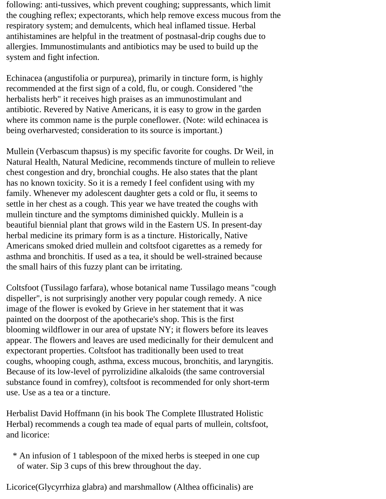following: anti-tussives, which prevent coughing; suppressants, which limit the coughing reflex; expectorants, which help remove excess mucous from the respiratory system; and demulcents, which heal inflamed tissue. Herbal antihistamines are helpful in the treatment of postnasal-drip coughs due to allergies. Immunostimulants and antibiotics may be used to build up the system and fight infection.

Echinacea (angustifolia or purpurea), primarily in tincture form, is highly recommended at the first sign of a cold, flu, or cough. Considered "the herbalists herb" it receives high praises as an immunostimulant and antibiotic. Revered by Native Americans, it is easy to grow in the garden where its common name is the purple coneflower. (Note: wild echinacea is being overharvested; consideration to its source is important.)

Mullein (Verbascum thapsus) is my specific favorite for coughs. Dr Weil, in Natural Health, Natural Medicine, recommends tincture of mullein to relieve chest congestion and dry, bronchial coughs. He also states that the plant has no known toxicity. So it is a remedy I feel confident using with my family. Whenever my adolescent daughter gets a cold or flu, it seems to settle in her chest as a cough. This year we have treated the coughs with mullein tincture and the symptoms diminished quickly. Mullein is a beautiful biennial plant that grows wild in the Eastern US. In present-day herbal medicine its primary form is as a tincture. Historically, Native Americans smoked dried mullein and coltsfoot cigarettes as a remedy for asthma and bronchitis. If used as a tea, it should be well-strained because the small hairs of this fuzzy plant can be irritating.

Coltsfoot (Tussilago farfara), whose botanical name Tussilago means "cough dispeller", is not surprisingly another very popular cough remedy. A nice image of the flower is evoked by Grieve in her statement that it was painted on the doorpost of the apothecarie's shop. This is the first blooming wildflower in our area of upstate NY; it flowers before its leaves appear. The flowers and leaves are used medicinally for their demulcent and expectorant properties. Coltsfoot has traditionally been used to treat coughs, whooping cough, asthma, excess mucous, bronchitis, and laryngitis. Because of its low-level of pyrrolizidine alkaloids (the same controversial substance found in comfrey), coltsfoot is recommended for only short-term use. Use as a tea or a tincture.

Herbalist David Hoffmann (in his book The Complete Illustrated Holistic Herbal) recommends a cough tea made of equal parts of mullein, coltsfoot, and licorice:

 \* An infusion of 1 tablespoon of the mixed herbs is steeped in one cup of water. Sip 3 cups of this brew throughout the day.

Licorice(Glycyrrhiza glabra) and marshmallow (Althea officinalis) are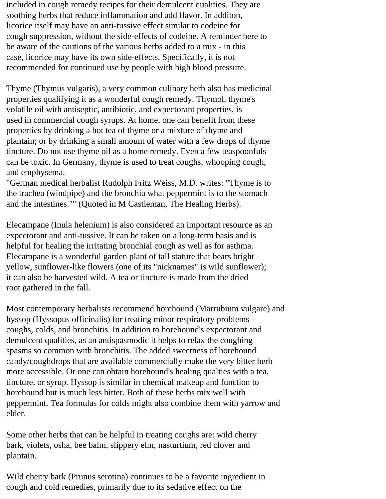included in cough remedy recipes for their demulcent qualities. They are soothing herbs that reduce inflammation and add flavor. In additon, licorice itself may have an anti-tussive effect similar to codeine for cough suppression, without the side-effects of codeine. A reminder here to be aware of the cautions of the various herbs added to a mix - in this case, licorice may have its own side-effects. Specifically, it is not recommended for continued use by people with high blood pressure.

Thyme (Thymus vulgaris), a very common culinary herb also has medicinal properties qualifying it as a wonderful cough remedy. Thymol, thyme's volatile oil with antiseptic, antibiotic, and expectorant properties, is used in commercial cough syrups. At home, one can benefit from these properties by drinking a hot tea of thyme or a mixture of thyme and plantain; or by drinking a small amount of water with a few drops of thyme tincture. Do not use thyme oil as a home remedy. Even a few teaspoonfuls can be toxic. In Germany, thyme is used to treat coughs, whooping cough, and emphysema.

"German medical herbalist Rudolph Fritz Weiss, M.D. writes: "Thyme is to the trachea (windpipe) and the bronchia what peppermint is to the stomach and the intestines."" (Quoted in M Castleman, The Healing Herbs).

Elecampane (Inula helenium) is also considered an important resource as an expectorant and anti-tussive. It can be taken on a long-term basis and is helpful for healing the irritating bronchial cough as well as for asthma. Elecampane is a wonderful garden plant of tall stature that bears bright yellow, sunflower-like flowers (one of its "nicknames" is wild sunflower); it can also be harvested wild. A tea or tincture is made from the dried root gathered in the fall.

Most contemporary herbalists recommend horehound (Marrubium vulgare) and hyssop (Hyssopus officinalis) for treating minor respiratory problems coughs, colds, and bronchitis. In addition to horehound's expectorant and demulcent qualities, as an antispasmodic it helps to relax the coughing spasms so common with bronchitis. The added sweetness of horehound candy/coughdrops that are available commercially make the very bitter herb more accessible. Or one can obtain horehound's healing qualties with a tea, tincture, or syrup. Hyssop is similar in chemical makeup and function to horehound but is much less bitter. Both of these herbs mix well with peppermint. Tea formulas for colds might also combine them with yarrow and elder.

Some other herbs that can be helpful in treating coughs are: wild cherry bark, violets, osha, bee balm, slippery elm, nasturtium, red clover and plantain.

Wild cherry bark (Prunus serotina) continues to be a favorite ingredient in cough and cold remedies, primarily due to its sedative effect on the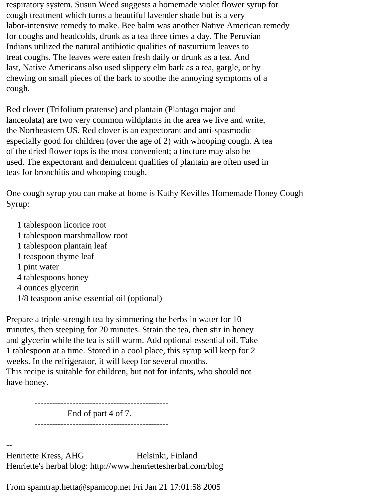respiratory system. Susun Weed suggests a homemade violet flower syrup for cough treatment which turns a beautiful lavender shade but is a very labor-intensive remedy to make. Bee balm was another Native American remedy for coughs and headcolds, drunk as a tea three times a day. The Peruvian Indians utilized the natural antibiotic qualities of nasturtium leaves to treat coughs. The leaves were eaten fresh daily or drunk as a tea. And last, Native Americans also used slippery elm bark as a tea, gargle, or by chewing on small pieces of the bark to soothe the annoying symptoms of a cough.

Red clover (Trifolium pratense) and plantain (Plantago major and lanceolata) are two very common wildplants in the area we live and write, the Northeastern US. Red clover is an expectorant and anti-spasmodic especially good for children (over the age of 2) with whooping cough. A tea of the dried flower tops is the most convenient; a tincture may also be used. The expectorant and demulcent qualities of plantain are often used in teas for bronchitis and whooping cough.

One cough syrup you can make at home is Kathy Kevilles Homemade Honey Cough Syrup:

 1 tablespoon licorice root 1 tablespoon marshmallow root 1 tablespoon plantain leaf 1 teaspoon thyme leaf 1 pint water 4 tablespoons honey 4 ounces glycerin 1/8 teaspoon anise essential oil (optional)

Prepare a triple-strength tea by simmering the herbs in water for 10 minutes, then steeping for 20 minutes. Strain the tea, then stir in honey and glycerin while the tea is still warm. Add optional essential oil. Take 1 tablespoon at a time. Stored in a cool place, this syrup will keep for 2 weeks. In the refrigerator, it will keep for several months. This recipe is suitable for children, but not for infants, who should not have honey.

> ---------------------------------------------- End of part 4 of 7. ----------------------------------------------

-- Henriette Kress, AHG Helsinki, Finland Henriette's herbal blog: http://www.henriettesherbal.com/blog

From spamtrap.hetta@spamcop.net Fri Jan 21 17:01:58 2005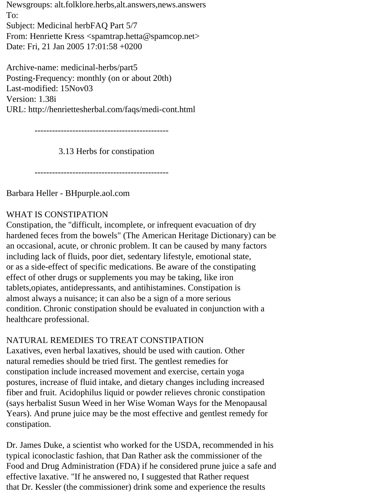Newsgroups: alt.folklore.herbs,alt.answers,news.answers To: Subject: Medicinal herbFAQ Part 5/7 From: Henriette Kress <spamtrap.hetta@spamcop.net> Date: Fri, 21 Jan 2005 17:01:58 +0200

Archive-name: medicinal-herbs/part5 Posting-Frequency: monthly (on or about 20th) Last-modified: 15Nov03 Version: 1.38i URL: http://henriettesherbal.com/faqs/medi-cont.html

----------------------------------------------

3.13 Herbs for constipation

----------------------------------------------

Barbara Heller - BHpurple.aol.com

#### WHAT IS CONSTIPATION

Constipation, the "difficult, incomplete, or infrequent evacuation of dry hardened feces from the bowels" (The American Heritage Dictionary) can be an occasional, acute, or chronic problem. It can be caused by many factors including lack of fluids, poor diet, sedentary lifestyle, emotional state, or as a side-effect of specific medications. Be aware of the constipating effect of other drugs or supplements you may be taking, like iron tablets,opiates, antidepressants, and antihistamines. Constipation is almost always a nuisance; it can also be a sign of a more serious condition. Chronic constipation should be evaluated in conjunction with a healthcare professional.

### NATURAL REMEDIES TO TREAT CONSTIPATION

Laxatives, even herbal laxatives, should be used with caution. Other natural remedies should be tried first. The gentlest remedies for constipation include increased movement and exercise, certain yoga postures, increase of fluid intake, and dietary changes including increased fiber and fruit. Acidophilus liquid or powder relieves chronic constipation (says herbalist Susun Weed in her Wise Woman Ways for the Menopausal Years). And prune juice may be the most effective and gentlest remedy for constipation.

Dr. James Duke, a scientist who worked for the USDA, recommended in his typical iconoclastic fashion, that Dan Rather ask the commissioner of the Food and Drug Administration (FDA) if he considered prune juice a safe and effective laxative. "If he answered no, I suggested that Rather request that Dr. Kessler (the commissioner) drink some and experience the results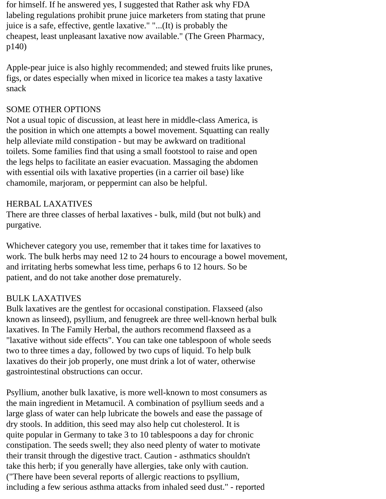for himself. If he answered yes, I suggested that Rather ask why FDA labeling regulations prohibit prune juice marketers from stating that prune juice is a safe, effective, gentle laxative." "...(It) is probably the cheapest, least unpleasant laxative now available." (The Green Pharmacy, p140)

Apple-pear juice is also highly recommended; and stewed fruits like prunes, figs, or dates especially when mixed in licorice tea makes a tasty laxative snack

#### SOME OTHER OPTIONS

Not a usual topic of discussion, at least here in middle-class America, is the position in which one attempts a bowel movement. Squatting can really help alleviate mild constipation - but may be awkward on traditional toilets. Some families find that using a small footstool to raise and open the legs helps to facilitate an easier evacuation. Massaging the abdomen with essential oils with laxative properties (in a carrier oil base) like chamomile, marjoram, or peppermint can also be helpful.

### HERBAL LAXATIVES

There are three classes of herbal laxatives - bulk, mild (but not bulk) and purgative.

Whichever category you use, remember that it takes time for laxatives to work. The bulk herbs may need 12 to 24 hours to encourage a bowel movement, and irritating herbs somewhat less time, perhaps 6 to 12 hours. So be patient, and do not take another dose prematurely.

## BULK LAXATIVES

Bulk laxatives are the gentlest for occasional constipation. Flaxseed (also known as linseed), psyllium, and fenugreek are three well-known herbal bulk laxatives. In The Family Herbal, the authors recommend flaxseed as a "laxative without side effects". You can take one tablespoon of whole seeds two to three times a day, followed by two cups of liquid. To help bulk laxatives do their job properly, one must drink a lot of water, otherwise gastrointestinal obstructions can occur.

Psyllium, another bulk laxative, is more well-known to most consumers as the main ingredient in Metamucil. A combination of psyllium seeds and a large glass of water can help lubricate the bowels and ease the passage of dry stools. In addition, this seed may also help cut cholesterol. It is quite popular in Germany to take 3 to 10 tablespoons a day for chronic constipation. The seeds swell; they also need plenty of water to motivate their transit through the digestive tract. Caution - asthmatics shouldn't take this herb; if you generally have allergies, take only with caution. ("There have been several reports of allergic reactions to psyllium, including a few serious asthma attacks from inhaled seed dust." - reported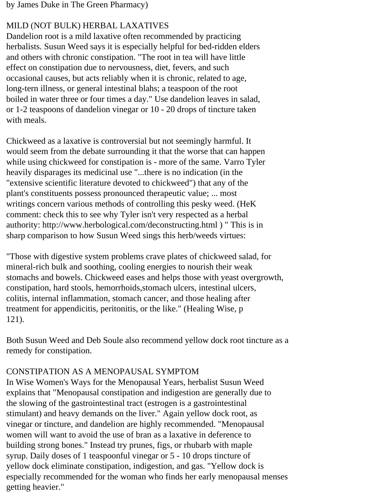by James Duke in The Green Pharmacy)

### MILD (NOT BULK) HERBAL LAXATIVES

Dandelion root is a mild laxative often recommended by practicing herbalists. Susun Weed says it is especially helpful for bed-ridden elders and others with chronic constipation. "The root in tea will have little effect on constipation due to nervousness, diet, fevers, and such occasional causes, but acts reliably when it is chronic, related to age, long-tern illness, or general intestinal blahs; a teaspoon of the root boiled in water three or four times a day." Use dandelion leaves in salad, or 1-2 teaspoons of dandelion vinegar or 10 - 20 drops of tincture taken with meals.

Chickweed as a laxative is controversial but not seemingly harmful. It would seem from the debate surrounding it that the worse that can happen while using chickweed for constipation is - more of the same. Varro Tyler heavily disparages its medicinal use "...there is no indication (in the "extensive scientific literature devoted to chickweed") that any of the plant's constituents possess pronounced therapeutic value; ... most writings concern various methods of controlling this pesky weed. (HeK comment: check this to see why Tyler isn't very respected as a herbal authority: http://www.herbological.com/deconstructing.html ) " This is in sharp comparison to how Susun Weed sings this herb/weeds virtues:

"Those with digestive system problems crave plates of chickweed salad, for mineral-rich bulk and soothing, cooling energies to nourish their weak stomachs and bowels. Chickweed eases and helps those with yeast overgrowth, constipation, hard stools, hemorrhoids,stomach ulcers, intestinal ulcers, colitis, internal inflammation, stomach cancer, and those healing after treatment for appendicitis, peritonitis, or the like." (Healing Wise, p 121).

Both Susun Weed and Deb Soule also recommend yellow dock root tincture as a remedy for constipation.

### CONSTIPATION AS A MENOPAUSAL SYMPTOM

In Wise Women's Ways for the Menopausal Years, herbalist Susun Weed explains that "Menopausal constipation and indigestion are generally due to the slowing of the gastrointestinal tract (estrogen is a gastrointestinal stimulant) and heavy demands on the liver." Again yellow dock root, as vinegar or tincture, and dandelion are highly recommended. "Menopausal women will want to avoid the use of bran as a laxative in deference to building strong bones." Instead try prunes, figs, or rhubarb with maple syrup. Daily doses of 1 teaspoonful vinegar or 5 - 10 drops tincture of yellow dock eliminate constipation, indigestion, and gas. "Yellow dock is especially recommended for the woman who finds her early menopausal menses getting heavier."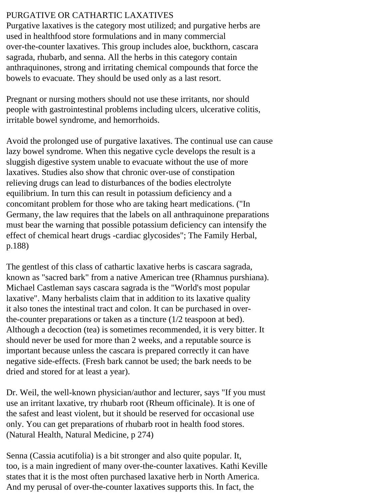### PURGATIVE OR CATHARTIC LAXATIVES

Purgative laxatives is the category most utilized; and purgative herbs are used in healthfood store formulations and in many commercial over-the-counter laxatives. This group includes aloe, buckthorn, cascara sagrada, rhubarb, and senna. All the herbs in this category contain anthraquinones, strong and irritating chemical compounds that force the bowels to evacuate. They should be used only as a last resort.

Pregnant or nursing mothers should not use these irritants, nor should people with gastrointestinal problems including ulcers, ulcerative colitis, irritable bowel syndrome, and hemorrhoids.

Avoid the prolonged use of purgative laxatives. The continual use can cause lazy bowel syndrome. When this negative cycle develops the result is a sluggish digestive system unable to evacuate without the use of more laxatives. Studies also show that chronic over-use of constipation relieving drugs can lead to disturbances of the bodies electrolyte equilibrium. In turn this can result in potassium deficiency and a concomitant problem for those who are taking heart medications. ("In Germany, the law requires that the labels on all anthraquinone preparations must bear the warning that possible potassium deficiency can intensify the effect of chemical heart drugs -cardiac glycosides"; The Family Herbal, p.188)

The gentlest of this class of cathartic laxative herbs is cascara sagrada, known as "sacred bark" from a native American tree (Rhamnus purshiana). Michael Castleman says cascara sagrada is the "World's most popular laxative". Many herbalists claim that in addition to its laxative quality it also tones the intestinal tract and colon. It can be purchased in overthe-counter preparations or taken as a tincture (1/2 teaspoon at bed). Although a decoction (tea) is sometimes recommended, it is very bitter. It should never be used for more than 2 weeks, and a reputable source is important because unless the cascara is prepared correctly it can have negative side-effects. (Fresh bark cannot be used; the bark needs to be dried and stored for at least a year).

Dr. Weil, the well-known physician/author and lecturer, says "If you must use an irritant laxative, try rhubarb root (Rheum officinale). It is one of the safest and least violent, but it should be reserved for occasional use only. You can get preparations of rhubarb root in health food stores. (Natural Health, Natural Medicine, p 274)

Senna (Cassia acutifolia) is a bit stronger and also quite popular. It, too, is a main ingredient of many over-the-counter laxatives. Kathi Keville states that it is the most often purchased laxative herb in North America. And my perusal of over-the-counter laxatives supports this. In fact, the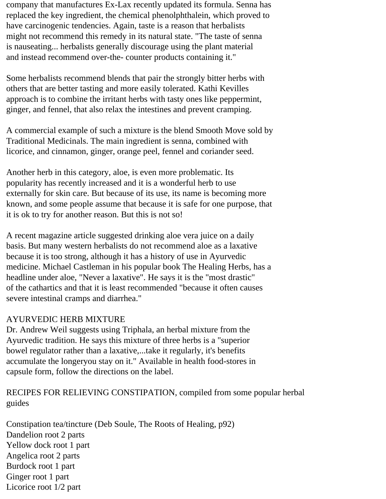company that manufactures Ex-Lax recently updated its formula. Senna has replaced the key ingredient, the chemical phenolphthalein, which proved to have carcinogenic tendencies. Again, taste is a reason that herbalists might not recommend this remedy in its natural state. "The taste of senna is nauseating... herbalists generally discourage using the plant material and instead recommend over-the- counter products containing it."

Some herbalists recommend blends that pair the strongly bitter herbs with others that are better tasting and more easily tolerated. Kathi Kevilles approach is to combine the irritant herbs with tasty ones like peppermint, ginger, and fennel, that also relax the intestines and prevent cramping.

A commercial example of such a mixture is the blend Smooth Move sold by Traditional Medicinals. The main ingredient is senna, combined with licorice, and cinnamon, ginger, orange peel, fennel and coriander seed.

Another herb in this category, aloe, is even more problematic. Its popularity has recently increased and it is a wonderful herb to use externally for skin care. But because of its use, its name is becoming more known, and some people assume that because it is safe for one purpose, that it is ok to try for another reason. But this is not so!

A recent magazine article suggested drinking aloe vera juice on a daily basis. But many western herbalists do not recommend aloe as a laxative because it is too strong, although it has a history of use in Ayurvedic medicine. Michael Castleman in his popular book The Healing Herbs, has a headline under aloe, "Never a laxative". He says it is the "most drastic" of the cathartics and that it is least recommended "because it often causes severe intestinal cramps and diarrhea."

#### AYURVEDIC HERB MIXTURE

Dr. Andrew Weil suggests using Triphala, an herbal mixture from the Ayurvedic tradition. He says this mixture of three herbs is a "superior bowel regulator rather than a laxative,...take it regularly, it's benefits accumulate the longeryou stay on it." Available in health food-stores in capsule form, follow the directions on the label.

RECIPES FOR RELIEVING CONSTIPATION, compiled from some popular herbal guides

Constipation tea/tincture (Deb Soule, The Roots of Healing, p92) Dandelion root 2 parts Yellow dock root 1 part Angelica root 2 parts Burdock root 1 part Ginger root 1 part Licorice root 1/2 part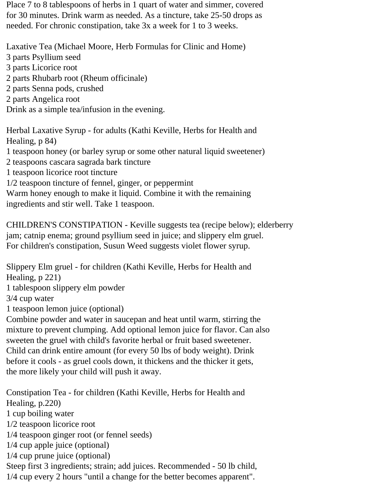Place 7 to 8 tablespoons of herbs in 1 quart of water and simmer, covered for 30 minutes. Drink warm as needed. As a tincture, take 25-50 drops as needed. For chronic constipation, take 3x a week for 1 to 3 weeks.

Laxative Tea (Michael Moore, Herb Formulas for Clinic and Home)

- 3 parts Psyllium seed
- 3 parts Licorice root
- 2 parts Rhubarb root (Rheum officinale)
- 2 parts Senna pods, crushed
- 2 parts Angelica root

Drink as a simple tea/infusion in the evening.

Herbal Laxative Syrup - for adults (Kathi Keville, Herbs for Health and Healing, p 84)

- 1 teaspoon honey (or barley syrup or some other natural liquid sweetener)
- 2 teaspoons cascara sagrada bark tincture
- 1 teaspoon licorice root tincture
- 1/2 teaspoon tincture of fennel, ginger, or peppermint

Warm honey enough to make it liquid. Combine it with the remaining ingredients and stir well. Take 1 teaspoon.

CHILDREN'S CONSTIPATION - Keville suggests tea (recipe below); elderberry jam; catnip enema; ground psyllium seed in juice; and slippery elm gruel. For children's constipation, Susun Weed suggests violet flower syrup.

Slippery Elm gruel - for children (Kathi Keville, Herbs for Health and Healing, p 221) 1 tablespoon slippery elm powder 3/4 cup water 1 teaspoon lemon juice (optional) Combine powder and water in saucepan and heat until warm, stirring the mixture to prevent clumping. Add optional lemon juice for flavor. Can also sweeten the gruel with child's favorite herbal or fruit based sweetener.

Child can drink entire amount (for every 50 lbs of body weight). Drink before it cools - as gruel cools down, it thickens and the thicker it gets, the more likely your child will push it away.

Constipation Tea - for children (Kathi Keville, Herbs for Health and Healing, p.220) 1 cup boiling water 1/2 teaspoon licorice root 1/4 teaspoon ginger root (or fennel seeds) 1/4 cup apple juice (optional) 1/4 cup prune juice (optional) Steep first 3 ingredients; strain; add juices. Recommended - 50 lb child, 1/4 cup every 2 hours "until a change for the better becomes apparent".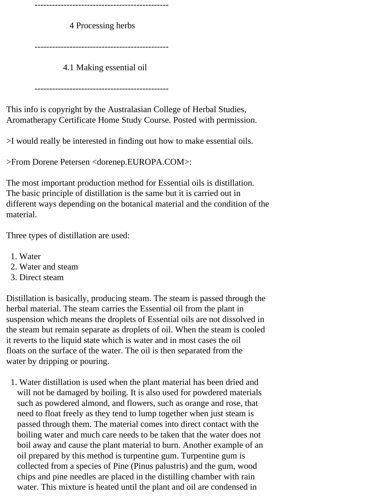----------------------------------------------

4 Processing herbs

----------------------------------------------

4.1 Making essential oil

----------------------------------------------

This info is copyright by the Australasian College of Herbal Studies, Aromatherapy Certificate Home Study Course. Posted with permission.

>I would really be interested in finding out how to make essential oils.

>From Dorene Petersen <dorenep.EUROPA.COM>:

The most important production method for Essential oils is distillation. The basic principle of distillation is the same but it is carried out in different ways depending on the botanical material and the condition of the material.

Three types of distillation are used:

- 1. Water
- 2. Water and steam
- 3. Direct steam

Distillation is basically, producing steam. The steam is passed through the herbal material. The steam carries the Essential oil from the plant in suspension which means the droplets of Essential oils are not dissolved in the steam but remain separate as droplets of oil. When the steam is cooled it reverts to the liquid state which is water and in most cases the oil floats on the surface of the water. The oil is then separated from the water by dripping or pouring.

 1. Water distillation is used when the plant material has been dried and will not be damaged by boiling. It is also used for powdered materials such as powdered almond, and flowers, such as orange and rose, that need to float freely as they tend to lump together when just steam is passed through them. The material comes into direct contact with the boiling water and much care needs to be taken that the water does not boil away and cause the plant material to burn. Another example of an oil prepared by this method is turpentine gum. Turpentine gum is collected from a species of Pine (Pinus palustris) and the gum, wood chips and pine needles are placed in the distilling chamber with rain water. This mixture is heated until the plant and oil are condensed in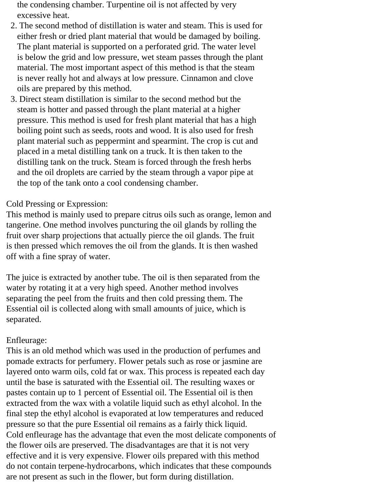the condensing chamber. Turpentine oil is not affected by very excessive heat.

- 2. The second method of distillation is water and steam. This is used for either fresh or dried plant material that would be damaged by boiling. The plant material is supported on a perforated grid. The water level is below the grid and low pressure, wet steam passes through the plant material. The most important aspect of this method is that the steam is never really hot and always at low pressure. Cinnamon and clove oils are prepared by this method.
- 3. Direct steam distillation is similar to the second method but the steam is hotter and passed through the plant material at a higher pressure. This method is used for fresh plant material that has a high boiling point such as seeds, roots and wood. It is also used for fresh plant material such as peppermint and spearmint. The crop is cut and placed in a metal distilling tank on a truck. It is then taken to the distilling tank on the truck. Steam is forced through the fresh herbs and the oil droplets are carried by the steam through a vapor pipe at the top of the tank onto a cool condensing chamber.

#### Cold Pressing or Expression:

This method is mainly used to prepare citrus oils such as orange, lemon and tangerine. One method involves puncturing the oil glands by rolling the fruit over sharp projections that actually pierce the oil glands. The fruit is then pressed which removes the oil from the glands. It is then washed off with a fine spray of water.

The juice is extracted by another tube. The oil is then separated from the water by rotating it at a very high speed. Another method involves separating the peel from the fruits and then cold pressing them. The Essential oil is collected along with small amounts of juice, which is separated.

#### Enfleurage:

This is an old method which was used in the production of perfumes and pomade extracts for perfumery. Flower petals such as rose or jasmine are layered onto warm oils, cold fat or wax. This process is repeated each day until the base is saturated with the Essential oil. The resulting waxes or pastes contain up to 1 percent of Essential oil. The Essential oil is then extracted from the wax with a volatile liquid such as ethyl alcohol. In the final step the ethyl alcohol is evaporated at low temperatures and reduced pressure so that the pure Essential oil remains as a fairly thick liquid. Cold enfleurage has the advantage that even the most delicate components of the flower oils are preserved. The disadvantages are that it is not very effective and it is very expensive. Flower oils prepared with this method do not contain terpene-hydrocarbons, which indicates that these compounds are not present as such in the flower, but form during distillation.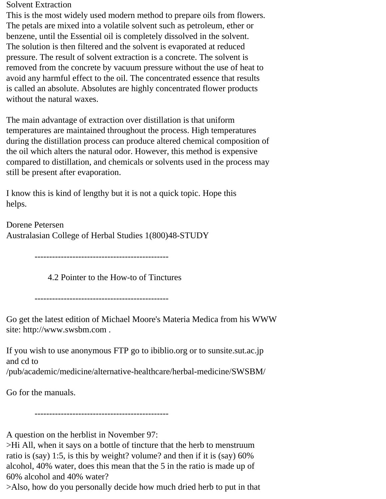Solvent Extraction

This is the most widely used modern method to prepare oils from flowers. The petals are mixed into a volatile solvent such as petroleum, ether or benzene, until the Essential oil is completely dissolved in the solvent. The solution is then filtered and the solvent is evaporated at reduced pressure. The result of solvent extraction is a concrete. The solvent is removed from the concrete by vacuum pressure without the use of heat to avoid any harmful effect to the oil. The concentrated essence that results is called an absolute. Absolutes are highly concentrated flower products without the natural waxes.

The main advantage of extraction over distillation is that uniform temperatures are maintained throughout the process. High temperatures during the distillation process can produce altered chemical composition of the oil which alters the natural odor. However, this method is expensive compared to distillation, and chemicals or solvents used in the process may still be present after evaporation.

I know this is kind of lengthy but it is not a quick topic. Hope this helps.

Dorene Petersen Australasian College of Herbal Studies 1(800)48-STUDY

----------------------------------------------

4.2 Pointer to the How-to of Tinctures

----------------------------------------------

Go get the latest edition of Michael Moore's Materia Medica from his WWW site: http://www.swsbm.com .

If you wish to use anonymous FTP go to ibiblio.org or to sunsite.sut.ac.jp and cd to

/pub/academic/medicine/alternative-healthcare/herbal-medicine/SWSBM/

Go for the manuals.

----------------------------------------------

A question on the herblist in November 97:

>Hi All, when it says on a bottle of tincture that the herb to menstruum ratio is (say) 1:5, is this by weight? volume? and then if it is (say) 60% alcohol, 40% water, does this mean that the 5 in the ratio is made up of 60% alcohol and 40% water?

>Also, how do you personally decide how much dried herb to put in that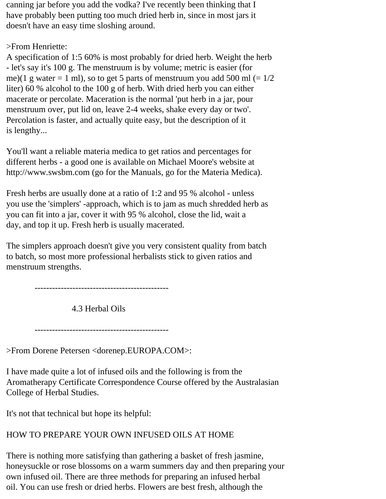canning jar before you add the vodka? I've recently been thinking that I have probably been putting too much dried herb in, since in most jars it doesn't have an easy time sloshing around.

>From Henriette:

A specification of 1:5 60% is most probably for dried herb. Weight the herb - let's say it's 100 g. The menstruum is by volume; metric is easier (for me)(1 g water = 1 ml), so to get 5 parts of menstruum you add 500 ml (=  $1/2$ ) liter) 60 % alcohol to the 100 g of herb. With dried herb you can either macerate or percolate. Maceration is the normal 'put herb in a jar, pour menstruum over, put lid on, leave 2-4 weeks, shake every day or two'. Percolation is faster, and actually quite easy, but the description of it is lengthy...

You'll want a reliable materia medica to get ratios and percentages for different herbs - a good one is available on Michael Moore's website at http://www.swsbm.com (go for the Manuals, go for the Materia Medica).

Fresh herbs are usually done at a ratio of 1:2 and 95 % alcohol - unless you use the 'simplers' -approach, which is to jam as much shredded herb as you can fit into a jar, cover it with 95 % alcohol, close the lid, wait a day, and top it up. Fresh herb is usually macerated.

The simplers approach doesn't give you very consistent quality from batch to batch, so most more professional herbalists stick to given ratios and menstruum strengths.

----------------------------------------------

4.3 Herbal Oils

----------------------------------------------

>From Dorene Petersen <dorenep.EUROPA.COM>:

I have made quite a lot of infused oils and the following is from the Aromatherapy Certificate Correspondence Course offered by the Australasian College of Herbal Studies.

It's not that technical but hope its helpful:

HOW TO PREPARE YOUR OWN INFUSED OILS AT HOME

There is nothing more satisfying than gathering a basket of fresh jasmine, honeysuckle or rose blossoms on a warm summers day and then preparing your own infused oil. There are three methods for preparing an infused herbal oil. You can use fresh or dried herbs. Flowers are best fresh, although the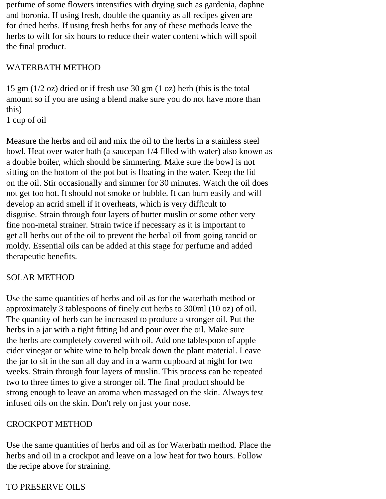perfume of some flowers intensifies with drying such as gardenia, daphne and boronia. If using fresh, double the quantity as all recipes given are for dried herbs. If using fresh herbs for any of these methods leave the herbs to wilt for six hours to reduce their water content which will spoil the final product.

### WATERBATH METHOD

15 gm (1/2 oz) dried or if fresh use 30 gm (1 oz) herb (this is the total amount so if you are using a blend make sure you do not have more than this)

1 cup of oil

Measure the herbs and oil and mix the oil to the herbs in a stainless steel bowl. Heat over water bath (a saucepan 1/4 filled with water) also known as a double boiler, which should be simmering. Make sure the bowl is not sitting on the bottom of the pot but is floating in the water. Keep the lid on the oil. Stir occasionally and simmer for 30 minutes. Watch the oil does not get too hot. It should not smoke or bubble. It can burn easily and will develop an acrid smell if it overheats, which is very difficult to disguise. Strain through four layers of butter muslin or some other very fine non-metal strainer. Strain twice if necessary as it is important to get all herbs out of the oil to prevent the herbal oil from going rancid or moldy. Essential oils can be added at this stage for perfume and added therapeutic benefits.

### SOLAR METHOD

Use the same quantities of herbs and oil as for the waterbath method or approximately 3 tablespoons of finely cut herbs to 300ml (10 oz) of oil. The quantity of herb can be increased to produce a stronger oil. Put the herbs in a jar with a tight fitting lid and pour over the oil. Make sure the herbs are completely covered with oil. Add one tablespoon of apple cider vinegar or white wine to help break down the plant material. Leave the jar to sit in the sun all day and in a warm cupboard at night for two weeks. Strain through four layers of muslin. This process can be repeated two to three times to give a stronger oil. The final product should be strong enough to leave an aroma when massaged on the skin. Always test infused oils on the skin. Don't rely on just your nose.

### CROCKPOT METHOD

Use the same quantities of herbs and oil as for Waterbath method. Place the herbs and oil in a crockpot and leave on a low heat for two hours. Follow the recipe above for straining.

#### TO PRESERVE OILS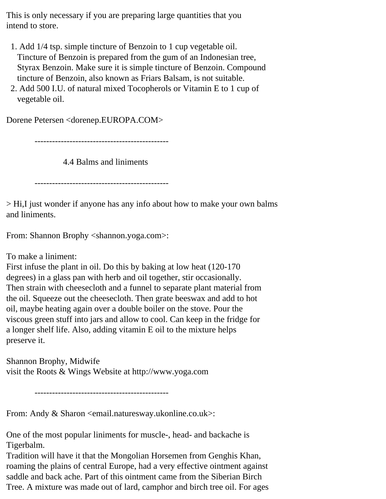This is only necessary if you are preparing large quantities that you intend to store.

- 1. Add 1/4 tsp. simple tincture of Benzoin to 1 cup vegetable oil. Tincture of Benzoin is prepared from the gum of an Indonesian tree, Styrax Benzoin. Make sure it is simple tincture of Benzoin. Compound tincture of Benzoin, also known as Friars Balsam, is not suitable.
- 2. Add 500 I.U. of natural mixed Tocopherols or Vitamin E to 1 cup of vegetable oil.

Dorene Petersen <dorenep.EUROPA.COM>

----------------------------------------------

4.4 Balms and liniments

----------------------------------------------

> Hi,I just wonder if anyone has any info about how to make your own balms and liniments.

From: Shannon Brophy <shannon.yoga.com>:

To make a liniment:

First infuse the plant in oil. Do this by baking at low heat (120-170 degrees) in a glass pan with herb and oil together, stir occasionally. Then strain with cheesecloth and a funnel to separate plant material from the oil. Squeeze out the cheesecloth. Then grate beeswax and add to hot oil, maybe heating again over a double boiler on the stove. Pour the viscous green stuff into jars and allow to cool. Can keep in the fridge for a longer shelf life. Also, adding vitamin E oil to the mixture helps preserve it.

Shannon Brophy, Midwife visit the Roots & Wings Website at http://www.yoga.com

----------------------------------------------

From: Andy & Sharon <email.naturesway.ukonline.co.uk>:

One of the most popular liniments for muscle-, head- and backache is Tigerbalm.

Tradition will have it that the Mongolian Horsemen from Genghis Khan, roaming the plains of central Europe, had a very effective ointment against saddle and back ache. Part of this ointment came from the Siberian Birch Tree. A mixture was made out of lard, camphor and birch tree oil. For ages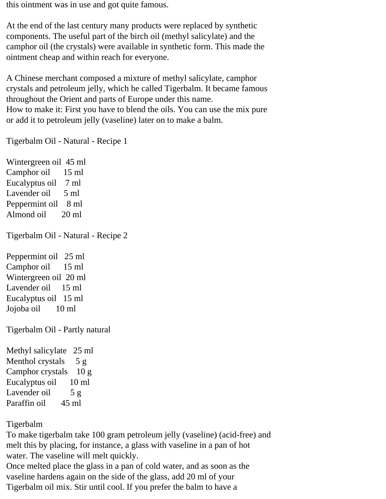this ointment was in use and got quite famous.

At the end of the last century many products were replaced by synthetic components. The useful part of the birch oil (methyl salicylate) and the camphor oil (the crystals) were available in synthetic form. This made the ointment cheap and within reach for everyone.

A Chinese merchant composed a mixture of methyl salicylate, camphor crystals and petroleum jelly, which he called Tigerbalm. It became famous throughout the Orient and parts of Europe under this name. How to make it: First you have to blend the oils. You can use the mix pure or add it to petroleum jelly (vaseline) later on to make a balm.

Tigerbalm Oil - Natural - Recipe 1

Wintergreen oil 45 ml Camphor oil 15 ml Eucalyptus oil 7 ml Lavender oil 5 ml Peppermint oil 8 ml Almond oil 20 ml

Tigerbalm Oil - Natural - Recipe 2

Peppermint oil 25 ml Camphor oil 15 ml Wintergreen oil 20 ml Lavender oil 15 ml Eucalyptus oil 15 ml Jojoba oil 10 ml

Tigerbalm Oil - Partly natural

Methyl salicylate 25 ml Menthol crystals 5 g Camphor crystals 10 g Eucalyptus oil 10 ml Lavender oil 5 g Paraffin oil 45 ml

#### Tigerbalm

To make tigerbalm take 100 gram petroleum jelly (vaseline) (acid-free) and melt this by placing, for instance, a glass with vaseline in a pan of hot water. The vaseline will melt quickly.

Once melted place the glass in a pan of cold water, and as soon as the vaseline hardens again on the side of the glass, add 20 ml of your Tigerbalm oil mix. Stir until cool. If you prefer the balm to have a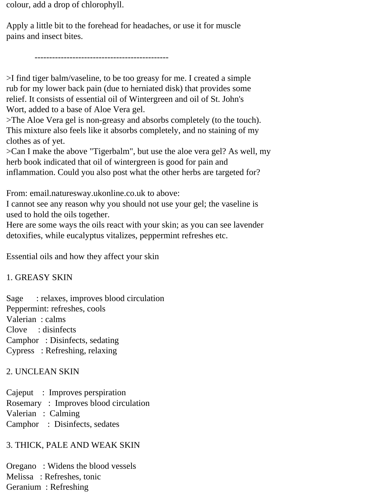colour, add a drop of chlorophyll.

Apply a little bit to the forehead for headaches, or use it for muscle pains and insect bites.

----------------------------------------------

>I find tiger balm/vaseline, to be too greasy for me. I created a simple rub for my lower back pain (due to herniated disk) that provides some relief. It consists of essential oil of Wintergreen and oil of St. John's Wort, added to a base of Aloe Vera gel.

>The Aloe Vera gel is non-greasy and absorbs completely (to the touch). This mixture also feels like it absorbs completely, and no staining of my clothes as of yet.

>Can I make the above "Tigerbalm", but use the aloe vera gel? As well, my herb book indicated that oil of wintergreen is good for pain and inflammation. Could you also post what the other herbs are targeted for?

From: email.naturesway.ukonline.co.uk to above:

I cannot see any reason why you should not use your gel; the vaseline is used to hold the oils together.

Here are some ways the oils react with your skin; as you can see lavender detoxifies, while eucalyptus vitalizes, peppermint refreshes etc.

Essential oils and how they affect your skin

## 1. GREASY SKIN

Sage : relaxes, improves blood circulation Peppermint: refreshes, cools Valerian : calms Clove : disinfects Camphor : Disinfects, sedating Cypress : Refreshing, relaxing

# 2. UNCLEAN SKIN

Cajeput : Improves perspiration Rosemary : Improves blood circulation Valerian : Calming Camphor : Disinfects, sedates

# 3. THICK, PALE AND WEAK SKIN

Oregano : Widens the blood vessels Melissa : Refreshes, tonic Geranium : Refreshing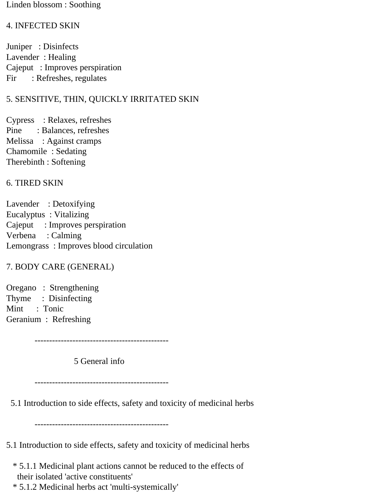Linden blossom : Soothing

#### 4. INFECTED SKIN

Juniper : Disinfects Lavender : Healing Cajeput : Improves perspiration Fir : Refreshes, regulates

### 5. SENSITIVE, THIN, QUICKLY IRRITATED SKIN

Cypress : Relaxes, refreshes Pine : Balances, refreshes Melissa : Against cramps Chamomile : Sedating Therebinth : Softening

6. TIRED SKIN

Lavender : Detoxifying Eucalyptus : Vitalizing Cajeput : Improves perspiration Verbena : Calming Lemongrass : Improves blood circulation

#### 7. BODY CARE (GENERAL)

Oregano : Strengthening Thyme : Disinfecting Mint : Tonic Geranium : Refreshing

----------------------------------------------

5 General info

----------------------------------------------

5.1 Introduction to side effects, safety and toxicity of medicinal herbs

----------------------------------------------

5.1 Introduction to side effects, safety and toxicity of medicinal herbs

 \* 5.1.1 Medicinal plant actions cannot be reduced to the effects of their isolated 'active constituents'

\* 5.1.2 Medicinal herbs act 'multi-systemically'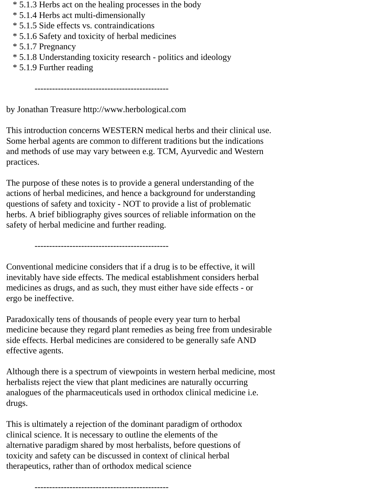- \* 5.1.3 Herbs act on the healing processes in the body
- \* 5.1.4 Herbs act multi-dimensionally
- \* 5.1.5 Side effects vs. contraindications
- \* 5.1.6 Safety and toxicity of herbal medicines
- \* 5.1.7 Pregnancy
- \* 5.1.8 Understanding toxicity research politics and ideology
- \* 5.1.9 Further reading

----------------------------------------------

by Jonathan Treasure http://www.herbological.com

This introduction concerns WESTERN medical herbs and their clinical use. Some herbal agents are common to different traditions but the indications and methods of use may vary between e.g. TCM, Ayurvedic and Western practices.

The purpose of these notes is to provide a general understanding of the actions of herbal medicines, and hence a background for understanding questions of safety and toxicity - NOT to provide a list of problematic herbs. A brief bibliography gives sources of reliable information on the safety of herbal medicine and further reading.

----------------------------------------------

Conventional medicine considers that if a drug is to be effective, it will inevitably have side effects. The medical establishment considers herbal medicines as drugs, and as such, they must either have side effects - or ergo be ineffective.

Paradoxically tens of thousands of people every year turn to herbal medicine because they regard plant remedies as being free from undesirable side effects. Herbal medicines are considered to be generally safe AND effective agents.

Although there is a spectrum of viewpoints in western herbal medicine, most herbalists reject the view that plant medicines are naturally occurring analogues of the pharmaceuticals used in orthodox clinical medicine i.e. drugs.

This is ultimately a rejection of the dominant paradigm of orthodox clinical science. It is necessary to outline the elements of the alternative paradigm shared by most herbalists, before questions of toxicity and safety can be discussed in context of clinical herbal therapeutics, rather than of orthodox medical science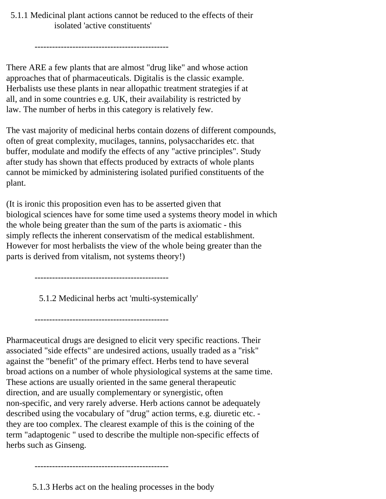5.1.1 Medicinal plant actions cannot be reduced to the effects of their isolated 'active constituents'

----------------------------------------------

There ARE a few plants that are almost "drug like" and whose action approaches that of pharmaceuticals. Digitalis is the classic example. Herbalists use these plants in near allopathic treatment strategies if at all, and in some countries e.g. UK, their availability is restricted by law. The number of herbs in this category is relatively few.

The vast majority of medicinal herbs contain dozens of different compounds, often of great complexity, mucilages, tannins, polysaccharides etc. that buffer, modulate and modify the effects of any "active principles". Study after study has shown that effects produced by extracts of whole plants cannot be mimicked by administering isolated purified constituents of the plant.

(It is ironic this proposition even has to be asserted given that biological sciences have for some time used a systems theory model in which the whole being greater than the sum of the parts is axiomatic - this simply reflects the inherent conservatism of the medical establishment. However for most herbalists the view of the whole being greater than the parts is derived from vitalism, not systems theory!)

----------------------------------------------

5.1.2 Medicinal herbs act 'multi-systemically'

----------------------------------------------

Pharmaceutical drugs are designed to elicit very specific reactions. Their associated "side effects" are undesired actions, usually traded as a "risk" against the "benefit" of the primary effect. Herbs tend to have several broad actions on a number of whole physiological systems at the same time. These actions are usually oriented in the same general therapeutic direction, and are usually complementary or synergistic, often non-specific, and very rarely adverse. Herb actions cannot be adequately described using the vocabulary of "drug" action terms, e.g. diuretic etc. they are too complex. The clearest example of this is the coining of the term "adaptogenic " used to describe the multiple non-specific effects of herbs such as Ginseng.

5.1.3 Herbs act on the healing processes in the body

----------------------------------------------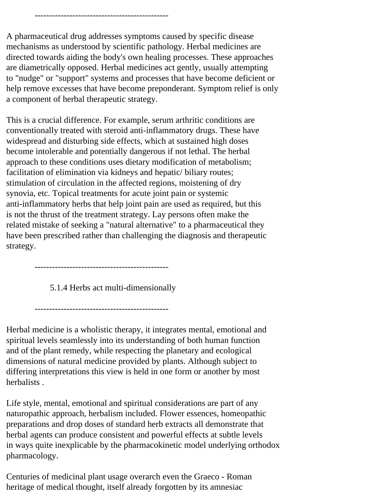A pharmaceutical drug addresses symptoms caused by specific disease mechanisms as understood by scientific pathology. Herbal medicines are directed towards aiding the body's own healing processes. These approaches are diametrically opposed. Herbal medicines act gently, usually attempting to "nudge" or "support" systems and processes that have become deficient or help remove excesses that have become preponderant. Symptom relief is only a component of herbal therapeutic strategy.

----------------------------------------------

This is a crucial difference. For example, serum arthritic conditions are conventionally treated with steroid anti-inflammatory drugs. These have widespread and disturbing side effects, which at sustained high doses become intolerable and potentially dangerous if not lethal. The herbal approach to these conditions uses dietary modification of metabolism; facilitation of elimination via kidneys and hepatic/ biliary routes; stimulation of circulation in the affected regions, moistening of dry synovia, etc. Topical treatments for acute joint pain or systemic anti-inflammatory herbs that help joint pain are used as required, but this is not the thrust of the treatment strategy. Lay persons often make the related mistake of seeking a "natural alternative" to a pharmaceutical they have been prescribed rather than challenging the diagnosis and therapeutic strategy.

----------------------------------------------

5.1.4 Herbs act multi-dimensionally

----------------------------------------------

Herbal medicine is a wholistic therapy, it integrates mental, emotional and spiritual levels seamlessly into its understanding of both human function and of the plant remedy, while respecting the planetary and ecological dimensions of natural medicine provided by plants. Although subject to differing interpretations this view is held in one form or another by most herbalists .

Life style, mental, emotional and spiritual considerations are part of any naturopathic approach, herbalism included. Flower essences, homeopathic preparations and drop doses of standard herb extracts all demonstrate that herbal agents can produce consistent and powerful effects at subtle levels in ways quite inexplicable by the pharmacokinetic model underlying orthodox pharmacology.

Centuries of medicinal plant usage overarch even the Graeco - Roman heritage of medical thought, itself already forgotten by its amnesiac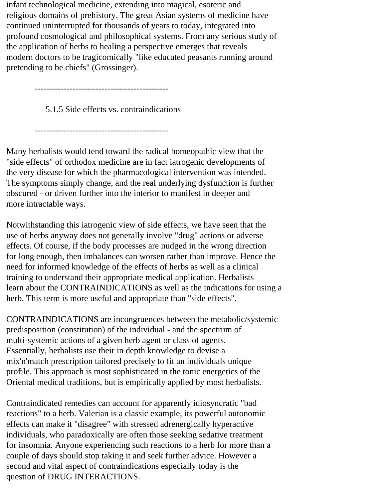infant technological medicine, extending into magical, esoteric and religious domains of prehistory. The great Asian systems of medicine have continued uninterrupted for thousands of years to today, integrated into profound cosmological and philosophical systems. From any serious study of the application of herbs to healing a perspective emerges that reveals modern doctors to be tragicomically "like educated peasants running around pretending to be chiefs" (Grossinger).

----------------------------------------------

5.1.5 Side effects vs. contraindications

----------------------------------------------

Many herbalists would tend toward the radical homeopathic view that the "side effects" of orthodox medicine are in fact iatrogenic developments of the very disease for which the pharmacological intervention was intended. The symptoms simply change, and the real underlying dysfunction is further obscured - or driven further into the interior to manifest in deeper and more intractable ways.

Notwithstanding this iatrogenic view of side effects, we have seen that the use of herbs anyway does not generally involve "drug" actions or adverse effects. Of course, if the body processes are nudged in the wrong direction for long enough, then imbalances can worsen rather than improve. Hence the need for informed knowledge of the effects of herbs as well as a clinical training to understand their appropriate medical application. Herbalists learn about the CONTRAINDICATIONS as well as the indications for using a herb. This term is more useful and appropriate than "side effects".

CONTRAINDICATIONS are incongruences between the metabolic/systemic predisposition (constitution) of the individual - and the spectrum of multi-systemic actions of a given herb agent or class of agents. Essentially, herbalists use their in depth knowledge to devise a mix'n'match prescription tailored precisely to fit an individuals unique profile. This approach is most sophisticated in the tonic energetics of the Oriental medical traditions, but is empirically applied by most herbalists.

Contraindicated remedies can account for apparently idiosyncratic "bad reactions" to a herb. Valerian is a classic example, its powerful autonomic effects can make it "disagree" with stressed adrenergically hyperactive individuals, who paradoxically are often those seeking sedative treatment for insomnia. Anyone experiencing such reactions to a herb for more than a couple of days should stop taking it and seek further advice. However a second and vital aspect of contraindications especially today is the question of DRUG INTERACTIONS.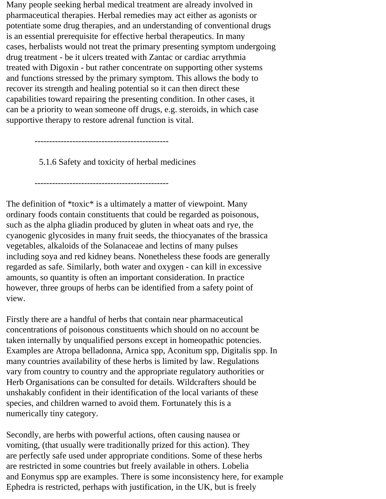Many people seeking herbal medical treatment are already involved in pharmaceutical therapies. Herbal remedies may act either as agonists or potentiate some drug therapies, and an understanding of conventional drugs is an essential prerequisite for effective herbal therapeutics. In many cases, herbalists would not treat the primary presenting symptom undergoing drug treatment - be it ulcers treated with Zantac or cardiac arrythmia treated with Digoxin - but rather concentrate on supporting other systems and functions stressed by the primary symptom. This allows the body to recover its strength and healing potential so it can then direct these capabilities toward repairing the presenting condition. In other cases, it can be a priority to wean someone off drugs, e.g. steroids, in which case supportive therapy to restore adrenal function is vital.

5.1.6 Safety and toxicity of herbal medicines

----------------------------------------------

----------------------------------------------

The definition of \*toxic\* is a ultimately a matter of viewpoint. Many ordinary foods contain constituents that could be regarded as poisonous, such as the alpha gliadin produced by gluten in wheat oats and rye, the cyanogenic glycosides in many fruit seeds, the thiocyanates of the brassica vegetables, alkaloids of the Solanaceae and lectins of many pulses including soya and red kidney beans. Nonetheless these foods are generally regarded as safe. Similarly, both water and oxygen - can kill in excessive amounts, so quantity is often an important consideration. In practice however, three groups of herbs can be identified from a safety point of view.

Firstly there are a handful of herbs that contain near pharmaceutical concentrations of poisonous constituents which should on no account be taken internally by unqualified persons except in homeopathic potencies. Examples are Atropa belladonna, Arnica spp, Aconitum spp, Digitalis spp. In many countries availability of these herbs is limited by law. Regulations vary from country to country and the appropriate regulatory authorities or Herb Organisations can be consulted for details. Wildcrafters should be unshakably confident in their identification of the local variants of these species, and children warned to avoid them. Fortunately this is a numerically tiny category.

Secondly, are herbs with powerful actions, often causing nausea or vomiting, (that usually were traditionally prized for this action). They are perfectly safe used under appropriate conditions. Some of these herbs are restricted in some countries but freely available in others. Lobelia and Eonymus spp are examples. There is some inconsistency here, for example Ephedra is restricted, perhaps with justification, in the UK, but is freely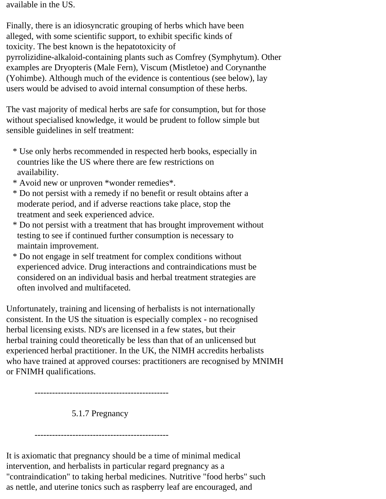available in the US.

Finally, there is an idiosyncratic grouping of herbs which have been alleged, with some scientific support, to exhibit specific kinds of toxicity. The best known is the hepatotoxicity of pyrrolizidine-alkaloid-containing plants such as Comfrey (Symphytum). Other examples are Dryopteris (Male Fern), Viscum (Mistletoe) and Corynanthe (Yohimbe). Although much of the evidence is contentious (see below), lay users would be advised to avoid internal consumption of these herbs.

The vast majority of medical herbs are safe for consumption, but for those without specialised knowledge, it would be prudent to follow simple but sensible guidelines in self treatment:

- \* Use only herbs recommended in respected herb books, especially in countries like the US where there are few restrictions on availability.
- \* Avoid new or unproven \*wonder remedies\*.
- \* Do not persist with a remedy if no benefit or result obtains after a moderate period, and if adverse reactions take place, stop the treatment and seek experienced advice.
- \* Do not persist with a treatment that has brought improvement without testing to see if continued further consumption is necessary to maintain improvement.
- \* Do not engage in self treatment for complex conditions without experienced advice. Drug interactions and contraindications must be considered on an individual basis and herbal treatment strategies are often involved and multifaceted.

Unfortunately, training and licensing of herbalists is not internationally consistent. In the US the situation is especially complex - no recognised herbal licensing exists. ND's are licensed in a few states, but their herbal training could theoretically be less than that of an unlicensed but experienced herbal practitioner. In the UK, the NIMH accredits herbalists who have trained at approved courses: practitioners are recognised by MNIMH or FNIMH qualifications.

----------------------------------------------

5.1.7 Pregnancy

----------------------------------------------

It is axiomatic that pregnancy should be a time of minimal medical intervention, and herbalists in particular regard pregnancy as a "contraindication" to taking herbal medicines. Nutritive "food herbs" such as nettle, and uterine tonics such as raspberry leaf are encouraged, and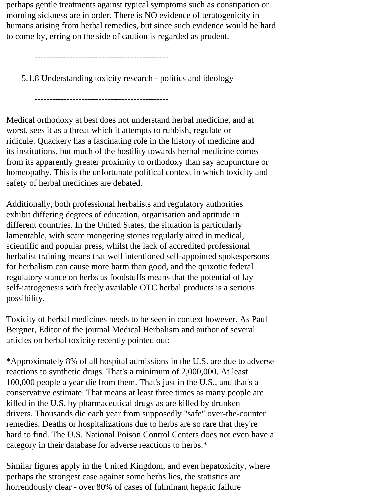perhaps gentle treatments against typical symptoms such as constipation or morning sickness are in order. There is NO evidence of teratogenicity in humans arising from herbal remedies, but since such evidence would be hard to come by, erring on the side of caution is regarded as prudent.

----------------------------------------------

5.1.8 Understanding toxicity research - politics and ideology

----------------------------------------------

Medical orthodoxy at best does not understand herbal medicine, and at worst, sees it as a threat which it attempts to rubbish, regulate or ridicule. Quackery has a fascinating role in the history of medicine and its institutions, but much of the hostility towards herbal medicine comes from its apparently greater proximity to orthodoxy than say acupuncture or homeopathy. This is the unfortunate political context in which toxicity and safety of herbal medicines are debated.

Additionally, both professional herbalists and regulatory authorities exhibit differing degrees of education, organisation and aptitude in different countries. In the United States, the situation is particularly lamentable, with scare mongering stories regularly aired in medical, scientific and popular press, whilst the lack of accredited professional herbalist training means that well intentioned self-appointed spokespersons for herbalism can cause more harm than good, and the quixotic federal regulatory stance on herbs as foodstuffs means that the potential of lay self-iatrogenesis with freely available OTC herbal products is a serious possibility.

Toxicity of herbal medicines needs to be seen in context however. As Paul Bergner, Editor of the journal Medical Herbalism and author of several articles on herbal toxicity recently pointed out:

\*Approximately 8% of all hospital admissions in the U.S. are due to adverse reactions to synthetic drugs. That's a minimum of 2,000,000. At least 100,000 people a year die from them. That's just in the U.S., and that's a conservative estimate. That means at least three times as many people are killed in the U.S. by pharmaceutical drugs as are killed by drunken drivers. Thousands die each year from supposedly "safe" over-the-counter remedies. Deaths or hospitalizations due to herbs are so rare that they're hard to find. The U.S. National Poison Control Centers does not even have a category in their database for adverse reactions to herbs.\*

Similar figures apply in the United Kingdom, and even hepatoxicity, where perhaps the strongest case against some herbs lies, the statistics are horrendously clear - over 80% of cases of fulminant hepatic failure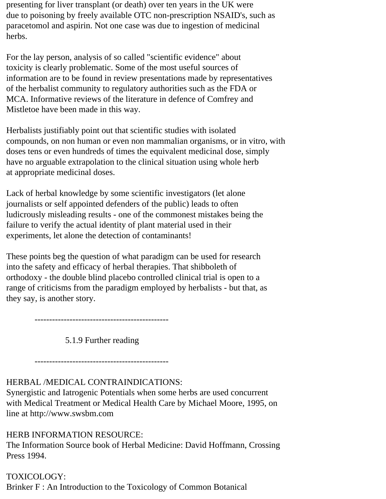presenting for liver transplant (or death) over ten years in the UK were due to poisoning by freely available OTC non-prescription NSAID's, such as paracetomol and aspirin. Not one case was due to ingestion of medicinal herbs.

For the lay person, analysis of so called "scientific evidence" about toxicity is clearly problematic. Some of the most useful sources of information are to be found in review presentations made by representatives of the herbalist community to regulatory authorities such as the FDA or MCA. Informative reviews of the literature in defence of Comfrey and Mistletoe have been made in this way.

Herbalists justifiably point out that scientific studies with isolated compounds, on non human or even non mammalian organisms, or in vitro, with doses tens or even hundreds of times the equivalent medicinal dose, simply have no arguable extrapolation to the clinical situation using whole herb at appropriate medicinal doses.

Lack of herbal knowledge by some scientific investigators (let alone journalists or self appointed defenders of the public) leads to often ludicrously misleading results - one of the commonest mistakes being the failure to verify the actual identity of plant material used in their experiments, let alone the detection of contaminants!

These points beg the question of what paradigm can be used for research into the safety and efficacy of herbal therapies. That shibboleth of orthodoxy - the double blind placebo controlled clinical trial is open to a range of criticisms from the paradigm employed by herbalists - but that, as they say, is another story.

----------------------------------------------

5.1.9 Further reading

----------------------------------------------

### HERBAL /MEDICAL CONTRAINDICATIONS:

Synergistic and Iatrogenic Potentials when some herbs are used concurrent with Medical Treatment or Medical Health Care by Michael Moore, 1995, on line at http://www.swsbm.com

### HERB INFORMATION RESOURCE:

The Information Source book of Herbal Medicine: David Hoffmann, Crossing Press 1994.

TOXICOLOGY: Brinker F : An Introduction to the Toxicology of Common Botanical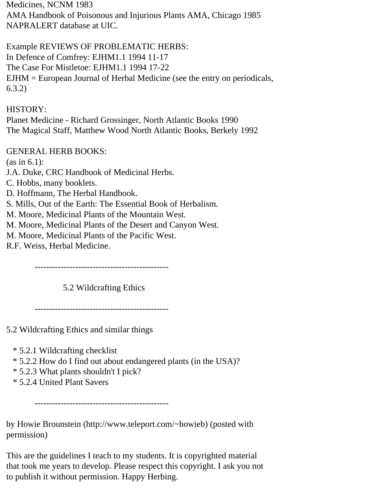Medicines, NCNM 1983 AMA Handbook of Poisonous and Injurious Plants AMA, Chicago 1985 NAPRALERT database at UIC.

Example REVIEWS OF PROBLEMATIC HERBS: In Defence of Comfrey: EJHM1.1 1994 11-17 The Case For Mistletoe: EJHM1.1 1994 17-22 EJHM = European Journal of Herbal Medicine (see the entry on periodicals, 6.3.2)

## HISTORY:

Planet Medicine - Richard Grossinger, North Atlantic Books 1990 The Magical Staff, Matthew Wood North Atlantic Books, Berkely 1992

# GENERAL HERB BOOKS:

(as in 6.1): J.A. Duke, CRC Handbook of Medicinal Herbs. C. Hobbs, many booklets. D. Hoffmann, The Herbal Handbook. S. Mills, Out of the Earth: The Essential Book of Herbalism. M. Moore, Medicinal Plants of the Mountain West. M. Moore, Medicinal Plants of the Desert and Canyon West. M. Moore, Medicinal Plants of the Pacific West. R.F. Weiss, Herbal Medicine.

----------------------------------------------

5.2 Wildcrafting Ethics

----------------------------------------------

5.2 Wildcrafting Ethics and similar things

- \* 5.2.1 Wildcrafting checklist
- \* 5.2.2 How do I find out about endangered plants (in the USA)?
- \* 5.2.3 What plants shouldn't I pick?
- \* 5.2.4 United Plant Savers

----------------------------------------------

by Howie Brounstein (http://www.teleport.com/~howieb) (posted with permission)

This are the guidelines I teach to my students. It is copyrighted material that took me years to develop. Please respect this copyright. I ask you not to publish it without permission. Happy Herbing.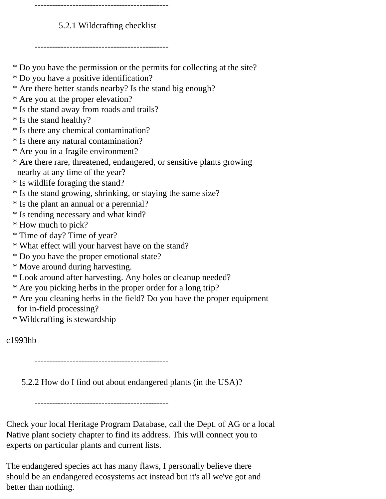----------------------------------------------

5.2.1 Wildcrafting checklist

----------------------------------------------

- \* Do you have the permission or the permits for collecting at the site?
- \* Do you have a positive identification?
- \* Are there better stands nearby? Is the stand big enough?
- \* Are you at the proper elevation?
- \* Is the stand away from roads and trails?
- \* Is the stand healthy?
- \* Is there any chemical contamination?
- \* Is there any natural contamination?
- \* Are you in a fragile environment?
- \* Are there rare, threatened, endangered, or sensitive plants growing nearby at any time of the year?
- \* Is wildlife foraging the stand?
- \* Is the stand growing, shrinking, or staying the same size?
- \* Is the plant an annual or a perennial?
- \* Is tending necessary and what kind?
- \* How much to pick?
- \* Time of day? Time of year?
- \* What effect will your harvest have on the stand?
- \* Do you have the proper emotional state?
- \* Move around during harvesting.
- \* Look around after harvesting. Any holes or cleanup needed?
- \* Are you picking herbs in the proper order for a long trip?
- \* Are you cleaning herbs in the field? Do you have the proper equipment for in-field processing?
- \* Wildcrafting is stewardship

c1993hb

----------------------------------------------

5.2.2 How do I find out about endangered plants (in the USA)?

----------------------------------------------

Check your local Heritage Program Database, call the Dept. of AG or a local Native plant society chapter to find its address. This will connect you to experts on particular plants and current lists.

The endangered species act has many flaws, I personally believe there should be an endangered ecosystems act instead but it's all we've got and better than nothing.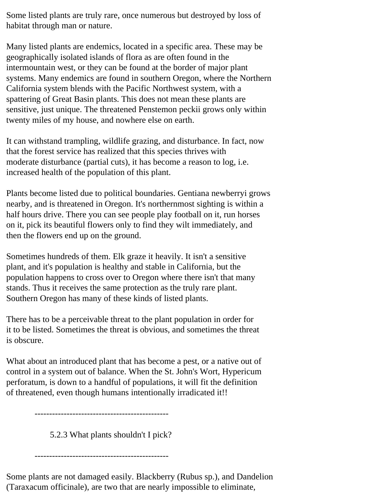Some listed plants are truly rare, once numerous but destroyed by loss of habitat through man or nature.

Many listed plants are endemics, located in a specific area. These may be geographically isolated islands of flora as are often found in the intermountain west, or they can be found at the border of major plant systems. Many endemics are found in southern Oregon, where the Northern California system blends with the Pacific Northwest system, with a spattering of Great Basin plants. This does not mean these plants are sensitive, just unique. The threatened Penstemon peckii grows only within twenty miles of my house, and nowhere else on earth.

It can withstand trampling, wildlife grazing, and disturbance. In fact, now that the forest service has realized that this species thrives with moderate disturbance (partial cuts), it has become a reason to log, i.e. increased health of the population of this plant.

Plants become listed due to political boundaries. Gentiana newberryi grows nearby, and is threatened in Oregon. It's northernmost sighting is within a half hours drive. There you can see people play football on it, run horses on it, pick its beautiful flowers only to find they wilt immediately, and then the flowers end up on the ground.

Sometimes hundreds of them. Elk graze it heavily. It isn't a sensitive plant, and it's population is healthy and stable in California, but the population happens to cross over to Oregon where there isn't that many stands. Thus it receives the same protection as the truly rare plant. Southern Oregon has many of these kinds of listed plants.

There has to be a perceivable threat to the plant population in order for it to be listed. Sometimes the threat is obvious, and sometimes the threat is obscure.

What about an introduced plant that has become a pest, or a native out of control in a system out of balance. When the St. John's Wort, Hypericum perforatum, is down to a handful of populations, it will fit the definition of threatened, even though humans intentionally irradicated it!!

----------------------------------------------

5.2.3 What plants shouldn't I pick?

----------------------------------------------

Some plants are not damaged easily. Blackberry (Rubus sp.), and Dandelion (Taraxacum officinale), are two that are nearly impossible to eliminate,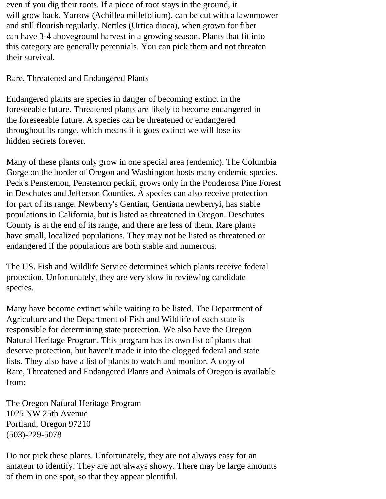even if you dig their roots. If a piece of root stays in the ground, it will grow back. Yarrow (Achillea millefolium), can be cut with a lawnmower and still flourish regularly. Nettles (Urtica dioca), when grown for fiber can have 3-4 aboveground harvest in a growing season. Plants that fit into this category are generally perennials. You can pick them and not threaten their survival.

Rare, Threatened and Endangered Plants

Endangered plants are species in danger of becoming extinct in the foreseeable future. Threatened plants are likely to become endangered in the foreseeable future. A species can be threatened or endangered throughout its range, which means if it goes extinct we will lose its hidden secrets forever.

Many of these plants only grow in one special area (endemic). The Columbia Gorge on the border of Oregon and Washington hosts many endemic species. Peck's Penstemon, Penstemon peckii, grows only in the Ponderosa Pine Forest in Deschutes and Jefferson Counties. A species can also receive protection for part of its range. Newberry's Gentian, Gentiana newberryi, has stable populations in California, but is listed as threatened in Oregon. Deschutes County is at the end of its range, and there are less of them. Rare plants have small, localized populations. They may not be listed as threatened or endangered if the populations are both stable and numerous.

The US. Fish and Wildlife Service determines which plants receive federal protection. Unfortunately, they are very slow in reviewing candidate species.

Many have become extinct while waiting to be listed. The Department of Agriculture and the Department of Fish and Wildlife of each state is responsible for determining state protection. We also have the Oregon Natural Heritage Program. This program has its own list of plants that deserve protection, but haven't made it into the clogged federal and state lists. They also have a list of plants to watch and monitor. A copy of Rare, Threatened and Endangered Plants and Animals of Oregon is available from:

The Oregon Natural Heritage Program 1025 NW 25th Avenue Portland, Oregon 97210 (503)-229-5078

Do not pick these plants. Unfortunately, they are not always easy for an amateur to identify. They are not always showy. There may be large amounts of them in one spot, so that they appear plentiful.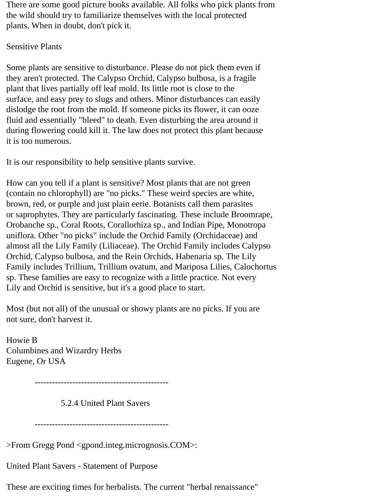There are some good picture books available. All folks who pick plants from the wild should try to familiarize themselves with the local protected plants. When in doubt, don't pick it.

#### Sensitive Plants

Some plants are sensitive to disturbance. Please do not pick them even if they aren't protected. The Calypso Orchid, Calypso bulbosa, is a fragile plant that lives partially off leaf mold. Its little root is close to the surface, and easy prey to slugs and others. Minor disturbances can easily dislodge the root from the mold. If someone picks its flower, it can ooze fluid and essentially "bleed" to death. Even disturbing the area around it during flowering could kill it. The law does not protect this plant because it is too numerous.

It is our responsibility to help sensitive plants survive.

How can you tell if a plant is sensitive? Most plants that are not green (contain no chlorophyll) are "no picks." These weird species are white, brown, red, or purple and just plain eerie. Botanists call them parasites or saprophytes. They are particularly fascinating. These include Broomrape, Orobanche sp., Coral Roots, Corallorhiza sp., and Indian Pipe, Monotropa uniflora. Other "no picks" include the Orchid Family (Orchidaceae) and almost all the Lily Family (Liliaceae). The Orchid Family includes Calypso Orchid, Calypso bulbosa, and the Rein Orchids, Habenaria sp. The Lily Family includes Trillium, Trillium ovatum, and Mariposa Lilies, Calochortus sp. These families are easy to recognize with a little practice. Not every Lily and Orchid is sensitive, but it's a good place to start.

Most (but not all) of the unusual or showy plants are no picks. If you are not sure, don't harvest it.

Howie B Columbines and Wizardry Herbs Eugene, Or USA

----------------------------------------------

5.2.4 United Plant Savers

----------------------------------------------

>From Gregg Pond <gpond.integ.micrognosis.COM>:

United Plant Savers - Statement of Purpose

These are exciting times for herbalists. The current "herbal renaissance"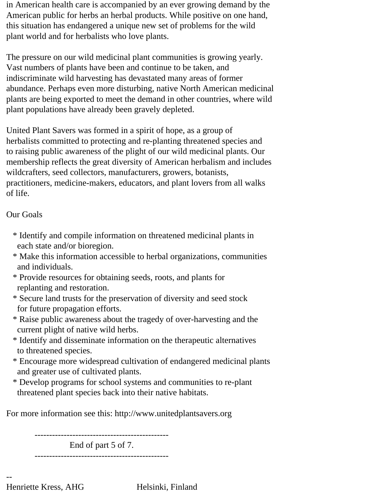in American health care is accompanied by an ever growing demand by the American public for herbs an herbal products. While positive on one hand, this situation has endangered a unique new set of problems for the wild plant world and for herbalists who love plants.

The pressure on our wild medicinal plant communities is growing yearly. Vast numbers of plants have been and continue to be taken, and indiscriminate wild harvesting has devastated many areas of former abundance. Perhaps even more disturbing, native North American medicinal plants are being exported to meet the demand in other countries, where wild plant populations have already been gravely depleted.

United Plant Savers was formed in a spirit of hope, as a group of herbalists committed to protecting and re-planting threatened species and to raising public awareness of the plight of our wild medicinal plants. Our membership reflects the great diversity of American herbalism and includes wildcrafters, seed collectors, manufacturers, growers, botanists, practitioners, medicine-makers, educators, and plant lovers from all walks of life.

### Our Goals

- \* Identify and compile information on threatened medicinal plants in each state and/or bioregion.
- \* Make this information accessible to herbal organizations, communities and individuals.
- \* Provide resources for obtaining seeds, roots, and plants for replanting and restoration.
- \* Secure land trusts for the preservation of diversity and seed stock for future propagation efforts.
- \* Raise public awareness about the tragedy of over-harvesting and the current plight of native wild herbs.
- \* Identify and disseminate information on the therapeutic alternatives to threatened species.
- \* Encourage more widespread cultivation of endangered medicinal plants and greater use of cultivated plants.
- \* Develop programs for school systems and communities to re-plant threatened plant species back into their native habitats.

For more information see this: http://www.unitedplantsavers.org

 ---------------------------------------------- End of part 5 of 7.

----------------------------------------------

-- Henriette Kress, AHG Helsinki, Finland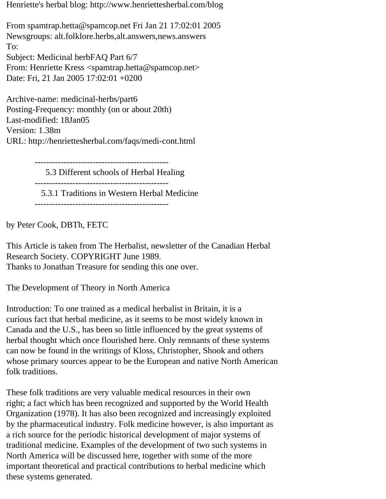Henriette's herbal blog: http://www.henriettesherbal.com/blog

From spamtrap.hetta@spamcop.net Fri Jan 21 17:02:01 2005 Newsgroups: alt.folklore.herbs,alt.answers,news.answers To: Subject: Medicinal herbFAQ Part 6/7 From: Henriette Kress <spamtrap.hetta@spamcop.net> Date: Fri, 21 Jan 2005 17:02:01 +0200

Archive-name: medicinal-herbs/part6 Posting-Frequency: monthly (on or about 20th) Last-modified: 18Jan05 Version: 1.38m URL: http://henriettesherbal.com/faqs/medi-cont.html

> ---------------------------------------------- 5.3 Different schools of Herbal Healing ---------------------------------------------- 5.3.1 Traditions in Western Herbal Medicine ----------------------------------------------

by Peter Cook, DBTh, FETC

This Article is taken from The Herbalist, newsletter of the Canadian Herbal Research Society. COPYRIGHT June 1989. Thanks to Jonathan Treasure for sending this one over.

The Development of Theory in North America

Introduction: To one trained as a medical herbalist in Britain, it is a curious fact that herbal medicine, as it seems to be most widely known in Canada and the U.S., has been so little influenced by the great systems of herbal thought which once flourished here. Only remnants of these systems can now be found in the writings of Kloss, Christopher, Shook and others whose primary sources appear to be the European and native North American folk traditions.

These folk traditions are very valuable medical resources in their own right; a fact which has been recognized and supported by the World Health Organization (1978). It has also been recognized and increasingly exploited by the pharmaceutical industry. Folk medicine however, is also important as a rich source for the periodic historical development of major systems of traditional medicine. Examples of the development of two such systems in North America will be discussed here, together with some of the more important theoretical and practical contributions to herbal medicine which these systems generated.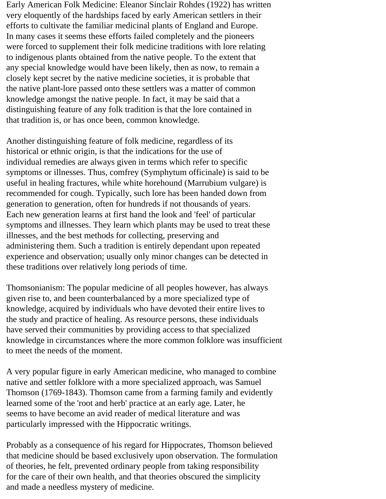Early American Folk Medicine: Eleanor Sinclair Rohdes (1922) has written very eloquently of the hardships faced by early American settlers in their efforts to cultivate the familiar medicinal plants of England and Europe. In many cases it seems these efforts failed completely and the pioneers were forced to supplement their folk medicine traditions with lore relating to indigenous plants obtained from the native people. To the extent that any special knowledge would have been likely, then as now, to remain a closely kept secret by the native medicine societies, it is probable that the native plant-lore passed onto these settlers was a matter of common knowledge amongst the native people. In fact, it may be said that a distinguishing feature of any folk tradition is that the lore contained in that tradition is, or has once been, common knowledge.

Another distinguishing feature of folk medicine, regardless of its historical or ethnic origin, is that the indications for the use of individual remedies are always given in terms which refer to specific symptoms or illnesses. Thus, comfrey (Symphytum officinale) is said to be useful in healing fractures, while white horehound (Marrubium vulgare) is recommended for cough. Typically, such lore has been handed down from generation to generation, often for hundreds if not thousands of years. Each new generation learns at first hand the look and 'feel' of particular symptoms and illnesses. They learn which plants may be used to treat these illnesses, and the best methods for collecting, preserving and administering them. Such a tradition is entirely dependant upon repeated experience and observation; usually only minor changes can be detected in these traditions over relatively long periods of time.

Thomsonianism: The popular medicine of all peoples however, has always given rise to, and been counterbalanced by a more specialized type of knowledge, acquired by individuals who have devoted their entire lives to the study and practice of healing. As resource persons, these individuals have served their communities by providing access to that specialized knowledge in circumstances where the more common folklore was insufficient to meet the needs of the moment.

A very popular figure in early American medicine, who managed to combine native and settler folklore with a more specialized approach, was Samuel Thomson (1769-1843). Thomson came from a farming family and evidently learned some of the 'root and herb' practice at an early age. Later, he seems to have become an avid reader of medical literature and was particularly impressed with the Hippocratic writings.

Probably as a consequence of his regard for Hippocrates, Thomson believed that medicine should be based exclusively upon observation. The formulation of theories, he felt, prevented ordinary people from taking responsibility for the care of their own health, and that theories obscured the simplicity and made a needless mystery of medicine.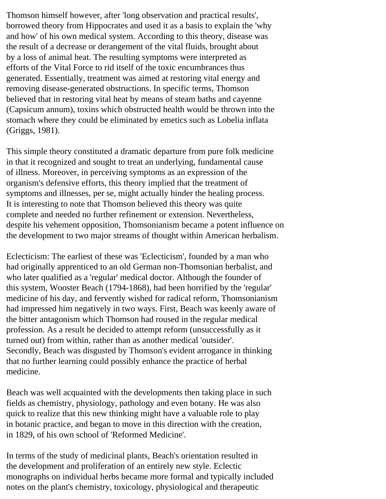Thomson himself however, after 'long observation and practical results', borrowed theory from Hippocrates and used it as a basis to explain the 'why and how' of his own medical system. According to this theory, disease was the result of a decrease or derangement of the vital fluids, brought about by a loss of animal heat. The resulting symptoms were interpreted as efforts of the Vital Force to rid itself of the toxic encumbrances thus generated. Essentially, treatment was aimed at restoring vital energy and removing disease-generated obstructions. In specific terms, Thomson believed that in restoring vital heat by means of steam baths and cayenne (Capsicum annum), toxins which obstructed health would be thrown into the stomach where they could be eliminated by emetics such as Lobelia inflata (Griggs, 1981).

This simple theory constituted a dramatic departure from pure folk medicine in that it recognized and sought to treat an underlying, fundamental cause of illness. Moreover, in perceiving symptoms as an expression of the organism's defensive efforts, this theory implied that the treatment of symptoms and illnesses, per se, might actually hinder the healing process. It is interesting to note that Thomson believed this theory was quite complete and needed no further refinement or extension. Nevertheless, despite his vehement opposition, Thomsonianism became a potent influence on the development to two major streams of thought within American herbalism.

Eclecticism: The earliest of these was 'Eclecticism', founded by a man who had originally apprenticed to an old German non-Thomsonian herbalist, and who later qualified as a 'regular' medical doctor. Although the founder of this system, Wooster Beach (1794-1868), had been horrified by the 'regular' medicine of his day, and fervently wished for radical reform, Thomsonianism had impressed him negatively in two ways. First, Beach was keenly aware of the bitter antagonism which Thomson had roused in the regular medical profession. As a result he decided to attempt reform (unsuccessfully as it turned out) from within, rather than as another medical 'outsider'. Secondly, Beach was disgusted by Thomson's evident arrogance in thinking that no further learning could possibly enhance the practice of herbal medicine.

Beach was well acquainted with the developments then taking place in such fields as chemistry, physiology, pathology and even botany. He was also quick to realize that this new thinking might have a valuable role to play in botanic practice, and began to move in this direction with the creation, in 1829, of his own school of 'Reformed Medicine'.

In terms of the study of medicinal plants, Beach's orientation resulted in the development and proliferation of an entirely new style. Eclectic monographs on individual herbs became more formal and typically included notes on the plant's chemistry, toxicology, physiological and therapeutic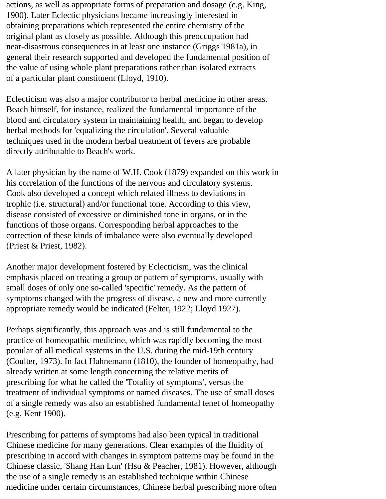actions, as well as appropriate forms of preparation and dosage (e.g. King, 1900). Later Eclectic physicians became increasingly interested in obtaining preparations which represented the entire chemistry of the original plant as closely as possible. Although this preoccupation had near-disastrous consequences in at least one instance (Griggs 1981a), in general their research supported and developed the fundamental position of the value of using whole plant preparations rather than isolated extracts of a particular plant constituent (Lloyd, 1910).

Eclecticism was also a major contributor to herbal medicine in other areas. Beach himself, for instance, realized the fundamental importance of the blood and circulatory system in maintaining health, and began to develop herbal methods for 'equalizing the circulation'. Several valuable techniques used in the modern herbal treatment of fevers are probable directly attributable to Beach's work.

A later physician by the name of W.H. Cook (1879) expanded on this work in his correlation of the functions of the nervous and circulatory systems. Cook also developed a concept which related illness to deviations in trophic (i.e. structural) and/or functional tone. According to this view, disease consisted of excessive or diminished tone in organs, or in the functions of those organs. Corresponding herbal approaches to the correction of these kinds of imbalance were also eventually developed (Priest & Priest, 1982).

Another major development fostered by Eclecticism, was the clinical emphasis placed on treating a group or pattern of symptoms, usually with small doses of only one so-called 'specific' remedy. As the pattern of symptoms changed with the progress of disease, a new and more currently appropriate remedy would be indicated (Felter, 1922; Lloyd 1927).

Perhaps significantly, this approach was and is still fundamental to the practice of homeopathic medicine, which was rapidly becoming the most popular of all medical systems in the U.S. during the mid-19th century (Coulter, 1973). In fact Hahnemann (1810), the founder of homeopathy, had already written at some length concerning the relative merits of prescribing for what he called the 'Totality of symptoms', versus the treatment of individual symptoms or named diseases. The use of small doses of a single remedy was also an established fundamental tenet of homeopathy (e.g. Kent 1900).

Prescribing for patterns of symptoms had also been typical in traditional Chinese medicine for many generations. Clear examples of the fluidity of prescribing in accord with changes in symptom patterns may be found in the Chinese classic, 'Shang Han Lun' (Hsu & Peacher, 1981). However, although the use of a single remedy is an established technique within Chinese medicine under certain circumstances, Chinese herbal prescribing more often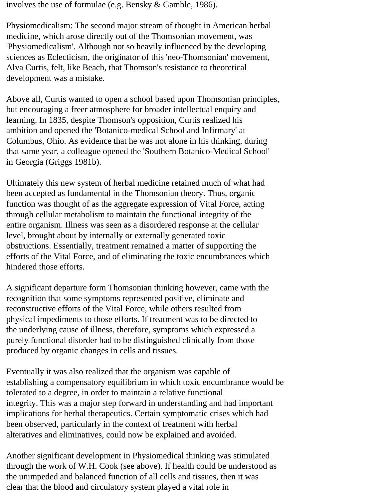involves the use of formulae (e.g. Bensky & Gamble, 1986).

Physiomedicalism: The second major stream of thought in American herbal medicine, which arose directly out of the Thomsonian movement, was 'Physiomedicalism'. Although not so heavily influenced by the developing sciences as Eclecticism, the originator of this 'neo-Thomsonian' movement, Alva Curtis, felt, like Beach, that Thomson's resistance to theoretical development was a mistake.

Above all, Curtis wanted to open a school based upon Thomsonian principles, but encouraging a freer atmosphere for broader intellectual enquiry and learning. In 1835, despite Thomson's opposition, Curtis realized his ambition and opened the 'Botanico-medical School and Infirmary' at Columbus, Ohio. As evidence that he was not alone in his thinking, during that same year, a colleague opened the 'Southern Botanico-Medical School' in Georgia (Griggs 1981b).

Ultimately this new system of herbal medicine retained much of what had been accepted as fundamental in the Thomsonian theory. Thus, organic function was thought of as the aggregate expression of Vital Force, acting through cellular metabolism to maintain the functional integrity of the entire organism. Illness was seen as a disordered response at the cellular level, brought about by internally or externally generated toxic obstructions. Essentially, treatment remained a matter of supporting the efforts of the Vital Force, and of eliminating the toxic encumbrances which hindered those efforts.

A significant departure form Thomsonian thinking however, came with the recognition that some symptoms represented positive, eliminate and reconstructive efforts of the Vital Force, while others resulted from physical impediments to those efforts. If treatment was to be directed to the underlying cause of illness, therefore, symptoms which expressed a purely functional disorder had to be distinguished clinically from those produced by organic changes in cells and tissues.

Eventually it was also realized that the organism was capable of establishing a compensatory equilibrium in which toxic encumbrance would be tolerated to a degree, in order to maintain a relative functional integrity. This was a major step forward in understanding and had important implications for herbal therapeutics. Certain symptomatic crises which had been observed, particularly in the context of treatment with herbal alteratives and eliminatives, could now be explained and avoided.

Another significant development in Physiomedical thinking was stimulated through the work of W.H. Cook (see above). If health could be understood as the unimpeded and balanced function of all cells and tissues, then it was clear that the blood and circulatory system played a vital role in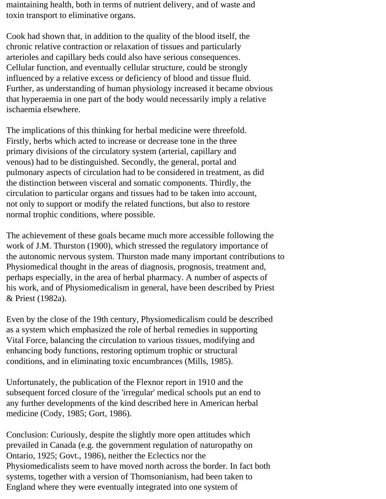maintaining health, both in terms of nutrient delivery, and of waste and toxin transport to eliminative organs.

Cook had shown that, in addition to the quality of the blood itself, the chronic relative contraction or relaxation of tissues and particularly arterioles and capillary beds could also have serious consequences. Cellular function, and eventually cellular structure, could be strongly influenced by a relative excess or deficiency of blood and tissue fluid. Further, as understanding of human physiology increased it became obvious that hyperaemia in one part of the body would necessarily imply a relative ischaemia elsewhere.

The implications of this thinking for herbal medicine were threefold. Firstly, herbs which acted to increase or decrease tone in the three primary divisions of the circulatory system (arterial, capillary and venous) had to be distinguished. Secondly, the general, portal and pulmonary aspects of circulation had to be considered in treatment, as did the distinction between visceral and somatic components. Thirdly, the circulation to particular organs and tissues had to be taken into account, not only to support or modify the related functions, but also to restore normal trophic conditions, where possible.

The achievement of these goals became much more accessible following the work of J.M. Thurston (1900), which stressed the regulatory importance of the autonomic nervous system. Thurston made many important contributions to Physiomedical thought in the areas of diagnosis, prognosis, treatment and, perhaps especially, in the area of herbal pharmacy. A number of aspects of his work, and of Physiomedicalism in general, have been described by Priest & Priest (1982a).

Even by the close of the 19th century, Physiomedicalism could be described as a system which emphasized the role of herbal remedies in supporting Vital Force, balancing the circulation to various tissues, modifying and enhancing body functions, restoring optimum trophic or structural conditions, and in eliminating toxic encumbrances (Mills, 1985).

Unfortunately, the publication of the Flexnor report in 1910 and the subsequent forced closure of the 'irregular' medical schools put an end to any further developments of the kind described here in American herbal medicine (Cody, 1985; Gort, 1986).

Conclusion: Curiously, despite the slightly more open attitudes which prevailed in Canada (e.g. the government regulation of naturopathy on Ontario, 1925; Govt., 1986), neither the Eclectics nor the Physiomedicalists seem to have moved north across the border. In fact both systems, together with a version of Thomsonianism, had been taken to England where they were eventually integrated into one system of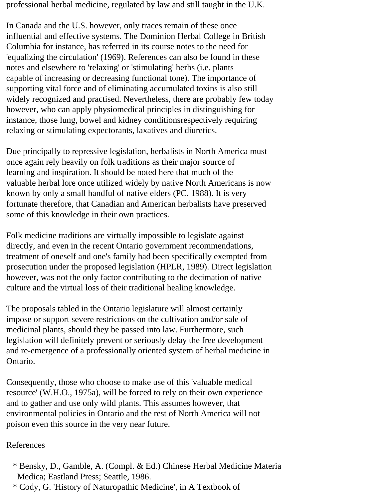professional herbal medicine, regulated by law and still taught in the U.K.

In Canada and the U.S. however, only traces remain of these once influential and effective systems. The Dominion Herbal College in British Columbia for instance, has referred in its course notes to the need for 'equalizing the circulation' (1969). References can also be found in these notes and elsewhere to 'relaxing' or 'stimulating' herbs (i.e. plants capable of increasing or decreasing functional tone). The importance of supporting vital force and of eliminating accumulated toxins is also still widely recognized and practised. Nevertheless, there are probably few today however, who can apply physiomedical principles in distinguishing for instance, those lung, bowel and kidney conditionsrespectively requiring relaxing or stimulating expectorants, laxatives and diuretics.

Due principally to repressive legislation, herbalists in North America must once again rely heavily on folk traditions as their major source of learning and inspiration. It should be noted here that much of the valuable herbal lore once utilized widely by native North Americans is now known by only a small handful of native elders (PC. 1988). It is very fortunate therefore, that Canadian and American herbalists have preserved some of this knowledge in their own practices.

Folk medicine traditions are virtually impossible to legislate against directly, and even in the recent Ontario government recommendations, treatment of oneself and one's family had been specifically exempted from prosecution under the proposed legislation (HPLR, 1989). Direct legislation however, was not the only factor contributing to the decimation of native culture and the virtual loss of their traditional healing knowledge.

The proposals tabled in the Ontario legislature will almost certainly impose or support severe restrictions on the cultivation and/or sale of medicinal plants, should they be passed into law. Furthermore, such legislation will definitely prevent or seriously delay the free development and re-emergence of a professionally oriented system of herbal medicine in Ontario.

Consequently, those who choose to make use of this 'valuable medical resource' (W.H.O., 1975a), will be forced to rely on their own experience and to gather and use only wild plants. This assumes however, that environmental policies in Ontario and the rest of North America will not poison even this source in the very near future.

#### References

- \* Bensky, D., Gamble, A. (Compl. & Ed.) Chinese Herbal Medicine Materia Medica; Eastland Press; Seattle, 1986.
- \* Cody, G. 'History of Naturopathic Medicine', in A Textbook of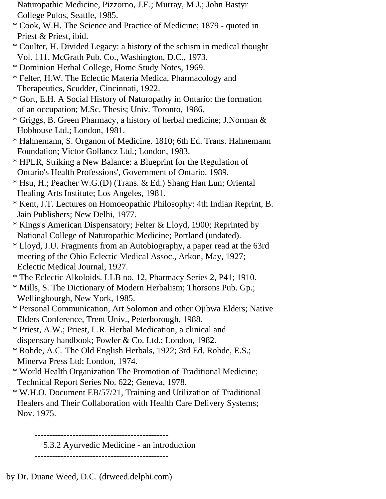- Naturopathic Medicine, Pizzorno, J.E.; Murray, M.J.; John Bastyr College Pulos, Seattle, 1985.
- \* Cook, W.H. The Science and Practice of Medicine; 1879 quoted in Priest & Priest, ibid.
- \* Coulter, H. Divided Legacy: a history of the schism in medical thought Vol. 111. McGrath Pub. Co., Washington, D.C., 1973.
- \* Dominion Herbal College, Home Study Notes, 1969.
- \* Felter, H.W. The Eclectic Materia Medica, Pharmacology and Therapeutics, Scudder, Cincinnati, 1922.
- \* Gort, E.H. A Social History of Naturopathy in Ontario: the formation of an occupation; M.Sc. Thesis; Univ. Toronto, 1986.
- \* Griggs, B. Green Pharmacy, a history of herbal medicine; J.Norman & Hobhouse Ltd.; London, 1981.
- \* Hahnemann, S. Organon of Medicine. 1810; 6th Ed. Trans. Hahnemann Foundation; Victor Gollancz Ltd.; London, 1983.
- \* HPLR, Striking a New Balance: a Blueprint for the Regulation of Ontario's Health Professions', Government of Ontario. 1989.
- \* Hsu, H.; Peacher W.G.(D) (Trans. & Ed.) Shang Han Lun; Oriental Healing Arts Institute; Los Angeles, 1981.
- \* Kent, J.T. Lectures on Homoeopathic Philosophy: 4th Indian Reprint, B. Jain Publishers; New Delhi, 1977.
- \* Kings's American Dispensatory; Felter & Lloyd, 1900; Reprinted by National College of Naturopathic Medicine; Portland (undated).
- \* Lloyd, J.U. Fragments from an Autobiography, a paper read at the 63rd meeting of the Ohio Eclectic Medical Assoc., Arkon, May, 1927; Eclectic Medical Journal, 1927.
- \* The Eclectic Alkoloids. LLB no. 12, Pharmacy Series 2, P41; 1910.
- \* Mills, S. The Dictionary of Modern Herbalism; Thorsons Pub. Gp.; Wellingbourgh, New York, 1985.
- \* Personal Communication, Art Solomon and other Ojibwa Elders; Native Elders Conference, Trent Univ., Peterborough, 1988.
- \* Priest, A.W.; Priest, L.R. Herbal Medication, a clinical and dispensary handbook; Fowler & Co. Ltd.; London, 1982.
- \* Rohde, A.C. The Old English Herbals, 1922; 3rd Ed. Rohde, E.S.; Minerva Press Ltd; London, 1974.
- \* World Health Organization The Promotion of Traditional Medicine; Technical Report Series No. 622; Geneva, 1978.
- \* W.H.O. Document EB/57/21, Training and Utilization of Traditional Healers and Their Collaboration with Health Care Delivery Systems; Nov. 1975.

5.3.2 Ayurvedic Medicine - an introduction

----------------------------------------------

----------------------------------------------

by Dr. Duane Weed, D.C. (drweed.delphi.com)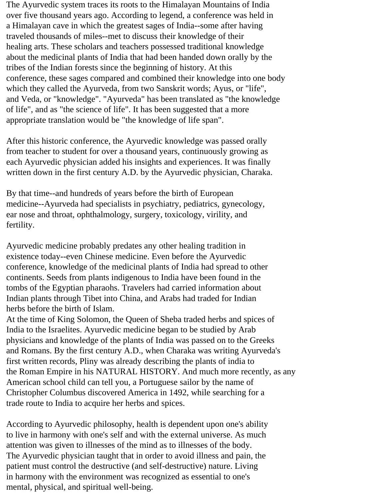The Ayurvedic system traces its roots to the Himalayan Mountains of India over five thousand years ago. According to legend, a conference was held in a Himalayan cave in which the greatest sages of India--some after having traveled thousands of miles--met to discuss their knowledge of their healing arts. These scholars and teachers possessed traditional knowledge about the medicinal plants of India that had been handed down orally by the tribes of the Indian forests since the beginning of history. At this conference, these sages compared and combined their knowledge into one body which they called the Ayurveda, from two Sanskrit words; Ayus, or "life", and Veda, or "knowledge". "Ayurveda" has been translated as "the knowledge of life", and as "the science of life". It has been suggested that a more appropriate translation would be "the knowledge of life span".

After this historic conference, the Ayurvedic knowledge was passed orally from teacher to student for over a thousand years, continuously growing as each Ayurvedic physician added his insights and experiences. It was finally written down in the first century A.D. by the Ayurvedic physician, Charaka.

By that time--and hundreds of years before the birth of European medicine--Ayurveda had specialists in psychiatry, pediatrics, gynecology, ear nose and throat, ophthalmology, surgery, toxicology, virility, and fertility.

Ayurvedic medicine probably predates any other healing tradition in existence today--even Chinese medicine. Even before the Ayurvedic conference, knowledge of the medicinal plants of India had spread to other continents. Seeds from plants indigenous to India have been found in the tombs of the Egyptian pharaohs. Travelers had carried information about Indian plants through Tibet into China, and Arabs had traded for Indian herbs before the birth of Islam.

At the time of King Solomon, the Queen of Sheba traded herbs and spices of India to the Israelites. Ayurvedic medicine began to be studied by Arab physicians and knowledge of the plants of India was passed on to the Greeks and Romans. By the first century A.D., when Charaka was writing Ayurveda's first written records, Pliny was already describing the plants of india to the Roman Empire in his NATURAL HISTORY. And much more recently, as any American school child can tell you, a Portuguese sailor by the name of Christopher Columbus discovered America in 1492, while searching for a trade route to India to acquire her herbs and spices.

According to Ayurvedic philosophy, health is dependent upon one's ability to live in harmony with one's self and with the external universe. As much attention was given to illnesses of the mind as to illnesses of the body. The Ayurvedic physician taught that in order to avoid illness and pain, the patient must control the destructive (and self-destructive) nature. Living in harmony with the environment was recognized as essential to one's mental, physical, and spiritual well-being.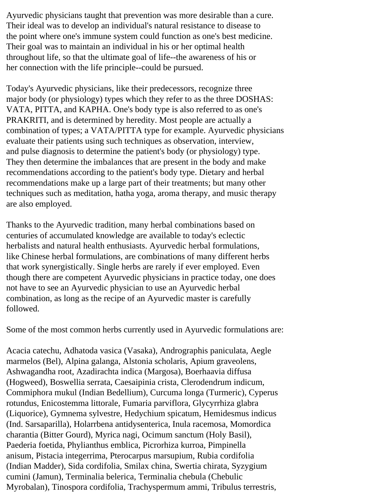Ayurvedic physicians taught that prevention was more desirable than a cure. Their ideal was to develop an individual's natural resistance to disease to the point where one's immune system could function as one's best medicine. Their goal was to maintain an individual in his or her optimal health throughout life, so that the ultimate goal of life--the awareness of his or her connection with the life principle--could be pursued.

Today's Ayurvedic physicians, like their predecessors, recognize three major body (or physiology) types which they refer to as the three DOSHAS: VATA, PITTA, and KAPHA. One's body type is also referred to as one's PRAKRITI, and is determined by heredity. Most people are actually a combination of types; a VATA/PITTA type for example. Ayurvedic physicians evaluate their patients using such techniques as observation, interview, and pulse diagnosis to determine the patient's body (or physiology) type. They then determine the imbalances that are present in the body and make recommendations according to the patient's body type. Dietary and herbal recommendations make up a large part of their treatments; but many other techniques such as meditation, hatha yoga, aroma therapy, and music therapy are also employed.

Thanks to the Ayurvedic tradition, many herbal combinations based on centuries of accumulated knowledge are available to today's eclectic herbalists and natural health enthusiasts. Ayurvedic herbal formulations, like Chinese herbal formulations, are combinations of many different herbs that work synergistically. Single herbs are rarely if ever employed. Even though there are competent Ayurvedic physicians in practice today, one does not have to see an Ayurvedic physician to use an Ayurvedic herbal combination, as long as the recipe of an Ayurvedic master is carefully followed.

Some of the most common herbs currently used in Ayurvedic formulations are:

Acacia catechu, Adhatoda vasica (Vasaka), Andrographis paniculata, Aegle marmelos (Bel), Alpina galanga, Alstonia scholaris, Apium graveolens, Ashwagandha root, Azadirachta indica (Margosa), Boerhaavia diffusa (Hogweed), Boswellia serrata, Caesaipinia crista, Clerodendrum indicum, Commiphora mukul (Indian Bedellium), Curcuma longa (Turmeric), Cyperus rotundus, Enicostemma littorale, Fumaria parviflora, Glycyrrhiza glabra (Liquorice), Gymnema sylvestre, Hedychium spicatum, Hemidesmus indicus (Ind. Sarsaparilla), Holarrbena antidysenterica, Inula racemosa, Momordica charantia (Bitter Gourd), Myrica nagi, Ocimum sanctum (Holy Basil), Paederia foetida, Phylianthus emblica, Picrorhiza kurroa, Pimpinella anisum, Pistacia integerrima, Pterocarpus marsupium, Rubia cordifolia (Indian Madder), Sida cordifolia, Smilax china, Swertia chirata, Syzygium cumini (Jamun), Terminalia belerica, Terminalia chebula (Chebulic Myrobalan), Tinospora cordifolia, Trachyspermum ammi, Tribulus terrestris,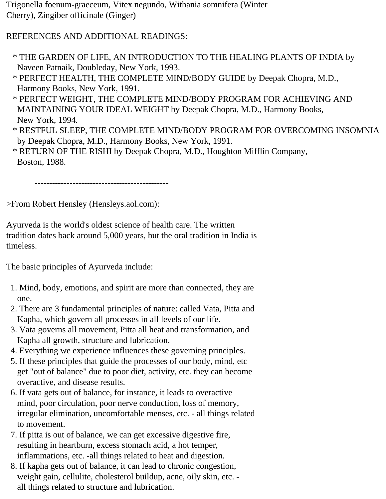Trigonella foenum-graeceum, Vitex negundo, Withania somnifera (Winter Cherry), Zingiber officinale (Ginger)

REFERENCES AND ADDITIONAL READINGS:

- \* THE GARDEN OF LIFE, AN INTRODUCTION TO THE HEALING PLANTS OF INDIA by Naveen Patnaik, Doubleday, New York, 1993.
- \* PERFECT HEALTH, THE COMPLETE MIND/BODY GUIDE by Deepak Chopra, M.D., Harmony Books, New York, 1991.
- \* PERFECT WEIGHT, THE COMPLETE MIND/BODY PROGRAM FOR ACHIEVING AND MAINTAINING YOUR IDEAL WEIGHT by Deepak Chopra, M.D., Harmony Books, New York, 1994.
- \* RESTFUL SLEEP, THE COMPLETE MIND/BODY PROGRAM FOR OVERCOMING INSOMNIA by Deepak Chopra, M.D., Harmony Books, New York, 1991.
- \* RETURN OF THE RISHI by Deepak Chopra, M.D., Houghton Mifflin Company, Boston, 1988.

----------------------------------------------

>From Robert Hensley (Hensleys.aol.com):

Ayurveda is the world's oldest science of health care. The written tradition dates back around 5,000 years, but the oral tradition in India is timeless.

The basic principles of Ayurveda include:

- 1. Mind, body, emotions, and spirit are more than connected, they are one.
- 2. There are 3 fundamental principles of nature: called Vata, Pitta and Kapha, which govern all processes in all levels of our life.
- 3. Vata governs all movement, Pitta all heat and transformation, and Kapha all growth, structure and lubrication.
- 4. Everything we experience influences these governing principles.
- 5. If these principles that guide the processes of our body, mind, etc get "out of balance" due to poor diet, activity, etc. they can become overactive, and disease results.
- 6. If vata gets out of balance, for instance, it leads to overactive mind, poor circulation, poor nerve conduction, loss of memory, irregular elimination, uncomfortable menses, etc. - all things related to movement.
- 7. If pitta is out of balance, we can get excessive digestive fire, resulting in heartburn, excess stomach acid, a hot temper, inflammations, etc. -all things related to heat and digestion.
- 8. If kapha gets out of balance, it can lead to chronic congestion, weight gain, cellulite, cholesterol buildup, acne, oily skin, etc. all things related to structure and lubrication.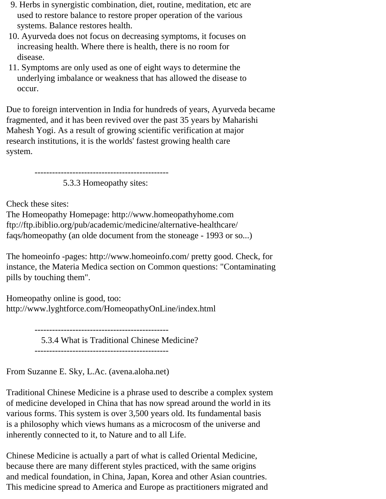- 9. Herbs in synergistic combination, diet, routine, meditation, etc are used to restore balance to restore proper operation of the various systems. Balance restores health.
- 10. Ayurveda does not focus on decreasing symptoms, it focuses on increasing health. Where there is health, there is no room for disease.
- 11. Symptoms are only used as one of eight ways to determine the underlying imbalance or weakness that has allowed the disease to occur.

Due to foreign intervention in India for hundreds of years, Ayurveda became fragmented, and it has been revived over the past 35 years by Maharishi Mahesh Yogi. As a result of growing scientific verification at major research institutions, it is the worlds' fastest growing health care system.

----------------------------------------------

5.3.3 Homeopathy sites:

Check these sites:

The Homeopathy Homepage: http://www.homeopathyhome.com ftp://ftp.ibiblio.org/pub/academic/medicine/alternative-healthcare/ faqs/homeopathy (an olde document from the stoneage - 1993 or so...)

The homeoinfo -pages: http://www.homeoinfo.com/ pretty good. Check, for instance, the Materia Medica section on Common questions: "Contaminating pills by touching them".

Homeopathy online is good, too: http://www.lyghtforce.com/HomeopathyOnLine/index.html

> ---------------------------------------------- 5.3.4 What is Traditional Chinese Medicine? ----------------------------------------------

From Suzanne E. Sky, L.Ac. (avena.aloha.net)

Traditional Chinese Medicine is a phrase used to describe a complex system of medicine developed in China that has now spread around the world in its various forms. This system is over 3,500 years old. Its fundamental basis is a philosophy which views humans as a microcosm of the universe and inherently connected to it, to Nature and to all Life.

Chinese Medicine is actually a part of what is called Oriental Medicine, because there are many different styles practiced, with the same origins and medical foundation, in China, Japan, Korea and other Asian countries. This medicine spread to America and Europe as practitioners migrated and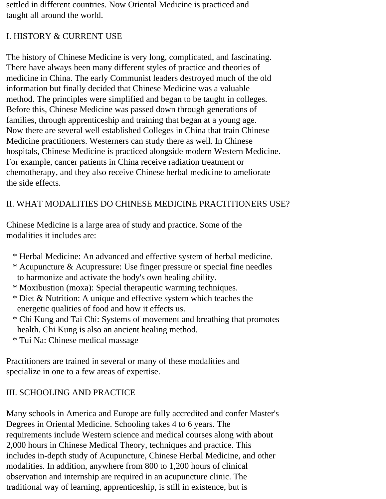settled in different countries. Now Oriental Medicine is practiced and taught all around the world.

### I. HISTORY & CURRENT USE

The history of Chinese Medicine is very long, complicated, and fascinating. There have always been many different styles of practice and theories of medicine in China. The early Communist leaders destroyed much of the old information but finally decided that Chinese Medicine was a valuable method. The principles were simplified and began to be taught in colleges. Before this, Chinese Medicine was passed down through generations of families, through apprenticeship and training that began at a young age. Now there are several well established Colleges in China that train Chinese Medicine practitioners. Westerners can study there as well. In Chinese hospitals, Chinese Medicine is practiced alongside modern Western Medicine. For example, cancer patients in China receive radiation treatment or chemotherapy, and they also receive Chinese herbal medicine to ameliorate the side effects.

## II. WHAT MODALITIES DO CHINESE MEDICINE PRACTITIONERS USE?

Chinese Medicine is a large area of study and practice. Some of the modalities it includes are:

- \* Herbal Medicine: An advanced and effective system of herbal medicine.
- \* Acupuncture & Acupressure: Use finger pressure or special fine needles to harmonize and activate the body's own healing ability.
- \* Moxibustion (moxa): Special therapeutic warming techniques.
- \* Diet & Nutrition: A unique and effective system which teaches the energetic qualities of food and how it effects us.
- \* Chi Kung and Tai Chi: Systems of movement and breathing that promotes health. Chi Kung is also an ancient healing method.
- \* Tui Na: Chinese medical massage

Practitioners are trained in several or many of these modalities and specialize in one to a few areas of expertise.

## III. SCHOOLING AND PRACTICE

Many schools in America and Europe are fully accredited and confer Master's Degrees in Oriental Medicine. Schooling takes 4 to 6 years. The requirements include Western science and medical courses along with about 2,000 hours in Chinese Medical Theory, techniques and practice. This includes in-depth study of Acupuncture, Chinese Herbal Medicine, and other modalities. In addition, anywhere from 800 to 1,200 hours of clinical observation and internship are required in an acupuncture clinic. The traditional way of learning, apprenticeship, is still in existence, but is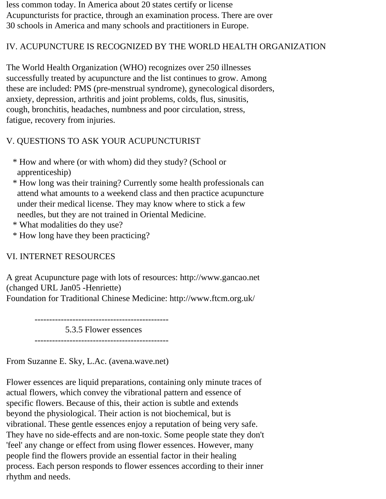less common today. In America about 20 states certify or license Acupuncturists for practice, through an examination process. There are over 30 schools in America and many schools and practitioners in Europe.

### IV. ACUPUNCTURE IS RECOGNIZED BY THE WORLD HEALTH ORGANIZATION

The World Health Organization (WHO) recognizes over 250 illnesses successfully treated by acupuncture and the list continues to grow. Among these are included: PMS (pre-menstrual syndrome), gynecological disorders, anxiety, depression, arthritis and joint problems, colds, flus, sinusitis, cough, bronchitis, headaches, numbness and poor circulation, stress, fatigue, recovery from injuries.

### V. QUESTIONS TO ASK YOUR ACUPUNCTURIST

- \* How and where (or with whom) did they study? (School or apprenticeship)
- \* How long was their training? Currently some health professionals can attend what amounts to a weekend class and then practice acupuncture under their medical license. They may know where to stick a few needles, but they are not trained in Oriental Medicine.
- \* What modalities do they use?
- \* How long have they been practicing?

### VI. INTERNET RESOURCES

A great Acupuncture page with lots of resources: http://www.gancao.net (changed URL Jan05 -Henriette) Foundation for Traditional Chinese Medicine: http://www.ftcm.org.uk/

----------------------------------------------

5.3.5 Flower essences

----------------------------------------------

From Suzanne E. Sky, L.Ac. (avena.wave.net)

Flower essences are liquid preparations, containing only minute traces of actual flowers, which convey the vibrational pattern and essence of specific flowers. Because of this, their action is subtle and extends beyond the physiological. Their action is not biochemical, but is vibrational. These gentle essences enjoy a reputation of being very safe. They have no side-effects and are non-toxic. Some people state they don't 'feel' any change or effect from using flower essences. However, many people find the flowers provide an essential factor in their healing process. Each person responds to flower essences according to their inner rhythm and needs.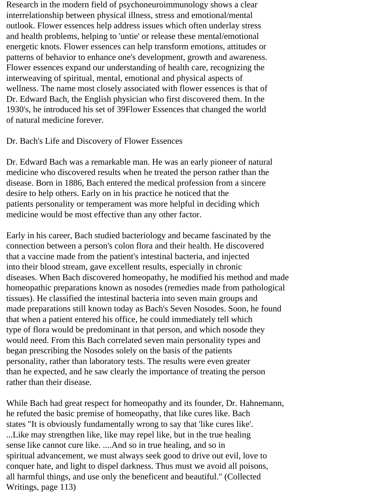Research in the modern field of psychoneuroimmunology shows a clear interrelationship between physical illness, stress and emotional/mental outlook. Flower essences help address issues which often underlay stress and health problems, helping to 'untie' or release these mental/emotional energetic knots. Flower essences can help transform emotions, attitudes or patterns of behavior to enhance one's development, growth and awareness. Flower essences expand our understanding of health care, recognizing the interweaving of spiritual, mental, emotional and physical aspects of wellness. The name most closely associated with flower essences is that of Dr. Edward Bach, the English physician who first discovered them. In the 1930's, he introduced his set of 39Flower Essences that changed the world of natural medicine forever.

Dr. Bach's Life and Discovery of Flower Essences

Dr. Edward Bach was a remarkable man. He was an early pioneer of natural medicine who discovered results when he treated the person rather than the disease. Born in 1886, Bach entered the medical profession from a sincere desire to help others. Early on in his practice he noticed that the patients personality or temperament was more helpful in deciding which medicine would be most effective than any other factor.

Early in his career, Bach studied bacteriology and became fascinated by the connection between a person's colon flora and their health. He discovered that a vaccine made from the patient's intestinal bacteria, and injected into their blood stream, gave excellent results, especially in chronic diseases. When Bach discovered homeopathy, he modified his method and made homeopathic preparations known as nosodes (remedies made from pathological tissues). He classified the intestinal bacteria into seven main groups and made preparations still known today as Bach's Seven Nosodes. Soon, he found that when a patient entered his office, he could immediately tell which type of flora would be predominant in that person, and which nosode they would need. From this Bach correlated seven main personality types and began prescribing the Nosodes solely on the basis of the patients personality, rather than laboratory tests. The results were even greater than he expected, and he saw clearly the importance of treating the person rather than their disease.

While Bach had great respect for homeopathy and its founder, Dr. Hahnemann, he refuted the basic premise of homeopathy, that like cures like. Bach states "It is obviously fundamentally wrong to say that 'like cures like'. ...Like may strengthen like, like may repel like, but in the true healing sense like cannot cure like. ....And so in true healing, and so in spiritual advancement, we must always seek good to drive out evil, love to conquer hate, and light to dispel darkness. Thus must we avoid all poisons, all harmful things, and use only the beneficent and beautiful." (Collected Writings, page 113)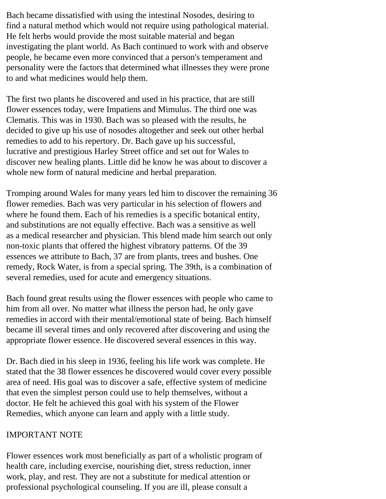Bach became dissatisfied with using the intestinal Nosodes, desiring to find a natural method which would not require using pathological material. He felt herbs would provide the most suitable material and began investigating the plant world. As Bach continued to work with and observe people, he became even more convinced that a person's temperament and personality were the factors that determined what illnesses they were prone to and what medicines would help them.

The first two plants he discovered and used in his practice, that are still flower essences today, were Impatiens and Mimulus. The third one was Clematis. This was in 1930. Bach was so pleased with the results, he decided to give up his use of nosodes altogether and seek out other herbal remedies to add to his repertory. Dr. Bach gave up his successful, lucrative and prestigious Harley Street office and set out for Wales to discover new healing plants. Little did he know he was about to discover a whole new form of natural medicine and herbal preparation.

Tromping around Wales for many years led him to discover the remaining 36 flower remedies. Bach was very particular in his selection of flowers and where he found them. Each of his remedies is a specific botanical entity, and substitutions are not equally effective. Bach was a sensitive as well as a medical researcher and physician. This blend made him search out only non-toxic plants that offered the highest vibratory patterns. Of the 39 essences we attribute to Bach, 37 are from plants, trees and bushes. One remedy, Rock Water, is from a special spring. The 39th, is a combination of several remedies, used for acute and emergency situations.

Bach found great results using the flower essences with people who came to him from all over. No matter what illness the person had, he only gave remedies in accord with their mental/emotional state of being. Bach himself became ill several times and only recovered after discovering and using the appropriate flower essence. He discovered several essences in this way.

Dr. Bach died in his sleep in 1936, feeling his life work was complete. He stated that the 38 flower essences he discovered would cover every possible area of need. His goal was to discover a safe, effective system of medicine that even the simplest person could use to help themselves, without a doctor. He felt he achieved this goal with his system of the Flower Remedies, which anyone can learn and apply with a little study.

#### IMPORTANT NOTE

Flower essences work most beneficially as part of a wholistic program of health care, including exercise, nourishing diet, stress reduction, inner work, play, and rest. They are not a substitute for medical attention or professional psychological counseling. If you are ill, please consult a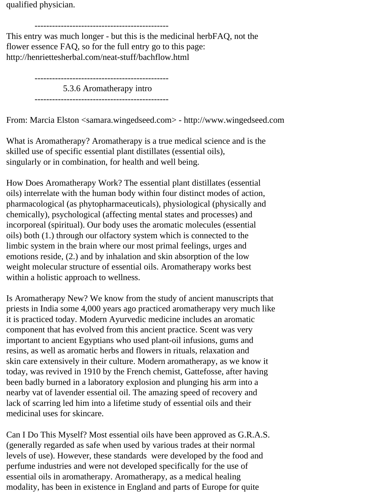qualified physician.

----------------------------------------------

This entry was much longer - but this is the medicinal herbFAQ, not the flower essence FAQ, so for the full entry go to this page: http://henriettesherbal.com/neat-stuff/bachflow.html

> ---------------------------------------------- 5.3.6 Aromatherapy intro ----------------------------------------------

From: Marcia Elston <samara.wingedseed.com> - http://www.wingedseed.com

What is Aromatherapy? Aromatherapy is a true medical science and is the skilled use of specific essential plant distillates (essential oils), singularly or in combination, for health and well being.

How Does Aromatherapy Work? The essential plant distillates (essential oils) interrelate with the human body within four distinct modes of action, pharmacological (as phytopharmaceuticals), physiological (physically and chemically), psychological (affecting mental states and processes) and incorporeal (spiritual). Our body uses the aromatic molecules (essential oils) both (1.) through our olfactory system which is connected to the limbic system in the brain where our most primal feelings, urges and emotions reside, (2.) and by inhalation and skin absorption of the low weight molecular structure of essential oils. Aromatherapy works best within a holistic approach to wellness.

Is Aromatherapy New? We know from the study of ancient manuscripts that priests in India some 4,000 years ago practiced aromatherapy very much like it is practiced today. Modern Ayurvedic medicine includes an aromatic component that has evolved from this ancient practice. Scent was very important to ancient Egyptians who used plant-oil infusions, gums and resins, as well as aromatic herbs and flowers in rituals, relaxation and skin care extensively in their culture. Modern aromatherapy, as we know it today, was revived in 1910 by the French chemist, Gattefosse, after having been badly burned in a laboratory explosion and plunging his arm into a nearby vat of lavender essential oil. The amazing speed of recovery and lack of scarring led him into a lifetime study of essential oils and their medicinal uses for skincare.

Can I Do This Myself? Most essential oils have been approved as G.R.A.S. (generally regarded as safe when used by various trades at their normal levels of use). However, these standards were developed by the food and perfume industries and were not developed specifically for the use of essential oils in aromatherapy. Aromatherapy, as a medical healing modality, has been in existence in England and parts of Europe for quite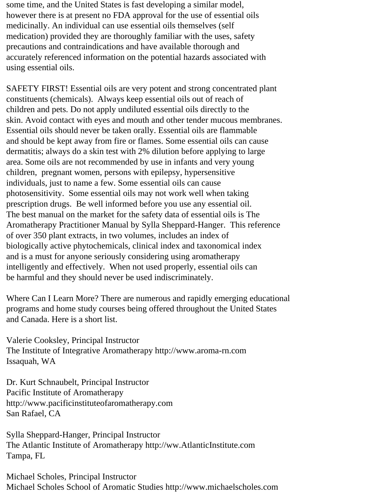some time, and the United States is fast developing a similar model, however there is at present no FDA approval for the use of essential oils medicinally. An individual can use essential oils themselves (self medication) provided they are thoroughly familiar with the uses, safety precautions and contraindications and have available thorough and accurately referenced information on the potential hazards associated with using essential oils.

SAFETY FIRST! Essential oils are very potent and strong concentrated plant constituents (chemicals). Always keep essential oils out of reach of children and pets. Do not apply undiluted essential oils directly to the skin. Avoid contact with eyes and mouth and other tender mucous membranes. Essential oils should never be taken orally. Essential oils are flammable and should be kept away from fire or flames. Some essential oils can cause dermatitis; always do a skin test with 2% dilution before applying to large area. Some oils are not recommended by use in infants and very young children, pregnant women, persons with epilepsy, hypersensitive individuals, just to name a few. Some essential oils can cause photosensitivity. Some essential oils may not work well when taking prescription drugs. Be well informed before you use any essential oil. The best manual on the market for the safety data of essential oils is The Aromatherapy Practitioner Manual by Sylla Sheppard-Hanger. This reference of over 350 plant extracts, in two volumes, includes an index of biologically active phytochemicals, clinical index and taxonomical index and is a must for anyone seriously considering using aromatherapy intelligently and effectively. When not used properly, essential oils can be harmful and they should never be used indiscriminately.

Where Can I Learn More? There are numerous and rapidly emerging educational programs and home study courses being offered throughout the United States and Canada. Here is a short list.

Valerie Cooksley, Principal Instructor The Institute of Integrative Aromatherapy http://www.aroma-rn.com Issaquah, WA

Dr. Kurt Schnaubelt, Principal Instructor Pacific Institute of Aromatherapy http://www.pacificinstituteofaromatherapy.com San Rafael, CA

Sylla Sheppard-Hanger, Principal Instructor The Atlantic Institute of Aromatherapy http://ww.AtlanticInstitute.com Tampa, FL

Michael Scholes, Principal Instructor Michael Scholes School of Aromatic Studies http://www.michaelscholes.com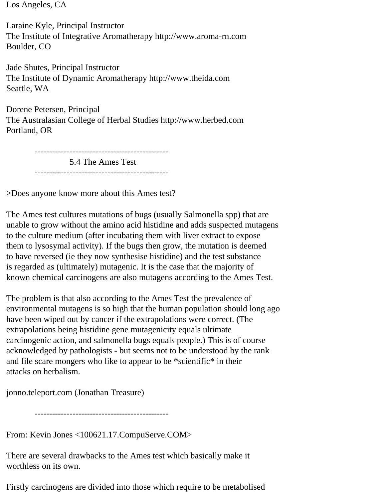Los Angeles, CA

Laraine Kyle, Principal Instructor The Institute of Integrative Aromatherapy http://www.aroma-rn.com Boulder, CO

Jade Shutes, Principal Instructor The Institute of Dynamic Aromatherapy http://www.theida.com Seattle, WA

Dorene Petersen, Principal The Australasian College of Herbal Studies http://www.herbed.com Portland, OR

----------------------------------------------

 5.4 The Ames Test ----------------------------------------------

>Does anyone know more about this Ames test?

The Ames test cultures mutations of bugs (usually Salmonella spp) that are unable to grow without the amino acid histidine and adds suspected mutagens to the culture medium (after incubating them with liver extract to expose them to lysosymal activity). If the bugs then grow, the mutation is deemed to have reversed (ie they now synthesise histidine) and the test substance is regarded as (ultimately) mutagenic. It is the case that the majority of known chemical carcinogens are also mutagens according to the Ames Test.

The problem is that also according to the Ames Test the prevalence of environmental mutagens is so high that the human population should long ago have been wiped out by cancer if the extrapolations were correct. (The extrapolations being histidine gene mutagenicity equals ultimate carcinogenic action, and salmonella bugs equals people.) This is of course acknowledged by pathologists - but seems not to be understood by the rank and file scare mongers who like to appear to be \*scientific\* in their attacks on herbalism.

jonno.teleport.com (Jonathan Treasure)

----------------------------------------------

From: Kevin Jones <100621.17.CompuServe.COM>

There are several drawbacks to the Ames test which basically make it worthless on its own.

Firstly carcinogens are divided into those which require to be metabolised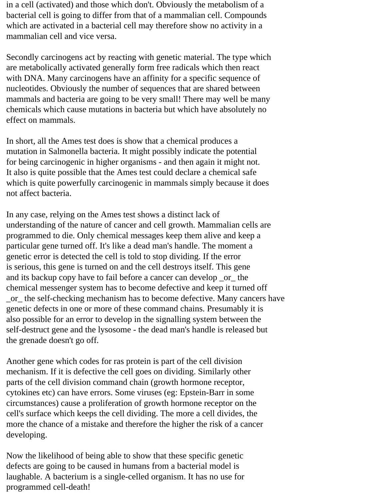in a cell (activated) and those which don't. Obviously the metabolism of a bacterial cell is going to differ from that of a mammalian cell. Compounds which are activated in a bacterial cell may therefore show no activity in a mammalian cell and vice versa.

Secondly carcinogens act by reacting with genetic material. The type which are metabolically activated generally form free radicals which then react with DNA. Many carcinogens have an affinity for a specific sequence of nucleotides. Obviously the number of sequences that are shared between mammals and bacteria are going to be very small! There may well be many chemicals which cause mutations in bacteria but which have absolutely no effect on mammals.

In short, all the Ames test does is show that a chemical produces a mutation in Salmonella bacteria. It might possibly indicate the potential for being carcinogenic in higher organisms - and then again it might not. It also is quite possible that the Ames test could declare a chemical safe which is quite powerfully carcinogenic in mammals simply because it does not affect bacteria.

In any case, relying on the Ames test shows a distinct lack of understanding of the nature of cancer and cell growth. Mammalian cells are programmed to die. Only chemical messages keep them alive and keep a particular gene turned off. It's like a dead man's handle. The moment a genetic error is detected the cell is told to stop dividing. If the error is serious, this gene is turned on and the cell destroys itself. This gene and its backup copy have to fail before a cancer can develop \_or\_ the chemical messenger system has to become defective and keep it turned off \_or\_ the self-checking mechanism has to become defective. Many cancers have genetic defects in one or more of these command chains. Presumably it is also possible for an error to develop in the signalling system between the self-destruct gene and the lysosome - the dead man's handle is released but the grenade doesn't go off.

Another gene which codes for ras protein is part of the cell division mechanism. If it is defective the cell goes on dividing. Similarly other parts of the cell division command chain (growth hormone receptor, cytokines etc) can have errors. Some viruses (eg: Epstein-Barr in some circumstances) cause a proliferation of growth hormone receptor on the cell's surface which keeps the cell dividing. The more a cell divides, the more the chance of a mistake and therefore the higher the risk of a cancer developing.

Now the likelihood of being able to show that these specific genetic defects are going to be caused in humans from a bacterial model is laughable. A bacterium is a single-celled organism. It has no use for programmed cell-death!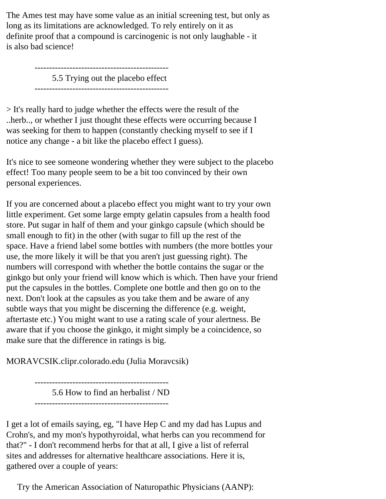The Ames test may have some value as an initial screening test, but only as long as its limitations are acknowledged. To rely entirely on it as definite proof that a compound is carcinogenic is not only laughable - it is also bad science!

> ---------------------------------------------- 5.5 Trying out the placebo effect ----------------------------------------------

> It's really hard to judge whether the effects were the result of the ..herb.., or whether I just thought these effects were occurring because I was seeking for them to happen (constantly checking myself to see if I notice any change - a bit like the placebo effect I guess).

It's nice to see someone wondering whether they were subject to the placebo effect! Too many people seem to be a bit too convinced by their own personal experiences.

If you are concerned about a placebo effect you might want to try your own little experiment. Get some large empty gelatin capsules from a health food store. Put sugar in half of them and your ginkgo capsule (which should be small enough to fit) in the other (with sugar to fill up the rest of the space. Have a friend label some bottles with numbers (the more bottles your use, the more likely it will be that you aren't just guessing right). The numbers will correspond with whether the bottle contains the sugar or the ginkgo but only your friend will know which is which. Then have your friend put the capsules in the bottles. Complete one bottle and then go on to the next. Don't look at the capsules as you take them and be aware of any subtle ways that you might be discerning the difference (e.g. weight, aftertaste etc.) You might want to use a rating scale of your alertness. Be aware that if you choose the ginkgo, it might simply be a coincidence, so make sure that the difference in ratings is big.

MORAVCSIK.clipr.colorado.edu (Julia Moravcsik)

 ---------------------------------------------- 5.6 How to find an herbalist / ND ----------------------------------------------

I get a lot of emails saying, eg, "I have Hep C and my dad has Lupus and Crohn's, and my mon's hypothyroidal, what herbs can you recommend for that?" - I don't recommend herbs for that at all, I give a list of referral sites and addresses for alternative healthcare associations. Here it is, gathered over a couple of years:

Try the American Association of Naturopathic Physicians (AANP):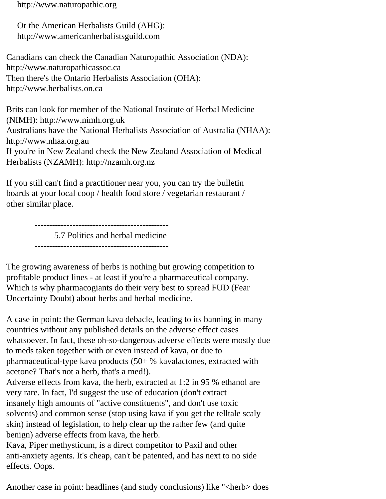http://www.naturopathic.org

 Or the American Herbalists Guild (AHG): http://www.americanherbalistsguild.com

Canadians can check the Canadian Naturopathic Association (NDA): http://www.naturopathicassoc.ca Then there's the Ontario Herbalists Association (OHA): http://www.herbalists.on.ca

Brits can look for member of the National Institute of Herbal Medicine (NIMH): http://www.nimh.org.uk Australians have the National Herbalists Association of Australia (NHAA): http://www.nhaa.org.au If you're in New Zealand check the New Zealand Association of Medical Herbalists (NZAMH): http://nzamh.org.nz

If you still can't find a practitioner near you, you can try the bulletin boards at your local coop / health food store / vegetarian restaurant / other similar place.

> ---------------------------------------------- 5.7 Politics and herbal medicine

The growing awareness of herbs is nothing but growing competition to profitable product lines - at least if you're a pharmaceutical company. Which is why pharmacogiants do their very best to spread FUD (Fear Uncertainty Doubt) about herbs and herbal medicine.

A case in point: the German kava debacle, leading to its banning in many countries without any published details on the adverse effect cases whatsoever. In fact, these oh-so-dangerous adverse effects were mostly due to meds taken together with or even instead of kava, or due to pharmaceutical-type kava products (50+ % kavalactones, extracted with acetone? That's not a herb, that's a med!). Adverse effects from kava, the herb, extracted at 1:2 in 95 % ethanol are very rare. In fact, I'd suggest the use of education (don't extract insanely high amounts of "active constituents", and don't use toxic solvents) and common sense (stop using kava if you get the telltale scaly skin) instead of legislation, to help clear up the rather few (and quite benign) adverse effects from kava, the herb. Kava, Piper methysticum, is a direct competitor to Paxil and other anti-anxiety agents. It's cheap, can't be patented, and has next to no side effects. Oops.

Another case in point: headlines (and study conclusions) like "<herb> does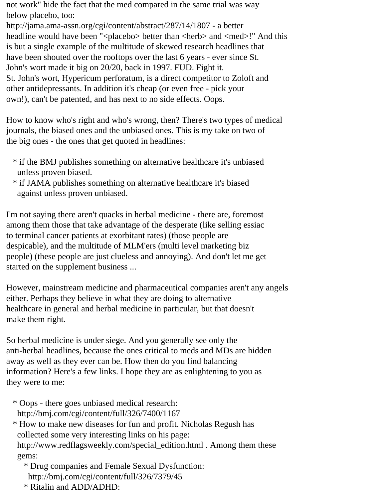not work" hide the fact that the med compared in the same trial was way below placebo, too:

http://jama.ama-assn.org/cgi/content/abstract/287/14/1807 - a better headline would have been "<placebo> better than <herb> and <med>!" And this is but a single example of the multitude of skewed research headlines that have been shouted over the rooftops over the last 6 years - ever since St. John's wort made it big on 20/20, back in 1997. FUD. Fight it. St. John's wort, Hypericum perforatum, is a direct competitor to Zoloft and other antidepressants. In addition it's cheap (or even free - pick your own!), can't be patented, and has next to no side effects. Oops.

How to know who's right and who's wrong, then? There's two types of medical journals, the biased ones and the unbiased ones. This is my take on two of the big ones - the ones that get quoted in headlines:

- \* if the BMJ publishes something on alternative healthcare it's unbiased unless proven biased.
- \* if JAMA publishes something on alternative healthcare it's biased against unless proven unbiased.

I'm not saying there aren't quacks in herbal medicine - there are, foremost among them those that take advantage of the desperate (like selling essiac to terminal cancer patients at exorbitant rates) (those people are despicable), and the multitude of MLM'ers (multi level marketing biz people) (these people are just clueless and annoying). And don't let me get started on the supplement business ...

However, mainstream medicine and pharmaceutical companies aren't any angels either. Perhaps they believe in what they are doing to alternative healthcare in general and herbal medicine in particular, but that doesn't make them right.

So herbal medicine is under siege. And you generally see only the anti-herbal headlines, because the ones critical to meds and MDs are hidden away as well as they ever can be. How then do you find balancing information? Here's a few links. I hope they are as enlightening to you as they were to me:

 \* Oops - there goes unbiased medical research: http://bmj.com/cgi/content/full/326/7400/1167

 \* How to make new diseases for fun and profit. Nicholas Regush has collected some very interesting links on his page: http://www.redflagsweekly.com/special\_edition.html . Among them these gems:

\* Drug companies and Female Sexual Dysfunction:

- http://bmj.com/cgi/content/full/326/7379/45
- \* Ritalin and ADD/ADHD: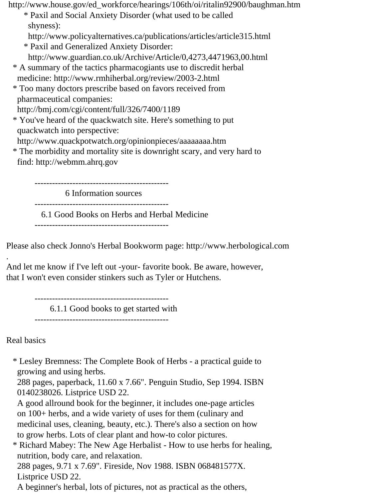http://www.house.gov/ed\_workforce/hearings/106th/oi/ritalin92900/baughman.htm

- \* Paxil and Social Anxiety Disorder (what used to be called shyness):
- http://www.policyalternatives.ca/publications/articles/article315.html
- \* Paxil and Generalized Anxiety Disorder: http://www.guardian.co.uk/Archive/Article/0,4273,4471963,00.html
- \* A summary of the tactics pharmacogiants use to discredit herbal medicine: http://www.rmhiherbal.org/review/2003-2.html
- \* Too many doctors prescribe based on favors received from pharmaceutical companies:

http://bmj.com/cgi/content/full/326/7400/1189

 \* You've heard of the quackwatch site. Here's something to put quackwatch into perspective:

http://www.quackpotwatch.org/opinionpieces/aaaaaaaa.htm

 \* The morbidity and mortality site is downright scary, and very hard to find: http://webmm.ahrq.gov

----------------------------------------------

6 Information sources

----------------------------------------------

6.1 Good Books on Herbs and Herbal Medicine

----------------------------------------------

Please also check Jonno's Herbal Bookworm page: http://www.herbological.com

And let me know if I've left out -your- favorite book. Be aware, however, that I won't even consider stinkers such as Tyler or Hutchens.

----------------------------------------------

6.1.1 Good books to get started with

----------------------------------------------

Real basics

.

 \* Lesley Bremness: The Complete Book of Herbs - a practical guide to growing and using herbs.

 288 pages, paperback, 11.60 x 7.66". Penguin Studio, Sep 1994. ISBN 0140238026. Listprice USD 22.

- A good allround book for the beginner, it includes one-page articles on 100+ herbs, and a wide variety of uses for them (culinary and medicinal uses, cleaning, beauty, etc.). There's also a section on how to grow herbs. Lots of clear plant and how-to color pictures.
- \* Richard Mabey: The New Age Herbalist How to use herbs for healing, nutrition, body care, and relaxation.

 288 pages, 9.71 x 7.69". Fireside, Nov 1988. ISBN 068481577X. Listprice USD 22.

A beginner's herbal, lots of pictures, not as practical as the others,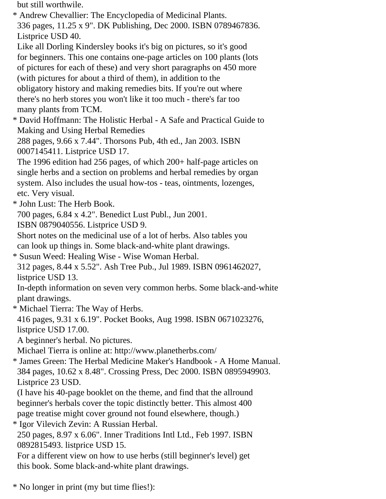but still worthwile.

 \* Andrew Chevallier: The Encyclopedia of Medicinal Plants. 336 pages, 11.25 x 9". DK Publishing, Dec 2000. ISBN 0789467836. Listprice USD 40.

 Like all Dorling Kindersley books it's big on pictures, so it's good for beginners. This one contains one-page articles on 100 plants (lots of pictures for each of these) and very short paragraphs on 450 more (with pictures for about a third of them), in addition to the obligatory history and making remedies bits. If you're out where there's no herb stores you won't like it too much - there's far too many plants from TCM.

 \* David Hoffmann: The Holistic Herbal - A Safe and Practical Guide to Making and Using Herbal Remedies

 288 pages, 9.66 x 7.44". Thorsons Pub, 4th ed., Jan 2003. ISBN 0007145411. Listprice USD 17.

 The 1996 edition had 256 pages, of which 200+ half-page articles on single herbs and a section on problems and herbal remedies by organ system. Also includes the usual how-tos - teas, ointments, lozenges, etc. Very visual.

\* John Lust: The Herb Book.

700 pages, 6.84 x 4.2". Benedict Lust Publ., Jun 2001.

ISBN 0879040556. Listprice USD 9.

 Short notes on the medicinal use of a lot of herbs. Also tables you can look up things in. Some black-and-white plant drawings.

\* Susun Weed: Healing Wise - Wise Woman Herbal.

 312 pages, 8.44 x 5.52". Ash Tree Pub., Jul 1989. ISBN 0961462027, listprice USD 13.

 In-depth information on seven very common herbs. Some black-and-white plant drawings.

\* Michael Tierra: The Way of Herbs.

 416 pages, 9.31 x 6.19". Pocket Books, Aug 1998. ISBN 0671023276, listprice USD 17.00.

A beginner's herbal. No pictures.

Michael Tierra is online at: http://www.planetherbs.com/

 \* James Green: The Herbal Medicine Maker's Handbook - A Home Manual. 384 pages, 10.62 x 8.48". Crossing Press, Dec 2000. ISBN 0895949903. Listprice 23 USD.

 (I have his 40-page booklet on the theme, and find that the allround beginner's herbals cover the topic distinctly better. This almost 400 page treatise might cover ground not found elsewhere, though.)

\* Igor Vilevich Zevin: A Russian Herbal.

 250 pages, 8.97 x 6.06". Inner Traditions Intl Ltd., Feb 1997. ISBN 0892815493. listprice USD 15.

 For a different view on how to use herbs (still beginner's level) get this book. Some black-and-white plant drawings.

\* No longer in print (my but time flies!):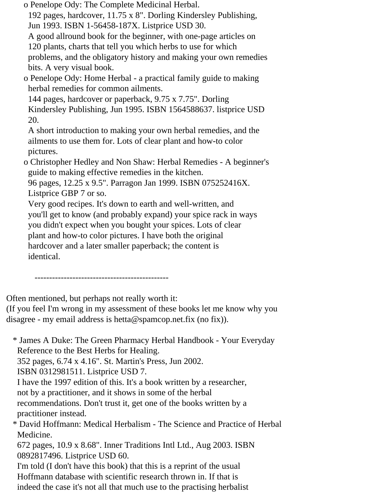o Penelope Ody: The Complete Medicinal Herbal. 192 pages, hardcover, 11.75 x 8". Dorling Kindersley Publishing, Jun 1993. ISBN 1-56458-187X. Listprice USD 30. A good allround book for the beginner, with one-page articles on 120 plants, charts that tell you which herbs to use for which problems, and the obligatory history and making your own remedies bits. A very visual book. o Penelope Ody: Home Herbal - a practical family guide to making herbal remedies for common ailments. 144 pages, hardcover or paperback, 9.75 x 7.75". Dorling Kindersley Publishing, Jun 1995. ISBN 1564588637. listprice USD 20. A short introduction to making your own herbal remedies, and the ailments to use them for. Lots of clear plant and how-to color pictures. o Christopher Hedley and Non Shaw: Herbal Remedies - A beginner's guide to making effective remedies in the kitchen. 96 pages, 12.25 x 9.5". Parragon Jan 1999. ISBN 075252416X. Listprice GBP 7 or so. Very good recipes. It's down to earth and well-written, and you'll get to know (and probably expand) your spice rack in ways you didn't expect when you bought your spices. Lots of clear plant and how-to color pictures. I have both the original hardcover and a later smaller paperback; the content is identical.

----------------------------------------------

Often mentioned, but perhaps not really worth it:

(If you feel I'm wrong in my assessment of these books let me know why you disagree - my email address is hetta@spamcop.net.fix (no fix)).

 \* James A Duke: The Green Pharmacy Herbal Handbook - Your Everyday Reference to the Best Herbs for Healing.

352 pages, 6.74 x 4.16". St. Martin's Press, Jun 2002.

ISBN 0312981511. Listprice USD 7.

I have the 1997 edition of this. It's a book written by a researcher,

not by a practitioner, and it shows in some of the herbal

 recommendations. Don't trust it, get one of the books written by a practitioner instead.

 \* David Hoffmann: Medical Herbalism - The Science and Practice of Herbal Medicine.

 672 pages, 10.9 x 8.68". Inner Traditions Intl Ltd., Aug 2003. ISBN 0892817496. Listprice USD 60.

I'm told (I don't have this book) that this is a reprint of the usual

Hoffmann database with scientific research thrown in. If that is

indeed the case it's not all that much use to the practising herbalist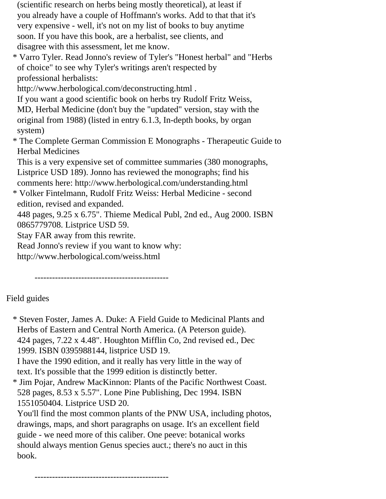(scientific research on herbs being mostly theoretical), at least if you already have a couple of Hoffmann's works. Add to that that it's very expensive - well, it's not on my list of books to buy anytime soon. If you have this book, are a herbalist, see clients, and disagree with this assessment, let me know.

 \* Varro Tyler. Read Jonno's review of Tyler's "Honest herbal" and "Herbs of choice" to see why Tyler's writings aren't respected by professional herbalists:

http://www.herbological.com/deconstructing.html .

 If you want a good scientific book on herbs try Rudolf Fritz Weiss, MD, Herbal Medicine (don't buy the "updated" version, stay with the original from 1988) (listed in entry 6.1.3, In-depth books, by organ system)

 \* The Complete German Commission E Monographs - Therapeutic Guide to Herbal Medicines

 This is a very expensive set of committee summaries (380 monographs, Listprice USD 189). Jonno has reviewed the monographs; find his comments here: http://www.herbological.com/understanding.html

 \* Volker Fintelmann, Rudolf Fritz Weiss: Herbal Medicine - second edition, revised and expanded.

 448 pages, 9.25 x 6.75". Thieme Medical Publ, 2nd ed., Aug 2000. ISBN 0865779708. Listprice USD 59.

Stay FAR away from this rewrite.

Read Jonno's review if you want to know why:

http://www.herbological.com/weiss.html

----------------------------------------------

Field guides

 \* Steven Foster, James A. Duke: A Field Guide to Medicinal Plants and Herbs of Eastern and Central North America. (A Peterson guide). 424 pages, 7.22 x 4.48". Houghton Mifflin Co, 2nd revised ed., Dec 1999. ISBN 0395988144, listprice USD 19. I have the 1990 edition, and it really has very little in the way of text. It's possible that the 1999 edition is distinctly better.

 \* Jim Pojar, Andrew MacKinnon: Plants of the Pacific Northwest Coast. 528 pages, 8.53 x 5.57". Lone Pine Publishing, Dec 1994. ISBN

1551050404. Listprice USD 20.

 You'll find the most common plants of the PNW USA, including photos, drawings, maps, and short paragraphs on usage. It's an excellent field guide - we need more of this caliber. One peeve: botanical works should always mention Genus species auct.; there's no auct in this book.

----------------------------------------------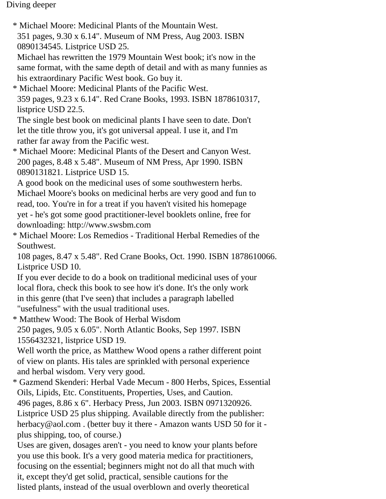Diving deeper

 \* Michael Moore: Medicinal Plants of the Mountain West. 351 pages, 9.30 x 6.14". Museum of NM Press, Aug 2003. ISBN 0890134545. Listprice USD 25.

 Michael has rewritten the 1979 Mountain West book; it's now in the same format, with the same depth of detail and with as many funnies as his extraordinary Pacific West book. Go buy it.

 \* Michael Moore: Medicinal Plants of the Pacific West. 359 pages, 9.23 x 6.14". Red Crane Books, 1993. ISBN 1878610317, listprice USD 22.5.

 The single best book on medicinal plants I have seen to date. Don't let the title throw you, it's got universal appeal. I use it, and I'm rather far away from the Pacific west.

 \* Michael Moore: Medicinal Plants of the Desert and Canyon West. 200 pages, 8.48 x 5.48". Museum of NM Press, Apr 1990. ISBN 0890131821. Listprice USD 15.

 A good book on the medicinal uses of some southwestern herbs. Michael Moore's books on medicinal herbs are very good and fun to read, too. You're in for a treat if you haven't visited his homepage yet - he's got some good practitioner-level booklets online, free for downloading: http://www.swsbm.com

 \* Michael Moore: Los Remedios - Traditional Herbal Remedies of the Southwest.

 108 pages, 8.47 x 5.48". Red Crane Books, Oct. 1990. ISBN 1878610066. Listprice USD 10.

 If you ever decide to do a book on traditional medicinal uses of your local flora, check this book to see how it's done. It's the only work in this genre (that I've seen) that includes a paragraph labelled "usefulness" with the usual traditional uses.

 \* Matthew Wood: The Book of Herbal Wisdom 250 pages, 9.05 x 6.05". North Atlantic Books, Sep 1997. ISBN 1556432321, listprice USD 19.

 Well worth the price, as Matthew Wood opens a rather different point of view on plants. His tales are sprinkled with personal experience and herbal wisdom. Very very good.

 \* Gazmend Skenderi: Herbal Vade Mecum - 800 Herbs, Spices, Essential Oils, Lipids, Etc. Constituents, Properties, Uses, and Caution. 496 pages, 8.86 x 6". Herbacy Press, Jun 2003. ISBN 0971320926. Listprice USD 25 plus shipping. Available directly from the publisher: herbacy@aol.com . (better buy it there - Amazon wants USD 50 for it plus shipping, too, of course.)

 Uses are given, dosages aren't - you need to know your plants before you use this book. It's a very good materia medica for practitioners, focusing on the essential; beginners might not do all that much with it, except they'd get solid, practical, sensible cautions for the listed plants, instead of the usual overblown and overly theoretical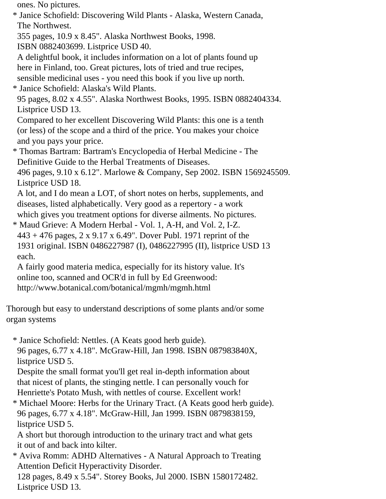ones. No pictures.

 \* Janice Schofield: Discovering Wild Plants - Alaska, Western Canada, The Northwest.

355 pages, 10.9 x 8.45". Alaska Northwest Books, 1998.

ISBN 0882403699. Listprice USD 40.

A delightful book, it includes information on a lot of plants found up

here in Finland, too. Great pictures, lots of tried and true recipes,

sensible medicinal uses - you need this book if you live up north.

\* Janice Schofield: Alaska's Wild Plants.

 95 pages, 8.02 x 4.55". Alaska Northwest Books, 1995. ISBN 0882404334. Listprice USD 13.

 Compared to her excellent Discovering Wild Plants: this one is a tenth (or less) of the scope and a third of the price. You makes your choice and you pays your price.

 \* Thomas Bartram: Bartram's Encyclopedia of Herbal Medicine - The Definitive Guide to the Herbal Treatments of Diseases.

 496 pages, 9.10 x 6.12". Marlowe & Company, Sep 2002. ISBN 1569245509. Listprice USD 18.

 A lot, and I do mean a LOT, of short notes on herbs, supplements, and diseases, listed alphabetically. Very good as a repertory - a work which gives you treatment options for diverse ailments. No pictures.

 \* Maud Grieve: A Modern Herbal - Vol. 1, A-H, and Vol. 2, I-Z. 443 + 476 pages, 2 x 9.17 x 6.49". Dover Publ. 1971 reprint of the 1931 original. ISBN 0486227987 (I), 0486227995 (II), listprice USD 13 each.

 A fairly good materia medica, especially for its history value. It's online too, scanned and OCR'd in full by Ed Greenwood: http://www.botanical.com/botanical/mgmh/mgmh.html

Thorough but easy to understand descriptions of some plants and/or some organ systems

 \* Janice Schofield: Nettles. (A Keats good herb guide). 96 pages, 6.77 x 4.18". McGraw-Hill, Jan 1998. ISBN 087983840X, listprice USD 5.

 Despite the small format you'll get real in-depth information about that nicest of plants, the stinging nettle. I can personally vouch for Henriette's Potato Mush, with nettles of course. Excellent work!

 \* Michael Moore: Herbs for the Urinary Tract. (A Keats good herb guide). 96 pages, 6.77 x 4.18". McGraw-Hill, Jan 1999. ISBN 0879838159, listprice USD 5.

 A short but thorough introduction to the urinary tract and what gets it out of and back into kilter.

 \* Aviva Romm: ADHD Alternatives - A Natural Approach to Treating Attention Deficit Hyperactivity Disorder.

 128 pages, 8.49 x 5.54". Storey Books, Jul 2000. ISBN 1580172482. Listprice USD 13.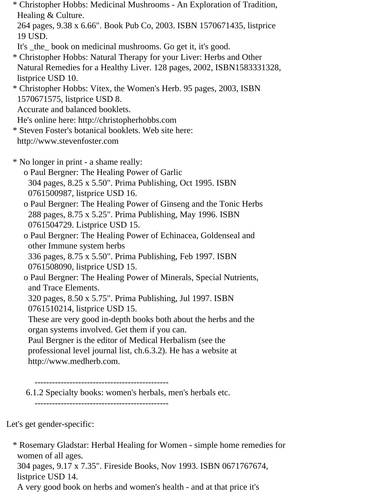\* Christopher Hobbs: Medicinal Mushrooms - An Exploration of Tradition, Healing & Culture.

 264 pages, 9.38 x 6.66". Book Pub Co, 2003. ISBN 1570671435, listprice 19 USD.

- It's \_the\_ book on medicinal mushrooms. Go get it, it's good.
- \* Christopher Hobbs: Natural Therapy for your Liver: Herbs and Other Natural Remedies for a Healthy Liver. 128 pages, 2002, ISBN1583331328, listprice USD 10.
- \* Christopher Hobbs: Vitex, the Women's Herb. 95 pages, 2003, ISBN 1570671575, listprice USD 8.

Accurate and balanced booklets.

He's online here: http://christopherhobbs.com

 \* Steven Foster's botanical booklets. Web site here: http://www.stevenfoster.com

\* No longer in print - a shame really:

- o Paul Bergner: The Healing Power of Garlic 304 pages, 8.25 x 5.50". Prima Publishing, Oct 1995. ISBN 0761500987, listprice USD 16.
- o Paul Bergner: The Healing Power of Ginseng and the Tonic Herbs 288 pages, 8.75 x 5.25". Prima Publishing, May 1996. ISBN 0761504729. Listprice USD 15.
- o Paul Bergner: The Healing Power of Echinacea, Goldenseal and other Immune system herbs
- 336 pages, 8.75 x 5.50". Prima Publishing, Feb 1997. ISBN 0761508090, listprice USD 15.
- o Paul Bergner: The Healing Power of Minerals, Special Nutrients, and Trace Elements.

 320 pages, 8.50 x 5.75". Prima Publishing, Jul 1997. ISBN 0761510214, listprice USD 15.

 These are very good in-depth books both about the herbs and the organ systems involved. Get them if you can.

Paul Bergner is the editor of Medical Herbalism (see the

 professional level journal list, ch.6.3.2). He has a website at http://www.medherb.com.

----------------------------------------------

6.1.2 Specialty books: women's herbals, men's herbals etc.

----------------------------------------------

Let's get gender-specific:

 \* Rosemary Gladstar: Herbal Healing for Women - simple home remedies for women of all ages.

304 pages, 9.17 x 7.35". Fireside Books, Nov 1993. ISBN 0671767674,

listprice USD 14.

A very good book on herbs and women's health - and at that price it's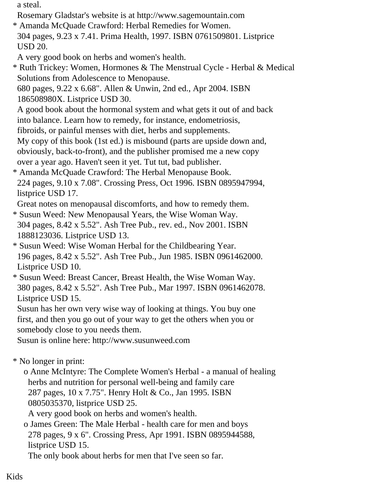a steal.

Rosemary Gladstar's website is at http://www.sagemountain.com

 \* Amanda McQuade Crawford: Herbal Remedies for Women. 304 pages, 9.23 x 7.41. Prima Health, 1997. ISBN 0761509801. Listprice USD 20.

A very good book on herbs and women's health.

 \* Ruth Trickey: Women, Hormones & The Menstrual Cycle - Herbal & Medical Solutions from Adolescence to Menopause.

 680 pages, 9.22 x 6.68". Allen & Unwin, 2nd ed., Apr 2004. ISBN 186508980X. Listprice USD 30.

 A good book about the hormonal system and what gets it out of and back into balance. Learn how to remedy, for instance, endometriosis, fibroids, or painful menses with diet, herbs and supplements.

 My copy of this book (1st ed.) is misbound (parts are upside down and, obviously, back-to-front), and the publisher promised me a new copy over a year ago. Haven't seen it yet. Tut tut, bad publisher.

 \* Amanda McQuade Crawford: The Herbal Menopause Book. 224 pages, 9.10 x 7.08". Crossing Press, Oct 1996. ISBN 0895947994, listprice USD 17.

Great notes on menopausal discomforts, and how to remedy them.

- \* Susun Weed: New Menopausal Years, the Wise Woman Way. 304 pages, 8.42 x 5.52". Ash Tree Pub., rev. ed., Nov 2001. ISBN 1888123036. Listprice USD 13.
- \* Susun Weed: Wise Woman Herbal for the Childbearing Year. 196 pages, 8.42 x 5.52". Ash Tree Pub., Jun 1985. ISBN 0961462000. Listprice USD 10.
- \* Susun Weed: Breast Cancer, Breast Health, the Wise Woman Way. 380 pages, 8.42 x 5.52". Ash Tree Pub., Mar 1997. ISBN 0961462078. Listprice USD 15.

 Susun has her own very wise way of looking at things. You buy one first, and then you go out of your way to get the others when you or somebody close to you needs them.

Susun is online here: http://www.susunweed.com

\* No longer in print:

 o Anne McIntyre: The Complete Women's Herbal - a manual of healing herbs and nutrition for personal well-being and family care 287 pages, 10 x 7.75". Henry Holt & Co., Jan 1995. ISBN 0805035370, listprice USD 25.

A very good book on herbs and women's health.

 o James Green: The Male Herbal - health care for men and boys 278 pages, 9 x 6". Crossing Press, Apr 1991. ISBN 0895944588, listprice USD 15.

The only book about herbs for men that I've seen so far.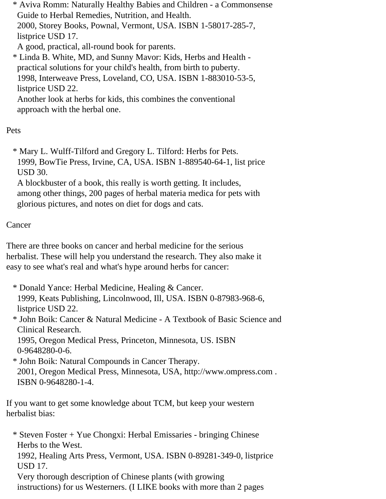\* Aviva Romm: Naturally Healthy Babies and Children - a Commonsense Guide to Herbal Remedies, Nutrition, and Health. 2000, Storey Books, Pownal, Vermont, USA. ISBN 1-58017-285-7, listprice USD 17. A good, practical, all-round book for parents. \* Linda B. White, MD, and Sunny Mavor: Kids, Herbs and Health practical solutions for your child's health, from birth to puberty. 1998, Interweave Press, Loveland, CO, USA. ISBN 1-883010-53-5,

listprice USD 22.

 Another look at herbs for kids, this combines the conventional approach with the herbal one.

## Pets

 \* Mary L. Wulff-Tilford and Gregory L. Tilford: Herbs for Pets. 1999, BowTie Press, Irvine, CA, USA. ISBN 1-889540-64-1, list price USD 30. A blockbuster of a book, this really is worth getting. It includes,

 among other things, 200 pages of herbal materia medica for pets with glorious pictures, and notes on diet for dogs and cats.

## Cancer

There are three books on cancer and herbal medicine for the serious herbalist. These will help you understand the research. They also make it easy to see what's real and what's hype around herbs for cancer:

- \* Donald Yance: Herbal Medicine, Healing & Cancer. 1999, Keats Publishing, Lincolnwood, Ill, USA. ISBN 0-87983-968-6, listprice USD 22.
- \* John Boik: Cancer & Natural Medicine A Textbook of Basic Science and Clinical Research.

 1995, Oregon Medical Press, Princeton, Minnesota, US. ISBN 0-9648280-0-6.

 \* John Boik: Natural Compounds in Cancer Therapy. 2001, Oregon Medical Press, Minnesota, USA, http://www.ompress.com . ISBN 0-9648280-1-4.

If you want to get some knowledge about TCM, but keep your western herbalist bias:

 \* Steven Foster + Yue Chongxi: Herbal Emissaries - bringing Chinese Herbs to the West. 1992, Healing Arts Press, Vermont, USA. ISBN 0-89281-349-0, listprice USD 17. Very thorough description of Chinese plants (with growing

instructions) for us Westerners. (I LIKE books with more than 2 pages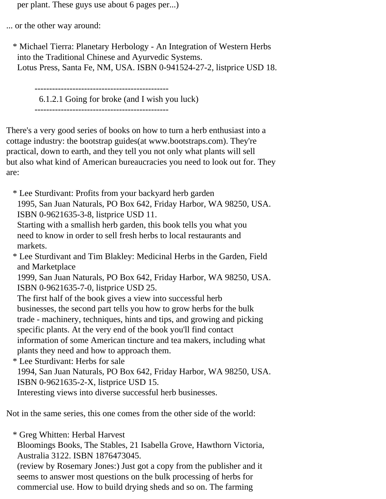per plant. These guys use about 6 pages per...)

... or the other way around:

 \* Michael Tierra: Planetary Herbology - An Integration of Western Herbs into the Traditional Chinese and Ayurvedic Systems. Lotus Press, Santa Fe, NM, USA. ISBN 0-941524-27-2, listprice USD 18.

 ---------------------------------------------- 6.1.2.1 Going for broke (and I wish you luck)

----------------------------------------------

There's a very good series of books on how to turn a herb enthusiast into a cottage industry: the bootstrap guides(at www.bootstraps.com). They're practical, down to earth, and they tell you not only what plants will sell but also what kind of American bureaucracies you need to look out for. They are:

 \* Lee Sturdivant: Profits from your backyard herb garden 1995, San Juan Naturals, PO Box 642, Friday Harbor, WA 98250, USA. ISBN 0-9621635-3-8, listprice USD 11.

 Starting with a smallish herb garden, this book tells you what you need to know in order to sell fresh herbs to local restaurants and markets.

 \* Lee Sturdivant and Tim Blakley: Medicinal Herbs in the Garden, Field and Marketplace

 1999, San Juan Naturals, PO Box 642, Friday Harbor, WA 98250, USA. ISBN 0-9621635-7-0, listprice USD 25.

 The first half of the book gives a view into successful herb businesses, the second part tells you how to grow herbs for the bulk trade - machinery, techniques, hints and tips, and growing and picking specific plants. At the very end of the book you'll find contact information of some American tincture and tea makers, including what plants they need and how to approach them.

\* Lee Sturdivant: Herbs for sale

 1994, San Juan Naturals, PO Box 642, Friday Harbor, WA 98250, USA. ISBN 0-9621635-2-X, listprice USD 15.

Interesting views into diverse successful herb businesses.

Not in the same series, this one comes from the other side of the world:

\* Greg Whitten: Herbal Harvest

 Bloomings Books, The Stables, 21 Isabella Grove, Hawthorn Victoria, Australia 3122. ISBN 1876473045.

 (review by Rosemary Jones:) Just got a copy from the publisher and it seems to answer most questions on the bulk processing of herbs for commercial use. How to build drying sheds and so on. The farming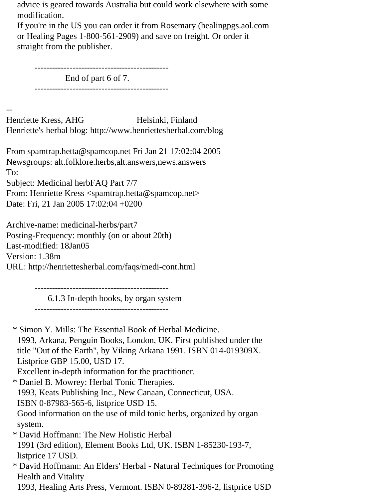advice is geared towards Australia but could work elsewhere with some modification.

 If you're in the US you can order it from Rosemary (healingpgs.aol.com or Healing Pages 1-800-561-2909) and save on freight. Or order it straight from the publisher.

 ---------------------------------------------- End of part 6 of 7. ----------------------------------------------

--

Henriette Kress, AHG Helsinki, Finland Henriette's herbal blog: http://www.henriettesherbal.com/blog

From spamtrap.hetta@spamcop.net Fri Jan 21 17:02:04 2005 Newsgroups: alt.folklore.herbs,alt.answers,news.answers To: Subject: Medicinal herbFAQ Part 7/7 From: Henriette Kress <spamtrap.hetta@spamcop.net> Date: Fri, 21 Jan 2005 17:02:04 +0200

Archive-name: medicinal-herbs/part7 Posting-Frequency: monthly (on or about 20th) Last-modified: 18Jan05 Version: 1.38m URL: http://henriettesherbal.com/faqs/medi-cont.html

> ---------------------------------------------- 6.1.3 In-depth books, by organ system ----------------------------------------------

 \* Simon Y. Mills: The Essential Book of Herbal Medicine. 1993, Arkana, Penguin Books, London, UK. First published under the title "Out of the Earth", by Viking Arkana 1991. ISBN 014-019309X. Listprice GBP 15.00, USD 17. Excellent in-depth information for the practitioner. \* Daniel B. Mowrey: Herbal Tonic Therapies. 1993, Keats Publishing Inc., New Canaan, Connecticut, USA. ISBN 0-87983-565-6, listprice USD 15. Good information on the use of mild tonic herbs, organized by organ system. \* David Hoffmann: The New Holistic Herbal 1991 (3rd edition), Element Books Ltd, UK. ISBN 1-85230-193-7, listprice 17 USD. \* David Hoffmann: An Elders' Herbal - Natural Techniques for Promoting Health and Vitality

1993, Healing Arts Press, Vermont. ISBN 0-89281-396-2, listprice USD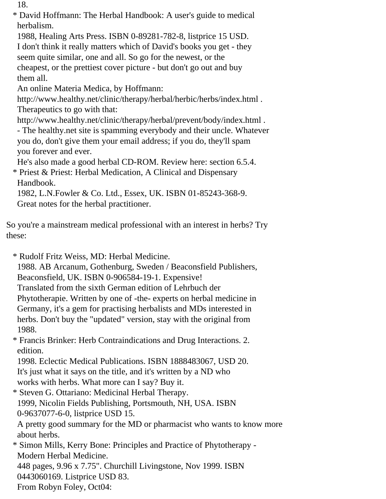18.

 \* David Hoffmann: The Herbal Handbook: A user's guide to medical herbalism.

 1988, Healing Arts Press. ISBN 0-89281-782-8, listprice 15 USD. I don't think it really matters which of David's books you get - they seem quite similar, one and all. So go for the newest, or the cheapest, or the prettiest cover picture - but don't go out and buy them all.

An online Materia Medica, by Hoffmann:

 http://www.healthy.net/clinic/therapy/herbal/herbic/herbs/index.html . Therapeutics to go with that:

http://www.healthy.net/clinic/therapy/herbal/prevent/body/index.html .

 - The healthy.net site is spamming everybody and their uncle. Whatever you do, don't give them your email address; if you do, they'll spam you forever and ever.

He's also made a good herbal CD-ROM. Review here: section 6.5.4.

 \* Priest & Priest: Herbal Medication, A Clinical and Dispensary Handbook.

 1982, L.N.Fowler & Co. Ltd., Essex, UK. ISBN 01-85243-368-9. Great notes for the herbal practitioner.

So you're a mainstream medical professional with an interest in herbs? Try these:

\* Rudolf Fritz Weiss, MD: Herbal Medicine.

 1988. AB Arcanum, Gothenburg, Sweden / Beaconsfield Publishers, Beaconsfield, UK. ISBN 0-906584-19-1. Expensive! Translated from the sixth German edition of Lehrbuch der Phytotherapie. Written by one of -the- experts on herbal medicine in Germany, it's a gem for practising herbalists and MDs interested in herbs. Don't buy the "updated" version, stay with the original from 1988.

 \* Francis Brinker: Herb Contraindications and Drug Interactions. 2. edition.

 1998. Eclectic Medical Publications. ISBN 1888483067, USD 20. It's just what it says on the title, and it's written by a ND who works with herbs. What more can I say? Buy it.

 \* Steven G. Ottariano: Medicinal Herbal Therapy. 1999, Nicolin Fields Publishing, Portsmouth, NH, USA. ISBN 0-9637077-6-0, listprice USD 15.

 A pretty good summary for the MD or pharmacist who wants to know more about herbs.

 \* Simon Mills, Kerry Bone: Principles and Practice of Phytotherapy - Modern Herbal Medicine.

448 pages, 9.96 x 7.75". Churchill Livingstone, Nov 1999. ISBN

 0443060169. Listprice USD 83. From Robyn Foley, Oct04: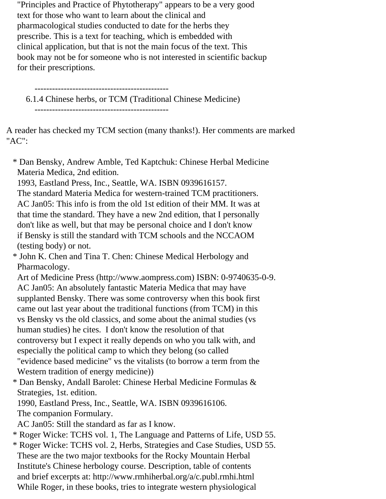"Principles and Practice of Phytotherapy" appears to be a very good text for those who want to learn about the clinical and pharmacological studies conducted to date for the herbs they prescribe. This is a text for teaching, which is embedded with clinical application, but that is not the main focus of the text. This book may not be for someone who is not interested in scientific backup for their prescriptions.

 ---------------------------------------------- 6.1.4 Chinese herbs, or TCM (Traditional Chinese Medicine) ----------------------------------------------

A reader has checked my TCM section (many thanks!). Her comments are marked "AC":

 \* Dan Bensky, Andrew Amble, Ted Kaptchuk: Chinese Herbal Medicine Materia Medica, 2nd edition.

1993, Eastland Press, Inc., Seattle, WA. ISBN 0939616157.

 The standard Materia Medica for western-trained TCM practitioners. AC Jan05: This info is from the old 1st edition of their MM. It was at that time the standard. They have a new 2nd edition, that I personally don't like as well, but that may be personal choice and I don't know if Bensky is still the standard with TCM schools and the NCCAOM (testing body) or not.

 \* John K. Chen and Tina T. Chen: Chinese Medical Herbology and Pharmacology.

 Art of Medicine Press (http://www.aompress.com) ISBN: 0-9740635-0-9. AC Jan05: An absolutely fantastic Materia Medica that may have supplanted Bensky. There was some controversy when this book first came out last year about the traditional functions (from TCM) in this vs Bensky vs the old classics, and some about the animal studies (vs human studies) he cites. I don't know the resolution of that controversy but I expect it really depends on who you talk with, and especially the political camp to which they belong (so called "evidence based medicine" vs the vitalists (to borrow a term from the Western tradition of energy medicine))

 \* Dan Bensky, Andall Barolet: Chinese Herbal Medicine Formulas & Strategies, 1st. edition.

 1990, Eastland Press, Inc., Seattle, WA. ISBN 0939616106. The companion Formulary.

AC Jan05: Still the standard as far as I know.

- \* Roger Wicke: TCHS vol. 1, The Language and Patterns of Life, USD 55.
- \* Roger Wicke: TCHS vol. 2, Herbs, Strategies and Case Studies, USD 55. These are the two major textbooks for the Rocky Mountain Herbal Institute's Chinese herbology course. Description, table of contents and brief excerpts at: http://www.rmhiherbal.org/a/c.publ.rmhi.html While Roger, in these books, tries to integrate western physiological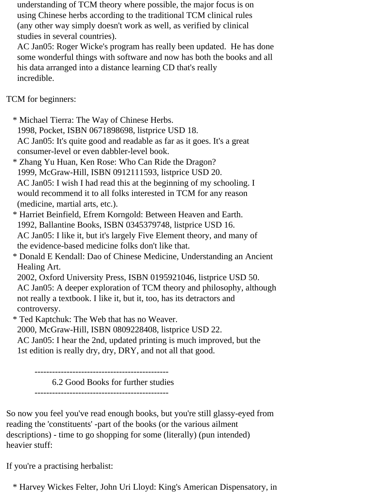understanding of TCM theory where possible, the major focus is on using Chinese herbs according to the traditional TCM clinical rules (any other way simply doesn't work as well, as verified by clinical studies in several countries).

 AC Jan05: Roger Wicke's program has really been updated. He has done some wonderful things with software and now has both the books and all his data arranged into a distance learning CD that's really incredible.

TCM for beginners:

- \* Michael Tierra: The Way of Chinese Herbs. 1998, Pocket, ISBN 0671898698, listprice USD 18. AC Jan05: It's quite good and readable as far as it goes. It's a great consumer-level or even dabbler-level book.
- \* Zhang Yu Huan, Ken Rose: Who Can Ride the Dragon? 1999, McGraw-Hill, ISBN 0912111593, listprice USD 20. AC Jan05: I wish I had read this at the beginning of my schooling. I would recommend it to all folks interested in TCM for any reason (medicine, martial arts, etc.).
- \* Harriet Beinfield, Efrem Korngold: Between Heaven and Earth. 1992, Ballantine Books, ISBN 0345379748, listprice USD 16. AC Jan05: I like it, but it's largely Five Element theory, and many of the evidence-based medicine folks don't like that.
- \* Donald E Kendall: Dao of Chinese Medicine, Understanding an Ancient Healing Art.

 2002, Oxford University Press, ISBN 0195921046, listprice USD 50. AC Jan05: A deeper exploration of TCM theory and philosophy, although not really a textbook. I like it, but it, too, has its detractors and controversy.

\* Ted Kaptchuk: The Web that has no Weaver.

2000, McGraw-Hill, ISBN 0809228408, listprice USD 22.

 AC Jan05: I hear the 2nd, updated printing is much improved, but the 1st edition is really dry, dry, DRY, and not all that good.

6.2 Good Books for further studies

----------------------------------------------

----------------------------------------------

So now you feel you've read enough books, but you're still glassy-eyed from reading the 'constituents' -part of the books (or the various ailment descriptions) - time to go shopping for some (literally) (pun intended) heavier stuff:

If you're a practising herbalist:

\* Harvey Wickes Felter, John Uri Lloyd: King's American Dispensatory, in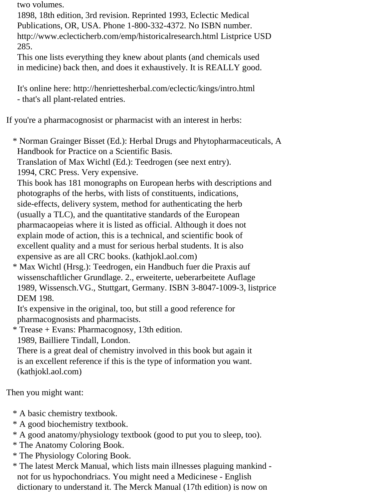two volumes.

 1898, 18th edition, 3rd revision. Reprinted 1993, Eclectic Medical Publications, OR, USA. Phone 1-800-332-4372. No ISBN number. http://www.eclecticherb.com/emp/historicalresearch.html Listprice USD 285.

 This one lists everything they knew about plants (and chemicals used in medicine) back then, and does it exhaustively. It is REALLY good.

 It's online here: http://henriettesherbal.com/eclectic/kings/intro.html - that's all plant-related entries.

If you're a pharmacognosist or pharmacist with an interest in herbs:

 \* Norman Grainger Bisset (Ed.): Herbal Drugs and Phytopharmaceuticals, A Handbook for Practice on a Scientific Basis.

Translation of Max Wichtl (Ed.): Teedrogen (see next entry).

1994, CRC Press. Very expensive.

 This book has 181 monographs on European herbs with descriptions and photographs of the herbs, with lists of constituents, indications, side-effects, delivery system, method for authenticating the herb (usually a TLC), and the quantitative standards of the European pharmacaopeias where it is listed as official. Although it does not explain mode of action, this is a technical, and scientific book of excellent quality and a must for serious herbal students. It is also expensive as are all CRC books. (kathjokl.aol.com)

 \* Max Wichtl (Hrsg.): Teedrogen, ein Handbuch fuer die Praxis auf wissenschaftlicher Grundlage. 2., erweiterte, ueberarbeitete Auflage 1989, Wissensch.VG., Stuttgart, Germany. ISBN 3-8047-1009-3, listprice DEM 198.

 It's expensive in the original, too, but still a good reference for pharmacognosists and pharmacists.

\* Trease + Evans: Pharmacognosy, 13th edition.

1989, Bailliere Tindall, London.

 There is a great deal of chemistry involved in this book but again it is an excellent reference if this is the type of information you want. (kathjokl.aol.com)

Then you might want:

- \* A basic chemistry textbook.
- \* A good biochemistry textbook.
- \* A good anatomy/physiology textbook (good to put you to sleep, too).
- \* The Anatomy Coloring Book.
- \* The Physiology Coloring Book.
- \* The latest Merck Manual, which lists main illnesses plaguing mankind not for us hypochondriacs. You might need a Medicinese - English dictionary to understand it. The Merck Manual (17th edition) is now on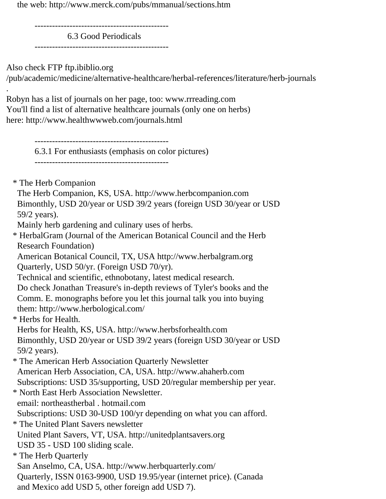the web: http://www.merck.com/pubs/mmanual/sections.htm

----------------------------------------------

6.3 Good Periodicals

----------------------------------------------

Also check FTP ftp.ibiblio.org

.

/pub/academic/medicine/alternative-healthcare/herbal-references/literature/herb-journals

Robyn has a list of journals on her page, too: www.rrreading.com You'll find a list of alternative healthcare journals (only one on herbs) here: http://www.healthwwweb.com/journals.html

----------------------------------------------

 6.3.1 For enthusiasts (emphasis on color pictures) ----------------------------------------------

\* The Herb Companion

The Herb Companion, KS, USA. http://www.herbcompanion.com

 Bimonthly, USD 20/year or USD 39/2 years (foreign USD 30/year or USD 59/2 years).

Mainly herb gardening and culinary uses of herbs.

 \* HerbalGram (Journal of the American Botanical Council and the Herb Research Foundation)

 American Botanical Council, TX, USA http://www.herbalgram.org Quarterly, USD 50/yr. (Foreign USD 70/yr).

Technical and scientific, ethnobotany, latest medical research.

 Do check Jonathan Treasure's in-depth reviews of Tyler's books and the Comm. E. monographs before you let this journal talk you into buying them: http://www.herbological.com/

\* Herbs for Health.

Herbs for Health, KS, USA. http://www.herbsforhealth.com

 Bimonthly, USD 20/year or USD 39/2 years (foreign USD 30/year or USD 59/2 years).

 \* The American Herb Association Quarterly Newsletter American Herb Association, CA, USA. http://www.ahaherb.com Subscriptions: USD 35/supporting, USD 20/regular membership per year.

 \* North East Herb Association Newsletter. email: northeastherbal . hotmail.com Subscriptions: USD 30-USD 100/yr depending on what you can afford.

 \* The United Plant Savers newsletter United Plant Savers, VT, USA. http://unitedplantsavers.org USD 35 - USD 100 sliding scale.

 \* The Herb Quarterly San Anselmo, CA, USA. http://www.herbquarterly.com/ Quarterly, ISSN 0163-9900, USD 19.95/year (internet price). (Canada and Mexico add USD 5, other foreign add USD 7).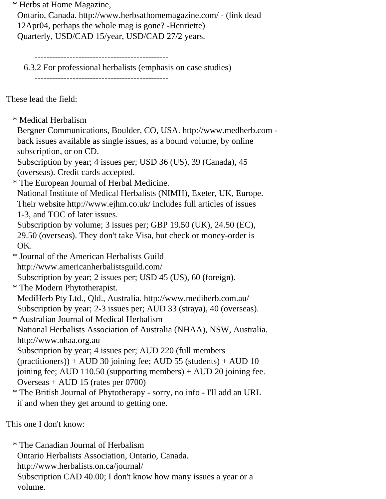\* Herbs at Home Magazine,

 Ontario, Canada. http://www.herbsathomemagazine.com/ - (link dead 12Apr04, perhaps the whole mag is gone? -Henriette) Quarterly, USD/CAD 15/year, USD/CAD 27/2 years.

----------------------------------------------

6.3.2 For professional herbalists (emphasis on case studies)

----------------------------------------------

These lead the field:

 \* Medical Herbalism Bergner Communications, Boulder, CO, USA. http://www.medherb.com back issues available as single issues, as a bound volume, by online subscription, or on CD. Subscription by year; 4 issues per; USD 36 (US), 39 (Canada), 45 (overseas). Credit cards accepted. \* The European Journal of Herbal Medicine. National Institute of Medical Herbalists (NIMH), Exeter, UK, Europe. Their website http://www.ejhm.co.uk/ includes full articles of issues 1-3, and TOC of later issues. Subscription by volume; 3 issues per; GBP 19.50 (UK), 24.50 (EC), 29.50 (overseas). They don't take Visa, but check or money-order is OK. \* Journal of the American Herbalists Guild http://www.americanherbalistsguild.com/ Subscription by year; 2 issues per; USD 45 (US), 60 (foreign). \* The Modern Phytotherapist. MediHerb Pty Ltd., Qld., Australia. http://www.mediherb.com.au/ Subscription by year; 2-3 issues per; AUD 33 (straya), 40 (overseas). \* Australian Journal of Medical Herbalism National Herbalists Association of Australia (NHAA), NSW, Australia. http://www.nhaa.org.au Subscription by year; 4 issues per; AUD 220 (full members  $(practioners)$ ) + AUD 30 joining fee; AUD 55 (students) + AUD 10 joining fee; AUD 110.50 (supporting members) + AUD 20 joining fee. Overseas + AUD 15 (rates per 0700) \* The British Journal of Phytotherapy - sorry, no info - I'll add an URL if and when they get around to getting one.

This one I don't know:

 \* The Canadian Journal of Herbalism Ontario Herbalists Association, Ontario, Canada. http://www.herbalists.on.ca/journal/ Subscription CAD 40.00; I don't know how many issues a year or a volume.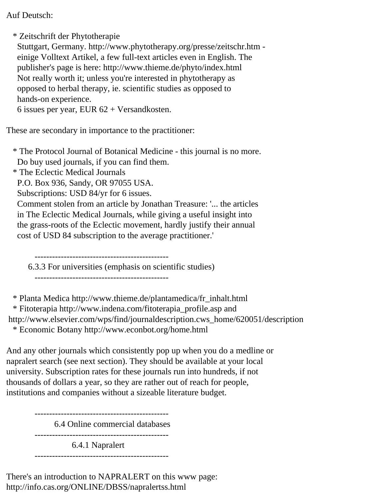Auf Deutsch:

\* Zeitschrift der Phytotherapie

 Stuttgart, Germany. http://www.phytotherapy.org/presse/zeitschr.htm einige Volltext Artikel, a few full-text articles even in English. The publisher's page is here: http://www.thieme.de/phyto/index.html Not really worth it; unless you're interested in phytotherapy as opposed to herbal therapy, ie. scientific studies as opposed to hands-on experience.

6 issues per year, EUR  $62 +$  Versandkosten.

These are secondary in importance to the practitioner:

 \* The Protocol Journal of Botanical Medicine - this journal is no more. Do buy used journals, if you can find them.

\* The Eclectic Medical Journals

P.O. Box 936, Sandy, OR 97055 USA.

Subscriptions: USD 84/yr for 6 issues.

 Comment stolen from an article by Jonathan Treasure: '... the articles in The Eclectic Medical Journals, while giving a useful insight into the grass-roots of the Eclectic movement, hardly justify their annual cost of USD 84 subscription to the average practitioner.'

----------------------------------------------

6.3.3 For universities (emphasis on scientific studies)

----------------------------------------------

 \* Planta Medica http://www.thieme.de/plantamedica/fr\_inhalt.html \* Fitoterapia http://www.indena.com/fitoterapia\_profile.asp and

http://www.elsevier.com/wps/find/journaldescription.cws\_home/620051/description

\* Economic Botany http://www.econbot.org/home.html

And any other journals which consistently pop up when you do a medline or napralert search (see next section). They should be available at your local university. Subscription rates for these journals run into hundreds, if not thousands of dollars a year, so they are rather out of reach for people, institutions and companies without a sizeable literature budget.

----------------------------------------------

 6.4 Online commercial databases ----------------------------------------------

6.4.1 Napralert

----------------------------------------------

There's an introduction to NAPRALERT on this www page: http://info.cas.org/ONLINE/DBSS/napralertss.html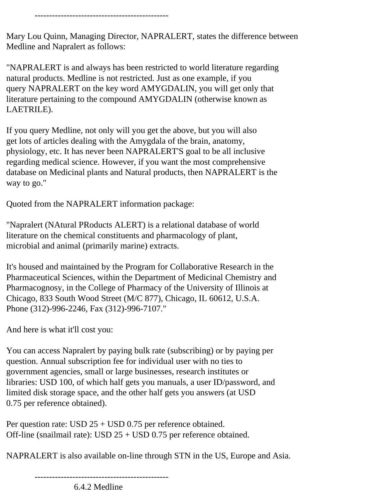Mary Lou Quinn, Managing Director, NAPRALERT, states the difference between Medline and Napralert as follows:

"NAPRALERT is and always has been restricted to world literature regarding natural products. Medline is not restricted. Just as one example, if you query NAPRALERT on the key word AMYGDALIN, you will get only that literature pertaining to the compound AMYGDALIN (otherwise known as LAETRILE).

If you query Medline, not only will you get the above, but you will also get lots of articles dealing with the Amygdala of the brain, anatomy, physiology, etc. It has never been NAPRALERT'S goal to be all inclusive regarding medical science. However, if you want the most comprehensive database on Medicinal plants and Natural products, then NAPRALERT is the way to go."

Quoted from the NAPRALERT information package:

----------------------------------------------

"Napralert (NAtural PRoducts ALERT) is a relational database of world literature on the chemical constituents and pharmacology of plant, microbial and animal (primarily marine) extracts.

It's housed and maintained by the Program for Collaborative Research in the Pharmaceutical Sciences, within the Department of Medicinal Chemistry and Pharmacognosy, in the College of Pharmacy of the University of Illinois at Chicago, 833 South Wood Street (M/C 877), Chicago, IL 60612, U.S.A. Phone (312)-996-2246, Fax (312)-996-7107."

And here is what it'll cost you:

You can access Napralert by paying bulk rate (subscribing) or by paying per question. Annual subscription fee for individual user with no ties to government agencies, small or large businesses, research institutes or libraries: USD 100, of which half gets you manuals, a user ID/password, and limited disk storage space, and the other half gets you answers (at USD 0.75 per reference obtained).

Per question rate: USD 25 + USD 0.75 per reference obtained. Off-line (snailmail rate): USD 25 + USD 0.75 per reference obtained.

NAPRALERT is also available on-line through STN in the US, Europe and Asia.

----------------------------------------------

6.4.2 Medline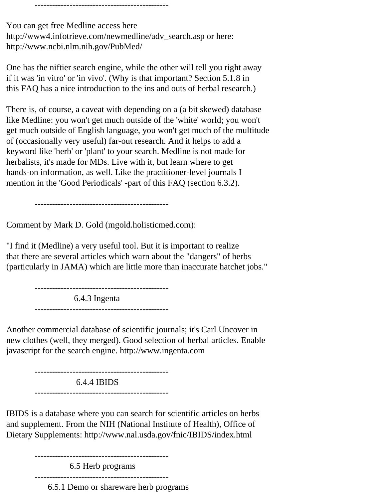You can get free Medline access here http://www4.infotrieve.com/newmedline/adv\_search.asp or here: http://www.ncbi.nlm.nih.gov/PubMed/

----------------------------------------------

One has the niftier search engine, while the other will tell you right away if it was 'in vitro' or 'in vivo'. (Why is that important? Section 5.1.8 in this FAQ has a nice introduction to the ins and outs of herbal research.)

There is, of course, a caveat with depending on a (a bit skewed) database like Medline: you won't get much outside of the 'white' world; you won't get much outside of English language, you won't get much of the multitude of (occasionally very useful) far-out research. And it helps to add a keyword like 'herb' or 'plant' to your search. Medline is not made for herbalists, it's made for MDs. Live with it, but learn where to get hands-on information, as well. Like the practitioner-level journals I mention in the 'Good Periodicals' -part of this FAQ (section 6.3.2).

----------------------------------------------

Comment by Mark D. Gold (mgold.holisticmed.com):

"I find it (Medline) a very useful tool. But it is important to realize that there are several articles which warn about the "dangers" of herbs (particularly in JAMA) which are little more than inaccurate hatchet jobs."

> ---------------------------------------------- 6.4.3 Ingenta ----------------------------------------------

Another commercial database of scientific journals; it's Carl Uncover in new clothes (well, they merged). Good selection of herbal articles. Enable javascript for the search engine. http://www.ingenta.com

> ---------------------------------------------- 6.4.4 IBIDS ----------------------------------------------

IBIDS is a database where you can search for scientific articles on herbs and supplement. From the NIH (National Institute of Health), Office of Dietary Supplements: http://www.nal.usda.gov/fnic/IBIDS/index.html

6.5 Herb programs

 ---------------------------------------------- 6.5.1 Demo or shareware herb programs

----------------------------------------------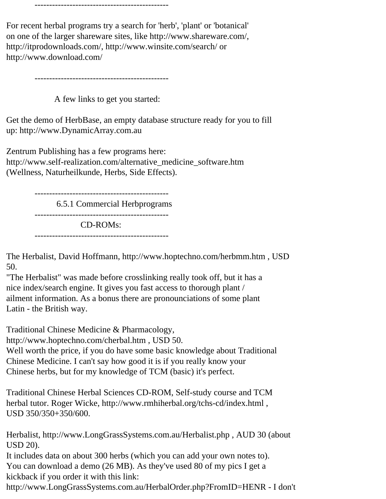For recent herbal programs try a search for 'herb', 'plant' or 'botanical' on one of the larger shareware sites, like http://www.shareware.com/, http://itprodownloads.com/, http://www.winsite.com/search/ or http://www.download.com/

----------------------------------------------

----------------------------------------------

A few links to get you started:

Get the demo of HerbBase, an empty database structure ready for you to fill up: http://www.DynamicArray.com.au

Zentrum Publishing has a few programs here: http://www.self-realization.com/alternative\_medicine\_software.htm (Wellness, Naturheilkunde, Herbs, Side Effects).

> ---------------------------------------------- 6.5.1 Commercial Herbprograms ---------------------------------------------- CD-ROMs: ----------------------------------------------

The Herbalist, David Hoffmann, http://www.hoptechno.com/herbmm.htm , USD 50.

"The Herbalist" was made before crosslinking really took off, but it has a nice index/search engine. It gives you fast access to thorough plant / ailment information. As a bonus there are pronounciations of some plant Latin - the British way.

Traditional Chinese Medicine & Pharmacology,

http://www.hoptechno.com/cherbal.htm , USD 50.

Well worth the price, if you do have some basic knowledge about Traditional Chinese Medicine. I can't say how good it is if you really know your Chinese herbs, but for my knowledge of TCM (basic) it's perfect.

Traditional Chinese Herbal Sciences CD-ROM, Self-study course and TCM herbal tutor. Roger Wicke, http://www.rmhiherbal.org/tchs-cd/index.html , USD 350/350+350/600.

Herbalist, http://www.LongGrassSystems.com.au/Herbalist.php , AUD 30 (about USD 20).

It includes data on about 300 herbs (which you can add your own notes to). You can download a demo (26 MB). As they've used 80 of my pics I get a kickback if you order it with this link:

http://www.LongGrassSystems.com.au/HerbalOrder.php?FromID=HENR - I don't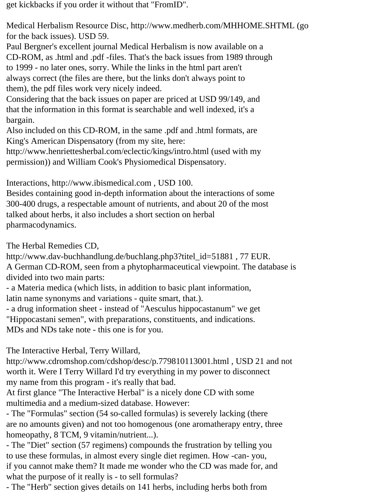get kickbacks if you order it without that "FromID".

Medical Herbalism Resource Disc, http://www.medherb.com/MHHOME.SHTML (go for the back issues). USD 59.

Paul Bergner's excellent journal Medical Herbalism is now available on a CD-ROM, as .html and .pdf -files. That's the back issues from 1989 through to 1999 - no later ones, sorry. While the links in the html part aren't always correct (the files are there, but the links don't always point to them), the pdf files work very nicely indeed.

Considering that the back issues on paper are priced at USD 99/149, and that the information in this format is searchable and well indexed, it's a bargain.

Also included on this CD-ROM, in the same .pdf and .html formats, are King's American Dispensatory (from my site, here:

http://www.henriettesherbal.com/eclectic/kings/intro.html (used with my permission)) and William Cook's Physiomedical Dispensatory.

Interactions, http://www.ibismedical.com , USD 100.

Besides containing good in-depth information about the interactions of some 300-400 drugs, a respectable amount of nutrients, and about 20 of the most talked about herbs, it also includes a short section on herbal pharmacodynamics.

The Herbal Remedies CD,

http://www.dav-buchhandlung.de/buchlang.php3?titel\_id=51881,77 EUR. A German CD-ROM, seen from a phytopharmaceutical viewpoint. The database is divided into two main parts:

- a Materia medica (which lists, in addition to basic plant information,

latin name synonyms and variations - quite smart, that.).

- a drug information sheet - instead of "Aesculus hippocastanum" we get

"Hippocastani semen", with preparations, constituents, and indications.

MDs and NDs take note - this one is for you.

The Interactive Herbal, Terry Willard,

http://www.cdromshop.com/cdshop/desc/p.779810113001.html , USD 21 and not worth it. Were I Terry Willard I'd try everything in my power to disconnect my name from this program - it's really that bad.

At first glance "The Interactive Herbal" is a nicely done CD with some multimedia and a medium-sized database. However:

- The "Formulas" section (54 so-called formulas) is severely lacking (there are no amounts given) and not too homogenous (one aromatherapy entry, three homeopathy, 8 TCM, 9 vitamin/nutrient...).

- The "Diet" section (57 regimens) compounds the frustration by telling you to use these formulas, in almost every single diet regimen. How -can- you, if you cannot make them? It made me wonder who the CD was made for, and what the purpose of it really is - to sell formulas?

- The "Herb" section gives details on 141 herbs, including herbs both from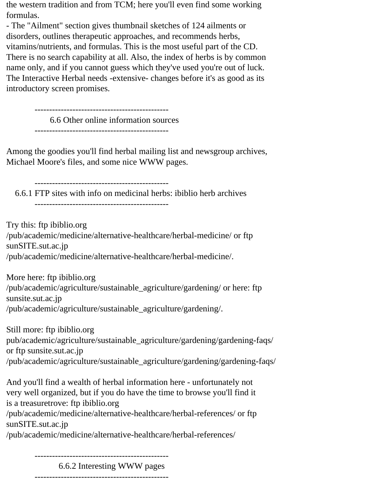the western tradition and from TCM; here you'll even find some working formulas.

- The "Ailment" section gives thumbnail sketches of 124 ailments or disorders, outlines therapeutic approaches, and recommends herbs, vitamins/nutrients, and formulas. This is the most useful part of the CD. There is no search capability at all. Also, the index of herbs is by common name only, and if you cannot guess which they've used you're out of luck. The Interactive Herbal needs -extensive- changes before it's as good as its introductory screen promises.

> ---------------------------------------------- 6.6 Other online information sources ----------------------------------------------

Among the goodies you'll find herbal mailing list and newsgroup archives, Michael Moore's files, and some nice WWW pages.

----------------------------------------------

 6.6.1 FTP sites with info on medicinal herbs: ibiblio herb archives ----------------------------------------------

Try this: ftp ibiblio.org

/pub/academic/medicine/alternative-healthcare/herbal-medicine/ or ftp sunSITE.sut.ac.jp /pub/academic/medicine/alternative-healthcare/herbal-medicine/.

More here: ftp ibiblio.org /pub/academic/agriculture/sustainable\_agriculture/gardening/ or here: ftp sunsite.sut.ac.jp /pub/academic/agriculture/sustainable\_agriculture/gardening/.

Still more: ftp ibiblio.org pub/academic/agriculture/sustainable\_agriculture/gardening/gardening-faqs/ or ftp sunsite.sut.ac.jp /pub/academic/agriculture/sustainable\_agriculture/gardening/gardening-faqs/

And you'll find a wealth of herbal information here - unfortunately not very well organized, but if you do have the time to browse you'll find it is a treasuretrove: ftp ibiblio.org

/pub/academic/medicine/alternative-healthcare/herbal-references/ or ftp sunSITE.sut.ac.jp

/pub/academic/medicine/alternative-healthcare/herbal-references/

6.6.2 Interesting WWW pages

----------------------------------------------

----------------------------------------------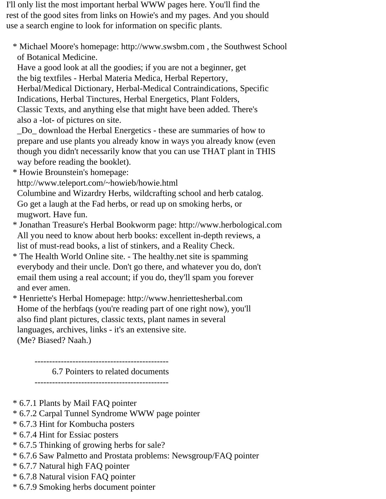I'll only list the most important herbal WWW pages here. You'll find the rest of the good sites from links on Howie's and my pages. And you should use a search engine to look for information on specific plants.

 \* Michael Moore's homepage: http://www.swsbm.com , the Southwest School of Botanical Medicine.

 Have a good look at all the goodies; if you are not a beginner, get the big textfiles - Herbal Materia Medica, Herbal Repertory, Herbal/Medical Dictionary, Herbal-Medical Contraindications, Specific Indications, Herbal Tinctures, Herbal Energetics, Plant Folders, Classic Texts, and anything else that might have been added. There's also a -lot- of pictures on site.

 \_Do\_ download the Herbal Energetics - these are summaries of how to prepare and use plants you already know in ways you already know (even though you didn't necessarily know that you can use THAT plant in THIS way before reading the booklet).

\* Howie Brounstein's homepage:

http://www.teleport.com/~howieb/howie.html

 Columbine and Wizardry Herbs, wildcrafting school and herb catalog. Go get a laugh at the Fad herbs, or read up on smoking herbs, or mugwort. Have fun.

- \* Jonathan Treasure's Herbal Bookworm page: http://www.herbological.com All you need to know about herb books: excellent in-depth reviews, a list of must-read books, a list of stinkers, and a Reality Check.
- \* The Health World Online site. The healthy.net site is spamming everybody and their uncle. Don't go there, and whatever you do, don't email them using a real account; if you do, they'll spam you forever and ever amen.
- \* Henriette's Herbal Homepage: http://www.henriettesherbal.com Home of the herbfaqs (you're reading part of one right now), you'll also find plant pictures, classic texts, plant names in several languages, archives, links - it's an extensive site. (Me? Biased? Naah.)

 ---------------------------------------------- 6.7 Pointers to related documents

----------------------------------------------

- \* 6.7.1 Plants by Mail FAQ pointer
- \* 6.7.2 Carpal Tunnel Syndrome WWW page pointer
- \* 6.7.3 Hint for Kombucha posters
- \* 6.7.4 Hint for Essiac posters
- \* 6.7.5 Thinking of growing herbs for sale?
- \* 6.7.6 Saw Palmetto and Prostata problems: Newsgroup/FAQ pointer
- \* 6.7.7 Natural high FAQ pointer
- \* 6.7.8 Natural vision FAQ pointer
- \* 6.7.9 Smoking herbs document pointer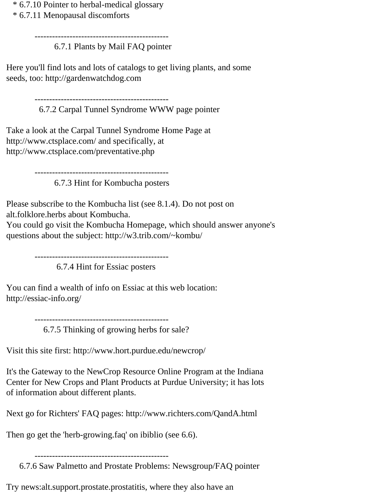\* 6.7.10 Pointer to herbal-medical glossary

\* 6.7.11 Menopausal discomforts

6.7.1 Plants by Mail FAQ pointer

----------------------------------------------

Here you'll find lots and lots of catalogs to get living plants, and some seeds, too: http://gardenwatchdog.com

----------------------------------------------

6.7.2 Carpal Tunnel Syndrome WWW page pointer

Take a look at the Carpal Tunnel Syndrome Home Page at http://www.ctsplace.com/ and specifically, at http://www.ctsplace.com/preventative.php

----------------------------------------------

6.7.3 Hint for Kombucha posters

Please subscribe to the Kombucha list (see 8.1.4). Do not post on

alt.folklore.herbs about Kombucha.

You could go visit the Kombucha Homepage, which should answer anyone's questions about the subject: http://w3.trib.com/~kombu/

----------------------------------------------

6.7.4 Hint for Essiac posters

You can find a wealth of info on Essiac at this web location: http://essiac-info.org/

----------------------------------------------

6.7.5 Thinking of growing herbs for sale?

Visit this site first: http://www.hort.purdue.edu/newcrop/

It's the Gateway to the NewCrop Resource Online Program at the Indiana Center for New Crops and Plant Products at Purdue University; it has lots of information about different plants.

Next go for Richters' FAQ pages: http://www.richters.com/QandA.html

Then go get the 'herb-growing.faq' on ibiblio (see 6.6).

----------------------------------------------

6.7.6 Saw Palmetto and Prostate Problems: Newsgroup/FAQ pointer

Try news:alt.support.prostate.prostatitis, where they also have an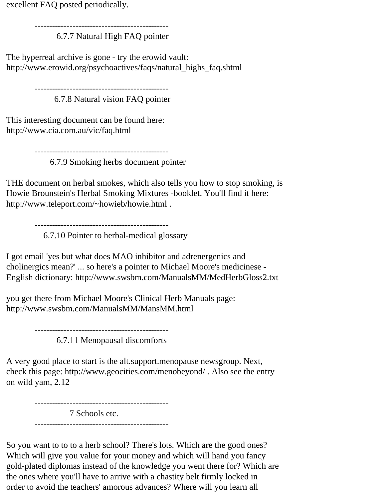excellent FAQ posted periodically.

----------------------------------------------

6.7.7 Natural High FAQ pointer

The hyperreal archive is gone - try the erowid vault: http://www.erowid.org/psychoactives/faqs/natural\_highs\_faq.shtml

----------------------------------------------

6.7.8 Natural vision FAQ pointer

This interesting document can be found here: http://www.cia.com.au/vic/faq.html

----------------------------------------------

6.7.9 Smoking herbs document pointer

THE document on herbal smokes, which also tells you how to stop smoking, is Howie Brounstein's Herbal Smoking Mixtures -booklet. You'll find it here: http://www.teleport.com/~howieb/howie.html .

> ---------------------------------------------- 6.7.10 Pointer to herbal-medical glossary

I got email 'yes but what does MAO inhibitor and adrenergenics and cholinergics mean?' ... so here's a pointer to Michael Moore's medicinese - English dictionary: http://www.swsbm.com/ManualsMM/MedHerbGloss2.txt

you get there from Michael Moore's Clinical Herb Manuals page: http://www.swsbm.com/ManualsMM/MansMM.html

> ---------------------------------------------- 6.7.11 Menopausal discomforts

A very good place to start is the alt.support.menopause newsgroup. Next, check this page: http://www.geocities.com/menobeyond/ . Also see the entry on wild yam, 2.12

----------------------------------------------

----------------------------------------------

7 Schools etc.

So you want to to to a herb school? There's lots. Which are the good ones? Which will give you value for your money and which will hand you fancy gold-plated diplomas instead of the knowledge you went there for? Which are the ones where you'll have to arrive with a chastity belt firmly locked in order to avoid the teachers' amorous advances? Where will you learn all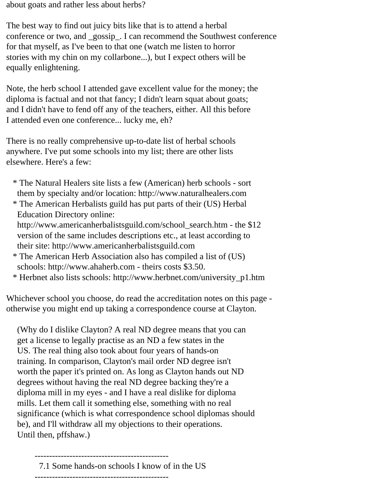about goats and rather less about herbs?

The best way to find out juicy bits like that is to attend a herbal conference or two, and \_gossip\_. I can recommend the Southwest conference for that myself, as I've been to that one (watch me listen to horror stories with my chin on my collarbone...), but I expect others will be equally enlightening.

Note, the herb school I attended gave excellent value for the money; the diploma is factual and not that fancy; I didn't learn squat about goats; and I didn't have to fend off any of the teachers, either. All this before I attended even one conference... lucky me, eh?

There is no really comprehensive up-to-date list of herbal schools anywhere. I've put some schools into my list; there are other lists elsewhere. Here's a few:

- \* The Natural Healers site lists a few (American) herb schools sort them by specialty and/or location: http://www.naturalhealers.com
- \* The American Herbalists guild has put parts of their (US) Herbal Education Directory online:

 http://www.americanherbalistsguild.com/school\_search.htm - the \$12 version of the same includes descriptions etc., at least according to their site: http://www.americanherbalistsguild.com

- \* The American Herb Association also has compiled a list of (US) schools: http://www.ahaherb.com - theirs costs \$3.50.
- \* Herbnet also lists schools: http://www.herbnet.com/university\_p1.htm

Whichever school you choose, do read the accreditation notes on this page otherwise you might end up taking a correspondence course at Clayton.

 (Why do I dislike Clayton? A real ND degree means that you can get a license to legally practise as an ND a few states in the US. The real thing also took about four years of hands-on training. In comparison, Clayton's mail order ND degree isn't worth the paper it's printed on. As long as Clayton hands out ND degrees without having the real ND degree backing they're a diploma mill in my eyes - and I have a real dislike for diploma mills. Let them call it something else, something with no real significance (which is what correspondence school diplomas should be), and I'll withdraw all my objections to their operations. Until then, pffshaw.)

----------------------------------------------

----------------------------------------------

 <sup>7.1</sup> Some hands-on schools I know of in the US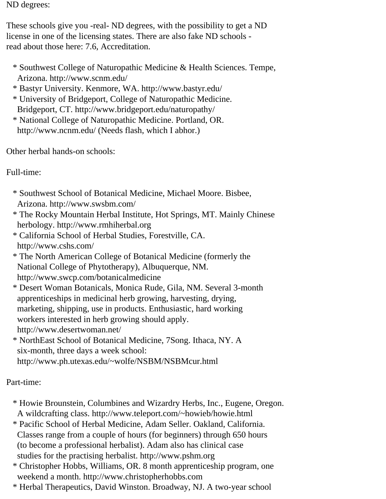ND degrees:

These schools give you -real- ND degrees, with the possibility to get a ND license in one of the licensing states. There are also fake ND schools read about those here: 7.6, Accreditation.

- \* Southwest College of Naturopathic Medicine & Health Sciences. Tempe, Arizona. http://www.scnm.edu/
- \* Bastyr University. Kenmore, WA. http://www.bastyr.edu/
- \* University of Bridgeport, College of Naturopathic Medicine. Bridgeport, CT. http://www.bridgeport.edu/naturopathy/
- \* National College of Naturopathic Medicine. Portland, OR. http://www.ncnm.edu/ (Needs flash, which I abhor.)

Other herbal hands-on schools:

Full-time:

- \* Southwest School of Botanical Medicine, Michael Moore. Bisbee, Arizona. http://www.swsbm.com/
- \* The Rocky Mountain Herbal Institute, Hot Springs, MT. Mainly Chinese herbology. http://www.rmhiherbal.org
- \* California School of Herbal Studies, Forestville, CA. http://www.cshs.com/
- \* The North American College of Botanical Medicine (formerly the National College of Phytotherapy), Albuquerque, NM. http://www.swcp.com/botanicalmedicine
- \* Desert Woman Botanicals, Monica Rude, Gila, NM. Several 3-month apprenticeships in medicinal herb growing, harvesting, drying, marketing, shipping, use in products. Enthusiastic, hard working workers interested in herb growing should apply. http://www.desertwoman.net/
- \* NorthEast School of Botanical Medicine, 7Song. Ithaca, NY. A six-month, three days a week school: http://www.ph.utexas.edu/~wolfe/NSBM/NSBMcur.html

Part-time:

- \* Howie Brounstein, Columbines and Wizardry Herbs, Inc., Eugene, Oregon. A wildcrafting class. http://www.teleport.com/~howieb/howie.html
- \* Pacific School of Herbal Medicine, Adam Seller. Oakland, California. Classes range from a couple of hours (for beginners) through 650 hours (to become a professional herbalist). Adam also has clinical case studies for the practising herbalist. http://www.pshm.org
- \* Christopher Hobbs, Williams, OR. 8 month apprenticeship program, one weekend a month. http://www.christopherhobbs.com
- \* Herbal Therapeutics, David Winston. Broadway, NJ. A two-year school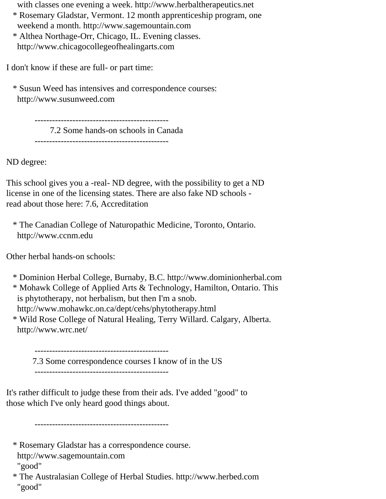with classes one evening a week. http://www.herbaltherapeutics.net

- \* Rosemary Gladstar, Vermont. 12 month apprenticeship program, one weekend a month. http://www.sagemountain.com
- \* Althea Northage-Orr, Chicago, IL. Evening classes. http://www.chicagocollegeofhealingarts.com

I don't know if these are full- or part time:

 \* Susun Weed has intensives and correspondence courses: http://www.susunweed.com

> ---------------------------------------------- 7.2 Some hands-on schools in Canada ----------------------------------------------

ND degree:

This school gives you a -real- ND degree, with the possibility to get a ND license in one of the licensing states. There are also fake ND schools read about those here: 7.6, Accreditation

 \* The Canadian College of Naturopathic Medicine, Toronto, Ontario. http://www.ccnm.edu

Other herbal hands-on schools:

- \* Dominion Herbal College, Burnaby, B.C. http://www.dominionherbal.com
- \* Mohawk College of Applied Arts & Technology, Hamilton, Ontario. This is phytotherapy, not herbalism, but then I'm a snob. http://www.mohawkc.on.ca/dept/cehs/phytotherapy.html

 \* Wild Rose College of Natural Healing, Terry Willard. Calgary, Alberta. http://www.wrc.net/

 ---------------------------------------------- 7.3 Some correspondence courses I know of in the US

----------------------------------------------

It's rather difficult to judge these from their ads. I've added "good" to those which I've only heard good things about.

----------------------------------------------

- \* Rosemary Gladstar has a correspondence course.
	- http://www.sagemountain.com

"good"

 \* The Australasian College of Herbal Studies. http://www.herbed.com "good"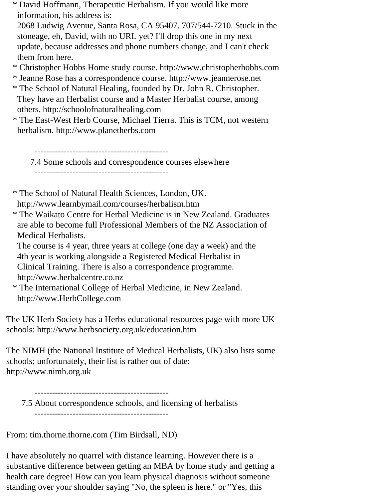\* David Hoffmann, Therapeutic Herbalism. If you would like more information, his address is:

 2068 Ludwig Avenue, Santa Rosa, CA 95407. 707/544-7210. Stuck in the stoneage, eh, David, with no URL yet? I'll drop this one in my next update, because addresses and phone numbers change, and I can't check them from here.

- \* Christopher Hobbs Home study course. http://www.christopherhobbs.com
- \* Jeanne Rose has a correspondence course. http://www.jeannerose.net
- \* The School of Natural Healing, founded by Dr. John R. Christopher. They have an Herbalist course and a Master Herbalist course, among others. http://schoolofnaturalhealing.com
- \* The East-West Herb Course, Michael Tierra. This is TCM, not western herbalism. http://www.planetherbs.com

----------------------------------------------

 7.4 Some schools and correspondence courses elsewhere ----------------------------------------------

\* The School of Natural Health Sciences, London, UK.

http://www.learnbymail.com/courses/herbalism.htm

 \* The Waikato Centre for Herbal Medicine is in New Zealand. Graduates are able to become full Professional Members of the NZ Association of Medical Herbalists.

 The course is 4 year, three years at college (one day a week) and the 4th year is working alongside a Registered Medical Herbalist in Clinical Training. There is also a correspondence programme. http://www.herbalcentre.co.nz

 \* The International College of Herbal Medicine, in New Zealand. http://www.HerbCollege.com

The UK Herb Society has a Herbs educational resources page with more UK schools: http://www.herbsociety.org.uk/education.htm

The NIMH (the National Institute of Medical Herbalists, UK) also lists some schools; unfortunately, their list is rather out of date: http://www.nimh.org.uk

 ---------------------------------------------- 7.5 About correspondence schools, and licensing of herbalists

----------------------------------------------

From: tim.thorne.thorne.com (Tim Birdsall, ND)

I have absolutely no quarrel with distance learning. However there is a substantive difference between getting an MBA by home study and getting a health care degree! How can you learn physical diagnosis without someone standing over your shoulder saying "No, the spleen is here." or "Yes, this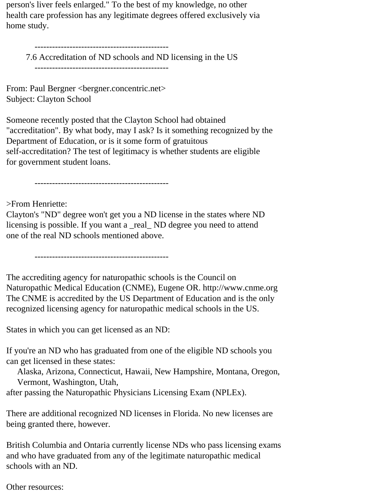person's liver feels enlarged." To the best of my knowledge, no other health care profession has any legitimate degrees offered exclusively via home study.

----------------------------------------------

 7.6 Accreditation of ND schools and ND licensing in the US ----------------------------------------------

From: Paul Bergner <br/>bergner.concentric.net> Subject: Clayton School

Someone recently posted that the Clayton School had obtained "accreditation". By what body, may I ask? Is it something recognized by the Department of Education, or is it some form of gratuitous self-accreditation? The test of legitimacy is whether students are eligible for government student loans.

----------------------------------------------

>From Henriette:

Clayton's "ND" degree won't get you a ND license in the states where ND licensing is possible. If you want a \_real\_ ND degree you need to attend one of the real ND schools mentioned above.

----------------------------------------------

The accrediting agency for naturopathic schools is the Council on Naturopathic Medical Education (CNME), Eugene OR. http://www.cnme.org The CNME is accredited by the US Department of Education and is the only recognized licensing agency for naturopathic medical schools in the US.

States in which you can get licensed as an ND:

If you're an ND who has graduated from one of the eligible ND schools you can get licensed in these states:

 Alaska, Arizona, Connecticut, Hawaii, New Hampshire, Montana, Oregon, Vermont, Washington, Utah,

after passing the Naturopathic Physicians Licensing Exam (NPLEx).

There are additional recognized ND licenses in Florida. No new licenses are being granted there, however.

British Columbia and Ontaria currently license NDs who pass licensing exams and who have graduated from any of the legitimate naturopathic medical schools with an ND.

Other resources: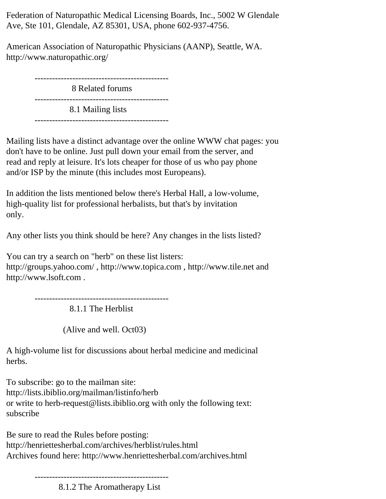Federation of Naturopathic Medical Licensing Boards, Inc., 5002 W Glendale Ave, Ste 101, Glendale, AZ 85301, USA, phone 602-937-4756.

American Association of Naturopathic Physicians (AANP), Seattle, WA. http://www.naturopathic.org/

> ---------------------------------------------- 8 Related forums ---------------------------------------------- 8.1 Mailing lists ----------------------------------------------

Mailing lists have a distinct advantage over the online WWW chat pages: you don't have to be online. Just pull down your email from the server, and read and reply at leisure. It's lots cheaper for those of us who pay phone and/or ISP by the minute (this includes most Europeans).

In addition the lists mentioned below there's Herbal Hall, a low-volume, high-quality list for professional herbalists, but that's by invitation only.

Any other lists you think should be here? Any changes in the lists listed?

You can try a search on "herb" on these list listers: http://groups.yahoo.com/ , http://www.topica.com , http://www.tile.net and http://www.lsoft.com .

----------------------------------------------

8.1.1 The Herblist

(Alive and well. Oct03)

A high-volume list for discussions about herbal medicine and medicinal herbs.

To subscribe: go to the mailman site: http://lists.ibiblio.org/mailman/listinfo/herb or write to herb-request@lists.ibiblio.org with only the following text: subscribe

Be sure to read the Rules before posting: http://henriettesherbal.com/archives/herblist/rules.html Archives found here: http://www.henriettesherbal.com/archives.html

----------------------------------------------

8.1.2 The Aromatherapy List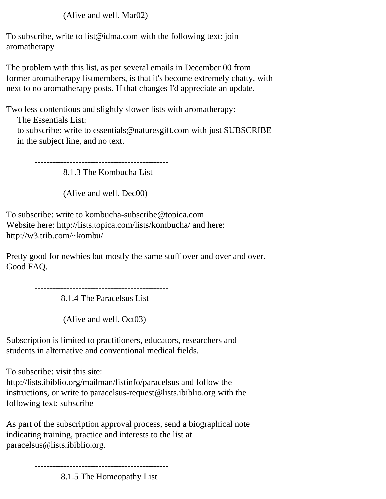(Alive and well. Mar02)

To subscribe, write to list@idma.com with the following text: join aromatherapy

The problem with this list, as per several emails in December 00 from former aromatherapy listmembers, is that it's become extremely chatty, with next to no aromatherapy posts. If that changes I'd appreciate an update.

Two less contentious and slightly slower lists with aromatherapy:

The Essentials List:

 to subscribe: write to essentials@naturesgift.com with just SUBSCRIBE in the subject line, and no text.

----------------------------------------------

8.1.3 The Kombucha List

(Alive and well. Dec00)

To subscribe: write to kombucha-subscribe@topica.com Website here: http://lists.topica.com/lists/kombucha/ and here: http://w3.trib.com/~kombu/

Pretty good for newbies but mostly the same stuff over and over and over. Good FAQ.

----------------------------------------------

8.1.4 The Paracelsus List

(Alive and well. Oct03)

Subscription is limited to practitioners, educators, researchers and students in alternative and conventional medical fields.

To subscribe: visit this site:

http://lists.ibiblio.org/mailman/listinfo/paracelsus and follow the instructions, or write to paracelsus-request@lists.ibiblio.org with the following text: subscribe

As part of the subscription approval process, send a biographical note indicating training, practice and interests to the list at paracelsus@lists.ibiblio.org.

> ---------------------------------------------- 8.1.5 The Homeopathy List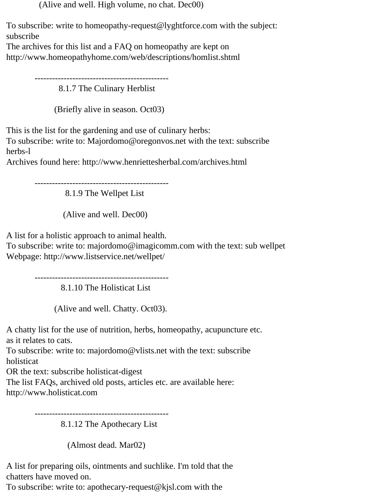(Alive and well. High volume, no chat. Dec00)

To subscribe: write to homeopathy-request@lyghtforce.com with the subject: subscribe

The archives for this list and a FAQ on homeopathy are kept on http://www.homeopathyhome.com/web/descriptions/homlist.shtml

----------------------------------------------

8.1.7 The Culinary Herblist

(Briefly alive in season. Oct03)

This is the list for the gardening and use of culinary herbs:

To subscribe: write to: Majordomo@oregonvos.net with the text: subscribe herbs-l

Archives found here: http://www.henriettesherbal.com/archives.html

----------------------------------------------

8.1.9 The Wellpet List

(Alive and well. Dec00)

A list for a holistic approach to animal health.

To subscribe: write to: majordomo@imagicomm.com with the text: sub wellpet Webpage: http://www.listservice.net/wellpet/

----------------------------------------------

8.1.10 The Holisticat List

(Alive and well. Chatty. Oct03).

A chatty list for the use of nutrition, herbs, homeopathy, acupuncture etc. as it relates to cats.

To subscribe: write to: majordomo@vlists.net with the text: subscribe holisticat

OR the text: subscribe holisticat-digest

The list FAQs, archived old posts, articles etc. are available here: http://www.holisticat.com

----------------------------------------------

8.1.12 The Apothecary List

(Almost dead. Mar02)

A list for preparing oils, ointments and suchlike. I'm told that the chatters have moved on.

To subscribe: write to: apothecary-request@kjsl.com with the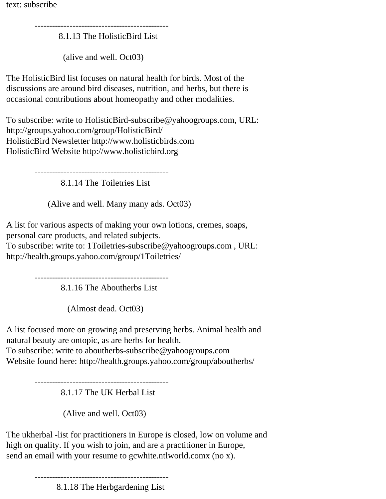text: subscribe

 ---------------------------------------------- 8.1.13 The HolisticBird List

(alive and well. Oct03)

The HolisticBird list focuses on natural health for birds. Most of the discussions are around bird diseases, nutrition, and herbs, but there is occasional contributions about homeopathy and other modalities.

To subscribe: write to HolisticBird-subscribe@yahoogroups.com, URL: http://groups.yahoo.com/group/HolisticBird/ HolisticBird Newsletter http://www.holisticbirds.com HolisticBird Website http://www.holisticbird.org

----------------------------------------------

8.1.14 The Toiletries List

(Alive and well. Many many ads. Oct03)

A list for various aspects of making your own lotions, cremes, soaps, personal care products, and related subjects. To subscribe: write to: 1Toiletries-subscribe@yahoogroups.com , URL: http://health.groups.yahoo.com/group/1Toiletries/

----------------------------------------------

8.1.16 The Aboutherbs List

(Almost dead. Oct03)

A list focused more on growing and preserving herbs. Animal health and natural beauty are ontopic, as are herbs for health. To subscribe: write to aboutherbs-subscribe@yahoogroups.com Website found here: http://health.groups.yahoo.com/group/aboutherbs/

----------------------------------------------

8.1.17 The UK Herbal List

(Alive and well. Oct03)

The ukherbal -list for practitioners in Europe is closed, low on volume and high on quality. If you wish to join, and are a practitioner in Europe, send an email with your resume to gcwhite.ntlworld.comx (no x).

----------------------------------------------

8.1.18 The Herbgardening List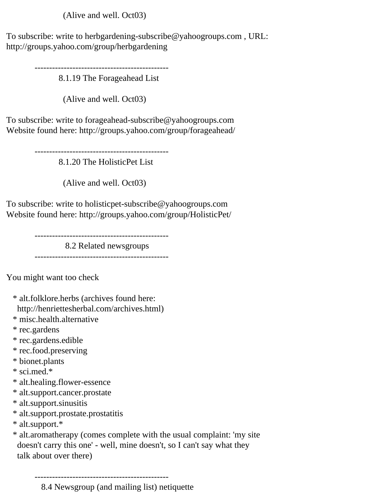(Alive and well. Oct03)

To subscribe: write to herbgardening-subscribe@yahoogroups.com , URL: http://groups.yahoo.com/group/herbgardening

----------------------------------------------

8.1.19 The Forageahead List

(Alive and well. Oct03)

To subscribe: write to forageahead-subscribe@yahoogroups.com Website found here: http://groups.yahoo.com/group/forageahead/

----------------------------------------------

8.1.20 The HolisticPet List

(Alive and well. Oct03)

To subscribe: write to holisticpet-subscribe@yahoogroups.com Website found here: http://groups.yahoo.com/group/HolisticPet/

----------------------------------------------

8.2 Related newsgroups

----------------------------------------------

You might want too check

\* alt.folklore.herbs (archives found here:

http://henriettesherbal.com/archives.html)

- \* misc.health.alternative
- \* rec.gardens
- \* rec.gardens.edible
- \* rec.food.preserving
- \* bionet.plants
- \* sci.med.\*
- \* alt.healing.flower-essence
- \* alt.support.cancer.prostate
- \* alt.support.sinusitis
- \* alt.support.prostate.prostatitis
- \* alt.support.\*

 \* alt.aromatherapy (comes complete with the usual complaint: 'my site doesn't carry this one' - well, mine doesn't, so I can't say what they talk about over there)

----------------------------------------------

8.4 Newsgroup (and mailing list) netiquette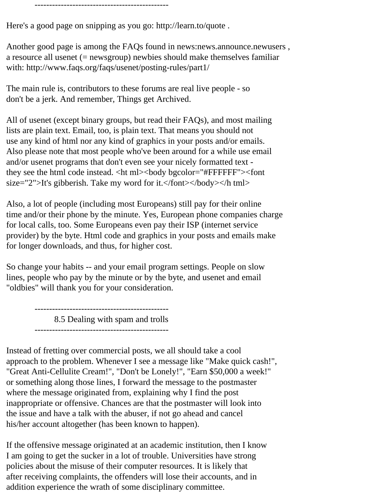----------------------------------------------

Here's a good page on snipping as you go: http://learn.to/quote .

Another good page is among the FAQs found in news:news.announce.newusers , a resource all usenet (= newsgroup) newbies should make themselves familiar with: http://www.faqs.org/faqs/usenet/posting-rules/part1/

The main rule is, contributors to these forums are real live people - so don't be a jerk. And remember, Things get Archived.

All of usenet (except binary groups, but read their FAQs), and most mailing lists are plain text. Email, too, is plain text. That means you should not use any kind of html nor any kind of graphics in your posts and/or emails. Also please note that most people who've been around for a while use email and/or usenet programs that don't even see your nicely formatted text they see the html code instead. <ht ml><br/>body bgcolor="#FFFFFF"><font size="2">It's gibberish. Take my word for it.</font></body></h tml>

Also, a lot of people (including most Europeans) still pay for their online time and/or their phone by the minute. Yes, European phone companies charge for local calls, too. Some Europeans even pay their ISP (internet service provider) by the byte. Html code and graphics in your posts and emails make for longer downloads, and thus, for higher cost.

So change your habits -- and your email program settings. People on slow lines, people who pay by the minute or by the byte, and usenet and email "oldbies" will thank you for your consideration.

> ---------------------------------------------- 8.5 Dealing with spam and trolls ----------------------------------------------

Instead of fretting over commercial posts, we all should take a cool approach to the problem. Whenever I see a message like "Make quick cash!", "Great Anti-Cellulite Cream!", "Don't be Lonely!", "Earn \$50,000 a week!" or something along those lines, I forward the message to the postmaster where the message originated from, explaining why I find the post inappropriate or offensive. Chances are that the postmaster will look into the issue and have a talk with the abuser, if not go ahead and cancel his/her account altogether (has been known to happen).

If the offensive message originated at an academic institution, then I know I am going to get the sucker in a lot of trouble. Universities have strong policies about the misuse of their computer resources. It is likely that after receiving complaints, the offenders will lose their accounts, and in addition experience the wrath of some disciplinary committee.